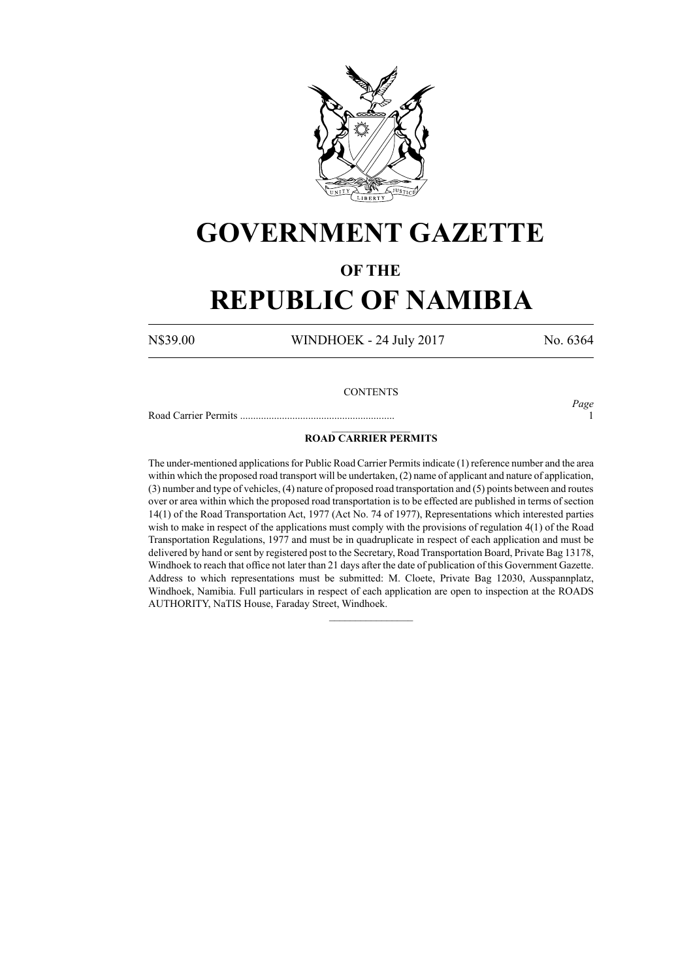

# **GOVERNMENT GAZETTE**

### **OF THE**

# **REPUBLIC OF NAMIBIA**

N\$39.00 WINDHOEK - 24 July 2017 No. 6364

#### **CONTENTS**

Road Carrier Permits ........................................................... 1

*Page*

#### $\frac{1}{2}$ **ROAD CARRIER PERMITS**

The under-mentioned applications for Public Road Carrier Permits indicate (1) reference number and the area within which the proposed road transport will be undertaken, (2) name of applicant and nature of application, (3) number and type of vehicles, (4) nature of proposed road transportation and (5) points between and routes over or area within which the proposed road transportation is to be effected are published in terms of section 14(1) of the Road Transportation Act, 1977 (Act No. 74 of 1977), Representations which interested parties wish to make in respect of the applications must comply with the provisions of regulation 4(1) of the Road Transportation Regulations, 1977 and must be in quadruplicate in respect of each application and must be delivered by hand or sent by registered post to the Secretary, Road Transportation Board, Private Bag 13178, Windhoek to reach that office not later than 21 days after the date of publication of this Government Gazette. Address to which representations must be submitted: M. Cloete, Private Bag 12030, Ausspannplatz, Windhoek, Namibia. Full particulars in respect of each application are open to inspection at the ROADS AUTHORITY, NaTIS House, Faraday Street, Windhoek.

 $\frac{1}{2}$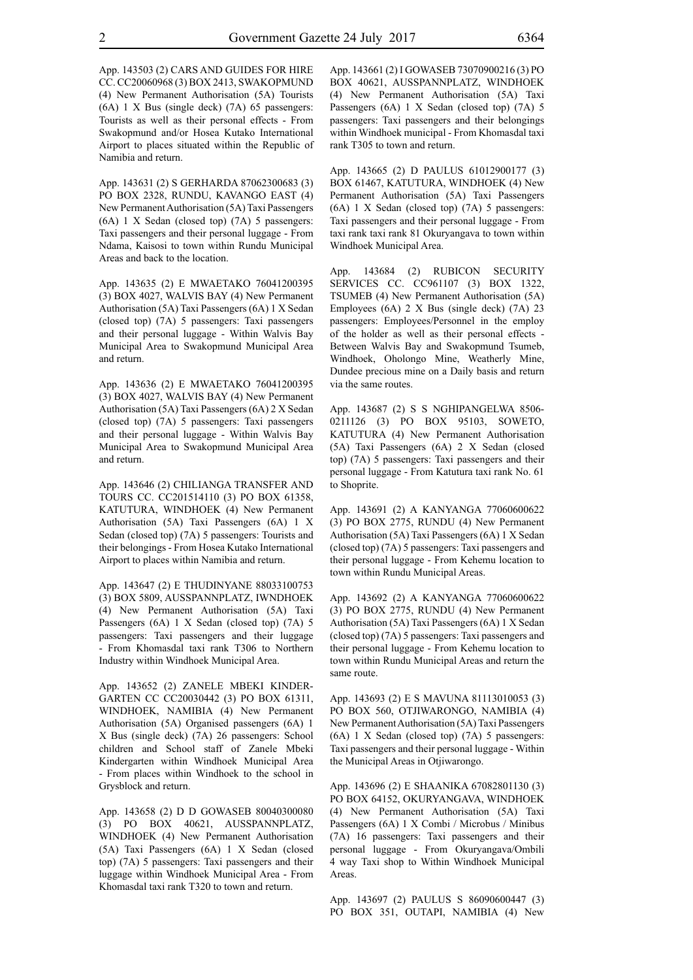App. 143503 (2) CARS AND GUIDES FOR HIRE CC. CC20060968 (3) BOX 2413, SWAKOPMUND (4) New Permanent Authorisation (5A) Tourists (6A) 1 X Bus (single deck) (7A) 65 passengers: Tourists as well as their personal effects - From Swakopmund and/or Hosea Kutako International Airport to places situated within the Republic of Namibia and return.

App. 143631 (2) S GERHARDA 87062300683 (3) PO BOX 2328, RUNDU, KAVANGO EAST (4) New Permanent Authorisation (5A) Taxi Passengers (6A) 1 X Sedan (closed top) (7A) 5 passengers: Taxi passengers and their personal luggage - From Ndama, Kaisosi to town within Rundu Municipal Areas and back to the location.

App. 143635 (2) E MWAETAKO 76041200395 (3) BOX 4027, WALVIS BAY (4) New Permanent Authorisation (5A) Taxi Passengers (6A) 1 X Sedan (closed top) (7A) 5 passengers: Taxi passengers and their personal luggage - Within Walvis Bay Municipal Area to Swakopmund Municipal Area and return.

App. 143636 (2) E MWAETAKO 76041200395 (3) BOX 4027, WALVIS BAY (4) New Permanent Authorisation (5A) Taxi Passengers (6A) 2 X Sedan (closed top) (7A) 5 passengers: Taxi passengers and their personal luggage - Within Walvis Bay Municipal Area to Swakopmund Municipal Area and return.

App. 143646 (2) CHILIANGA TRANSFER AND TOURS CC. CC201514110 (3) PO BOX 61358, KATUTURA, WINDHOEK (4) New Permanent Authorisation (5A) Taxi Passengers (6A) 1 X Sedan (closed top) (7A) 5 passengers: Tourists and their belongings - From Hosea Kutako International Airport to places within Namibia and return.

App. 143647 (2) E THUDINYANE 88033100753 (3) BOX 5809, AUSSPANNPLATZ, IWNDHOEK (4) New Permanent Authorisation (5A) Taxi Passengers (6A) 1 X Sedan (closed top) (7A) 5 passengers: Taxi passengers and their luggage - From Khomasdal taxi rank T306 to Northern Industry within Windhoek Municipal Area.

App. 143652 (2) ZANELE MBEKI KINDER-GARTEN CC CC20030442 (3) PO BOX 61311, WINDHOEK, NAMIBIA (4) New Permanent Authorisation (5A) Organised passengers (6A) 1 X Bus (single deck) (7A) 26 passengers: School children and School staff of Zanele Mbeki Kindergarten within Windhoek Municipal Area - From places within Windhoek to the school in Grysblock and return.

App. 143658 (2) D D GOWASEB 80040300080 (3) PO BOX 40621, AUSSPANNPLATZ, WINDHOEK (4) New Permanent Authorisation (5A) Taxi Passengers (6A) 1 X Sedan (closed top) (7A) 5 passengers: Taxi passengers and their luggage within Windhoek Municipal Area - From Khomasdal taxi rank T320 to town and return.

App. 143661 (2) I GOWASEB 73070900216 (3) PO BOX 40621, AUSSPANNPLATZ, WINDHOEK (4) New Permanent Authorisation (5A) Taxi Passengers (6A) 1 X Sedan (closed top) (7A) 5 passengers: Taxi passengers and their belongings within Windhoek municipal - From Khomasdal taxi rank T305 to town and return.

App. 143665 (2) D PAULUS 61012900177 (3) BOX 61467, KATUTURA, WINDHOEK (4) New Permanent Authorisation (5A) Taxi Passengers (6A) 1 X Sedan (closed top) (7A) 5 passengers: Taxi passengers and their personal luggage - From taxi rank taxi rank 81 Okuryangava to town within Windhoek Municipal Area.

App. 143684 (2) RUBICON SECURITY SERVICES CC. CC961107 (3) BOX 1322, TSUMEB (4) New Permanent Authorisation (5A) Employees (6A) 2 X Bus (single deck) (7A) 23 passengers: Employees/Personnel in the employ of the holder as well as their personal effects - Between Walvis Bay and Swakopmund Tsumeb, Windhoek, Oholongo Mine, Weatherly Mine, Dundee precious mine on a Daily basis and return via the same routes.

App. 143687 (2) S S NGHIPANGELWA 8506- 0211126 (3) PO BOX 95103, SOWETO, KATUTURA (4) New Permanent Authorisation (5A) Taxi Passengers (6A) 2 X Sedan (closed top) (7A) 5 passengers: Taxi passengers and their personal luggage - From Katutura taxi rank No. 61 to Shoprite.

App. 143691 (2) A KANYANGA 77060600622 (3) PO BOX 2775, RUNDU (4) New Permanent Authorisation (5A) Taxi Passengers (6A) 1 X Sedan (closed top) (7A) 5 passengers: Taxi passengers and their personal luggage - From Kehemu location to town within Rundu Municipal Areas.

App. 143692 (2) A KANYANGA 77060600622 (3) PO BOX 2775, RUNDU (4) New Permanent Authorisation (5A) Taxi Passengers (6A) 1 X Sedan (closed top) (7A) 5 passengers: Taxi passengers and their personal luggage - From Kehemu location to town within Rundu Municipal Areas and return the same route.

App. 143693 (2) E S MAVUNA 81113010053 (3) PO BOX 560, OTJIWARONGO, NAMIBIA (4) New Permanent Authorisation (5A) Taxi Passengers (6A) 1 X Sedan (closed top) (7A) 5 passengers: Taxi passengers and their personal luggage - Within the Municipal Areas in Otiiwarongo.

App. 143696 (2) E SHAANIKA 67082801130 (3) PO BOX 64152, OKURYANGAVA, WINDHOEK (4) New Permanent Authorisation (5A) Taxi Passengers (6A) 1 X Combi / Microbus / Minibus (7A) 16 passengers: Taxi passengers and their personal luggage - From Okuryangava/Ombili 4 way Taxi shop to Within Windhoek Municipal Areas.

App. 143697 (2) PAULUS S 86090600447 (3) PO BOX 351, OUTAPI, NAMIBIA (4) New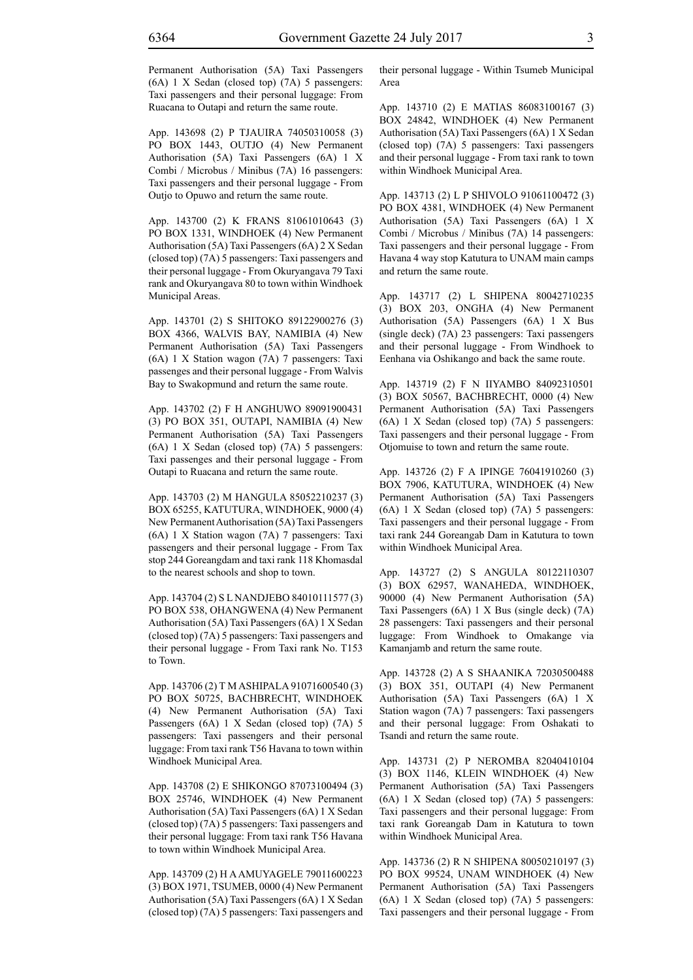Permanent Authorisation (5A) Taxi Passengers (6A) 1 X Sedan (closed top) (7A) 5 passengers: Taxi passengers and their personal luggage: From Ruacana to Outapi and return the same route.

App. 143698 (2) P TJAUIRA 74050310058 (3) PO BOX 1443, OUTJO (4) New Permanent Authorisation (5A) Taxi Passengers (6A) 1 X Combi / Microbus / Minibus (7A) 16 passengers: Taxi passengers and their personal luggage - From Outjo to Opuwo and return the same route.

App. 143700 (2) K FRANS 81061010643 (3) PO BOX 1331, WINDHOEK (4) New Permanent Authorisation (5A) Taxi Passengers (6A) 2 X Sedan (closed top) (7A) 5 passengers: Taxi passengers and their personal luggage - From Okuryangava 79 Taxi rank and Okuryangava 80 to town within Windhoek Municipal Areas.

App. 143701 (2) S SHITOKO 89122900276 (3) BOX 4366, WALVIS BAY, NAMIBIA (4) New Permanent Authorisation (5A) Taxi Passengers (6A) 1 X Station wagon (7A) 7 passengers: Taxi passenges and their personal luggage - From Walvis Bay to Swakopmund and return the same route.

App. 143702 (2) F H ANGHUWO 89091900431 (3) PO BOX 351, OUTAPI, NAMIBIA (4) New Permanent Authorisation (5A) Taxi Passengers (6A) 1 X Sedan (closed top) (7A) 5 passengers: Taxi passenges and their personal luggage - From Outapi to Ruacana and return the same route.

App. 143703 (2) M HANGULA 85052210237 (3) BOX 65255, KATUTURA, WINDHOEK, 9000 (4) New Permanent Authorisation (5A) Taxi Passengers (6A) 1 X Station wagon (7A) 7 passengers: Taxi passengers and their personal luggage - From Tax stop 244 Goreangdam and taxi rank 118 Khomasdal to the nearest schools and shop to town.

App. 143704 (2) S L NANDJEBO 84010111577 (3) PO BOX 538, OHANGWENA (4) New Permanent Authorisation (5A) Taxi Passengers (6A) 1 X Sedan (closed top) (7A) 5 passengers: Taxi passengers and their personal luggage - From Taxi rank No. T153 to Town.

App. 143706 (2) T M ASHIPALA 91071600540 (3) PO BOX 50725, BACHBRECHT, WINDHOEK (4) New Permanent Authorisation (5A) Taxi Passengers (6A) 1 X Sedan (closed top) (7A) 5 passengers: Taxi passengers and their personal luggage: From taxi rank T56 Havana to town within Windhoek Municipal Area.

App. 143708 (2) E SHIKONGO 87073100494 (3) BOX 25746, WINDHOEK (4) New Permanent Authorisation (5A) Taxi Passengers (6A) 1 X Sedan (closed top) (7A) 5 passengers: Taxi passengers and their personal luggage: From taxi rank T56 Havana to town within Windhoek Municipal Area.

App. 143709 (2) H A AMUYAGELE 79011600223 (3) BOX 1971, TSUMEB, 0000 (4) New Permanent Authorisation (5A) Taxi Passengers (6A) 1 X Sedan (closed top) (7A) 5 passengers: Taxi passengers and their personal luggage - Within Tsumeb Municipal Area

App. 143710 (2) E MATIAS 86083100167 (3) BOX 24842, WINDHOEK (4) New Permanent Authorisation (5A) Taxi Passengers (6A) 1 X Sedan (closed top) (7A) 5 passengers: Taxi passengers and their personal luggage - From taxi rank to town within Windhoek Municipal Area.

App. 143713 (2) L P SHIVOLO 91061100472 (3) PO BOX 4381, WINDHOEK (4) New Permanent Authorisation (5A) Taxi Passengers (6A) 1 X Combi / Microbus / Minibus (7A) 14 passengers: Taxi passengers and their personal luggage - From Havana 4 way stop Katutura to UNAM main camps and return the same route.

App. 143717 (2) L SHIPENA 80042710235 (3) BOX 203, ONGHA (4) New Permanent Authorisation (5A) Passengers (6A) 1 X Bus (single deck) (7A) 23 passengers: Taxi passengers and their personal luggage - From Windhoek to Eenhana via Oshikango and back the same route.

App. 143719 (2) F N IIYAMBO 84092310501 (3) BOX 50567, BACHBRECHT, 0000 (4) New Permanent Authorisation (5A) Taxi Passengers (6A) 1 X Sedan (closed top) (7A) 5 passengers: Taxi passengers and their personal luggage - From Otjomuise to town and return the same route.

App. 143726 (2) F A IPINGE 76041910260 (3) BOX 7906, KATUTURA, WINDHOEK (4) New Permanent Authorisation (5A) Taxi Passengers (6A) 1 X Sedan (closed top) (7A) 5 passengers: Taxi passengers and their personal luggage - From taxi rank 244 Goreangab Dam in Katutura to town within Windhoek Municipal Area.

App. 143727 (2) S ANGULA 80122110307 (3) BOX 62957, WANAHEDA, WINDHOEK, 90000 (4) New Permanent Authorisation (5A) Taxi Passengers (6A) 1 X Bus (single deck) (7A) 28 passengers: Taxi passengers and their personal luggage: From Windhoek to Omakange via Kamanjamb and return the same route.

App. 143728 (2) A S SHAANIKA 72030500488 (3) BOX 351, OUTAPI (4) New Permanent Authorisation (5A) Taxi Passengers (6A) 1 X Station wagon (7A) 7 passengers: Taxi passengers and their personal luggage: From Oshakati to Tsandi and return the same route.

App. 143731 (2) P NEROMBA 82040410104 (3) BOX 1146, KLEIN WINDHOEK (4) New Permanent Authorisation (5A) Taxi Passengers (6A) 1 X Sedan (closed top) (7A) 5 passengers: Taxi passengers and their personal luggage: From taxi rank Goreangab Dam in Katutura to town within Windhoek Municipal Area.

App. 143736 (2) R N SHIPENA 80050210197 (3) PO BOX 99524, UNAM WINDHOEK (4) New Permanent Authorisation (5A) Taxi Passengers (6A) 1 X Sedan (closed top) (7A) 5 passengers: Taxi passengers and their personal luggage - From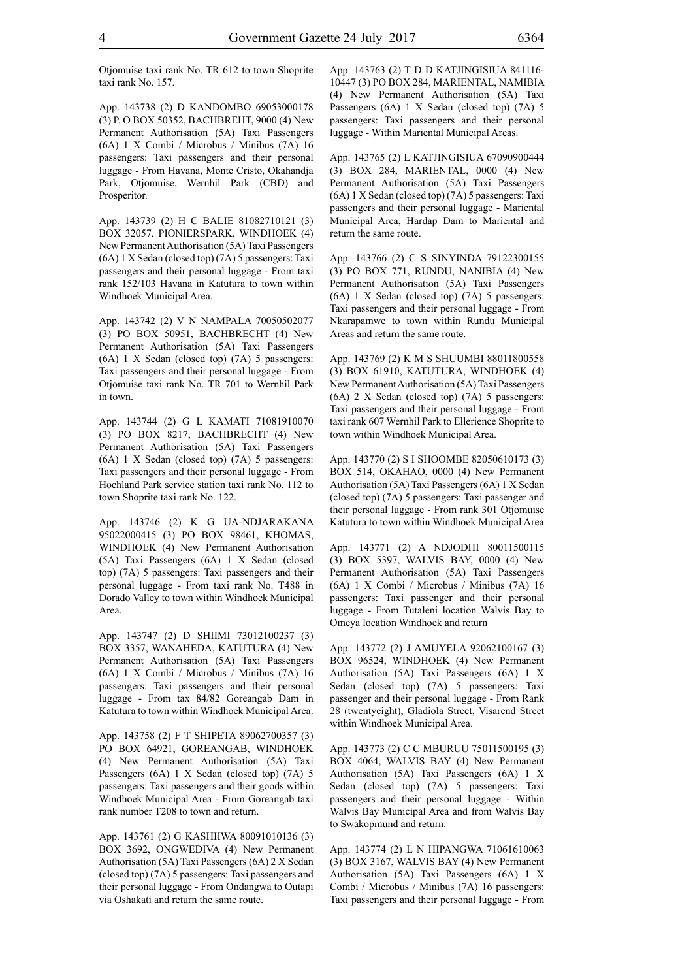Otjomuise taxi rank No. TR 612 to town Shoprite taxi rank No. 157.

App. 143738 (2) D KANDOMBO 69053000178 (3) P. O BOX 50352, BACHBREHT, 9000 (4) New Permanent Authorisation (5A) Taxi Passengers (6A) 1 X Combi / Microbus / Minibus (7A) 16 passengers: Taxi passengers and their personal luggage - From Havana, Monte Cristo, Okahandja Park, Otjomuise, Wernhil Park (CBD) and Prosperitor.

App. 143739 (2) H C BALIE 81082710121 (3) BOX 32057, PIONIERSPARK, WINDHOEK (4) New Permanent Authorisation (5A) Taxi Passengers (6A) 1 X Sedan (closed top) (7A) 5 passengers: Taxi passengers and their personal luggage - From taxi rank 152/103 Havana in Katutura to town within Windhoek Municipal Area.

App. 143742 (2) V N NAMPALA 70050502077 (3) PO BOX 50951, BACHBRECHT (4) New Permanent Authorisation (5A) Taxi Passengers (6A) 1 X Sedan (closed top) (7A) 5 passengers: Taxi passengers and their personal luggage - From Otjomuise taxi rank No. TR 701 to Wernhil Park in town.

App. 143744 (2) G L KAMATI 71081910070 (3) PO BOX 8217, BACHBRECHT (4) New Permanent Authorisation (5A) Taxi Passengers (6A) 1 X Sedan (closed top) (7A) 5 passengers: Taxi passengers and their personal luggage - From Hochland Park service station taxi rank No. 112 to town Shoprite taxi rank No. 122.

App. 143746 (2) K G UA-NDJARAKANA 95022000415 (3) PO BOX 98461, KHOMAS, WINDHOEK (4) New Permanent Authorisation (5A) Taxi Passengers (6A) 1 X Sedan (closed top) (7A) 5 passengers: Taxi passengers and their personal luggage - From taxi rank No. T488 in Dorado Valley to town within Windhoek Municipal Area.

App. 143747 (2) D SHIIMI 73012100237 (3) BOX 3357, WANAHEDA, KATUTURA (4) New Permanent Authorisation (5A) Taxi Passengers (6A) 1 X Combi / Microbus / Minibus (7A) 16 passengers: Taxi passengers and their personal luggage - From tax 84/82 Goreangab Dam in Katutura to town within Windhoek Municipal Area.

App. 143758 (2) F T SHIPETA 89062700357 (3) PO BOX 64921, GOREANGAB, WINDHOEK (4) New Permanent Authorisation (5A) Taxi Passengers (6A) 1 X Sedan (closed top) (7A) 5 passengers: Taxi passengers and their goods within Windhoek Municipal Area - From Goreangab taxi rank number T208 to town and return.

App. 143761 (2) G KASHIIWA 80091010136 (3) BOX 3692, ONGWEDIVA (4) New Permanent Authorisation (5A) Taxi Passengers (6A) 2 X Sedan (closed top) (7A) 5 passengers: Taxi passengers and their personal luggage - From Ondangwa to Outapi via Oshakati and return the same route.

App. 143763 (2) T D D KATJINGISIUA 841116- 10447 (3) PO BOX 284, MARIENTAL, NAMIBIA (4) New Permanent Authorisation (5A) Taxi Passengers (6A) 1 X Sedan (closed top) (7A) 5 passengers: Taxi passengers and their personal luggage - Within Mariental Municipal Areas.

App. 143765 (2) L KATJINGISIUA 67090900444 (3) BOX 284, MARIENTAL, 0000 (4) New Permanent Authorisation (5A) Taxi Passengers (6A) 1 X Sedan (closed top) (7A) 5 passengers: Taxi passengers and their personal luggage - Mariental Municipal Area, Hardap Dam to Mariental and return the same route.

App. 143766 (2) C S SINYINDA 79122300155 (3) PO BOX 771, RUNDU, NANIBIA (4) New Permanent Authorisation (5A) Taxi Passengers (6A) 1 X Sedan (closed top) (7A) 5 passengers: Taxi passengers and their personal luggage - From Nkarapamwe to town within Rundu Municipal Areas and return the same route.

App. 143769 (2) K M S SHUUMBI 88011800558 (3) BOX 61910, KATUTURA, WINDHOEK (4) New Permanent Authorisation (5A) Taxi Passengers (6A) 2 X Sedan (closed top) (7A) 5 passengers: Taxi passengers and their personal luggage - From taxi rank 607 Wernhil Park to Ellerience Shoprite to town within Windhoek Municipal Area.

App. 143770 (2) S I SHOOMBE 82050610173 (3) BOX 514, OKAHAO, 0000 (4) New Permanent Authorisation (5A) Taxi Passengers (6A) 1 X Sedan (closed top) (7A) 5 passengers: Taxi passenger and their personal luggage - From rank 301 Otjomuise Katutura to town within Windhoek Municipal Area

App. 143771 (2) A NDJODHI 80011500115 (3) BOX 5397, WALVIS BAY, 0000 (4) New Permanent Authorisation (5A) Taxi Passengers (6A) 1 X Combi / Microbus / Minibus (7A) 16 passengers: Taxi passenger and their personal luggage - From Tutaleni location Walvis Bay to Omeya location Windhoek and return

App. 143772 (2) J AMUYELA 92062100167 (3) BOX 96524, WINDHOEK (4) New Permanent Authorisation (5A) Taxi Passengers (6A) 1 X Sedan (closed top) (7A) 5 passengers: Taxi passenger and their personal luggage - From Rank 28 (twentyeight), Gladiola Street, Visarend Street within Windhoek Municipal Area.

App. 143773 (2) C C MBURUU 75011500195 (3) BOX 4064, WALVIS BAY (4) New Permanent Authorisation (5A) Taxi Passengers (6A) 1 X Sedan (closed top) (7A) 5 passengers: Taxi passengers and their personal luggage - Within Walvis Bay Municipal Area and from Walvis Bay to Swakopmund and return.

App. 143774 (2) L N HIPANGWA 71061610063 (3) BOX 3167, WALVIS BAY (4) New Permanent Authorisation (5A) Taxi Passengers (6A) 1 X Combi / Microbus / Minibus (7A) 16 passengers: Taxi passengers and their personal luggage - From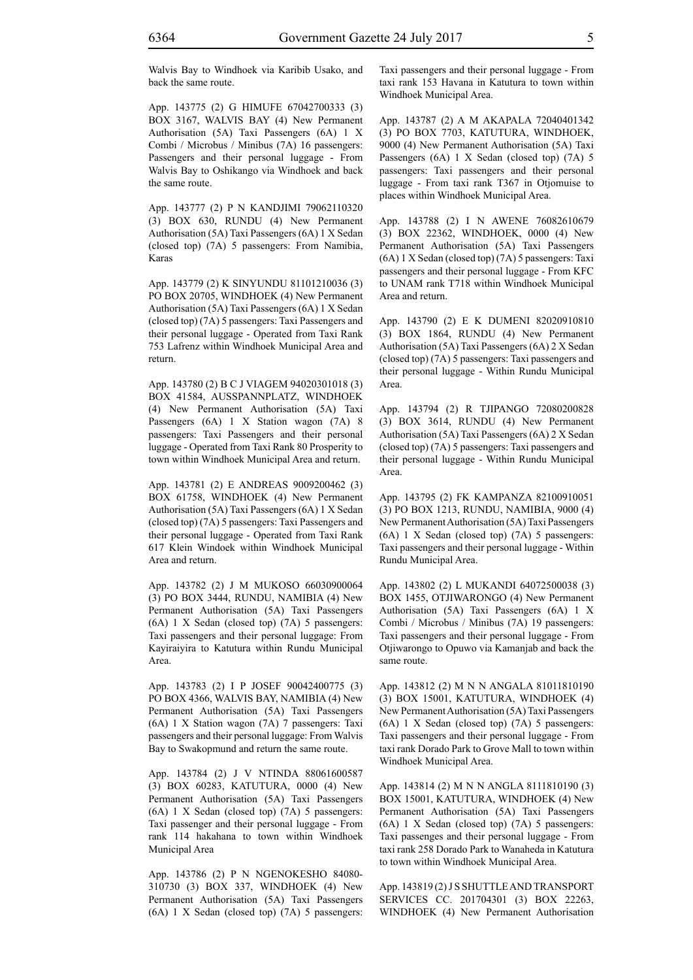Walvis Bay to Windhoek via Karibib Usako, and back the same route.

App. 143775 (2) G HIMUFE 67042700333 (3) BOX 3167, WALVIS BAY (4) New Permanent Authorisation (5A) Taxi Passengers (6A) 1 X Combi / Microbus / Minibus (7A) 16 passengers: Passengers and their personal luggage - From Walvis Bay to Oshikango via Windhoek and back the same route.

App. 143777 (2) P N KANDJIMI 79062110320 (3) BOX 630, RUNDU (4) New Permanent Authorisation (5A) Taxi Passengers (6A) 1 X Sedan (closed top) (7A) 5 passengers: From Namibia, Karas

App. 143779 (2) K SINYUNDU 81101210036 (3) PO BOX 20705, WINDHOEK (4) New Permanent Authorisation (5A) Taxi Passengers (6A) 1 X Sedan (closed top) (7A) 5 passengers: Taxi Passengers and their personal luggage - Operated from Taxi Rank 753 Lafrenz within Windhoek Municipal Area and return.

App. 143780 (2) B C J VIAGEM 94020301018 (3) BOX 41584, AUSSPANNPLATZ, WINDHOEK (4) New Permanent Authorisation (5A) Taxi Passengers (6A) 1 X Station wagon (7A) 8 passengers: Taxi Passengers and their personal luggage - Operated from Taxi Rank 80 Prosperity to town within Windhoek Municipal Area and return.

App. 143781 (2) E ANDREAS 9009200462 (3) BOX 61758, WINDHOEK (4) New Permanent Authorisation (5A) Taxi Passengers (6A) 1 X Sedan (closed top) (7A) 5 passengers: Taxi Passengers and their personal luggage - Operated from Taxi Rank 617 Klein Windoek within Windhoek Municipal Area and return.

App. 143782 (2) J M MUKOSO 66030900064 (3) PO BOX 3444, RUNDU, NAMIBIA (4) New Permanent Authorisation (5A) Taxi Passengers (6A) 1 X Sedan (closed top) (7A) 5 passengers: Taxi passengers and their personal luggage: From Kayiraiyira to Katutura within Rundu Municipal Area.

App. 143783 (2) I P JOSEF 90042400775 (3) PO BOX 4366, WALVIS BAY, NAMIBIA (4) New Permanent Authorisation (5A) Taxi Passengers (6A) 1 X Station wagon (7A) 7 passengers: Taxi passengers and their personal luggage: From Walvis Bay to Swakopmund and return the same route.

App. 143784 (2) J V NTINDA 88061600587 (3) BOX 60283, KATUTURA, 0000 (4) New Permanent Authorisation (5A) Taxi Passengers (6A) 1 X Sedan (closed top) (7A) 5 passengers: Taxi passenger and their personal luggage - From rank 114 hakahana to town within Windhoek Municipal Area

App. 143786 (2) P N NGENOKESHO 84080- 310730 (3) BOX 337, WINDHOEK (4) New Permanent Authorisation (5A) Taxi Passengers (6A) 1 X Sedan (closed top) (7A) 5 passengers: Taxi passengers and their personal luggage - From taxi rank 153 Havana in Katutura to town within Windhoek Municipal Area.

App. 143787 (2) A M AKAPALA 72040401342 (3) PO BOX 7703, KATUTURA, WINDHOEK, 9000 (4) New Permanent Authorisation (5A) Taxi Passengers (6A) 1 X Sedan (closed top) (7A) 5 passengers: Taxi passengers and their personal luggage - From taxi rank T367 in Otjomuise to places within Windhoek Municipal Area.

App. 143788 (2) I N AWENE 76082610679 (3) BOX 22362, WINDHOEK, 0000 (4) New Permanent Authorisation (5A) Taxi Passengers (6A) 1 X Sedan (closed top) (7A) 5 passengers: Taxi passengers and their personal luggage - From KFC to UNAM rank T718 within Windhoek Municipal Area and return.

App. 143790 (2) E K DUMENI 82020910810 (3) BOX 1864, RUNDU (4) New Permanent Authorisation (5A) Taxi Passengers (6A) 2 X Sedan (closed top) (7A) 5 passengers: Taxi passengers and their personal luggage - Within Rundu Municipal Area.

App. 143794 (2) R TJIPANGO 72080200828 (3) BOX 3614, RUNDU (4) New Permanent Authorisation (5A) Taxi Passengers (6A) 2 X Sedan (closed top) (7A) 5 passengers: Taxi passengers and their personal luggage - Within Rundu Municipal Area.

App. 143795 (2) FK KAMPANZA 82100910051 (3) PO BOX 1213, RUNDU, NAMIBIA, 9000 (4) New Permanent Authorisation (5A) Taxi Passengers (6A) 1 X Sedan (closed top) (7A) 5 passengers: Taxi passengers and their personal luggage - Within Rundu Municipal Area.

App. 143802 (2) L MUKANDI 64072500038 (3) BOX 1455, OTJIWARONGO (4) New Permanent Authorisation (5A) Taxi Passengers (6A) 1 X Combi / Microbus / Minibus (7A) 19 passengers: Taxi passengers and their personal luggage - From Otjiwarongo to Opuwo via Kamanjab and back the same route.

App. 143812 (2) M N N ANGALA 81011810190 (3) BOX 15001, KATUTURA, WINDHOEK (4) New Permanent Authorisation (5A) Taxi Passengers (6A) 1 X Sedan (closed top) (7A) 5 passengers: Taxi passengers and their personal luggage - From taxi rank Dorado Park to Grove Mall to town within Windhoek Municipal Area.

App. 143814 (2) M N N ANGLA 8111810190 (3) BOX 15001, KATUTURA, WINDHOEK (4) New Permanent Authorisation (5A) Taxi Passengers (6A) 1 X Sedan (closed top) (7A) 5 passengers: Taxi passenges and their personal luggage - From taxi rank 258 Dorado Park to Wanaheda in Katutura to town within Windhoek Municipal Area.

App. 143819 (2) J S SHUTTLE AND TRANSPORT SERVICES CC. 201704301 (3) BOX 22263, WINDHOEK (4) New Permanent Authorisation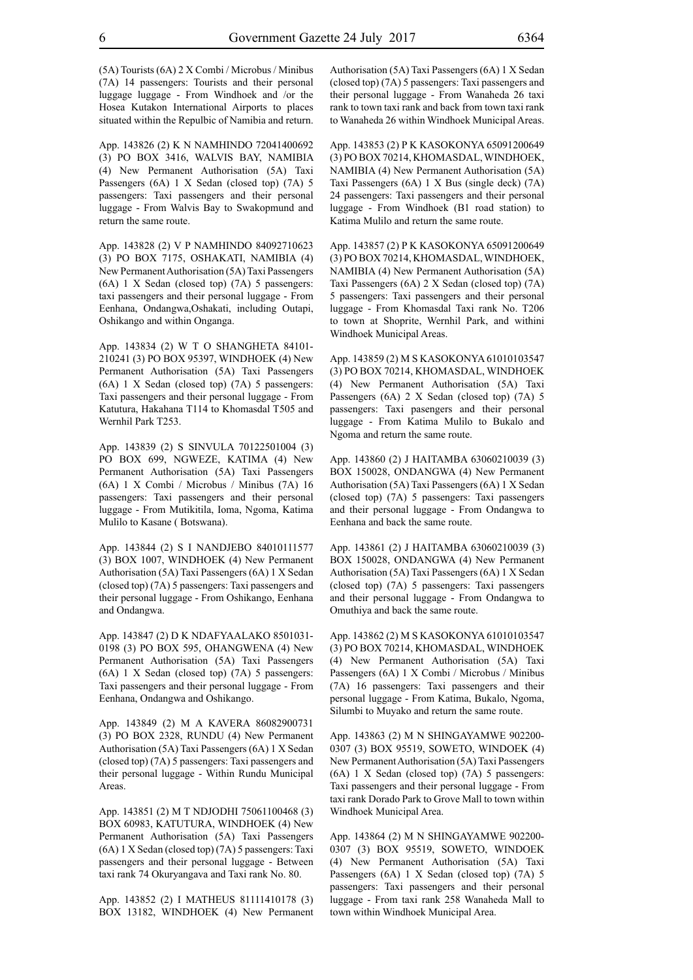(5A) Tourists (6A) 2 X Combi / Microbus / Minibus (7A) 14 passengers: Tourists and their personal luggage luggage - From Windhoek and /or the Hosea Kutakon International Airports to places situated within the Repulbic of Namibia and return.

App. 143826 (2) K N NAMHINDO 72041400692 (3) PO BOX 3416, WALVIS BAY, NAMIBIA (4) New Permanent Authorisation (5A) Taxi Passengers (6A) 1 X Sedan (closed top) (7A) 5 passengers: Taxi passengers and their personal luggage - From Walvis Bay to Swakopmund and return the same route.

App. 143828 (2) V P NAMHINDO 84092710623 (3) PO BOX 7175, OSHAKATI, NAMIBIA (4) New Permanent Authorisation (5A) Taxi Passengers (6A) 1 X Sedan (closed top) (7A) 5 passengers: taxi passengers and their personal luggage - From Eenhana, Ondangwa,Oshakati, including Outapi, Oshikango and within Onganga.

App. 143834 (2) W T O SHANGHETA 84101- 210241 (3) PO BOX 95397, WINDHOEK (4) New Permanent Authorisation (5A) Taxi Passengers (6A) 1 X Sedan (closed top) (7A) 5 passengers: Taxi passengers and their personal luggage - From Katutura, Hakahana T114 to Khomasdal T505 and Wernhil Park T253.

App. 143839 (2) S SINVULA 70122501004 (3) PO BOX 699, NGWEZE, KATIMA (4) New Permanent Authorisation (5A) Taxi Passengers (6A) 1 X Combi / Microbus / Minibus (7A) 16 passengers: Taxi passengers and their personal luggage - From Mutikitila, Ioma, Ngoma, Katima Mulilo to Kasane ( Botswana).

App. 143844 (2) S I NANDJEBO 84010111577 (3) BOX 1007, WINDHOEK (4) New Permanent Authorisation (5A) Taxi Passengers (6A) 1 X Sedan (closed top) (7A) 5 passengers: Taxi passengers and their personal luggage - From Oshikango, Eenhana and Ondangwa.

App. 143847 (2) D K NDAFYAALAKO 8501031- 0198 (3) PO BOX 595, OHANGWENA (4) New Permanent Authorisation (5A) Taxi Passengers (6A) 1 X Sedan (closed top) (7A) 5 passengers: Taxi passengers and their personal luggage - From Eenhana, Ondangwa and Oshikango.

App. 143849 (2) M A KAVERA 86082900731 (3) PO BOX 2328, RUNDU (4) New Permanent Authorisation (5A) Taxi Passengers (6A) 1 X Sedan (closed top) (7A) 5 passengers: Taxi passengers and their personal luggage - Within Rundu Municipal Areas.

App. 143851 (2) M T NDJODHI 75061100468 (3) BOX 60983, KATUTURA, WINDHOEK (4) New Permanent Authorisation (5A) Taxi Passengers (6A) 1 X Sedan (closed top) (7A) 5 passengers: Taxi passengers and their personal luggage - Between taxi rank 74 Okuryangava and Taxi rank No. 80.

App. 143852 (2) I MATHEUS 81111410178 (3) BOX 13182, WINDHOEK (4) New Permanent Authorisation (5A) Taxi Passengers (6A) 1 X Sedan (closed top) (7A) 5 passengers: Taxi passengers and their personal luggage - From Wanaheda 26 taxi rank to town taxi rank and back from town taxi rank to Wanaheda 26 within Windhoek Municipal Areas.

App. 143853 (2) P K KASOKONYA 65091200649 (3) PO BOX 70214, KHOMASDAL, WINDHOEK, NAMIBIA (4) New Permanent Authorisation (5A) Taxi Passengers (6A) 1 X Bus (single deck) (7A) 24 passengers: Taxi passengers and their personal luggage - From Windhoek (B1 road station) to Katima Mulilo and return the same route.

App. 143857 (2) P K KASOKONYA 65091200649 (3) PO BOX 70214, KHOMASDAL, WINDHOEK, NAMIBIA (4) New Permanent Authorisation (5A) Taxi Passengers (6A) 2 X Sedan (closed top) (7A) 5 passengers: Taxi passengers and their personal luggage - From Khomasdal Taxi rank No. T206 to town at Shoprite, Wernhil Park, and withini Windhoek Municipal Areas.

App. 143859 (2) M S KASOKONYA 61010103547 (3) PO BOX 70214, KHOMASDAL, WINDHOEK (4) New Permanent Authorisation (5A) Taxi Passengers (6A) 2 X Sedan (closed top) (7A) 5 passengers: Taxi pasengers and their personal luggage - From Katima Mulilo to Bukalo and Ngoma and return the same route.

App. 143860 (2) J HAITAMBA 63060210039 (3) BOX 150028, ONDANGWA (4) New Permanent Authorisation (5A) Taxi Passengers (6A) 1 X Sedan (closed top) (7A) 5 passengers: Taxi passengers and their personal luggage - From Ondangwa to Eenhana and back the same route.

App. 143861 (2) J HAITAMBA 63060210039 (3) BOX 150028, ONDANGWA (4) New Permanent Authorisation (5A) Taxi Passengers (6A) 1 X Sedan (closed top) (7A) 5 passengers: Taxi passengers and their personal luggage - From Ondangwa to Omuthiya and back the same route.

App. 143862 (2) M S KASOKONYA 61010103547 (3) PO BOX 70214, KHOMASDAL, WINDHOEK (4) New Permanent Authorisation (5A) Taxi Passengers (6A) 1 X Combi / Microbus / Minibus (7A) 16 passengers: Taxi passengers and their personal luggage - From Katima, Bukalo, Ngoma, Silumbi to Muyako and return the same route.

App. 143863 (2) M N SHINGAYAMWE 902200- 0307 (3) BOX 95519, SOWETO, WINDOEK (4) New Permanent Authorisation (5A) Taxi Passengers (6A) 1 X Sedan (closed top) (7A) 5 passengers: Taxi passengers and their personal luggage - From taxi rank Dorado Park to Grove Mall to town within Windhoek Municipal Area.

App. 143864 (2) M N SHINGAYAMWE 902200- 0307 (3) BOX 95519, SOWETO, WINDOEK (4) New Permanent Authorisation (5A) Taxi Passengers (6A) 1 X Sedan (closed top) (7A) 5 passengers: Taxi passengers and their personal luggage - From taxi rank 258 Wanaheda Mall to town within Windhoek Municipal Area.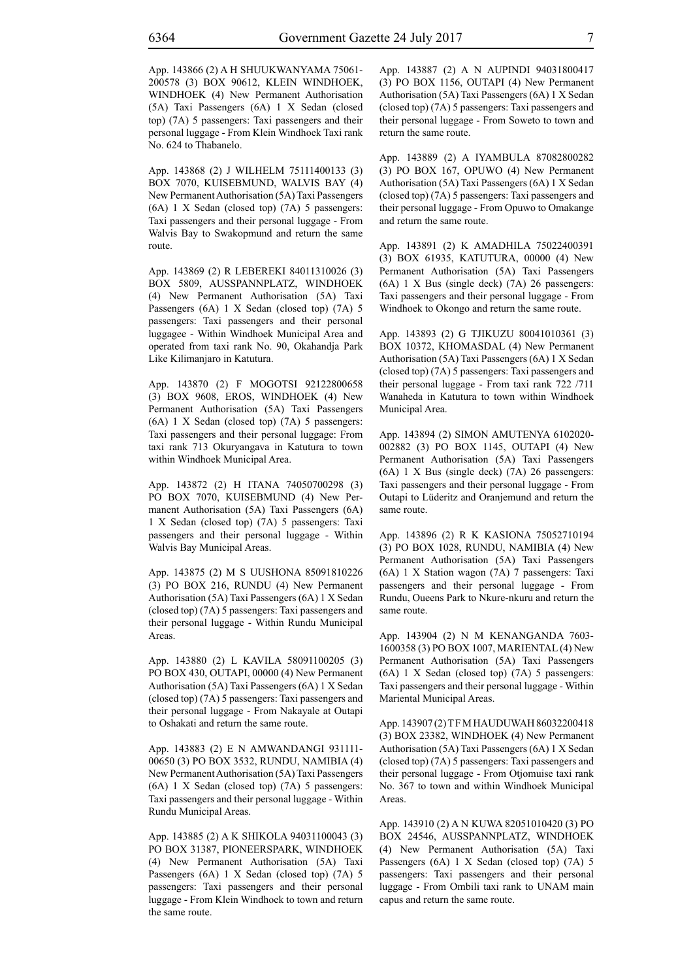App. 143866 (2) A H SHUUKWANYAMA 75061- 200578 (3) BOX 90612, KLEIN WINDHOEK, WINDHOEK (4) New Permanent Authorisation (5A) Taxi Passengers (6A) 1 X Sedan (closed top) (7A) 5 passengers: Taxi passengers and their personal luggage - From Klein Windhoek Taxi rank No. 624 to Thabanelo.

App. 143868 (2) J WILHELM 75111400133 (3) BOX 7070, KUISEBMUND, WALVIS BAY (4) New Permanent Authorisation (5A) Taxi Passengers (6A) 1 X Sedan (closed top) (7A) 5 passengers: Taxi passengers and their personal luggage - From Walvis Bay to Swakopmund and return the same route.

App. 143869 (2) R LEBEREKI 84011310026 (3) BOX 5809, AUSSPANNPLATZ, WINDHOEK (4) New Permanent Authorisation (5A) Taxi Passengers (6A) 1 X Sedan (closed top) (7A) 5 passengers: Taxi passengers and their personal luggagee - Within Windhoek Municipal Area and operated from taxi rank No. 90, Okahandja Park Like Kilimanjaro in Katutura.

App. 143870 (2) F MOGOTSI 92122800658 (3) BOX 9608, EROS, WINDHOEK (4) New Permanent Authorisation (5A) Taxi Passengers (6A) 1 X Sedan (closed top) (7A) 5 passengers: Taxi passengers and their personal luggage: From taxi rank 713 Okuryangava in Katutura to town within Windhoek Municipal Area.

App. 143872 (2) H ITANA 74050700298 (3) PO BOX 7070, KUISEBMUND (4) New Permanent Authorisation (5A) Taxi Passengers (6A) 1 X Sedan (closed top) (7A) 5 passengers: Taxi passengers and their personal luggage - Within Walvis Bay Municipal Areas.

App. 143875 (2) M S UUSHONA 85091810226 (3) PO BOX 216, RUNDU (4) New Permanent Authorisation (5A) Taxi Passengers (6A) 1 X Sedan (closed top) (7A) 5 passengers: Taxi passengers and their personal luggage - Within Rundu Municipal Areas.

App. 143880 (2) L KAVILA 58091100205 (3) PO BOX 430, OUTAPI, 00000 (4) New Permanent Authorisation (5A) Taxi Passengers (6A) 1 X Sedan (closed top) (7A) 5 passengers: Taxi passengers and their personal luggage - From Nakayale at Outapi to Oshakati and return the same route.

App. 143883 (2) E N AMWANDANGI 931111- 00650 (3) PO BOX 3532, RUNDU, NAMIBIA (4) New Permanent Authorisation (5A) Taxi Passengers (6A) 1 X Sedan (closed top) (7A) 5 passengers: Taxi passengers and their personal luggage - Within Rundu Municipal Areas.

App. 143885 (2) A K SHIKOLA 94031100043 (3) PO BOX 31387, PIONEERSPARK, WINDHOEK (4) New Permanent Authorisation (5A) Taxi Passengers (6A) 1 X Sedan (closed top) (7A) 5 passengers: Taxi passengers and their personal luggage - From Klein Windhoek to town and return the same route.

App. 143887 (2) A N AUPINDI 94031800417 (3) PO BOX 1156, OUTAPI (4) New Permanent Authorisation (5A) Taxi Passengers (6A) 1 X Sedan (closed top) (7A) 5 passengers: Taxi passengers and their personal luggage - From Soweto to town and return the same route.

App. 143889 (2) A IYAMBULA 87082800282 (3) PO BOX 167, OPUWO (4) New Permanent Authorisation (5A) Taxi Passengers (6A) 1 X Sedan (closed top) (7A) 5 passengers: Taxi passengers and their personal luggage - From Opuwo to Omakange and return the same route.

App. 143891 (2) K AMADHILA 75022400391 (3) BOX 61935, KATUTURA, 00000 (4) New Permanent Authorisation (5A) Taxi Passengers (6A) 1 X Bus (single deck) (7A) 26 passengers: Taxi passengers and their personal luggage - From Windhoek to Okongo and return the same route.

App. 143893 (2) G TJIKUZU 80041010361 (3) BOX 10372, KHOMASDAL (4) New Permanent Authorisation (5A) Taxi Passengers (6A) 1 X Sedan (closed top) (7A) 5 passengers: Taxi passengers and their personal luggage - From taxi rank 722 /711 Wanaheda in Katutura to town within Windhoek Municipal Area.

App. 143894 (2) SIMON AMUTENYA 6102020- 002882 (3) PO BOX 1145, OUTAPI (4) New Permanent Authorisation (5A) Taxi Passengers (6A) 1 X Bus (single deck) (7A) 26 passengers: Taxi passengers and their personal luggage - From Outapi to Lüderitz and Oranjemund and return the same route.

App. 143896 (2) R K KASIONA 75052710194 (3) PO BOX 1028, RUNDU, NAMIBIA (4) New Permanent Authorisation (5A) Taxi Passengers (6A) 1 X Station wagon (7A) 7 passengers: Taxi passengers and their personal luggage - From Rundu, Oueens Park to Nkure-nkuru and return the same route.

App. 143904 (2) N M KENANGANDA 7603- 1600358 (3) PO BOX 1007, MARIENTAL (4) New Permanent Authorisation (5A) Taxi Passengers (6A) 1 X Sedan (closed top) (7A) 5 passengers: Taxi passengers and their personal luggage - Within Mariental Municipal Areas.

App. 143907 (2) T F M HAUDUWAH 86032200418 (3) BOX 23382, WINDHOEK (4) New Permanent Authorisation (5A) Taxi Passengers (6A) 1 X Sedan (closed top) (7A) 5 passengers: Taxi passengers and their personal luggage - From Otjomuise taxi rank No. 367 to town and within Windhoek Municipal Areas.

App. 143910 (2) A N KUWA 82051010420 (3) PO BOX 24546, AUSSPANNPLATZ, WINDHOEK (4) New Permanent Authorisation (5A) Taxi Passengers (6A) 1 X Sedan (closed top) (7A) 5 passengers: Taxi passengers and their personal luggage - From Ombili taxi rank to UNAM main capus and return the same route.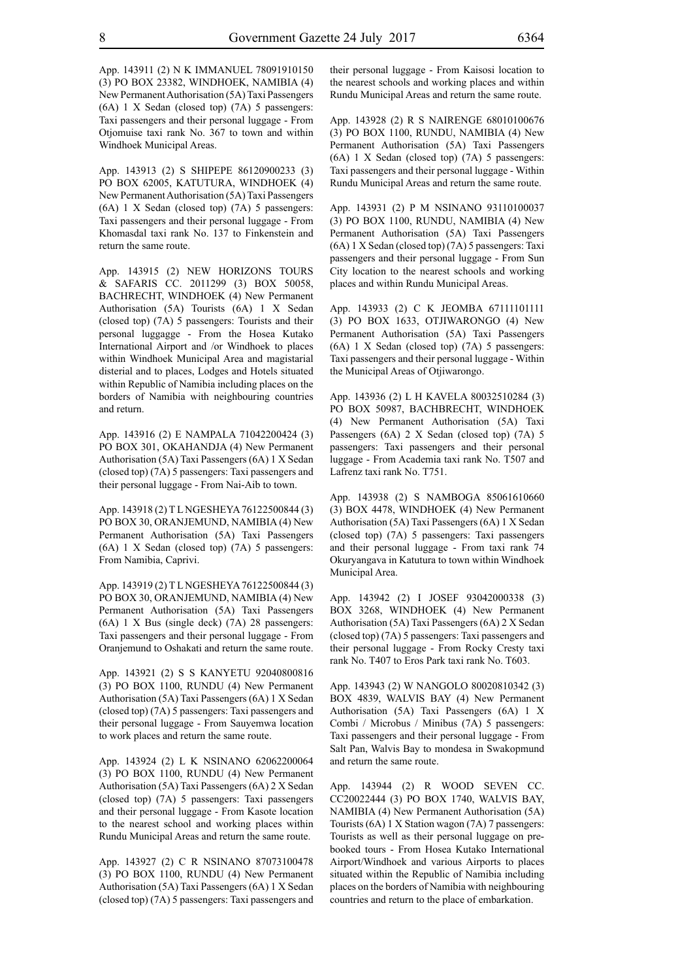App. 143911 (2) N K IMMANUEL 78091910150 (3) PO BOX 23382, WINDHOEK, NAMIBIA (4) New Permanent Authorisation (5A) Taxi Passengers (6A) 1 X Sedan (closed top) (7A) 5 passengers: Taxi passengers and their personal luggage - From Otjomuise taxi rank No. 367 to town and within Windhoek Municipal Areas.

App. 143913 (2) S SHIPEPE 86120900233 (3) PO BOX 62005, KATUTURA, WINDHOEK (4) New Permanent Authorisation (5A) Taxi Passengers (6A) 1 X Sedan (closed top) (7A) 5 passengers: Taxi passengers and their personal luggage - From Khomasdal taxi rank No. 137 to Finkenstein and return the same route.

App. 143915 (2) NEW HORIZONS TOURS & SAFARIS CC. 2011299 (3) BOX 50058, BACHRECHT, WINDHOEK (4) New Permanent Authorisation (5A) Tourists (6A) 1 X Sedan (closed top) (7A) 5 passengers: Tourists and their personal luggagge - From the Hosea Kutako International Airport and /or Windhoek to places within Windhoek Municipal Area and magistarial disterial and to places, Lodges and Hotels situated within Republic of Namibia including places on the borders of Namibia with neighbouring countries and return.

App. 143916 (2) E NAMPALA 71042200424 (3) PO BOX 301, OKAHANDJA (4) New Permanent Authorisation (5A) Taxi Passengers (6A) 1 X Sedan (closed top) (7A) 5 passengers: Taxi passengers and their personal luggage - From Nai-Aib to town.

App. 143918 (2) T L NGESHEYA 76122500844 (3) PO BOX 30, ORANJEMUND, NAMIBIA (4) New Permanent Authorisation (5A) Taxi Passengers (6A) 1 X Sedan (closed top) (7A) 5 passengers: From Namibia, Caprivi.

App. 143919 (2) T L NGESHEYA 76122500844 (3) PO BOX 30, ORANJEMUND, NAMIBIA (4) New Permanent Authorisation (5A) Taxi Passengers (6A) 1 X Bus (single deck) (7A) 28 passengers: Taxi passengers and their personal luggage - From Oranjemund to Oshakati and return the same route.

App. 143921 (2) S S KANYETU 92040800816 (3) PO BOX 1100, RUNDU (4) New Permanent Authorisation (5A) Taxi Passengers (6A) 1 X Sedan (closed top) (7A) 5 passengers: Taxi passengers and their personal luggage - From Sauyemwa location to work places and return the same route.

App. 143924 (2) L K NSINANO 62062200064 (3) PO BOX 1100, RUNDU (4) New Permanent Authorisation (5A) Taxi Passengers (6A) 2 X Sedan (closed top) (7A) 5 passengers: Taxi passengers and their personal luggage - From Kasote location to the nearest school and working places within Rundu Municipal Areas and return the same route.

App. 143927 (2) C R NSINANO 87073100478 (3) PO BOX 1100, RUNDU (4) New Permanent Authorisation (5A) Taxi Passengers (6A) 1 X Sedan (closed top) (7A) 5 passengers: Taxi passengers and their personal luggage - From Kaisosi location to the nearest schools and working places and within Rundu Municipal Areas and return the same route.

App. 143928 (2) R S NAIRENGE 68010100676 (3) PO BOX 1100, RUNDU, NAMIBIA (4) New Permanent Authorisation (5A) Taxi Passengers (6A) 1 X Sedan (closed top) (7A) 5 passengers: Taxi passengers and their personal luggage - Within Rundu Municipal Areas and return the same route.

App. 143931 (2) P M NSINANO 93110100037 (3) PO BOX 1100, RUNDU, NAMIBIA (4) New Permanent Authorisation (5A) Taxi Passengers (6A) 1 X Sedan (closed top) (7A) 5 passengers: Taxi passengers and their personal luggage - From Sun City location to the nearest schools and working places and within Rundu Municipal Areas.

App. 143933 (2) C K JEOMBA 67111101111 (3) PO BOX 1633, OTJIWARONGO (4) New Permanent Authorisation (5A) Taxi Passengers (6A) 1 X Sedan (closed top) (7A) 5 passengers: Taxi passengers and their personal luggage - Within the Municipal Areas of Otjiwarongo.

App. 143936 (2) L H KAVELA 80032510284 (3) PO BOX 50987, BACHBRECHT, WINDHOEK (4) New Permanent Authorisation (5A) Taxi Passengers (6A) 2 X Sedan (closed top) (7A) 5 passengers: Taxi passengers and their personal luggage - From Academia taxi rank No. T507 and Lafrenz taxi rank No. T751.

App. 143938 (2) S NAMBOGA 85061610660 (3) BOX 4478, WINDHOEK (4) New Permanent Authorisation (5A) Taxi Passengers (6A) 1 X Sedan (closed top) (7A) 5 passengers: Taxi passengers and their personal luggage - From taxi rank 74 Okuryangava in Katutura to town within Windhoek Municipal Area.

App. 143942 (2) I JOSEF 93042000338 (3) BOX 3268, WINDHOEK (4) New Permanent Authorisation (5A) Taxi Passengers (6A) 2 X Sedan (closed top) (7A) 5 passengers: Taxi passengers and their personal luggage - From Rocky Cresty taxi rank No. T407 to Eros Park taxi rank No. T603.

App. 143943 (2) W NANGOLO 80020810342 (3) BOX 4839, WALVIS BAY (4) New Permanent Authorisation (5A) Taxi Passengers (6A) 1 X Combi / Microbus / Minibus (7A) 5 passengers: Taxi passengers and their personal luggage - From Salt Pan, Walvis Bay to mondesa in Swakopmund and return the same route.

App. 143944 (2) R WOOD SEVEN CC. CC20022444 (3) PO BOX 1740, WALVIS BAY, NAMIBIA (4) New Permanent Authorisation (5A) Tourists (6A) 1 X Station wagon (7A) 7 passengers: Tourists as well as their personal luggage on prebooked tours - From Hosea Kutako International Airport/Windhoek and various Airports to places situated within the Republic of Namibia including places on the borders of Namibia with neighbouring countries and return to the place of embarkation.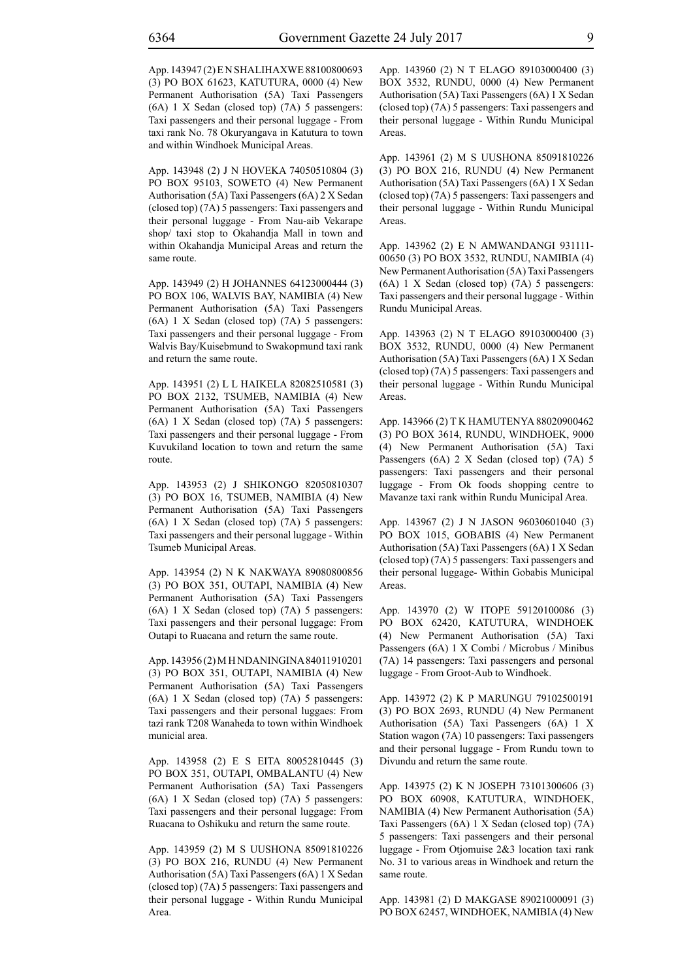App. 143947 (2) E N SHALIHAXWE 88100800693 (3) PO BOX 61623, KATUTURA, 0000 (4) New Permanent Authorisation (5A) Taxi Passengers (6A) 1 X Sedan (closed top) (7A) 5 passengers: Taxi passengers and their personal luggage - From taxi rank No. 78 Okuryangava in Katutura to town and within Windhoek Municipal Areas.

App. 143948 (2) J N HOVEKA 74050510804 (3) PO BOX 95103, SOWETO (4) New Permanent Authorisation (5A) Taxi Passengers (6A) 2 X Sedan (closed top) (7A) 5 passengers: Taxi passengers and their personal luggage - From Nau-aib Vekarape shop/ taxi stop to Okahandja Mall in town and within Okahandja Municipal Areas and return the same route.

App. 143949 (2) H JOHANNES 64123000444 (3) PO BOX 106, WALVIS BAY, NAMIBIA (4) New Permanent Authorisation (5A) Taxi Passengers (6A) 1 X Sedan (closed top) (7A) 5 passengers: Taxi passengers and their personal luggage - From Walvis Bay/Kuisebmund to Swakopmund taxi rank and return the same route.

App. 143951 (2) L L HAIKELA 82082510581 (3) PO BOX 2132, TSUMEB, NAMIBIA (4) New Permanent Authorisation (5A) Taxi Passengers (6A) 1 X Sedan (closed top) (7A) 5 passengers: Taxi passengers and their personal luggage - From Kuvukiland location to town and return the same route.

App. 143953 (2) J SHIKONGO 82050810307 (3) PO BOX 16, TSUMEB, NAMIBIA (4) New Permanent Authorisation (5A) Taxi Passengers (6A) 1 X Sedan (closed top) (7A) 5 passengers: Taxi passengers and their personal luggage - Within Tsumeb Municipal Areas.

App. 143954 (2) N K NAKWAYA 89080800856 (3) PO BOX 351, OUTAPI, NAMIBIA (4) New Permanent Authorisation (5A) Taxi Passengers (6A) 1 X Sedan (closed top) (7A) 5 passengers: Taxi passengers and their personal luggage: From Outapi to Ruacana and return the same route.

App. 143956 (2) M H NDANINGINA 84011910201 (3) PO BOX 351, OUTAPI, NAMIBIA (4) New Permanent Authorisation (5A) Taxi Passengers (6A) 1 X Sedan (closed top) (7A) 5 passengers: Taxi passengers and their personal luggaes: From tazi rank T208 Wanaheda to town within Windhoek municial area.

App. 143958 (2) E S EITA 80052810445 (3) PO BOX 351, OUTAPI, OMBALANTU (4) New Permanent Authorisation (5A) Taxi Passengers (6A) 1 X Sedan (closed top) (7A) 5 passengers: Taxi passengers and their personal luggage: From Ruacana to Oshikuku and return the same route.

App. 143959 (2) M S UUSHONA 85091810226 (3) PO BOX 216, RUNDU (4) New Permanent Authorisation (5A) Taxi Passengers (6A) 1 X Sedan (closed top) (7A) 5 passengers: Taxi passengers and their personal luggage - Within Rundu Municipal Area.

App. 143960 (2) N T ELAGO 89103000400 (3) BOX 3532, RUNDU, 0000 (4) New Permanent Authorisation (5A) Taxi Passengers (6A) 1 X Sedan (closed top) (7A) 5 passengers: Taxi passengers and their personal luggage - Within Rundu Municipal Areas.

App. 143961 (2) M S UUSHONA 85091810226 (3) PO BOX 216, RUNDU (4) New Permanent Authorisation (5A) Taxi Passengers (6A) 1 X Sedan (closed top) (7A) 5 passengers: Taxi passengers and their personal luggage - Within Rundu Municipal Areas.

App. 143962 (2) E N AMWANDANGI 931111- 00650 (3) PO BOX 3532, RUNDU, NAMIBIA (4) New Permanent Authorisation (5A) Taxi Passengers (6A) 1 X Sedan (closed top) (7A) 5 passengers: Taxi passengers and their personal luggage - Within Rundu Municipal Areas.

App. 143963 (2) N T ELAGO 89103000400 (3) BOX 3532, RUNDU, 0000 (4) New Permanent Authorisation (5A) Taxi Passengers (6A) 1 X Sedan (closed top) (7A) 5 passengers: Taxi passengers and their personal luggage - Within Rundu Municipal Areas.

App. 143966 (2) T K HAMUTENYA 88020900462 (3) PO BOX 3614, RUNDU, WINDHOEK, 9000 (4) New Permanent Authorisation (5A) Taxi Passengers (6A) 2 X Sedan (closed top) (7A) 5 passengers: Taxi passengers and their personal luggage - From Ok foods shopping centre to Mavanze taxi rank within Rundu Municipal Area.

App. 143967 (2) J N JASON 96030601040 (3) PO BOX 1015, GOBABIS (4) New Permanent Authorisation (5A) Taxi Passengers (6A) 1 X Sedan (closed top) (7A) 5 passengers: Taxi passengers and their personal luggage- Within Gobabis Municipal Areas.

App. 143970 (2) W ITOPE 59120100086 (3) PO BOX 62420, KATUTURA, WINDHOEK (4) New Permanent Authorisation (5A) Taxi Passengers (6A) 1 X Combi / Microbus / Minibus (7A) 14 passengers: Taxi passengers and personal luggage - From Groot-Aub to Windhoek.

App. 143972 (2) K P MARUNGU 79102500191 (3) PO BOX 2693, RUNDU (4) New Permanent Authorisation (5A) Taxi Passengers (6A) 1 X Station wagon (7A) 10 passengers: Taxi passengers and their personal luggage - From Rundu town to Divundu and return the same route.

App. 143975 (2) K N JOSEPH 73101300606 (3) PO BOX 60908, KATUTURA, WINDHOEK, NAMIBIA (4) New Permanent Authorisation (5A) Taxi Passengers (6A) 1 X Sedan (closed top) (7A) 5 passengers: Taxi passengers and their personal luggage - From Otjomuise 2&3 location taxi rank No. 31 to various areas in Windhoek and return the same route.

App. 143981 (2) D MAKGASE 89021000091 (3) PO BOX 62457, WINDHOEK, NAMIBIA (4) New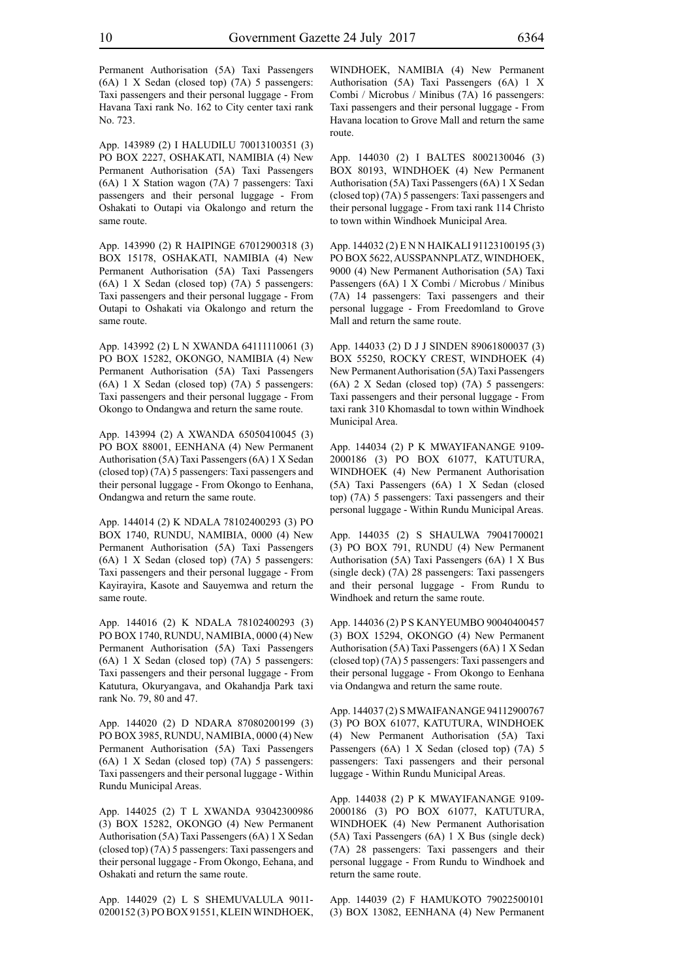Permanent Authorisation (5A) Taxi Passengers (6A) 1 X Sedan (closed top) (7A) 5 passengers: Taxi passengers and their personal luggage - From Havana Taxi rank No. 162 to City center taxi rank No. 723.

App. 143989 (2) I HALUDILU 70013100351 (3) PO BOX 2227, OSHAKATI, NAMIBIA (4) New Permanent Authorisation (5A) Taxi Passengers (6A) 1 X Station wagon (7A) 7 passengers: Taxi passengers and their personal luggage - From Oshakati to Outapi via Okalongo and return the same route.

App. 143990 (2) R HAIPINGE 67012900318 (3) BOX 15178, OSHAKATI, NAMIBIA (4) New Permanent Authorisation (5A) Taxi Passengers (6A) 1 X Sedan (closed top) (7A) 5 passengers: Taxi passengers and their personal luggage - From Outapi to Oshakati via Okalongo and return the same route.

App. 143992 (2) L N XWANDA 64111110061 (3) PO BOX 15282, OKONGO, NAMIBIA (4) New Permanent Authorisation (5A) Taxi Passengers (6A) 1 X Sedan (closed top) (7A) 5 passengers: Taxi passengers and their personal luggage - From Okongo to Ondangwa and return the same route.

App. 143994 (2) A XWANDA 65050410045 (3) PO BOX 88001, EENHANA (4) New Permanent Authorisation (5A) Taxi Passengers (6A) 1 X Sedan (closed top) (7A) 5 passengers: Taxi passengers and their personal luggage - From Okongo to Eenhana, Ondangwa and return the same route.

App. 144014 (2) K NDALA 78102400293 (3) PO BOX 1740, RUNDU, NAMIBIA, 0000 (4) New Permanent Authorisation (5A) Taxi Passengers (6A) 1 X Sedan (closed top) (7A) 5 passengers: Taxi passengers and their personal luggage - From Kayirayira, Kasote and Sauyemwa and return the same route.

App. 144016 (2) K NDALA 78102400293 (3) PO BOX 1740, RUNDU, NAMIBIA, 0000 (4) New Permanent Authorisation (5A) Taxi Passengers (6A) 1 X Sedan (closed top) (7A) 5 passengers: Taxi passengers and their personal luggage - From Katutura, Okuryangava, and Okahandja Park taxi rank No. 79, 80 and 47.

App. 144020 (2) D NDARA 87080200199 (3) PO BOX 3985, RUNDU, NAMIBIA, 0000 (4) New Permanent Authorisation (5A) Taxi Passengers (6A) 1 X Sedan (closed top) (7A) 5 passengers: Taxi passengers and their personal luggage - Within Rundu Municipal Areas.

App. 144025 (2) T L XWANDA 93042300986 (3) BOX 15282, OKONGO (4) New Permanent Authorisation (5A) Taxi Passengers (6A) 1 X Sedan (closed top) (7A) 5 passengers: Taxi passengers and their personal luggage - From Okongo, Eehana, and Oshakati and return the same route.

App. 144029 (2) L S SHEMUVALULA 9011- 0200152 (3) PO BOX 91551, KLEIN WINDHOEK, WINDHOEK, NAMIBIA (4) New Permanent Authorisation (5A) Taxi Passengers (6A) 1 X Combi / Microbus / Minibus (7A) 16 passengers: Taxi passengers and their personal luggage - From Havana location to Grove Mall and return the same route.

App. 144030 (2) I BALTES 8002130046 (3) BOX 80193, WINDHOEK (4) New Permanent Authorisation (5A) Taxi Passengers (6A) 1 X Sedan (closed top) (7A) 5 passengers: Taxi passengers and their personal luggage - From taxi rank 114 Christo to town within Windhoek Municipal Area.

App. 144032 (2) E N N HAIKALI 91123100195 (3) PO BOX 5622, AUSSPANNPLATZ, WINDHOEK, 9000 (4) New Permanent Authorisation (5A) Taxi Passengers (6A) 1 X Combi / Microbus / Minibus (7A) 14 passengers: Taxi passengers and their personal luggage - From Freedomland to Grove Mall and return the same route.

App. 144033 (2) D J J SINDEN 89061800037 (3) BOX 55250, ROCKY CREST, WINDHOEK (4) New Permanent Authorisation (5A) Taxi Passengers (6A) 2 X Sedan (closed top) (7A) 5 passengers: Taxi passengers and their personal luggage - From taxi rank 310 Khomasdal to town within Windhoek Municipal Area.

App. 144034 (2) P K MWAYIFANANGE 9109- 2000186 (3) PO BOX 61077, KATUTURA, WINDHOEK (4) New Permanent Authorisation (5A) Taxi Passengers (6A) 1 X Sedan (closed top) (7A) 5 passengers: Taxi passengers and their personal luggage - Within Rundu Municipal Areas.

App. 144035 (2) S SHAULWA 79041700021 (3) PO BOX 791, RUNDU (4) New Permanent Authorisation (5A) Taxi Passengers (6A) 1 X Bus (single deck) (7A) 28 passengers: Taxi passengers and their personal luggage - From Rundu to Windhoek and return the same route.

App. 144036 (2) P S KANYEUMBO 90040400457 (3) BOX 15294, OKONGO (4) New Permanent Authorisation (5A) Taxi Passengers (6A) 1 X Sedan (closed top) (7A) 5 passengers: Taxi passengers and their personal luggage - From Okongo to Eenhana via Ondangwa and return the same route.

App. 144037 (2) S MWAIFANANGE 94112900767 (3) PO BOX 61077, KATUTURA, WINDHOEK (4) New Permanent Authorisation (5A) Taxi Passengers (6A) 1 X Sedan (closed top) (7A) 5 passengers: Taxi passengers and their personal luggage - Within Rundu Municipal Areas.

App. 144038 (2) P K MWAYIFANANGE 9109- 2000186 (3) PO BOX 61077, KATUTURA, WINDHOEK (4) New Permanent Authorisation (5A) Taxi Passengers (6A) 1 X Bus (single deck) (7A) 28 passengers: Taxi passengers and their personal luggage - From Rundu to Windhoek and return the same route.

App. 144039 (2) F HAMUKOTO 79022500101 (3) BOX 13082, EENHANA (4) New Permanent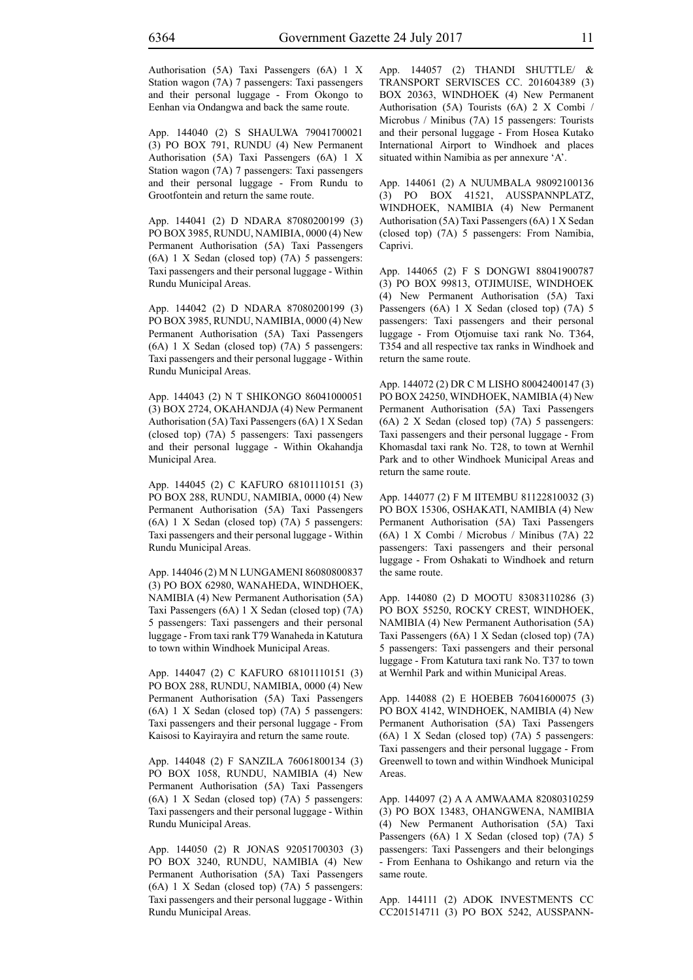Authorisation (5A) Taxi Passengers (6A) 1 X Station wagon (7A) 7 passengers: Taxi passengers and their personal luggage - From Okongo to Eenhan via Ondangwa and back the same route.

App. 144040 (2) S SHAULWA 79041700021 (3) PO BOX 791, RUNDU (4) New Permanent Authorisation (5A) Taxi Passengers (6A) 1 X Station wagon (7A) 7 passengers: Taxi passengers and their personal luggage - From Rundu to Grootfontein and return the same route.

App. 144041 (2) D NDARA 87080200199 (3) PO BOX 3985, RUNDU, NAMIBIA, 0000 (4) New Permanent Authorisation (5A) Taxi Passengers (6A) 1 X Sedan (closed top) (7A) 5 passengers: Taxi passengers and their personal luggage - Within Rundu Municipal Areas.

App. 144042 (2) D NDARA 87080200199 (3) PO BOX 3985, RUNDU, NAMIBIA, 0000 (4) New Permanent Authorisation (5A) Taxi Passengers (6A) 1 X Sedan (closed top) (7A) 5 passengers: Taxi passengers and their personal luggage - Within Rundu Municipal Areas.

App. 144043 (2) N T SHIKONGO 86041000051 (3) BOX 2724, OKAHANDJA (4) New Permanent Authorisation (5A) Taxi Passengers (6A) 1 X Sedan (closed top) (7A) 5 passengers: Taxi passengers and their personal luggage - Within Okahandja Municipal Area.

App. 144045 (2) C KAFURO 68101110151 (3) PO BOX 288, RUNDU, NAMIBIA, 0000 (4) New Permanent Authorisation (5A) Taxi Passengers (6A) 1 X Sedan (closed top) (7A) 5 passengers: Taxi passengers and their personal luggage - Within Rundu Municipal Areas.

App. 144046 (2) M N LUNGAMENI 86080800837 (3) PO BOX 62980, WANAHEDA, WINDHOEK, NAMIBIA (4) New Permanent Authorisation (5A) Taxi Passengers (6A) 1 X Sedan (closed top) (7A) 5 passengers: Taxi passengers and their personal luggage - From taxi rank T79 Wanaheda in Katutura to town within Windhoek Municipal Areas.

App. 144047 (2) C KAFURO 68101110151 (3) PO BOX 288, RUNDU, NAMIBIA, 0000 (4) New Permanent Authorisation (5A) Taxi Passengers (6A) 1 X Sedan (closed top) (7A) 5 passengers: Taxi passengers and their personal luggage - From Kaisosi to Kayirayira and return the same route.

App. 144048 (2) F SANZILA 76061800134 (3) PO BOX 1058, RUNDU, NAMIBIA (4) New Permanent Authorisation (5A) Taxi Passengers (6A) 1 X Sedan (closed top) (7A) 5 passengers: Taxi passengers and their personal luggage - Within Rundu Municipal Areas.

App. 144050 (2) R JONAS 92051700303 (3) PO BOX 3240, RUNDU, NAMIBIA (4) New Permanent Authorisation (5A) Taxi Passengers (6A) 1 X Sedan (closed top) (7A) 5 passengers: Taxi passengers and their personal luggage - Within Rundu Municipal Areas.

App. 144057 (2) THANDI SHUTTLE/ & TRANSPORT SERVISCES CC. 201604389 (3) BOX 20363, WINDHOEK (4) New Permanent Authorisation (5A) Tourists (6A) 2 X Combi / Microbus / Minibus (7A) 15 passengers: Tourists and their personal luggage - From Hosea Kutako International Airport to Windhoek and places situated within Namibia as per annexure 'A'.

App. 144061 (2) A NUUMBALA 98092100136 (3) PO BOX 41521, AUSSPANNPLATZ, WINDHOEK, NAMIBIA (4) New Permanent Authorisation (5A) Taxi Passengers (6A) 1 X Sedan (closed top) (7A) 5 passengers: From Namibia, Caprivi.

App. 144065 (2) F S DONGWI 88041900787 (3) PO BOX 99813, OTJIMUISE, WINDHOEK (4) New Permanent Authorisation (5A) Taxi Passengers (6A) 1 X Sedan (closed top) (7A) 5 passengers: Taxi passengers and their personal luggage - From Otjomuise taxi rank No. T364, T354 and all respective tax ranks in Windhoek and return the same route.

App. 144072 (2) DR C M LISHO 80042400147 (3) PO BOX 24250, WINDHOEK, NAMIBIA (4) New Permanent Authorisation (5A) Taxi Passengers (6A) 2 X Sedan (closed top) (7A) 5 passengers: Taxi passengers and their personal luggage - From Khomasdal taxi rank No. T28, to town at Wernhil Park and to other Windhoek Municipal Areas and return the same route.

App. 144077 (2) F M IITEMBU 81122810032 (3) PO BOX 15306, OSHAKATI, NAMIBIA (4) New Permanent Authorisation (5A) Taxi Passengers (6A) 1 X Combi / Microbus / Minibus (7A) 22 passengers: Taxi passengers and their personal luggage - From Oshakati to Windhoek and return the same route.

App. 144080 (2) D MOOTU 83083110286 (3) PO BOX 55250, ROCKY CREST, WINDHOEK, NAMIBIA (4) New Permanent Authorisation (5A) Taxi Passengers (6A) 1 X Sedan (closed top) (7A) 5 passengers: Taxi passengers and their personal luggage - From Katutura taxi rank No. T37 to town at Wernhil Park and within Municipal Areas.

App. 144088 (2) E HOEBEB 76041600075 (3) PO BOX 4142, WINDHOEK, NAMIBIA (4) New Permanent Authorisation (5A) Taxi Passengers (6A) 1 X Sedan (closed top) (7A) 5 passengers: Taxi passengers and their personal luggage - From Greenwell to town and within Windhoek Municipal **Areas**.

App. 144097 (2) A A AMWAAMA 82080310259 (3) PO BOX 13483, OHANGWENA, NAMIBIA (4) New Permanent Authorisation (5A) Taxi Passengers (6A) 1 X Sedan (closed top) (7A) 5 passengers: Taxi Passengers and their belongings - From Eenhana to Oshikango and return via the same route.

App. 144111 (2) ADOK INVESTMENTS CC CC201514711 (3) PO BOX 5242, AUSSPANN-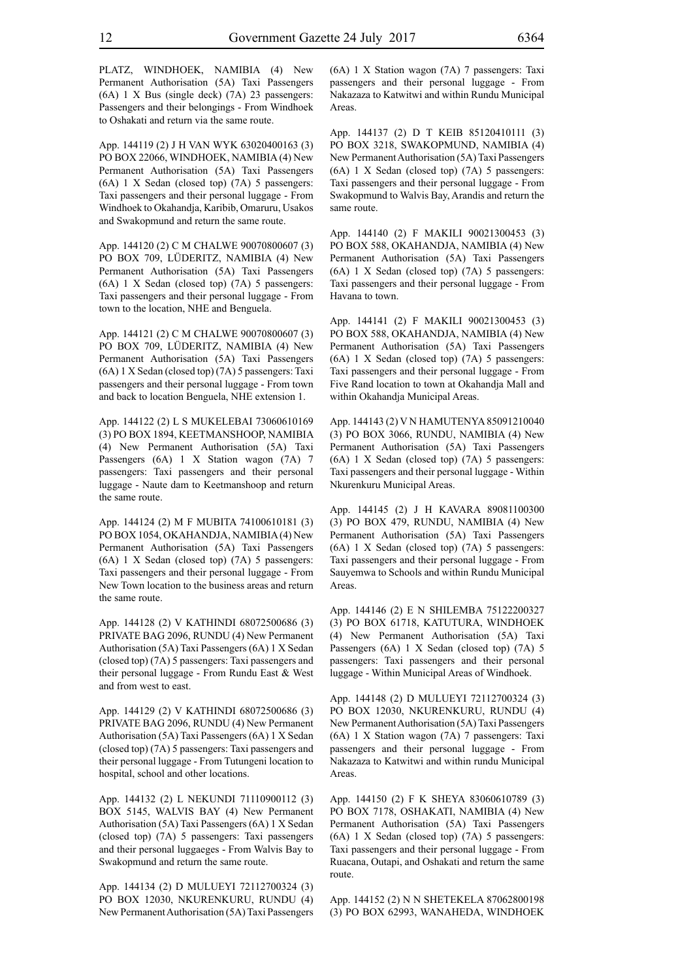PLATZ, WINDHOEK, NAMIBIA (4) New Permanent Authorisation (5A) Taxi Passengers (6A) 1 X Bus (single deck) (7A) 23 passengers: Passengers and their belongings - From Windhoek to Oshakati and return via the same route.

App. 144119 (2) J H VAN WYK 63020400163 (3) PO BOX 22066, WINDHOEK, NAMIBIA (4) New Permanent Authorisation (5A) Taxi Passengers (6A) 1 X Sedan (closed top) (7A) 5 passengers: Taxi passengers and their personal luggage - From Windhoek to Okahandja, Karibib, Omaruru, Usakos and Swakopmund and return the same route.

App. 144120 (2) C M CHALWE 90070800607 (3) PO BOX 709, LÜDERITZ, NAMIBIA (4) New Permanent Authorisation (5A) Taxi Passengers (6A) 1 X Sedan (closed top) (7A) 5 passengers: Taxi passengers and their personal luggage - From town to the location, NHE and Benguela.

App. 144121 (2) C M CHALWE 90070800607 (3) PO BOX 709, LÜDERITZ, NAMIBIA (4) New Permanent Authorisation (5A) Taxi Passengers (6A) 1 X Sedan (closed top) (7A) 5 passengers: Taxi passengers and their personal luggage - From town and back to location Benguela, NHE extension 1.

App. 144122 (2) L S MUKELEBAI 73060610169 (3) PO BOX 1894, KEETMANSHOOP, NAMIBIA (4) New Permanent Authorisation (5A) Taxi Passengers (6A) 1 X Station wagon (7A) 7 passengers: Taxi passengers and their personal luggage - Naute dam to Keetmanshoop and return the same route.

App. 144124 (2) M F MUBITA 74100610181 (3) PO BOX 1054, OKAHANDJA, NAMIBIA (4) New Permanent Authorisation (5A) Taxi Passengers (6A) 1 X Sedan (closed top) (7A) 5 passengers: Taxi passengers and their personal luggage - From New Town location to the business areas and return the same route.

App. 144128 (2) V KATHINDI 68072500686 (3) PRIVATE BAG 2096, RUNDU (4) New Permanent Authorisation (5A) Taxi Passengers (6A) 1 X Sedan (closed top) (7A) 5 passengers: Taxi passengers and their personal luggage - From Rundu East  $&$  West and from west to east.

App. 144129 (2) V KATHINDI 68072500686 (3) PRIVATE BAG 2096, RUNDU (4) New Permanent Authorisation (5A) Taxi Passengers (6A) 1 X Sedan (closed top) (7A) 5 passengers: Taxi passengers and their personal luggage - From Tutungeni location to hospital, school and other locations.

App. 144132 (2) L NEKUNDI 71110900112 (3) BOX 5145, WALVIS BAY (4) New Permanent Authorisation (5A) Taxi Passengers (6A) 1 X Sedan (closed top) (7A) 5 passengers: Taxi passengers and their personal luggaeges - From Walvis Bay to Swakopmund and return the same route.

App. 144134 (2) D MULUEYI 72112700324 (3) PO BOX 12030, NKURENKURU, RUNDU (4) New Permanent Authorisation (5A) Taxi Passengers (6A) 1 X Station wagon (7A) 7 passengers: Taxi passengers and their personal luggage - From Nakazaza to Katwitwi and within Rundu Municipal Areas.

App. 144137 (2) D T KEIB 85120410111 (3) PO BOX 3218, SWAKOPMUND, NAMIBIA (4) New Permanent Authorisation (5A) Taxi Passengers (6A) 1 X Sedan (closed top) (7A) 5 passengers: Taxi passengers and their personal luggage - From Swakopmund to Walvis Bay, Arandis and return the same route.

App. 144140 (2) F MAKILI 90021300453 (3) PO BOX 588, OKAHANDJA, NAMIBIA (4) New Permanent Authorisation (5A) Taxi Passengers (6A) 1 X Sedan (closed top) (7A) 5 passengers: Taxi passengers and their personal luggage - From Havana to town.

App. 144141 (2) F MAKILI 90021300453 (3) PO BOX 588, OKAHANDJA, NAMIBIA (4) New Permanent Authorisation (5A) Taxi Passengers (6A) 1 X Sedan (closed top) (7A) 5 passengers: Taxi passengers and their personal luggage - From Five Rand location to town at Okahandja Mall and within Okahandja Municipal Areas.

App. 144143 (2) V N HAMUTENYA 85091210040 (3) PO BOX 3066, RUNDU, NAMIBIA (4) New Permanent Authorisation (5A) Taxi Passengers (6A) 1 X Sedan (closed top) (7A) 5 passengers: Taxi passengers and their personal luggage - Within Nkurenkuru Municipal Areas.

App. 144145 (2) J H KAVARA 89081100300 (3) PO BOX 479, RUNDU, NAMIBIA (4) New Permanent Authorisation (5A) Taxi Passengers (6A) 1 X Sedan (closed top) (7A) 5 passengers: Taxi passengers and their personal luggage - From Sauyemwa to Schools and within Rundu Municipal Areas.

App. 144146 (2) E N SHILEMBA 75122200327 (3) PO BOX 61718, KATUTURA, WINDHOEK (4) New Permanent Authorisation (5A) Taxi Passengers (6A) 1 X Sedan (closed top) (7A) 5 passengers: Taxi passengers and their personal luggage - Within Municipal Areas of Windhoek.

App. 144148 (2) D MULUEYI 72112700324 (3) PO BOX 12030, NKURENKURU, RUNDU (4) New Permanent Authorisation (5A) Taxi Passengers (6A) 1 X Station wagon (7A) 7 passengers: Taxi passengers and their personal luggage - From Nakazaza to Katwitwi and within rundu Municipal **Areas**.

App. 144150 (2) F K SHEYA 83060610789 (3) PO BOX 7178, OSHAKATI, NAMIBIA (4) New Permanent Authorisation (5A) Taxi Passengers (6A) 1 X Sedan (closed top) (7A) 5 passengers: Taxi passengers and their personal luggage - From Ruacana, Outapi, and Oshakati and return the same route.

App. 144152 (2) N N SHETEKELA 87062800198 (3) PO BOX 62993, WANAHEDA, WINDHOEK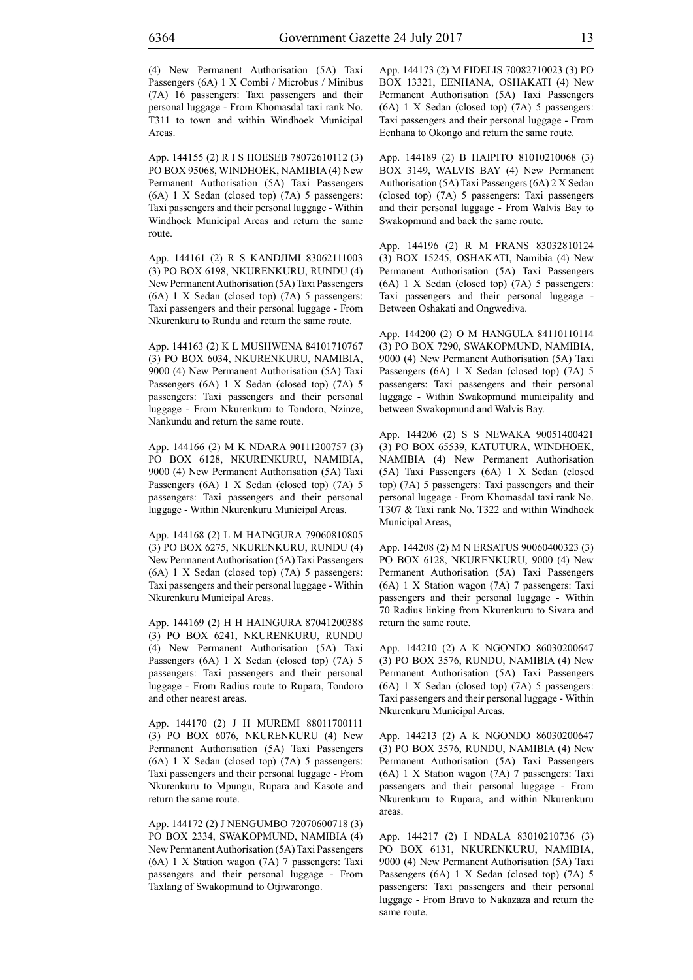(4) New Permanent Authorisation (5A) Taxi Passengers (6A) 1 X Combi / Microbus / Minibus (7A) 16 passengers: Taxi passengers and their personal luggage - From Khomasdal taxi rank No. T311 to town and within Windhoek Municipal **Areas**.

App. 144155 (2) R I S HOESEB 78072610112 (3) PO BOX 95068, WINDHOEK, NAMIBIA (4) New Permanent Authorisation (5A) Taxi Passengers (6A) 1 X Sedan (closed top) (7A) 5 passengers: Taxi passengers and their personal luggage - Within Windhoek Municipal Areas and return the same route.

App. 144161 (2) R S KANDJIMI 83062111003 (3) PO BOX 6198, NKURENKURU, RUNDU (4) New Permanent Authorisation (5A) Taxi Passengers (6A) 1 X Sedan (closed top) (7A) 5 passengers: Taxi passengers and their personal luggage - From Nkurenkuru to Rundu and return the same route.

App. 144163 (2) K L MUSHWENA 84101710767 (3) PO BOX 6034, NKURENKURU, NAMIBIA, 9000 (4) New Permanent Authorisation (5A) Taxi Passengers (6A) 1 X Sedan (closed top) (7A) 5 passengers: Taxi passengers and their personal luggage - From Nkurenkuru to Tondoro, Nzinze, Nankundu and return the same route.

App. 144166 (2) M K NDARA 90111200757 (3) PO BOX 6128, NKURENKURU, NAMIBIA, 9000 (4) New Permanent Authorisation (5A) Taxi Passengers (6A) 1 X Sedan (closed top) (7A) 5 passengers: Taxi passengers and their personal luggage - Within Nkurenkuru Municipal Areas.

App. 144168 (2) L M HAINGURA 79060810805 (3) PO BOX 6275, NKURENKURU, RUNDU (4) New Permanent Authorisation (5A) Taxi Passengers (6A) 1 X Sedan (closed top) (7A) 5 passengers: Taxi passengers and their personal luggage - Within Nkurenkuru Municipal Areas.

App. 144169 (2) H H HAINGURA 87041200388 (3) PO BOX 6241, NKURENKURU, RUNDU (4) New Permanent Authorisation (5A) Taxi Passengers (6A) 1 X Sedan (closed top) (7A) 5 passengers: Taxi passengers and their personal luggage - From Radius route to Rupara, Tondoro and other nearest areas.

App. 144170 (2) J H MUREMI 88011700111 (3) PO BOX 6076, NKURENKURU (4) New Permanent Authorisation (5A) Taxi Passengers (6A) 1 X Sedan (closed top) (7A) 5 passengers: Taxi passengers and their personal luggage - From Nkurenkuru to Mpungu, Rupara and Kasote and return the same route.

App. 144172 (2) J NENGUMBO 72070600718 (3) PO BOX 2334, SWAKOPMUND, NAMIBIA (4) New Permanent Authorisation (5A) Taxi Passengers (6A) 1 X Station wagon (7A) 7 passengers: Taxi passengers and their personal luggage - From Taxlang of Swakopmund to Otjiwarongo.

App. 144173 (2) M FIDELIS 70082710023 (3) PO BOX 13321, EENHANA, OSHAKATI (4) New Permanent Authorisation (5A) Taxi Passengers (6A) 1 X Sedan (closed top) (7A) 5 passengers: Taxi passengers and their personal luggage - From Eenhana to Okongo and return the same route.

App. 144189 (2) B HAIPITO 81010210068 (3) BOX 3149, WALVIS BAY (4) New Permanent Authorisation (5A) Taxi Passengers (6A) 2 X Sedan (closed top) (7A) 5 passengers: Taxi passengers and their personal luggage - From Walvis Bay to Swakopmund and back the same route.

App. 144196 (2) R M FRANS 83032810124 (3) BOX 15245, OSHAKATI, Namibia (4) New Permanent Authorisation (5A) Taxi Passengers (6A) 1 X Sedan (closed top) (7A) 5 passengers: Taxi passengers and their personal luggage - Between Oshakati and Ongwediva.

App. 144200 (2) O M HANGULA 84110110114 (3) PO BOX 7290, SWAKOPMUND, NAMIBIA, 9000 (4) New Permanent Authorisation (5A) Taxi Passengers (6A) 1 X Sedan (closed top) (7A) 5 passengers: Taxi passengers and their personal luggage - Within Swakopmund municipality and between Swakopmund and Walvis Bay.

App. 144206 (2) S S NEWAKA 90051400421 (3) PO BOX 65539, KATUTURA, WINDHOEK, NAMIBIA (4) New Permanent Authorisation (5A) Taxi Passengers (6A) 1 X Sedan (closed top) (7A) 5 passengers: Taxi passengers and their personal luggage - From Khomasdal taxi rank No. T307 & Taxi rank No. T322 and within Windhoek Municipal Areas,

App. 144208 (2) M N ERSATUS 90060400323 (3) PO BOX 6128, NKURENKURU, 9000 (4) New Permanent Authorisation (5A) Taxi Passengers (6A) 1 X Station wagon (7A) 7 passengers: Taxi passengers and their personal luggage - Within 70 Radius linking from Nkurenkuru to Sivara and return the same route.

App. 144210 (2) A K NGONDO 86030200647 (3) PO BOX 3576, RUNDU, NAMIBIA (4) New Permanent Authorisation (5A) Taxi Passengers (6A) 1 X Sedan (closed top) (7A) 5 passengers: Taxi passengers and their personal luggage - Within Nkurenkuru Municipal Areas.

App. 144213 (2) A K NGONDO 86030200647 (3) PO BOX 3576, RUNDU, NAMIBIA (4) New Permanent Authorisation (5A) Taxi Passengers (6A) 1 X Station wagon (7A) 7 passengers: Taxi passengers and their personal luggage - From Nkurenkuru to Rupara, and within Nkurenkuru areas.

App. 144217 (2) I NDALA 83010210736 (3) PO BOX 6131, NKURENKURU, NAMIBIA, 9000 (4) New Permanent Authorisation (5A) Taxi Passengers (6A) 1 X Sedan (closed top) (7A) 5 passengers: Taxi passengers and their personal luggage - From Bravo to Nakazaza and return the same route.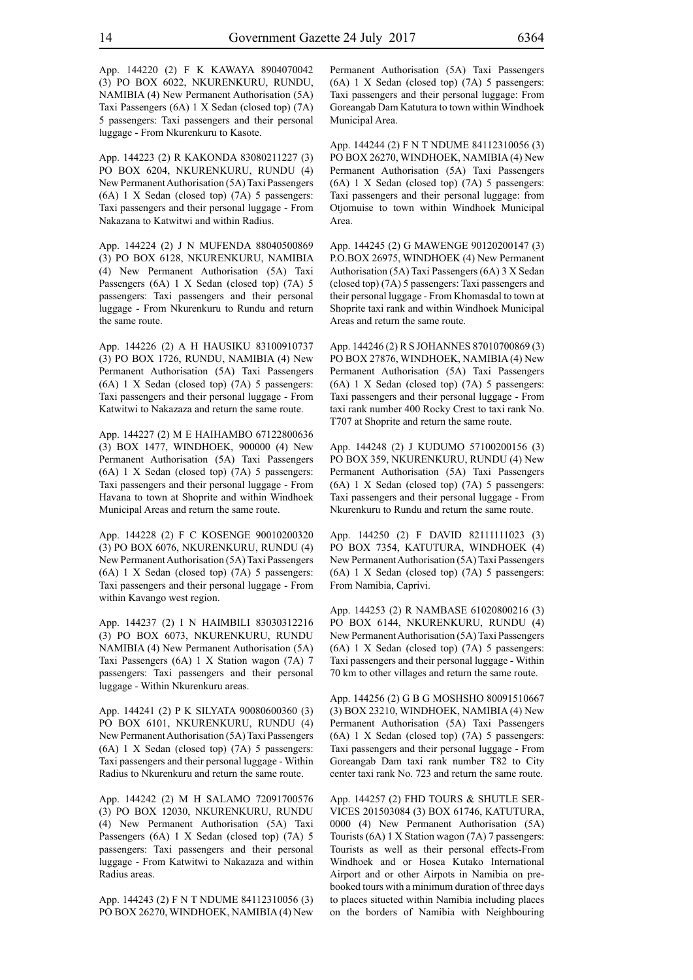App. 144220 (2) F K KAWAYA 8904070042 (3) PO BOX 6022, NKURENKURU, RUNDU, NAMIBIA (4) New Permanent Authorisation (5A) Taxi Passengers (6A) 1 X Sedan (closed top) (7A) 5 passengers: Taxi passengers and their personal luggage - From Nkurenkuru to Kasote.

App. 144223 (2) R KAKONDA 83080211227 (3) PO BOX 6204, NKURENKURU, RUNDU (4) New Permanent Authorisation (5A) Taxi Passengers (6A) 1 X Sedan (closed top) (7A) 5 passengers: Taxi passengers and their personal luggage - From Nakazana to Katwitwi and within Radius.

App. 144224 (2) J N MUFENDA 88040500869 (3) PO BOX 6128, NKURENKURU, NAMIBIA (4) New Permanent Authorisation (5A) Taxi Passengers (6A) 1 X Sedan (closed top) (7A) 5 passengers: Taxi passengers and their personal luggage - From Nkurenkuru to Rundu and return the same route.

App. 144226 (2) A H HAUSIKU 83100910737 (3) PO BOX 1726, RUNDU, NAMIBIA (4) New Permanent Authorisation (5A) Taxi Passengers (6A) 1 X Sedan (closed top) (7A) 5 passengers: Taxi passengers and their personal luggage - From Katwitwi to Nakazaza and return the same route.

App. 144227 (2) M E HAIHAMBO 67122800636 (3) BOX 1477, WINDHOEK, 900000 (4) New Permanent Authorisation (5A) Taxi Passengers (6A) 1 X Sedan (closed top) (7A) 5 passengers: Taxi passengers and their personal luggage - From Havana to town at Shoprite and within Windhoek Municipal Areas and return the same route.

App. 144228 (2) F C KOSENGE 90010200320 (3) PO BOX 6076, NKURENKURU, RUNDU (4) New Permanent Authorisation (5A) Taxi Passengers (6A) 1 X Sedan (closed top) (7A) 5 passengers: Taxi passengers and their personal luggage - From within Kavango west region.

App. 144237 (2) I N HAIMBILI 83030312216 (3) PO BOX 6073, NKURENKURU, RUNDU NAMIBIA (4) New Permanent Authorisation (5A) Taxi Passengers (6A) 1 X Station wagon (7A) 7 passengers: Taxi passengers and their personal luggage - Within Nkurenkuru areas.

App. 144241 (2) P K SILYATA 90080600360 (3) PO BOX 6101, NKURENKURU, RUNDU (4) New Permanent Authorisation (5A) Taxi Passengers (6A) 1 X Sedan (closed top) (7A) 5 passengers: Taxi passengers and their personal luggage - Within Radius to Nkurenkuru and return the same route.

App. 144242 (2) M H SALAMO 72091700576 (3) PO BOX 12030, NKURENKURU, RUNDU (4) New Permanent Authorisation (5A) Taxi Passengers (6A) 1 X Sedan (closed top) (7A) 5 passengers: Taxi passengers and their personal luggage - From Katwitwi to Nakazaza and within Radius areas.

App. 144243 (2) F N T NDUME 84112310056 (3) PO BOX 26270, WINDHOEK, NAMIBIA (4) New Permanent Authorisation (5A) Taxi Passengers (6A) 1 X Sedan (closed top) (7A) 5 passengers: Taxi passengers and their personal luggage: From Goreangab Dam Katutura to town within Windhoek Municipal Area.

App. 144244 (2) F N T NDUME 84112310056 (3) PO BOX 26270, WINDHOEK, NAMIBIA (4) New Permanent Authorisation (5A) Taxi Passengers (6A) 1 X Sedan (closed top) (7A) 5 passengers: Taxi passengers and their personal luggage: from Otjomuise to town within Windhoek Municipal Area.

App. 144245 (2) G MAWENGE 90120200147 (3) P.O.BOX 26975, WINDHOEK (4) New Permanent Authorisation (5A) Taxi Passengers (6A) 3 X Sedan (closed top) (7A) 5 passengers: Taxi passengers and their personal luggage - From Khomasdal to town at Shoprite taxi rank and within Windhoek Municipal Areas and return the same route.

App. 144246 (2) R S JOHANNES 87010700869 (3) PO BOX 27876, WINDHOEK, NAMIBIA (4) New Permanent Authorisation (5A) Taxi Passengers (6A) 1 X Sedan (closed top) (7A) 5 passengers: Taxi passengers and their personal luggage - From taxi rank number 400 Rocky Crest to taxi rank No. T707 at Shoprite and return the same route.

App. 144248 (2) J KUDUMO 57100200156 (3) PO BOX 359, NKURENKURU, RUNDU (4) New Permanent Authorisation (5A) Taxi Passengers (6A) 1 X Sedan (closed top) (7A) 5 passengers: Taxi passengers and their personal luggage - From Nkurenkuru to Rundu and return the same route.

App. 144250 (2) F DAVID 82111111023 (3) PO BOX 7354, KATUTURA, WINDHOEK (4) New Permanent Authorisation (5A) Taxi Passengers (6A) 1 X Sedan (closed top) (7A) 5 passengers: From Namibia, Caprivi.

App. 144253 (2) R NAMBASE 61020800216 (3) PO BOX 6144, NKURENKURU, RUNDU (4) New Permanent Authorisation (5A) Taxi Passengers (6A) 1 X Sedan (closed top) (7A) 5 passengers: Taxi passengers and their personal luggage - Within 70 km to other villages and return the same route.

App. 144256 (2) G B G MOSHSHO 80091510667 (3) BOX 23210, WINDHOEK, NAMIBIA (4) New Permanent Authorisation (5A) Taxi Passengers (6A) 1 X Sedan (closed top) (7A) 5 passengers: Taxi passengers and their personal luggage - From Goreangab Dam taxi rank number T82 to City center taxi rank No. 723 and return the same route.

App. 144257 (2) FHD TOURS & SHUTLE SER-VICES 201503084 (3) BOX 61746, KATUTURA, 0000 (4) New Permanent Authorisation (5A) Tourists (6A) 1 X Station wagon (7A) 7 passengers: Tourists as well as their personal effects-From Windhoek and or Hosea Kutako International Airport and or other Airpots in Namibia on prebooked tours with a minimum duration of three days to places situeted within Namibia including places on the borders of Namibia with Neighbouring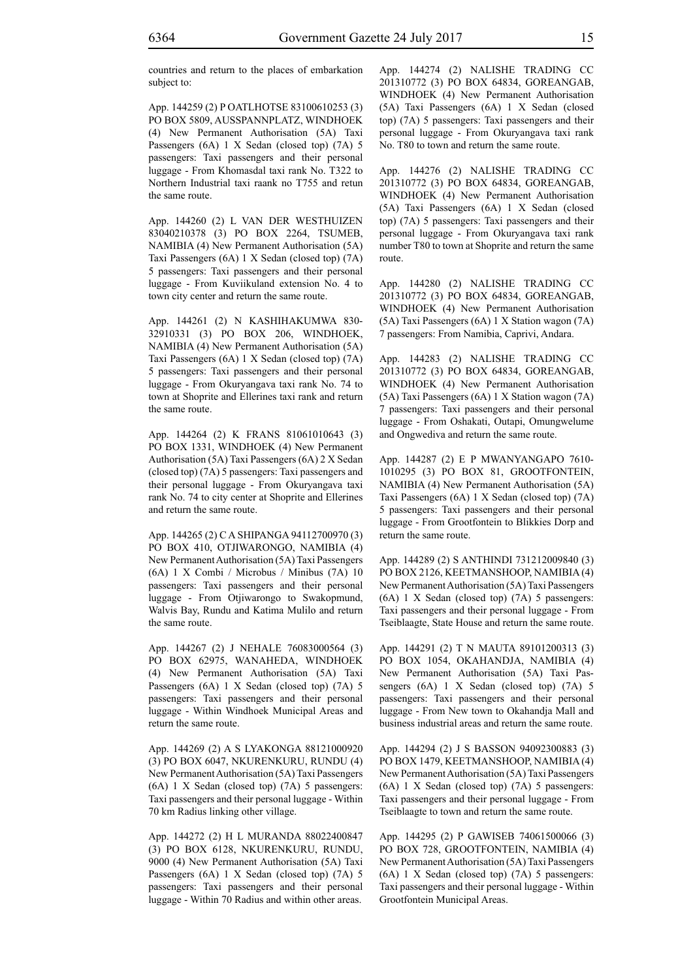countries and return to the places of embarkation subject to:

App. 144259 (2) P OATLHOTSE 83100610253 (3) PO BOX 5809, AUSSPANNPLATZ, WINDHOEK (4) New Permanent Authorisation (5A) Taxi Passengers (6A) 1 X Sedan (closed top) (7A) 5 passengers: Taxi passengers and their personal luggage - From Khomasdal taxi rank No. T322 to Northern Industrial taxi raank no T755 and retun the same route.

App. 144260 (2) L VAN DER WESTHUIZEN 83040210378 (3) PO BOX 2264, TSUMEB, NAMIBIA (4) New Permanent Authorisation (5A) Taxi Passengers (6A) 1 X Sedan (closed top) (7A) 5 passengers: Taxi passengers and their personal luggage - From Kuviikuland extension No. 4 to town city center and return the same route.

App. 144261 (2) N KASHIHAKUMWA 830- 32910331 (3) PO BOX 206, WINDHOEK, NAMIBIA (4) New Permanent Authorisation (5A) Taxi Passengers (6A) 1 X Sedan (closed top) (7A) 5 passengers: Taxi passengers and their personal luggage - From Okuryangava taxi rank No. 74 to town at Shoprite and Ellerines taxi rank and return the same route.

App. 144264 (2) K FRANS 81061010643 (3) PO BOX 1331, WINDHOEK (4) New Permanent Authorisation (5A) Taxi Passengers (6A) 2 X Sedan (closed top) (7A) 5 passengers: Taxi passengers and their personal luggage - From Okuryangava taxi rank No. 74 to city center at Shoprite and Ellerines and return the same route.

App. 144265 (2) C A SHIPANGA 94112700970 (3) PO BOX 410, OTJIWARONGO, NAMIBIA (4) New Permanent Authorisation (5A) Taxi Passengers (6A) 1 X Combi / Microbus / Minibus (7A) 10 passengers: Taxi passengers and their personal luggage - From Otjiwarongo to Swakopmund, Walvis Bay, Rundu and Katima Mulilo and return the same route.

App. 144267 (2) J NEHALE 76083000564 (3) PO BOX 62975, WANAHEDA, WINDHOEK (4) New Permanent Authorisation (5A) Taxi Passengers (6A) 1 X Sedan (closed top) (7A) 5 passengers: Taxi passengers and their personal luggage - Within Windhoek Municipal Areas and return the same route.

App. 144269 (2) A S LYAKONGA 88121000920 (3) PO BOX 6047, NKURENKURU, RUNDU (4) New Permanent Authorisation (5A) Taxi Passengers (6A) 1 X Sedan (closed top) (7A) 5 passengers: Taxi passengers and their personal luggage - Within 70 km Radius linking other village.

App. 144272 (2) H L MURANDA 88022400847 (3) PO BOX 6128, NKURENKURU, RUNDU, 9000 (4) New Permanent Authorisation (5A) Taxi Passengers (6A) 1 X Sedan (closed top) (7A) 5 passengers: Taxi passengers and their personal luggage - Within 70 Radius and within other areas.

App. 144274 (2) NALISHE TRADING CC 201310772 (3) PO BOX 64834, GOREANGAB, WINDHOEK (4) New Permanent Authorisation (5A) Taxi Passengers (6A) 1 X Sedan (closed top) (7A) 5 passengers: Taxi passengers and their personal luggage - From Okuryangava taxi rank No. T80 to town and return the same route.

App. 144276 (2) NALISHE TRADING CC 201310772 (3) PO BOX 64834, GOREANGAB, WINDHOEK (4) New Permanent Authorisation (5A) Taxi Passengers (6A) 1 X Sedan (closed top) (7A) 5 passengers: Taxi passengers and their personal luggage - From Okuryangava taxi rank number T80 to town at Shoprite and return the same route.

App. 144280 (2) NALISHE TRADING CC 201310772 (3) PO BOX 64834, GOREANGAB, WINDHOEK (4) New Permanent Authorisation (5A) Taxi Passengers (6A) 1 X Station wagon (7A) 7 passengers: From Namibia, Caprivi, Andara.

App. 144283 (2) NALISHE TRADING CC 201310772 (3) PO BOX 64834, GOREANGAB, WINDHOEK (4) New Permanent Authorisation (5A) Taxi Passengers (6A) 1 X Station wagon (7A) 7 passengers: Taxi passengers and their personal luggage - From Oshakati, Outapi, Omungwelume and Ongwediva and return the same route.

App. 144287 (2) E P MWANYANGAPO 7610- 1010295 (3) PO BOX 81, GROOTFONTEIN, NAMIBIA (4) New Permanent Authorisation (5A) Taxi Passengers (6A) 1 X Sedan (closed top) (7A) 5 passengers: Taxi passengers and their personal luggage - From Grootfontein to Blikkies Dorp and return the same route.

App. 144289 (2) S ANTHINDI 731212009840 (3) PO BOX 2126, KEETMANSHOOP, NAMIBIA (4) New Permanent Authorisation (5A) Taxi Passengers (6A) 1 X Sedan (closed top) (7A) 5 passengers: Taxi passengers and their personal luggage - From Tseiblaagte, State House and return the same route.

App. 144291 (2) T N MAUTA 89101200313 (3) PO BOX 1054, OKAHANDJA, NAMIBIA (4) New Permanent Authorisation (5A) Taxi Passengers (6A) 1 X Sedan (closed top) (7A) 5 passengers: Taxi passengers and their personal luggage - From New town to Okahandja Mall and business industrial areas and return the same route.

App. 144294 (2) J S BASSON 94092300883 (3) PO BOX 1479, KEETMANSHOOP, NAMIBIA (4) New Permanent Authorisation (5A) Taxi Passengers (6A) 1 X Sedan (closed top) (7A) 5 passengers: Taxi passengers and their personal luggage - From Tseiblaagte to town and return the same route.

App. 144295 (2) P GAWISEB 74061500066 (3) PO BOX 728, GROOTFONTEIN, NAMIBIA (4) New Permanent Authorisation (5A) Taxi Passengers (6A) 1 X Sedan (closed top) (7A) 5 passengers: Taxi passengers and their personal luggage - Within Grootfontein Municipal Areas.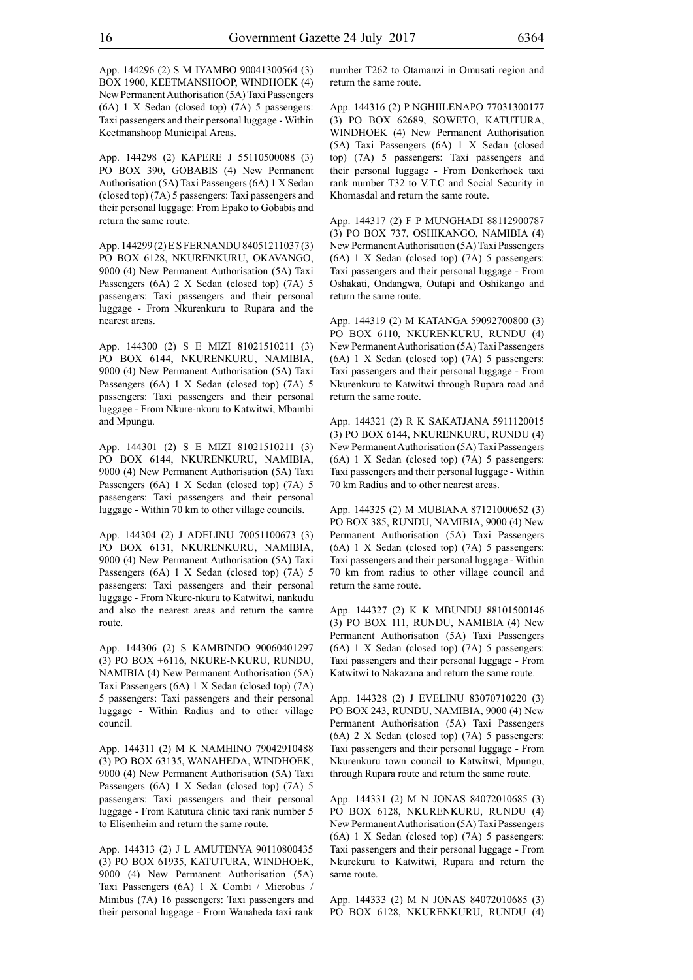App. 144296 (2) S M IYAMBO 90041300564 (3) BOX 1900, KEETMANSHOOP, WINDHOEK (4) New Permanent Authorisation (5A) Taxi Passengers (6A) 1 X Sedan (closed top) (7A) 5 passengers: Taxi passengers and their personal luggage - Within Keetmanshoop Municipal Areas.

App. 144298 (2) KAPERE J 55110500088 (3) PO BOX 390, GOBABIS (4) New Permanent Authorisation (5A) Taxi Passengers (6A) 1 X Sedan (closed top) (7A) 5 passengers: Taxi passengers and their personal luggage: From Epako to Gobabis and return the same route.

App. 144299 (2) E S FERNANDU 84051211037 (3) PO BOX 6128, NKURENKURU, OKAVANGO, 9000 (4) New Permanent Authorisation (5A) Taxi Passengers (6A) 2 X Sedan (closed top) (7A) 5 passengers: Taxi passengers and their personal luggage - From Nkurenkuru to Rupara and the nearest areas.

App. 144300 (2) S E MIZI 81021510211 (3) PO BOX 6144, NKURENKURU, NAMIBIA, 9000 (4) New Permanent Authorisation (5A) Taxi Passengers (6A) 1 X Sedan (closed top) (7A) 5 passengers: Taxi passengers and their personal luggage - From Nkure-nkuru to Katwitwi, Mbambi and Mpungu.

App. 144301 (2) S E MIZI 81021510211 (3) PO BOX 6144, NKURENKURU, NAMIBIA, 9000 (4) New Permanent Authorisation (5A) Taxi Passengers (6A) 1 X Sedan (closed top) (7A) 5 passengers: Taxi passengers and their personal luggage - Within 70 km to other village councils.

App. 144304 (2) J ADELINU 70051100673 (3) PO BOX 6131, NKURENKURU, NAMIBIA, 9000 (4) New Permanent Authorisation (5A) Taxi Passengers (6A) 1 X Sedan (closed top) (7A) 5 passengers: Taxi passengers and their personal luggage - From Nkure-nkuru to Katwitwi, nankudu and also the nearest areas and return the samre route.

App. 144306 (2) S KAMBINDO 90060401297 (3) PO BOX +6116, NKURE-NKURU, RUNDU, NAMIBIA (4) New Permanent Authorisation (5A) Taxi Passengers (6A) 1 X Sedan (closed top) (7A) 5 passengers: Taxi passengers and their personal luggage - Within Radius and to other village council.

App. 144311 (2) M K NAMHINO 79042910488 (3) PO BOX 63135, WANAHEDA, WINDHOEK, 9000 (4) New Permanent Authorisation (5A) Taxi Passengers (6A) 1 X Sedan (closed top) (7A) 5 passengers: Taxi passengers and their personal luggage - From Katutura clinic taxi rank number 5 to Elisenheim and return the same route.

App. 144313 (2) J L AMUTENYA 90110800435 (3) PO BOX 61935, KATUTURA, WINDHOEK, 9000 (4) New Permanent Authorisation (5A) Taxi Passengers (6A) 1 X Combi / Microbus / Minibus (7A) 16 passengers: Taxi passengers and their personal luggage - From Wanaheda taxi rank

number T262 to Otamanzi in Omusati region and return the same route.

App. 144316 (2) P NGHIILENAPO 77031300177 (3) PO BOX 62689, SOWETO, KATUTURA, WINDHOEK (4) New Permanent Authorisation (5A) Taxi Passengers (6A) 1 X Sedan (closed top) (7A) 5 passengers: Taxi passengers and their personal luggage - From Donkerhoek taxi rank number T32 to V.T.C and Social Security in Khomasdal and return the same route.

App. 144317 (2) F P MUNGHADI 88112900787 (3) PO BOX 737, OSHIKANGO, NAMIBIA (4) New Permanent Authorisation (5A) Taxi Passengers (6A) 1 X Sedan (closed top) (7A) 5 passengers: Taxi passengers and their personal luggage - From Oshakati, Ondangwa, Outapi and Oshikango and return the same route.

App. 144319 (2) M KATANGA 59092700800 (3) PO BOX 6110, NKURENKURU, RUNDU (4) New Permanent Authorisation (5A) Taxi Passengers (6A) 1 X Sedan (closed top) (7A) 5 passengers: Taxi passengers and their personal luggage - From Nkurenkuru to Katwitwi through Rupara road and return the same route.

App. 144321 (2) R K SAKATJANA 5911120015 (3) PO BOX 6144, NKURENKURU, RUNDU (4) New Permanent Authorisation (5A) Taxi Passengers (6A) 1 X Sedan (closed top) (7A) 5 passengers: Taxi passengers and their personal luggage - Within 70 km Radius and to other nearest areas.

App. 144325 (2) M MUBIANA 87121000652 (3) PO BOX 385, RUNDU, NAMIBIA, 9000 (4) New Permanent Authorisation (5A) Taxi Passengers (6A) 1 X Sedan (closed top) (7A) 5 passengers: Taxi passengers and their personal luggage - Within 70 km from radius to other village council and return the same route.

App. 144327 (2) K K MBUNDU 88101500146 (3) PO BOX 111, RUNDU, NAMIBIA (4) New Permanent Authorisation (5A) Taxi Passengers (6A) 1 X Sedan (closed top) (7A) 5 passengers: Taxi passengers and their personal luggage - From Katwitwi to Nakazana and return the same route.

App. 144328 (2) J EVELINU 83070710220 (3) PO BOX 243, RUNDU, NAMIBIA, 9000 (4) New Permanent Authorisation (5A) Taxi Passengers (6A) 2 X Sedan (closed top) (7A) 5 passengers: Taxi passengers and their personal luggage - From Nkurenkuru town council to Katwitwi, Mpungu, through Rupara route and return the same route.

App. 144331 (2) M N JONAS 84072010685 (3) PO BOX 6128, NKURENKURU, RUNDU (4) New Permanent Authorisation (5A) Taxi Passengers (6A) 1 X Sedan (closed top) (7A) 5 passengers: Taxi passengers and their personal luggage - From Nkurekuru to Katwitwi, Rupara and return the same route.

App. 144333 (2) M N JONAS 84072010685 (3) PO BOX 6128, NKURENKURU, RUNDU (4)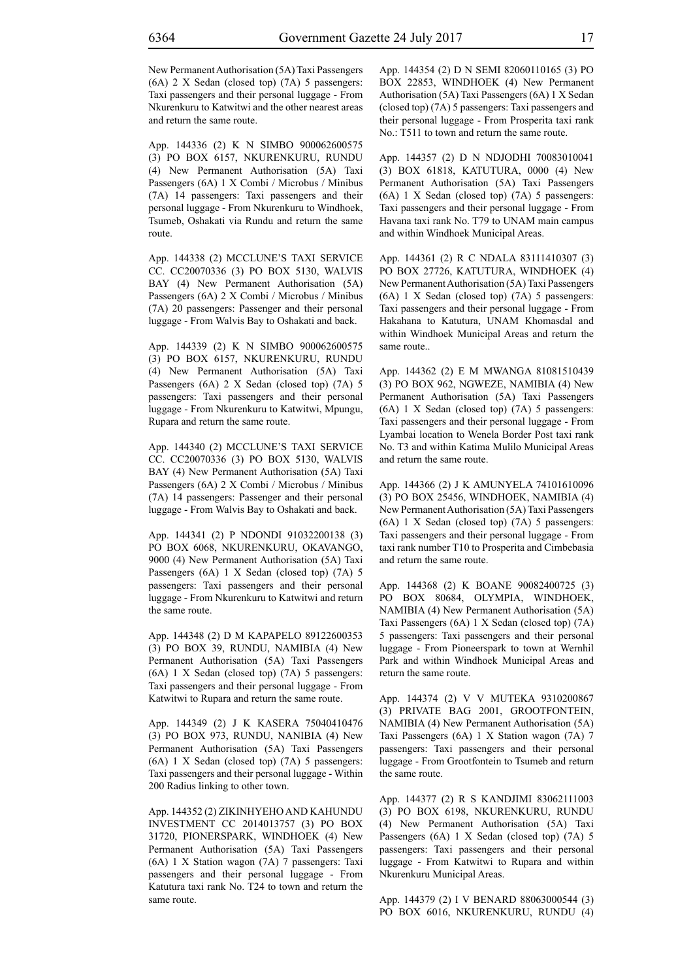New Permanent Authorisation (5A) Taxi Passengers (6A) 2 X Sedan (closed top) (7A) 5 passengers: Taxi passengers and their personal luggage - From Nkurenkuru to Katwitwi and the other nearest areas and return the same route.

App. 144336 (2) K N SIMBO 900062600575 (3) PO BOX 6157, NKURENKURU, RUNDU (4) New Permanent Authorisation (5A) Taxi Passengers (6A) 1 X Combi / Microbus / Minibus (7A) 14 passengers: Taxi passengers and their personal luggage - From Nkurenkuru to Windhoek, Tsumeb, Oshakati via Rundu and return the same route.

App. 144338 (2) MCCLUNE'S TAXI SERVICE CC. CC20070336 (3) PO BOX 5130, WALVIS BAY (4) New Permanent Authorisation (5A) Passengers (6A) 2 X Combi / Microbus / Minibus (7A) 20 passengers: Passenger and their personal luggage - From Walvis Bay to Oshakati and back.

App. 144339 (2) K N SIMBO 900062600575 (3) PO BOX 6157, NKURENKURU, RUNDU (4) New Permanent Authorisation (5A) Taxi Passengers (6A) 2 X Sedan (closed top) (7A) 5 passengers: Taxi passengers and their personal luggage - From Nkurenkuru to Katwitwi, Mpungu, Rupara and return the same route.

App. 144340 (2) MCCLUNE'S TAXI SERVICE CC. CC20070336 (3) PO BOX 5130, WALVIS BAY (4) New Permanent Authorisation (5A) Taxi Passengers (6A) 2 X Combi / Microbus / Minibus (7A) 14 passengers: Passenger and their personal luggage - From Walvis Bay to Oshakati and back.

App. 144341 (2) P NDONDI 91032200138 (3) PO BOX 6068, NKURENKURU, OKAVANGO, 9000 (4) New Permanent Authorisation (5A) Taxi Passengers (6A) 1 X Sedan (closed top) (7A) 5 passengers: Taxi passengers and their personal luggage - From Nkurenkuru to Katwitwi and return the same route.

App. 144348 (2) D M KAPAPELO 89122600353 (3) PO BOX 39, RUNDU, NAMIBIA (4) New Permanent Authorisation (5A) Taxi Passengers (6A) 1 X Sedan (closed top) (7A) 5 passengers: Taxi passengers and their personal luggage - From Katwitwi to Rupara and return the same route.

App. 144349 (2) J K KASERA 75040410476 (3) PO BOX 973, RUNDU, NANIBIA (4) New Permanent Authorisation (5A) Taxi Passengers (6A) 1 X Sedan (closed top) (7A) 5 passengers: Taxi passengers and their personal luggage - Within 200 Radius linking to other town.

App. 144352 (2) ZIKINHYEHO AND KAHUNDU INVESTMENT CC 2014013757 (3) PO BOX 31720, PIONERSPARK, WINDHOEK (4) New Permanent Authorisation (5A) Taxi Passengers (6A) 1 X Station wagon (7A) 7 passengers: Taxi passengers and their personal luggage - From Katutura taxi rank No. T24 to town and return the same route.

App. 144354 (2) D N SEMI 82060110165 (3) PO BOX 22853, WINDHOEK (4) New Permanent Authorisation (5A) Taxi Passengers (6A) 1 X Sedan (closed top) (7A) 5 passengers: Taxi passengers and their personal luggage - From Prosperita taxi rank No.: T511 to town and return the same route.

App. 144357 (2) D N NDJODHI 70083010041 (3) BOX 61818, KATUTURA, 0000 (4) New Permanent Authorisation (5A) Taxi Passengers (6A) 1 X Sedan (closed top) (7A) 5 passengers: Taxi passengers and their personal luggage - From Havana taxi rank No. T79 to UNAM main campus and within Windhoek Municipal Areas.

App. 144361 (2) R C NDALA 83111410307 (3) PO BOX 27726, KATUTURA, WINDHOEK (4) New Permanent Authorisation (5A) Taxi Passengers (6A) 1 X Sedan (closed top) (7A) 5 passengers: Taxi passengers and their personal luggage - From Hakahana to Katutura, UNAM Khomasdal and within Windhoek Municipal Areas and return the same route..

App. 144362 (2) E M MWANGA 81081510439 (3) PO BOX 962, NGWEZE, NAMIBIA (4) New Permanent Authorisation (5A) Taxi Passengers (6A) 1 X Sedan (closed top) (7A) 5 passengers: Taxi passengers and their personal luggage - From Lyambai location to Wenela Border Post taxi rank No. T3 and within Katima Mulilo Municipal Areas and return the same route.

App. 144366 (2) J K AMUNYELA 74101610096 (3) PO BOX 25456, WINDHOEK, NAMIBIA (4) New Permanent Authorisation (5A) Taxi Passengers (6A) 1 X Sedan (closed top) (7A) 5 passengers: Taxi passengers and their personal luggage - From taxi rank number T10 to Prosperita and Cimbebasia and return the same route.

App. 144368 (2) K BOANE 90082400725 (3) PO BOX 80684, OLYMPIA, WINDHOEK, NAMIBIA (4) New Permanent Authorisation (5A) Taxi Passengers (6A) 1 X Sedan (closed top) (7A) 5 passengers: Taxi passengers and their personal luggage - From Pioneerspark to town at Wernhil Park and within Windhoek Municipal Areas and return the same route.

App. 144374 (2) V V MUTEKA 9310200867 (3) PRIVATE BAG 2001, GROOTFONTEIN, NAMIBIA (4) New Permanent Authorisation (5A) Taxi Passengers (6A) 1 X Station wagon (7A) 7 passengers: Taxi passengers and their personal luggage - From Grootfontein to Tsumeb and return the same route.

App. 144377 (2) R S KANDJIMI 83062111003 (3) PO BOX 6198, NKURENKURU, RUNDU (4) New Permanent Authorisation (5A) Taxi Passengers (6A) 1 X Sedan (closed top) (7A) 5 passengers: Taxi passengers and their personal luggage - From Katwitwi to Rupara and within Nkurenkuru Municipal Areas.

App. 144379 (2) I V BENARD 88063000544 (3) PO BOX 6016, NKURENKURU, RUNDU (4)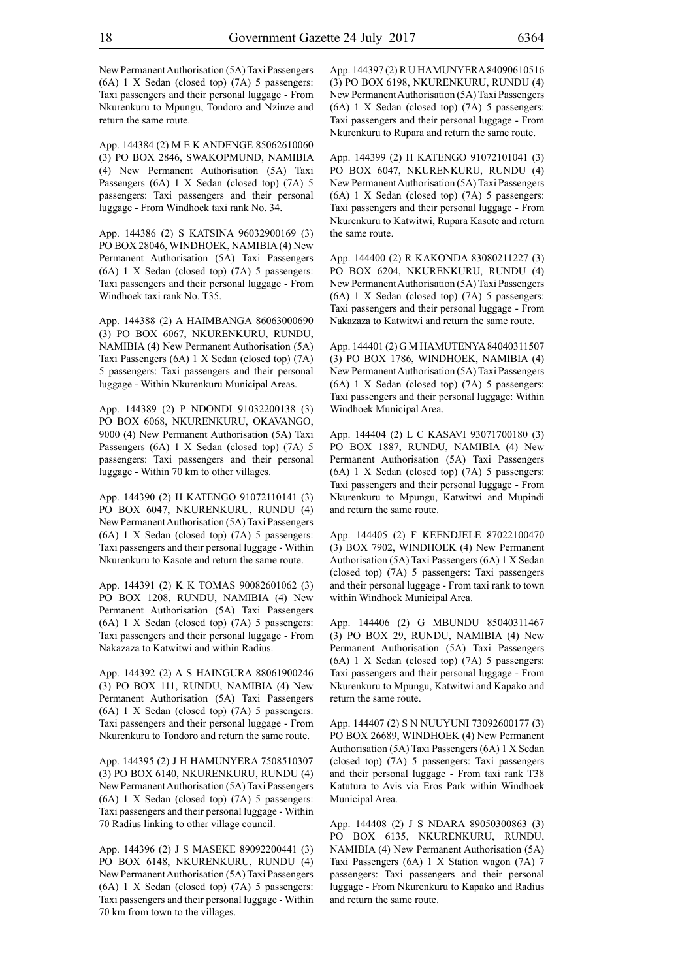New Permanent Authorisation (5A) Taxi Passengers (6A) 1 X Sedan (closed top) (7A) 5 passengers: Taxi passengers and their personal luggage - From Nkurenkuru to Mpungu, Tondoro and Nzinze and return the same route.

App. 144384 (2) M E K ANDENGE 85062610060 (3) PO BOX 2846, SWAKOPMUND, NAMIBIA (4) New Permanent Authorisation (5A) Taxi Passengers (6A) 1 X Sedan (closed top) (7A) 5 passengers: Taxi passengers and their personal luggage - From Windhoek taxi rank No. 34.

App. 144386 (2) S KATSINA 96032900169 (3) PO BOX 28046, WINDHOEK, NAMIBIA (4) New Permanent Authorisation (5A) Taxi Passengers (6A) 1 X Sedan (closed top) (7A) 5 passengers: Taxi passengers and their personal luggage - From Windhoek taxi rank No. T35.

App. 144388 (2) A HAIMBANGA 86063000690 (3) PO BOX 6067, NKURENKURU, RUNDU, NAMIBIA (4) New Permanent Authorisation (5A) Taxi Passengers (6A) 1 X Sedan (closed top) (7A) 5 passengers: Taxi passengers and their personal luggage - Within Nkurenkuru Municipal Areas.

App. 144389 (2) P NDONDI 91032200138 (3) PO BOX 6068, NKURENKURU, OKAVANGO, 9000 (4) New Permanent Authorisation (5A) Taxi Passengers (6A) 1 X Sedan (closed top) (7A) 5 passengers: Taxi passengers and their personal luggage - Within 70 km to other villages.

App. 144390 (2) H KATENGO 91072110141 (3) PO BOX 6047, NKURENKURU, RUNDU (4) New Permanent Authorisation (5A) Taxi Passengers (6A) 1 X Sedan (closed top) (7A) 5 passengers: Taxi passengers and their personal luggage - Within Nkurenkuru to Kasote and return the same route.

App. 144391 (2) K K TOMAS 90082601062 (3) PO BOX 1208, RUNDU, NAMIBIA (4) New Permanent Authorisation (5A) Taxi Passengers (6A) 1 X Sedan (closed top) (7A) 5 passengers: Taxi passengers and their personal luggage - From Nakazaza to Katwitwi and within Radius.

App. 144392 (2) A S HAINGURA 88061900246 (3) PO BOX 111, RUNDU, NAMIBIA (4) New Permanent Authorisation (5A) Taxi Passengers (6A) 1 X Sedan (closed top) (7A) 5 passengers: Taxi passengers and their personal luggage - From Nkurenkuru to Tondoro and return the same route.

App. 144395 (2) J H HAMUNYERA 7508510307 (3) PO BOX 6140, NKURENKURU, RUNDU (4) New Permanent Authorisation (5A) Taxi Passengers (6A) 1 X Sedan (closed top) (7A) 5 passengers: Taxi passengers and their personal luggage - Within 70 Radius linking to other village council.

App. 144396 (2) J S MASEKE 89092200441 (3) PO BOX 6148, NKURENKURU, RUNDU (4) New Permanent Authorisation (5A) Taxi Passengers (6A) 1 X Sedan (closed top) (7A) 5 passengers: Taxi passengers and their personal luggage - Within 70 km from town to the villages.

App. 144397 (2) R U HAMUNYERA 84090610516 (3) PO BOX 6198, NKURENKURU, RUNDU (4) New Permanent Authorisation (5A) Taxi Passengers (6A) 1 X Sedan (closed top) (7A) 5 passengers: Taxi passengers and their personal luggage - From Nkurenkuru to Rupara and return the same route.

App. 144399 (2) H KATENGO 91072101041 (3) PO BOX 6047, NKURENKURU, RUNDU (4) New Permanent Authorisation (5A) Taxi Passengers (6A) 1 X Sedan (closed top) (7A) 5 passengers: Taxi passengers and their personal luggage - From Nkurenkuru to Katwitwi, Rupara Kasote and return the same route.

App. 144400 (2) R KAKONDA 83080211227 (3) PO BOX 6204, NKURENKURU, RUNDU (4) New Permanent Authorisation (5A) Taxi Passengers (6A) 1 X Sedan (closed top) (7A) 5 passengers: Taxi passengers and their personal luggage - From Nakazaza to Katwitwi and return the same route.

App. 144401 (2) G M HAMUTENYA 84040311507 (3) PO BOX 1786, WINDHOEK, NAMIBIA (4) New Permanent Authorisation (5A) Taxi Passengers (6A) 1 X Sedan (closed top) (7A) 5 passengers: Taxi passengers and their personal luggage: Within Windhoek Municipal Area.

App. 144404 (2) L C KASAVI 93071700180 (3) PO BOX 1887, RUNDU, NAMIBIA (4) New Permanent Authorisation (5A) Taxi Passengers (6A) 1 X Sedan (closed top) (7A) 5 passengers: Taxi passengers and their personal luggage - From Nkurenkuru to Mpungu, Katwitwi and Mupindi and return the same route.

App. 144405 (2) F KEENDJELE 87022100470 (3) BOX 7902, WINDHOEK (4) New Permanent Authorisation (5A) Taxi Passengers (6A) 1 X Sedan (closed top) (7A) 5 passengers: Taxi passengers and their personal luggage - From taxi rank to town within Windhoek Municipal Area.

App. 144406 (2) G MBUNDU 85040311467 (3) PO BOX 29, RUNDU, NAMIBIA (4) New Permanent Authorisation (5A) Taxi Passengers (6A) 1 X Sedan (closed top) (7A) 5 passengers: Taxi passengers and their personal luggage - From Nkurenkuru to Mpungu, Katwitwi and Kapako and return the same route.

App. 144407 (2) S N NUUYUNI 73092600177 (3) PO BOX 26689, WINDHOEK (4) New Permanent Authorisation (5A) Taxi Passengers (6A) 1 X Sedan (closed top) (7A) 5 passengers: Taxi passengers and their personal luggage - From taxi rank T38 Katutura to Avis via Eros Park within Windhoek Municipal Area.

App. 144408 (2) J S NDARA 89050300863 (3) PO BOX 6135, NKURENKURU, RUNDU, NAMIBIA (4) New Permanent Authorisation (5A) Taxi Passengers (6A) 1 X Station wagon (7A) 7 passengers: Taxi passengers and their personal luggage - From Nkurenkuru to Kapako and Radius and return the same route.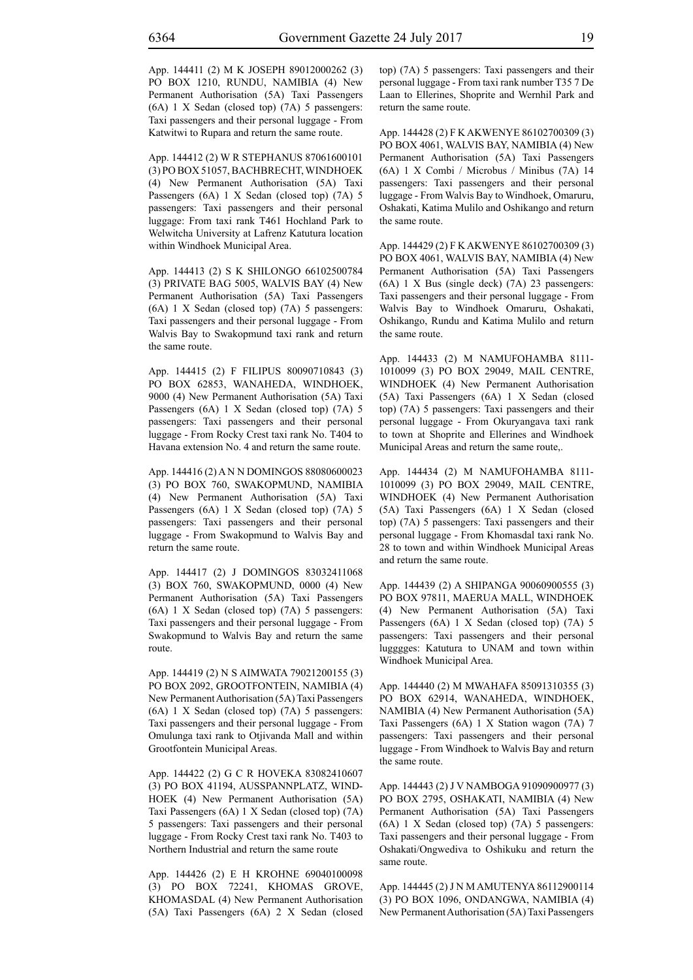App. 144411 (2) M K JOSEPH 89012000262 (3) PO BOX 1210, RUNDU, NAMIBIA (4) New Permanent Authorisation (5A) Taxi Passengers (6A) 1 X Sedan (closed top) (7A) 5 passengers: Taxi passengers and their personal luggage - From Katwitwi to Rupara and return the same route.

App. 144412 (2) W R STEPHANUS 87061600101 (3) PO BOX 51057, BACHBRECHT, WINDHOEK (4) New Permanent Authorisation (5A) Taxi Passengers (6A) 1 X Sedan (closed top) (7A) 5 passengers: Taxi passengers and their personal luggage: From taxi rank T461 Hochland Park to Welwitcha University at Lafrenz Katutura location within Windhoek Municipal Area.

App. 144413 (2) S K SHILONGO 66102500784 (3) PRIVATE BAG 5005, WALVIS BAY (4) New Permanent Authorisation (5A) Taxi Passengers (6A) 1 X Sedan (closed top) (7A) 5 passengers: Taxi passengers and their personal luggage - From Walvis Bay to Swakopmund taxi rank and return the same route.

App. 144415 (2) F FILIPUS 80090710843 (3) PO BOX 62853, WANAHEDA, WINDHOEK, 9000 (4) New Permanent Authorisation (5A) Taxi Passengers (6A) 1 X Sedan (closed top) (7A) 5 passengers: Taxi passengers and their personal luggage - From Rocky Crest taxi rank No. T404 to Havana extension No. 4 and return the same route.

App. 144416 (2) A N N DOMINGOS 88080600023 (3) PO BOX 760, SWAKOPMUND, NAMIBIA (4) New Permanent Authorisation (5A) Taxi Passengers (6A) 1 X Sedan (closed top) (7A) 5 passengers: Taxi passengers and their personal luggage - From Swakopmund to Walvis Bay and return the same route.

App. 144417 (2) J DOMINGOS 83032411068 (3) BOX 760, SWAKOPMUND, 0000 (4) New Permanent Authorisation (5A) Taxi Passengers (6A) 1 X Sedan (closed top) (7A) 5 passengers: Taxi passengers and their personal luggage - From Swakopmund to Walvis Bay and return the same route.

App. 144419 (2) N S AIMWATA 79021200155 (3) PO BOX 2092, GROOTFONTEIN, NAMIBIA (4) New Permanent Authorisation (5A) Taxi Passengers (6A) 1 X Sedan (closed top) (7A) 5 passengers: Taxi passengers and their personal luggage - From Omulunga taxi rank to Otjivanda Mall and within Grootfontein Municipal Areas.

App. 144422 (2) G C R HOVEKA 83082410607 (3) PO BOX 41194, AUSSPANNPLATZ, WIND-HOEK (4) New Permanent Authorisation (5A) Taxi Passengers (6A) 1 X Sedan (closed top) (7A) 5 passengers: Taxi passengers and their personal luggage - From Rocky Crest taxi rank No. T403 to Northern Industrial and return the same route

App. 144426 (2) E H KROHNE 69040100098 (3) PO BOX 72241, KHOMAS GROVE, KHOMASDAL (4) New Permanent Authorisation (5A) Taxi Passengers (6A) 2 X Sedan (closed top) (7A) 5 passengers: Taxi passengers and their personal luggage - From taxi rank number T35 7 De Laan to Ellerines, Shoprite and Wernhil Park and return the same route.

App. 144428 (2) F K AKWENYE 86102700309 (3) PO BOX 4061, WALVIS BAY, NAMIBIA (4) New Permanent Authorisation (5A) Taxi Passengers (6A) 1 X Combi / Microbus / Minibus (7A) 14 passengers: Taxi passengers and their personal luggage - From Walvis Bay to Windhoek, Omaruru, Oshakati, Katima Mulilo and Oshikango and return the same route.

App. 144429 (2) F K AKWENYE 86102700309 (3) PO BOX 4061, WALVIS BAY, NAMIBIA (4) New Permanent Authorisation (5A) Taxi Passengers (6A) 1 X Bus (single deck) (7A) 23 passengers: Taxi passengers and their personal luggage - From Walvis Bay to Windhoek Omaruru, Oshakati, Oshikango, Rundu and Katima Mulilo and return the same route.

App. 144433 (2) M NAMUFOHAMBA 8111- 1010099 (3) PO BOX 29049, MAIL CENTRE, WINDHOEK (4) New Permanent Authorisation (5A) Taxi Passengers (6A) 1 X Sedan (closed top) (7A) 5 passengers: Taxi passengers and their personal luggage - From Okuryangava taxi rank to town at Shoprite and Ellerines and Windhoek Municipal Areas and return the same route,.

App. 144434 (2) M NAMUFOHAMBA 8111- 1010099 (3) PO BOX 29049, MAIL CENTRE, WINDHOEK (4) New Permanent Authorisation (5A) Taxi Passengers (6A) 1 X Sedan (closed top) (7A) 5 passengers: Taxi passengers and their personal luggage - From Khomasdal taxi rank No. 28 to town and within Windhoek Municipal Areas and return the same route.

App. 144439 (2) A SHIPANGA 90060900555 (3) PO BOX 97811, MAERUA MALL, WINDHOEK (4) New Permanent Authorisation (5A) Taxi Passengers (6A) 1 X Sedan (closed top) (7A) 5 passengers: Taxi passengers and their personal lugggges: Katutura to UNAM and town within Windhoek Municipal Area.

App. 144440 (2) M MWAHAFA 85091310355 (3) PO BOX 62914, WANAHEDA, WINDHOEK, NAMIBIA (4) New Permanent Authorisation (5A) Taxi Passengers (6A) 1 X Station wagon (7A) 7 passengers: Taxi passengers and their personal luggage - From Windhoek to Walvis Bay and return the same route.

App. 144443 (2) J V NAMBOGA 91090900977 (3) PO BOX 2795, OSHAKATI, NAMIBIA (4) New Permanent Authorisation (5A) Taxi Passengers (6A) 1 X Sedan (closed top) (7A) 5 passengers: Taxi passengers and their personal luggage - From Oshakati/Ongwediva to Oshikuku and return the same route.

App. 144445 (2) J N M AMUTENYA 86112900114 (3) PO BOX 1096, ONDANGWA, NAMIBIA (4) New Permanent Authorisation (5A) Taxi Passengers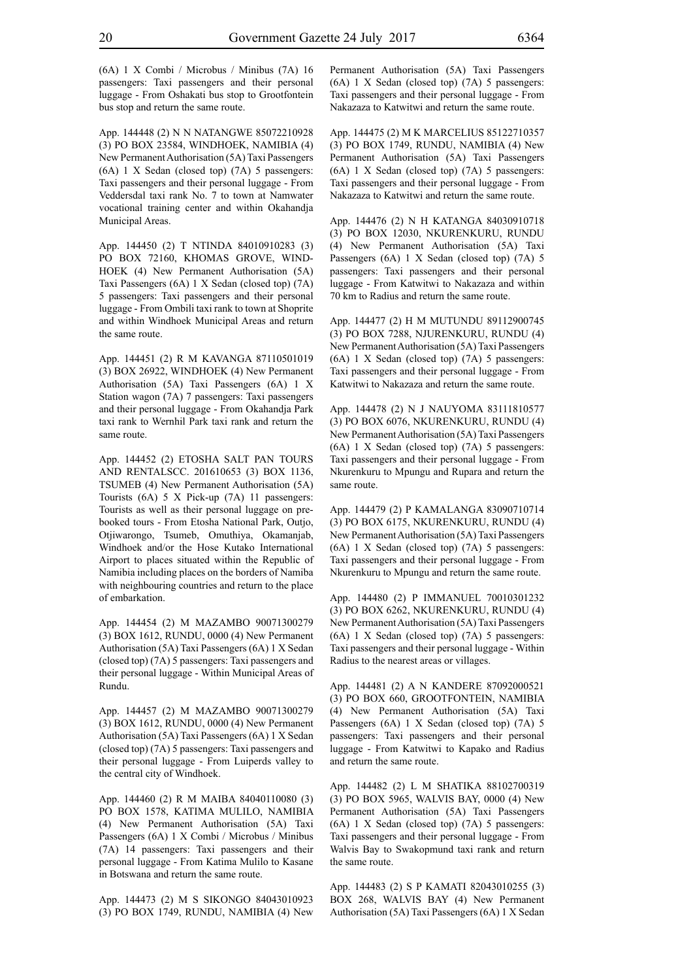(6A) 1 X Combi / Microbus / Minibus (7A) 16 passengers: Taxi passengers and their personal luggage - From Oshakati bus stop to Grootfontein bus stop and return the same route.

App. 144448 (2) N N NATANGWE 85072210928 (3) PO BOX 23584, WINDHOEK, NAMIBIA (4) New Permanent Authorisation (5A) Taxi Passengers (6A) 1 X Sedan (closed top) (7A) 5 passengers: Taxi passengers and their personal luggage - From Veddersdal taxi rank No. 7 to town at Namwater vocational training center and within Okahandja Municipal Areas.

App. 144450 (2) T NTINDA 84010910283 (3) PO BOX 72160, KHOMAS GROVE, WIND-HOEK (4) New Permanent Authorisation (5A) Taxi Passengers (6A) 1 X Sedan (closed top) (7A) 5 passengers: Taxi passengers and their personal luggage - From Ombili taxi rank to town at Shoprite and within Windhoek Municipal Areas and return the same route.

App. 144451 (2) R M KAVANGA 87110501019 (3) BOX 26922, WINDHOEK (4) New Permanent Authorisation (5A) Taxi Passengers (6A) 1 X Station wagon (7A) 7 passengers: Taxi passengers and their personal luggage - From Okahandja Park taxi rank to Wernhil Park taxi rank and return the same route.

App. 144452 (2) ETOSHA SALT PAN TOURS AND RENTALSCC. 201610653 (3) BOX 1136, TSUMEB (4) New Permanent Authorisation (5A) Tourists (6A) 5 X Pick-up (7A) 11 passengers: Tourists as well as their personal luggage on prebooked tours - From Etosha National Park, Outjo, Otjiwarongo, Tsumeb, Omuthiya, Okamanjab, Windhoek and/or the Hose Kutako International Airport to places situated within the Republic of Namibia including places on the borders of Namiba with neighbouring countries and return to the place of embarkation.

App. 144454 (2) M MAZAMBO 90071300279 (3) BOX 1612, RUNDU, 0000 (4) New Permanent Authorisation (5A) Taxi Passengers (6A) 1 X Sedan (closed top) (7A) 5 passengers: Taxi passengers and their personal luggage - Within Municipal Areas of Rundu.

App. 144457 (2) M MAZAMBO 90071300279 (3) BOX 1612, RUNDU, 0000 (4) New Permanent Authorisation (5A) Taxi Passengers (6A) 1 X Sedan (closed top) (7A) 5 passengers: Taxi passengers and their personal luggage - From Luiperds valley to the central city of Windhoek.

App. 144460 (2) R M MAIBA 84040110080 (3) PO BOX 1578, KATIMA MULILO, NAMIBIA (4) New Permanent Authorisation (5A) Taxi Passengers (6A) 1 X Combi / Microbus / Minibus (7A) 14 passengers: Taxi passengers and their personal luggage - From Katima Mulilo to Kasane in Botswana and return the same route.

App. 144473 (2) M S SIKONGO 84043010923 (3) PO BOX 1749, RUNDU, NAMIBIA (4) New Permanent Authorisation (5A) Taxi Passengers (6A) 1 X Sedan (closed top) (7A) 5 passengers: Taxi passengers and their personal luggage - From Nakazaza to Katwitwi and return the same route.

App. 144475 (2) M K MARCELIUS 85122710357 (3) PO BOX 1749, RUNDU, NAMIBIA (4) New Permanent Authorisation (5A) Taxi Passengers (6A) 1 X Sedan (closed top) (7A) 5 passengers: Taxi passengers and their personal luggage - From Nakazaza to Katwitwi and return the same route.

App. 144476 (2) N H KATANGA 84030910718 (3) PO BOX 12030, NKURENKURU, RUNDU (4) New Permanent Authorisation (5A) Taxi Passengers (6A) 1 X Sedan (closed top) (7A) 5 passengers: Taxi passengers and their personal luggage - From Katwitwi to Nakazaza and within 70 km to Radius and return the same route.

App. 144477 (2) H M MUTUNDU 89112900745 (3) PO BOX 7288, NJURENKURU, RUNDU (4) New Permanent Authorisation (5A) Taxi Passengers (6A) 1 X Sedan (closed top) (7A) 5 passengers: Taxi passengers and their personal luggage - From Katwitwi to Nakazaza and return the same route.

App. 144478 (2) N J NAUYOMA 83111810577 (3) PO BOX 6076, NKURENKURU, RUNDU (4) New Permanent Authorisation (5A) Taxi Passengers (6A) 1 X Sedan (closed top) (7A) 5 passengers: Taxi passengers and their personal luggage - From Nkurenkuru to Mpungu and Rupara and return the same route.

App. 144479 (2) P KAMALANGA 83090710714 (3) PO BOX 6175, NKURENKURU, RUNDU (4) New Permanent Authorisation (5A) Taxi Passengers (6A) 1 X Sedan (closed top) (7A) 5 passengers: Taxi passengers and their personal luggage - From Nkurenkuru to Mpungu and return the same route.

App. 144480 (2) P IMMANUEL 70010301232 (3) PO BOX 6262, NKURENKURU, RUNDU (4) New Permanent Authorisation (5A) Taxi Passengers (6A) 1 X Sedan (closed top) (7A) 5 passengers: Taxi passengers and their personal luggage - Within Radius to the nearest areas or villages.

App. 144481 (2) A N KANDERE 87092000521 (3) PO BOX 660, GROOTFONTEIN, NAMIBIA (4) New Permanent Authorisation (5A) Taxi Passengers (6A) 1 X Sedan (closed top) (7A) 5 passengers: Taxi passengers and their personal luggage - From Katwitwi to Kapako and Radius and return the same route.

App. 144482 (2) L M SHATIKA 88102700319 (3) PO BOX 5965, WALVIS BAY, 0000 (4) New Permanent Authorisation (5A) Taxi Passengers (6A) 1 X Sedan (closed top) (7A) 5 passengers: Taxi passengers and their personal luggage - From Walvis Bay to Swakopmund taxi rank and return the same route.

App. 144483 (2) S P KAMATI 82043010255 (3) BOX 268, WALVIS BAY (4) New Permanent Authorisation (5A) Taxi Passengers (6A) 1 X Sedan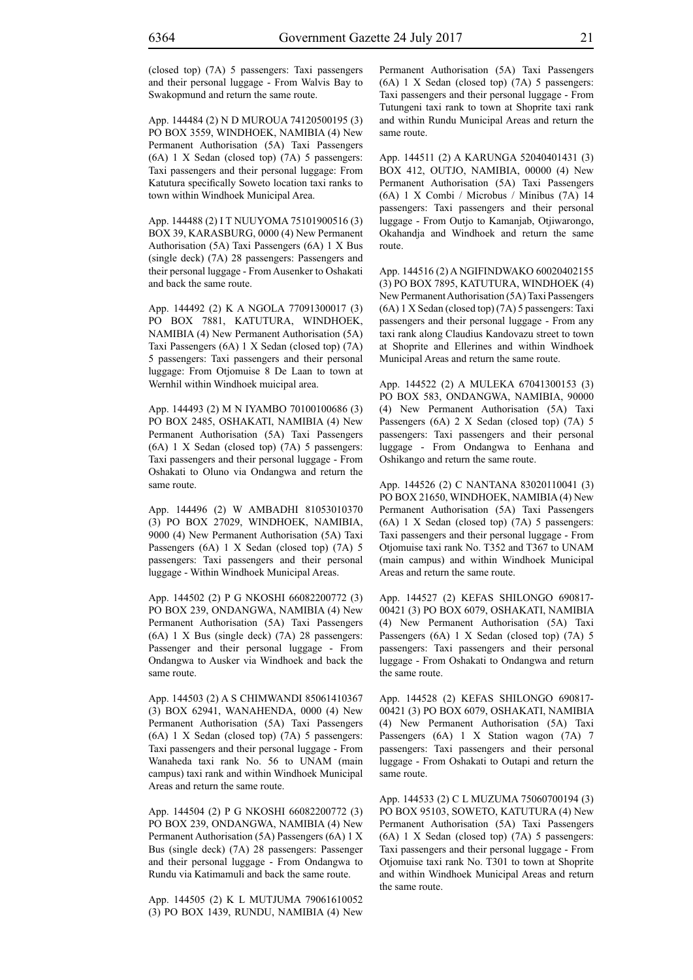(closed top) (7A) 5 passengers: Taxi passengers and their personal luggage - From Walvis Bay to Swakopmund and return the same route.

App. 144484 (2) N D MUROUA 74120500195 (3) PO BOX 3559, WINDHOEK, NAMIBIA (4) New Permanent Authorisation (5A) Taxi Passengers (6A) 1 X Sedan (closed top) (7A) 5 passengers: Taxi passengers and their personal luggage: From Katutura specifically Soweto location taxi ranks to town within Windhoek Municipal Area.

App. 144488 (2) I T NUUYOMA 75101900516 (3) BOX 39, KARASBURG, 0000 (4) New Permanent Authorisation (5A) Taxi Passengers (6A) 1 X Bus (single deck) (7A) 28 passengers: Passengers and their personal luggage - From Ausenker to Oshakati and back the same route.

App. 144492 (2) K A NGOLA 77091300017 (3) PO BOX 7881, KATUTURA, WINDHOEK, NAMIBIA (4) New Permanent Authorisation (5A) Taxi Passengers (6A) 1 X Sedan (closed top) (7A) 5 passengers: Taxi passengers and their personal luggage: From Otjomuise 8 De Laan to town at Wernhil within Windhoek muicipal area.

App. 144493 (2) M N IYAMBO 70100100686 (3) PO BOX 2485, OSHAKATI, NAMIBIA (4) New Permanent Authorisation (5A) Taxi Passengers (6A) 1 X Sedan (closed top) (7A) 5 passengers: Taxi passengers and their personal luggage - From Oshakati to Oluno via Ondangwa and return the same route.

App. 144496 (2) W AMBADHI 81053010370 (3) PO BOX 27029, WINDHOEK, NAMIBIA, 9000 (4) New Permanent Authorisation (5A) Taxi Passengers (6A) 1 X Sedan (closed top) (7A) 5 passengers: Taxi passengers and their personal luggage - Within Windhoek Municipal Areas.

App. 144502 (2) P G NKOSHI 66082200772 (3) PO BOX 239, ONDANGWA, NAMIBIA (4) New Permanent Authorisation (5A) Taxi Passengers (6A) 1 X Bus (single deck) (7A) 28 passengers: Passenger and their personal luggage - From Ondangwa to Ausker via Windhoek and back the same route.

App. 144503 (2) A S CHIMWANDI 85061410367 (3) BOX 62941, WANAHENDA, 0000 (4) New Permanent Authorisation (5A) Taxi Passengers (6A) 1 X Sedan (closed top) (7A) 5 passengers: Taxi passengers and their personal luggage - From Wanaheda taxi rank No. 56 to UNAM (main campus) taxi rank and within Windhoek Municipal Areas and return the same route.

App. 144504 (2) P G NKOSHI 66082200772 (3) PO BOX 239, ONDANGWA, NAMIBIA (4) New Permanent Authorisation (5A) Passengers (6A) 1 X Bus (single deck) (7A) 28 passengers: Passenger and their personal luggage - From Ondangwa to Rundu via Katimamuli and back the same route.

App. 144505 (2) K L MUTJUMA 79061610052 (3) PO BOX 1439, RUNDU, NAMIBIA (4) New Permanent Authorisation (5A) Taxi Passengers (6A) 1 X Sedan (closed top) (7A) 5 passengers: Taxi passengers and their personal luggage - From Tutungeni taxi rank to town at Shoprite taxi rank and within Rundu Municipal Areas and return the same route.

App. 144511 (2) A KARUNGA 52040401431 (3) BOX 412, OUTJO, NAMIBIA, 00000 (4) New Permanent Authorisation (5A) Taxi Passengers (6A) 1 X Combi / Microbus / Minibus (7A) 14 passengers: Taxi passengers and their personal luggage - From Outjo to Kamanjab, Otjiwarongo, Okahandja and Windhoek and return the same route.

App. 144516 (2) A NGIFINDWAKO 60020402155 (3) PO BOX 7895, KATUTURA, WINDHOEK (4) New Permanent Authorisation (5A) Taxi Passengers (6A) 1 X Sedan (closed top) (7A) 5 passengers: Taxi passengers and their personal luggage - From any taxi rank along Claudius Kandovazu street to town at Shoprite and Ellerines and within Windhoek Municipal Areas and return the same route.

App. 144522 (2) A MULEKA 67041300153 (3) PO BOX 583, ONDANGWA, NAMIBIA, 90000 (4) New Permanent Authorisation (5A) Taxi Passengers (6A) 2 X Sedan (closed top) (7A) 5 passengers: Taxi passengers and their personal luggage - From Ondangwa to Eenhana and Oshikango and return the same route.

App. 144526 (2) C NANTANA 83020110041 (3) PO BOX 21650, WINDHOEK, NAMIBIA (4) New Permanent Authorisation (5A) Taxi Passengers (6A) 1 X Sedan (closed top) (7A) 5 passengers: Taxi passengers and their personal luggage - From Otjomuise taxi rank No. T352 and T367 to UNAM (main campus) and within Windhoek Municipal Areas and return the same route.

App. 144527 (2) KEFAS SHILONGO 690817- 00421 (3) PO BOX 6079, OSHAKATI, NAMIBIA (4) New Permanent Authorisation (5A) Taxi Passengers (6A) 1 X Sedan (closed top) (7A) 5 passengers: Taxi passengers and their personal luggage - From Oshakati to Ondangwa and return the same route.

App. 144528 (2) KEFAS SHILONGO 690817- 00421 (3) PO BOX 6079, OSHAKATI, NAMIBIA (4) New Permanent Authorisation (5A) Taxi Passengers (6A) 1 X Station wagon (7A) 7 passengers: Taxi passengers and their personal luggage - From Oshakati to Outapi and return the same route.

App. 144533 (2) C L MUZUMA 75060700194 (3) PO BOX 95103, SOWETO, KATUTURA (4) New Permanent Authorisation (5A) Taxi Passengers (6A) 1 X Sedan (closed top) (7A) 5 passengers: Taxi passengers and their personal luggage - From Otjomuise taxi rank No. T301 to town at Shoprite and within Windhoek Municipal Areas and return the same route.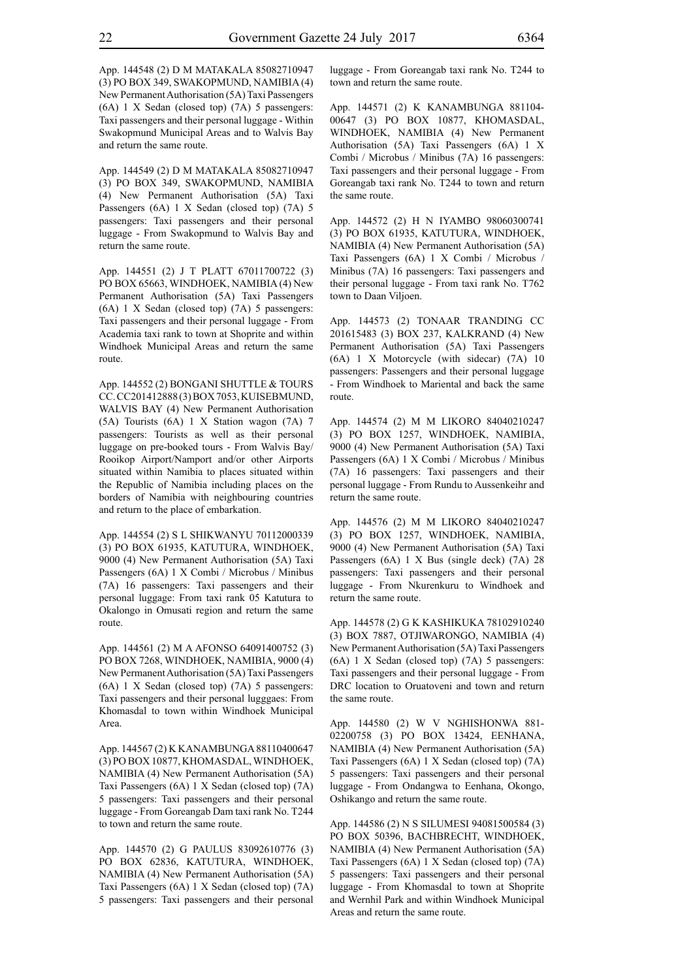App. 144548 (2) D M MATAKALA 85082710947 (3) PO BOX 349, SWAKOPMUND, NAMIBIA (4) New Permanent Authorisation (5A) Taxi Passengers (6A) 1 X Sedan (closed top) (7A) 5 passengers: Taxi passengers and their personal luggage - Within Swakopmund Municipal Areas and to Walvis Bay and return the same route.

App. 144549 (2) D M MATAKALA 85082710947 (3) PO BOX 349, SWAKOPMUND, NAMIBIA (4) New Permanent Authorisation (5A) Taxi Passengers (6A) 1 X Sedan (closed top) (7A) 5 passengers: Taxi passengers and their personal luggage - From Swakopmund to Walvis Bay and return the same route.

App. 144551 (2) J T PLATT 67011700722 (3) PO BOX 65663, WINDHOEK, NAMIBIA (4) New Permanent Authorisation (5A) Taxi Passengers (6A) 1 X Sedan (closed top) (7A) 5 passengers: Taxi passengers and their personal luggage - From Academia taxi rank to town at Shoprite and within Windhoek Municipal Areas and return the same route.

App. 144552 (2) BONGANI SHUTTLE & TOURS CC. CC201412888 (3) BOX 7053, KUISEBMUND, WALVIS BAY (4) New Permanent Authorisation (5A) Tourists (6A) 1 X Station wagon (7A) 7 passengers: Tourists as well as their personal luggage on pre-booked tours - From Walvis Bay/ Rooikop Airport/Namport and/or other Airports situated within Namibia to places situated within the Republic of Namibia including places on the borders of Namibia with neighbouring countries and return to the place of embarkation.

App. 144554 (2) S L SHIKWANYU 70112000339 (3) PO BOX 61935, KATUTURA, WINDHOEK, 9000 (4) New Permanent Authorisation (5A) Taxi Passengers (6A) 1 X Combi / Microbus / Minibus (7A) 16 passengers: Taxi passengers and their personal luggage: From taxi rank 05 Katutura to Okalongo in Omusati region and return the same route.

App. 144561 (2) M A AFONSO 64091400752 (3) PO BOX 7268, WINDHOEK, NAMIBIA, 9000 (4) New Permanent Authorisation (5A) Taxi Passengers (6A) 1 X Sedan (closed top) (7A) 5 passengers: Taxi passengers and their personal lugggaes: From Khomasdal to town within Windhoek Municipal Area.

App. 144567 (2) K KANAMBUNGA 88110400647 (3) PO BOX 10877, KHOMASDAL, WINDHOEK, NAMIBIA (4) New Permanent Authorisation (5A) Taxi Passengers (6A) 1 X Sedan (closed top) (7A) 5 passengers: Taxi passengers and their personal luggage - From Goreangab Dam taxi rank No. T244 to town and return the same route.

App. 144570 (2) G PAULUS 83092610776 (3) PO BOX 62836, KATUTURA, WINDHOEK, NAMIBIA (4) New Permanent Authorisation (5A) Taxi Passengers (6A) 1 X Sedan (closed top) (7A) 5 passengers: Taxi passengers and their personal luggage - From Goreangab taxi rank No. T244 to town and return the same route.

App. 144571 (2) K KANAMBUNGA 881104- 00647 (3) PO BOX 10877, KHOMASDAL, WINDHOEK, NAMIBIA (4) New Permanent Authorisation (5A) Taxi Passengers (6A) 1 X Combi / Microbus / Minibus (7A) 16 passengers: Taxi passengers and their personal luggage - From Goreangab taxi rank No. T244 to town and return the same route.

App. 144572 (2) H N IYAMBO 98060300741 (3) PO BOX 61935, KATUTURA, WINDHOEK, NAMIBIA (4) New Permanent Authorisation (5A) Taxi Passengers (6A) 1 X Combi / Microbus / Minibus (7A) 16 passengers: Taxi passengers and their personal luggage - From taxi rank No. T762 town to Daan Viljoen.

App. 144573 (2) TONAAR TRANDING CC 201615483 (3) BOX 237, KALKRAND (4) New Permanent Authorisation (5A) Taxi Passengers (6A) 1 X Motorcycle (with sidecar) (7A) 10 passengers: Passengers and their personal luggage - From Windhoek to Mariental and back the same route.

App. 144574 (2) M M LIKORO 84040210247 (3) PO BOX 1257, WINDHOEK, NAMIBIA, 9000 (4) New Permanent Authorisation (5A) Taxi Passengers (6A) 1 X Combi / Microbus / Minibus (7A) 16 passengers: Taxi passengers and their personal luggage - From Rundu to Aussenkeihr and return the same route.

App. 144576 (2) M M LIKORO 84040210247 (3) PO BOX 1257, WINDHOEK, NAMIBIA, 9000 (4) New Permanent Authorisation (5A) Taxi Passengers (6A) 1 X Bus (single deck) (7A) 28 passengers: Taxi passengers and their personal luggage - From Nkurenkuru to Windhoek and return the same route.

App. 144578 (2) G K KASHIKUKA 78102910240 (3) BOX 7887, OTJIWARONGO, NAMIBIA (4) New Permanent Authorisation (5A) Taxi Passengers (6A) 1 X Sedan (closed top) (7A) 5 passengers: Taxi passengers and their personal luggage - From DRC location to Oruatoveni and town and return the same route.

App. 144580 (2) W V NGHISHONWA 881- 02200758 (3) PO BOX 13424, EENHANA, NAMIBIA (4) New Permanent Authorisation (5A) Taxi Passengers (6A) 1 X Sedan (closed top) (7A) 5 passengers: Taxi passengers and their personal luggage - From Ondangwa to Eenhana, Okongo, Oshikango and return the same route.

App. 144586 (2) N S SILUMESI 94081500584 (3) PO BOX 50396, BACHBRECHT, WINDHOEK, NAMIBIA (4) New Permanent Authorisation (5A) Taxi Passengers (6A) 1 X Sedan (closed top) (7A) 5 passengers: Taxi passengers and their personal luggage - From Khomasdal to town at Shoprite and Wernhil Park and within Windhoek Municipal Areas and return the same route.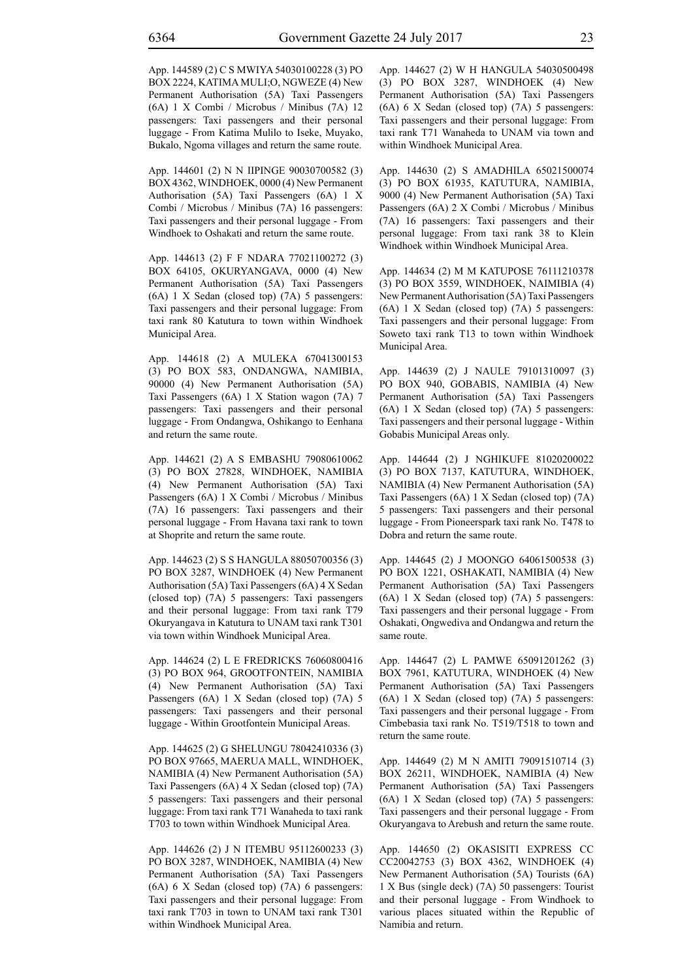App. 144589 (2) C S MWIYA 54030100228 (3) PO BOX 2224, KATIMA MULI;O, NGWEZE (4) New Permanent Authorisation (5A) Taxi Passengers (6A) 1 X Combi / Microbus / Minibus (7A) 12 passengers: Taxi passengers and their personal luggage - From Katima Mulilo to Iseke, Muyako, Bukalo, Ngoma villages and return the same route.

App. 144601 (2) N N IIPINGE 90030700582 (3) BOX 4362, WINDHOEK, 0000 (4) New Permanent Authorisation (5A) Taxi Passengers (6A) 1 X Combi / Microbus / Minibus (7A) 16 passengers: Taxi passengers and their personal luggage - From Windhoek to Oshakati and return the same route.

App. 144613 (2) F F NDARA 77021100272 (3) BOX 64105, OKURYANGAVA, 0000 (4) New Permanent Authorisation (5A) Taxi Passengers (6A) 1 X Sedan (closed top) (7A) 5 passengers: Taxi passengers and their personal luggage: From taxi rank 80 Katutura to town within Windhoek Municipal Area.

App. 144618 (2) A MULEKA 67041300153 (3) PO BOX 583, ONDANGWA, NAMIBIA, 90000 (4) New Permanent Authorisation (5A) Taxi Passengers (6A) 1 X Station wagon (7A) 7 passengers: Taxi passengers and their personal luggage - From Ondangwa, Oshikango to Eenhana and return the same route.

App. 144621 (2) A S EMBASHU 79080610062 (3) PO BOX 27828, WINDHOEK, NAMIBIA (4) New Permanent Authorisation (5A) Taxi Passengers (6A) 1 X Combi / Microbus / Minibus (7A) 16 passengers: Taxi passengers and their personal luggage - From Havana taxi rank to town at Shoprite and return the same route.

App. 144623 (2) S S HANGULA 88050700356 (3) PO BOX 3287, WINDHOEK (4) New Permanent Authorisation (5A) Taxi Passengers (6A) 4 X Sedan (closed top) (7A) 5 passengers: Taxi passengers and their personal luggage: From taxi rank T79 Okuryangava in Katutura to UNAM taxi rank T301 via town within Windhoek Municipal Area.

App. 144624 (2) L E FREDRICKS 76060800416 (3) PO BOX 964, GROOTFONTEIN, NAMIBIA (4) New Permanent Authorisation (5A) Taxi Passengers (6A) 1 X Sedan (closed top) (7A) 5 passengers: Taxi passengers and their personal luggage - Within Grootfontein Municipal Areas.

App. 144625 (2) G SHELUNGU 78042410336 (3) PO BOX 97665, MAERUA MALL, WINDHOEK, NAMIBIA (4) New Permanent Authorisation (5A) Taxi Passengers (6A) 4 X Sedan (closed top) (7A) 5 passengers: Taxi passengers and their personal luggage: From taxi rank T71 Wanaheda to taxi rank T703 to town within Windhoek Municipal Area.

App. 144626 (2) J N ITEMBU 95112600233 (3) PO BOX 3287, WINDHOEK, NAMIBIA (4) New Permanent Authorisation (5A) Taxi Passengers (6A) 6 X Sedan (closed top) (7A) 6 passengers: Taxi passengers and their personal luggage: From taxi rank T703 in town to UNAM taxi rank T301 within Windhoek Municipal Area.

App. 144627 (2) W H HANGULA 54030500498 (3) PO BOX 3287, WINDHOEK (4) New Permanent Authorisation (5A) Taxi Passengers (6A) 6 X Sedan (closed top) (7A) 5 passengers: Taxi passengers and their personal luggage: From taxi rank T71 Wanaheda to UNAM via town and within Windhoek Municipal Area.

App. 144630 (2) S AMADHILA 65021500074 (3) PO BOX 61935, KATUTURA, NAMIBIA, 9000 (4) New Permanent Authorisation (5A) Taxi Passengers (6A) 2 X Combi / Microbus / Minibus (7A) 16 passengers: Taxi passengers and their personal luggage: From taxi rank 38 to Klein Windhoek within Windhoek Municipal Area.

App. 144634 (2) M M KATUPOSE 76111210378 (3) PO BOX 3559, WINDHOEK, NAIMIBIA (4) New Permanent Authorisation (5A) Taxi Passengers (6A) 1 X Sedan (closed top) (7A) 5 passengers: Taxi passengers and their personal luggage: From Soweto taxi rank T13 to town within Windhoek Municipal Area.

App. 144639 (2) J NAULE 79101310097 (3) PO BOX 940, GOBABIS, NAMIBIA (4) New Permanent Authorisation (5A) Taxi Passengers (6A) 1 X Sedan (closed top) (7A) 5 passengers: Taxi passengers and their personal luggage - Within Gobabis Municipal Areas only.

App. 144644 (2) J NGHIKUFE 81020200022 (3) PO BOX 7137, KATUTURA, WINDHOEK, NAMIBIA (4) New Permanent Authorisation (5A) Taxi Passengers (6A) 1 X Sedan (closed top) (7A) 5 passengers: Taxi passengers and their personal luggage - From Pioneerspark taxi rank No. T478 to Dobra and return the same route.

App. 144645 (2) J MOONGO 64061500538 (3) PO BOX 1221, OSHAKATI, NAMIBIA (4) New Permanent Authorisation (5A) Taxi Passengers (6A) 1 X Sedan (closed top) (7A) 5 passengers: Taxi passengers and their personal luggage - From Oshakati, Ongwediva and Ondangwa and return the same route.

App. 144647 (2) L PAMWE 65091201262 (3) BOX 7961, KATUTURA, WINDHOEK (4) New Permanent Authorisation (5A) Taxi Passengers (6A) 1 X Sedan (closed top) (7A) 5 passengers: Taxi passengers and their personal luggage - From Cimbebasia taxi rank No. T519/T518 to town and return the same route.

App. 144649 (2) M N AMITI 79091510714 (3) BOX 26211, WINDHOEK, NAMIBIA (4) New Permanent Authorisation (5A) Taxi Passengers (6A) 1 X Sedan (closed top) (7A) 5 passengers: Taxi passengers and their personal luggage - From Okuryangava to Arebush and return the same route.

App. 144650 (2) OKASISITI EXPRESS CC CC20042753 (3) BOX 4362, WINDHOEK (4) New Permanent Authorisation (5A) Tourists (6A) 1 X Bus (single deck) (7A) 50 passengers: Tourist and their personal luggage - From Windhoek to various places situated within the Republic of Namibia and return.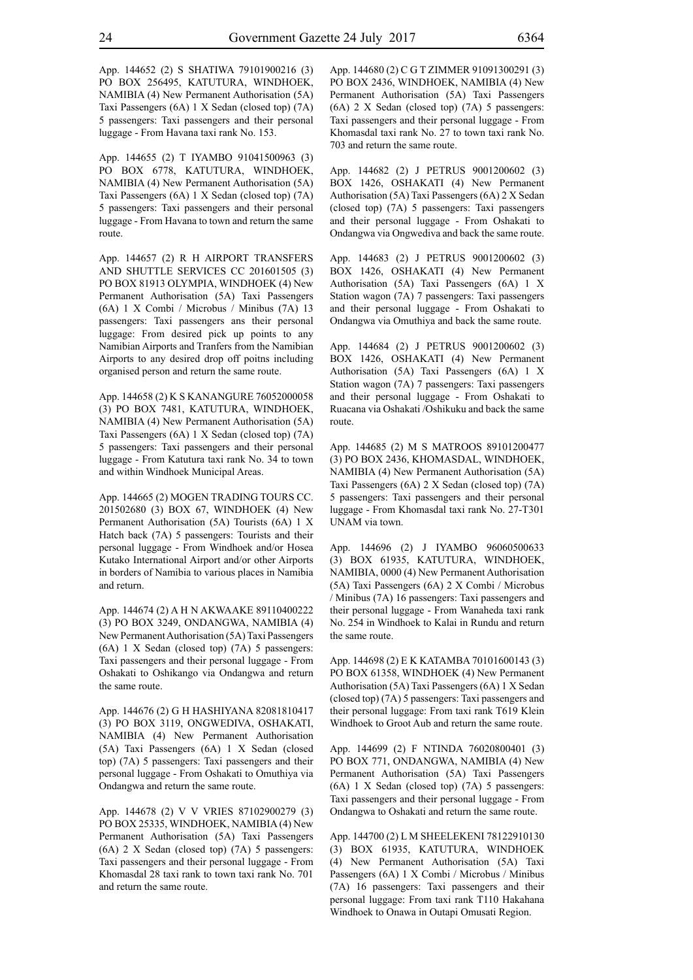App. 144652 (2) S SHATIWA 79101900216 (3) PO BOX 256495, KATUTURA, WINDHOEK, NAMIBIA (4) New Permanent Authorisation (5A) Taxi Passengers (6A) 1 X Sedan (closed top) (7A) 5 passengers: Taxi passengers and their personal luggage - From Havana taxi rank No. 153.

App. 144655 (2) T IYAMBO 91041500963 (3) PO BOX 6778, KATUTURA, WINDHOEK, NAMIBIA (4) New Permanent Authorisation (5A) Taxi Passengers (6A) 1 X Sedan (closed top) (7A) 5 passengers: Taxi passengers and their personal luggage - From Havana to town and return the same route.

App. 144657 (2) R H AIRPORT TRANSFERS AND SHUTTLE SERVICES CC 201601505 (3) PO BOX 81913 OLYMPIA, WINDHOEK (4) New Permanent Authorisation (5A) Taxi Passengers (6A) 1 X Combi / Microbus / Minibus (7A) 13 passengers: Taxi passengers ans their personal luggage: From desired pick up points to any Namibian Airports and Tranfers from the Namibian Airports to any desired drop off poitns including organised person and return the same route.

App. 144658 (2) K S KANANGURE 76052000058 (3) PO BOX 7481, KATUTURA, WINDHOEK, NAMIBIA (4) New Permanent Authorisation (5A) Taxi Passengers (6A) 1 X Sedan (closed top) (7A) 5 passengers: Taxi passengers and their personal luggage - From Katutura taxi rank No. 34 to town and within Windhoek Municipal Areas.

App. 144665 (2) MOGEN TRADING TOURS CC. 201502680 (3) BOX 67, WINDHOEK (4) New Permanent Authorisation (5A) Tourists (6A) 1 X Hatch back (7A) 5 passengers: Tourists and their personal luggage - From Windhoek and/or Hosea Kutako International Airport and/or other Airports in borders of Namibia to various places in Namibia and return.

App. 144674 (2) A H N AKWAAKE 89110400222 (3) PO BOX 3249, ONDANGWA, NAMIBIA (4) New Permanent Authorisation (5A) Taxi Passengers (6A) 1 X Sedan (closed top) (7A) 5 passengers: Taxi passengers and their personal luggage - From Oshakati to Oshikango via Ondangwa and return the same route.

App. 144676 (2) G H HASHIYANA 82081810417 (3) PO BOX 3119, ONGWEDIVA, OSHAKATI, NAMIBIA (4) New Permanent Authorisation (5A) Taxi Passengers (6A) 1 X Sedan (closed top) (7A) 5 passengers: Taxi passengers and their personal luggage - From Oshakati to Omuthiya via Ondangwa and return the same route.

App. 144678 (2) V V VRIES 87102900279 (3) PO BOX 25335, WINDHOEK, NAMIBIA (4) New Permanent Authorisation (5A) Taxi Passengers (6A) 2 X Sedan (closed top) (7A) 5 passengers: Taxi passengers and their personal luggage - From Khomasdal 28 taxi rank to town taxi rank No. 701 and return the same route.

App. 144680 (2) C G T ZIMMER 91091300291 (3) PO BOX 2436, WINDHOEK, NAMIBIA (4) New Permanent Authorisation (5A) Taxi Passengers (6A) 2 X Sedan (closed top) (7A) 5 passengers: Taxi passengers and their personal luggage - From Khomasdal taxi rank No. 27 to town taxi rank No. 703 and return the same route.

App. 144682 (2) J PETRUS 9001200602 (3) BOX 1426, OSHAKATI (4) New Permanent Authorisation (5A) Taxi Passengers (6A) 2 X Sedan (closed top) (7A) 5 passengers: Taxi passengers and their personal luggage - From Oshakati to Ondangwa via Ongwediva and back the same route.

App. 144683 (2) J PETRUS 9001200602 (3) BOX 1426, OSHAKATI (4) New Permanent Authorisation (5A) Taxi Passengers (6A) 1 X Station wagon (7A) 7 passengers: Taxi passengers and their personal luggage - From Oshakati to Ondangwa via Omuthiya and back the same route.

App. 144684 (2) J PETRUS 9001200602 (3) BOX 1426, OSHAKATI (4) New Permanent Authorisation (5A) Taxi Passengers (6A) 1 X Station wagon (7A) 7 passengers: Taxi passengers and their personal luggage - From Oshakati to Ruacana via Oshakati /Oshikuku and back the same route.

App. 144685 (2) M S MATROOS 89101200477 (3) PO BOX 2436, KHOMASDAL, WINDHOEK, NAMIBIA (4) New Permanent Authorisation (5A) Taxi Passengers (6A) 2 X Sedan (closed top) (7A) 5 passengers: Taxi passengers and their personal luggage - From Khomasdal taxi rank No. 27-T301 UNAM via town.

App. 144696 (2) J IYAMBO 96060500633 (3) BOX 61935, KATUTURA, WINDHOEK, NAMIBIA, 0000 (4) New Permanent Authorisation (5A) Taxi Passengers (6A) 2 X Combi / Microbus / Minibus (7A) 16 passengers: Taxi passengers and their personal luggage - From Wanaheda taxi rank No. 254 in Windhoek to Kalai in Rundu and return the same route.

App. 144698 (2) E K KATAMBA 70101600143 (3) PO BOX 61358, WINDHOEK (4) New Permanent Authorisation (5A) Taxi Passengers (6A) 1 X Sedan (closed top) (7A) 5 passengers: Taxi passengers and their personal luggage: From taxi rank T619 Klein Windhoek to Groot Aub and return the same route.

App. 144699 (2) F NTINDA 76020800401 (3) PO BOX 771, ONDANGWA, NAMIBIA (4) New Permanent Authorisation (5A) Taxi Passengers (6A) 1 X Sedan (closed top) (7A) 5 passengers: Taxi passengers and their personal luggage - From Ondangwa to Oshakati and return the same route.

App. 144700 (2) L M SHEELEKENI 78122910130 (3) BOX 61935, KATUTURA, WINDHOEK (4) New Permanent Authorisation (5A) Taxi Passengers (6A) 1 X Combi / Microbus / Minibus (7A) 16 passengers: Taxi passengers and their personal luggage: From taxi rank T110 Hakahana Windhoek to Onawa in Outapi Omusati Region.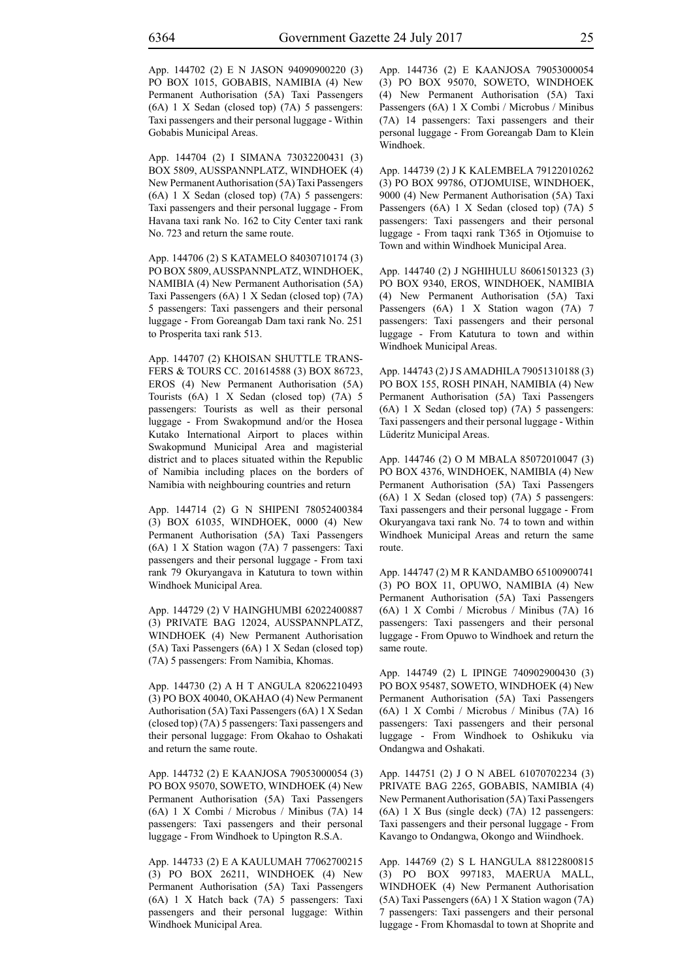App. 144702 (2) E N JASON 94090900220 (3) PO BOX 1015, GOBABIS, NAMIBIA (4) New Permanent Authorisation (5A) Taxi Passengers (6A) 1 X Sedan (closed top) (7A) 5 passengers: Taxi passengers and their personal luggage - Within Gobabis Municipal Areas.

App. 144704 (2) I SIMANA 73032200431 (3) BOX 5809, AUSSPANNPLATZ, WINDHOEK (4) New Permanent Authorisation (5A) Taxi Passengers (6A) 1 X Sedan (closed top) (7A) 5 passengers: Taxi passengers and their personal luggage - From Havana taxi rank No. 162 to City Center taxi rank No. 723 and return the same route.

App. 144706 (2) S KATAMELO 84030710174 (3) PO BOX 5809, AUSSPANNPLATZ, WINDHOEK, NAMIBIA (4) New Permanent Authorisation (5A) Taxi Passengers (6A) 1 X Sedan (closed top) (7A) 5 passengers: Taxi passengers and their personal luggage - From Goreangab Dam taxi rank No. 251 to Prosperita taxi rank 513.

App. 144707 (2) KHOISAN SHUTTLE TRANS-FERS & TOURS CC. 201614588 (3) BOX 86723, EROS (4) New Permanent Authorisation (5A) Tourists (6A) 1 X Sedan (closed top) (7A) 5 passengers: Tourists as well as their personal luggage - From Swakopmund and/or the Hosea Kutako International Airport to places within Swakopmund Municipal Area and magisterial district and to places situated within the Republic of Namibia including places on the borders of Namibia with neighbouring countries and return

App. 144714 (2) G N SHIPENI 78052400384 (3) BOX 61035, WINDHOEK, 0000 (4) New Permanent Authorisation (5A) Taxi Passengers (6A) 1 X Station wagon (7A) 7 passengers: Taxi passengers and their personal luggage - From taxi rank 79 Okuryangava in Katutura to town within Windhoek Municipal Area.

App. 144729 (2) V HAINGHUMBI 62022400887 (3) PRIVATE BAG 12024, AUSSPANNPLATZ, WINDHOEK (4) New Permanent Authorisation (5A) Taxi Passengers (6A) 1 X Sedan (closed top) (7A) 5 passengers: From Namibia, Khomas.

App. 144730 (2) A H T ANGULA 82062210493 (3) PO BOX 40040, OKAHAO (4) New Permanent Authorisation (5A) Taxi Passengers (6A) 1 X Sedan (closed top) (7A) 5 passengers: Taxi passengers and their personal luggage: From Okahao to Oshakati and return the same route.

App. 144732 (2) E KAANJOSA 79053000054 (3) PO BOX 95070, SOWETO, WINDHOEK (4) New Permanent Authorisation (5A) Taxi Passengers (6A) 1 X Combi / Microbus / Minibus (7A) 14 passengers: Taxi passengers and their personal luggage - From Windhoek to Upington R.S.A.

App. 144733 (2) E A KAULUMAH 77062700215 (3) PO BOX 26211, WINDHOEK (4) New Permanent Authorisation (5A) Taxi Passengers (6A) 1 X Hatch back (7A) 5 passengers: Taxi passengers and their personal luggage: Within Windhoek Municipal Area.

App. 144736 (2) E KAANJOSA 79053000054 (3) PO BOX 95070, SOWETO, WINDHOEK (4) New Permanent Authorisation (5A) Taxi Passengers (6A) 1 X Combi / Microbus / Minibus (7A) 14 passengers: Taxi passengers and their personal luggage - From Goreangab Dam to Klein Windhoek.

App. 144739 (2) J K KALEMBELA 79122010262 (3) PO BOX 99786, OTJOMUISE, WINDHOEK, 9000 (4) New Permanent Authorisation (5A) Taxi Passengers (6A) 1 X Sedan (closed top) (7A) 5 passengers: Taxi passengers and their personal luggage - From taqxi rank T365 in Otjomuise to Town and within Windhoek Municipal Area.

App. 144740 (2) J NGHIHULU 86061501323 (3) PO BOX 9340, EROS, WINDHOEK, NAMIBIA (4) New Permanent Authorisation (5A) Taxi Passengers (6A) 1 X Station wagon (7A) 7 passengers: Taxi passengers and their personal luggage - From Katutura to town and within Windhoek Municipal Areas.

App. 144743 (2) J S AMADHILA 79051310188 (3) PO BOX 155, ROSH PINAH, NAMIBIA (4) New Permanent Authorisation (5A) Taxi Passengers (6A) 1 X Sedan (closed top) (7A) 5 passengers: Taxi passengers and their personal luggage - Within Lüderitz Municipal Areas.

App. 144746 (2) O M MBALA 85072010047 (3) PO BOX 4376, WINDHOEK, NAMIBIA (4) New Permanent Authorisation (5A) Taxi Passengers (6A) 1 X Sedan (closed top) (7A) 5 passengers: Taxi passengers and their personal luggage - From Okuryangava taxi rank No. 74 to town and within Windhoek Municipal Areas and return the same route.

App. 144747 (2) M R KANDAMBO 65100900741 (3) PO BOX 11, OPUWO, NAMIBIA (4) New Permanent Authorisation (5A) Taxi Passengers (6A) 1 X Combi / Microbus / Minibus (7A) 16 passengers: Taxi passengers and their personal luggage - From Opuwo to Windhoek and return the same route.

App. 144749 (2) L IPINGE 740902900430 (3) PO BOX 95487, SOWETO, WINDHOEK (4) New Permanent Authorisation (5A) Taxi Passengers (6A) 1 X Combi / Microbus / Minibus (7A) 16 passengers: Taxi passengers and their personal luggage - From Windhoek to Oshikuku via Ondangwa and Oshakati.

App. 144751 (2) J O N ABEL 61070702234 (3) PRIVATE BAG 2265, GOBABIS, NAMIBIA (4) New Permanent Authorisation (5A) Taxi Passengers (6A) 1 X Bus (single deck) (7A) 12 passengers: Taxi passengers and their personal luggage - From Kavango to Ondangwa, Okongo and Wiindhoek.

App. 144769 (2) S L HANGULA 88122800815 (3) PO BOX 997183, MAERUA MALL, WINDHOEK (4) New Permanent Authorisation (5A) Taxi Passengers (6A) 1 X Station wagon (7A) 7 passengers: Taxi passengers and their personal luggage - From Khomasdal to town at Shoprite and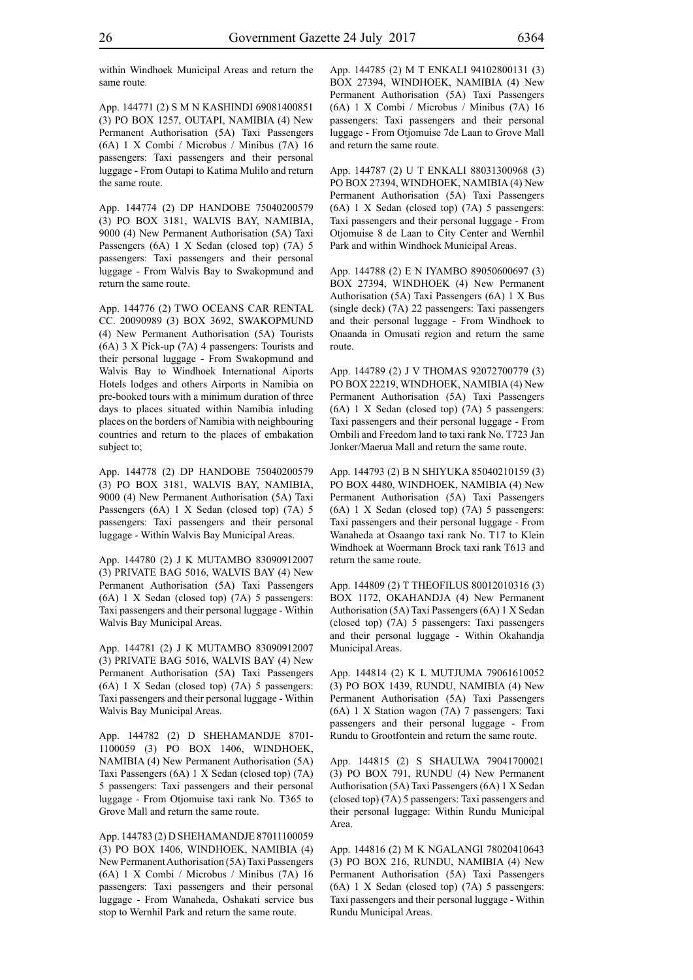within Windhoek Municipal Areas and return the same route.

App. 144771 (2) S M N KASHINDI 69081400851 (3) PO BOX 1257, OUTAPI, NAMIBIA (4) New Permanent Authorisation (5A) Taxi Passengers (6A) 1 X Combi / Microbus / Minibus (7A) 16 passengers: Taxi passengers and their personal luggage - From Outapi to Katima Mulilo and return the same route.

App. 144774 (2) DP HANDOBE 75040200579 (3) PO BOX 3181, WALVIS BAY, NAMIBIA, 9000 (4) New Permanent Authorisation (5A) Taxi Passengers (6A) 1 X Sedan (closed top) (7A) 5 passengers: Taxi passengers and their personal luggage - From Walvis Bay to Swakopmund and return the same route.

App. 144776 (2) TWO OCEANS CAR RENTAL CC. 20090989 (3) BOX 3692, SWAKOPMUND (4) New Permanent Authorisation (5A) Tourists (6A) 3 X Pick-up (7A) 4 passengers: Tourists and their personal luggage - From Swakopmund and Walvis Bay to Windhoek International Aiports Hotels lodges and others Airports in Namibia on pre-booked tours with a minimum duration of three days to places situated within Namibia inluding places on the borders of Namibia with neighbouring countries and return to the places of embakation subject to;

App. 144778 (2) DP HANDOBE 75040200579 (3) PO BOX 3181, WALVIS BAY, NAMIBIA, 9000 (4) New Permanent Authorisation (5A) Taxi Passengers (6A) 1 X Sedan (closed top) (7A) 5 passengers: Taxi passengers and their personal luggage - Within Walvis Bay Municipal Areas.

App. 144780 (2) J K MUTAMBO 83090912007 (3) PRIVATE BAG 5016, WALVIS BAY (4) New Permanent Authorisation (5A) Taxi Passengers (6A) 1 X Sedan (closed top) (7A) 5 passengers: Taxi passengers and their personal luggage - Within Walvis Bay Municipal Areas.

App. 144781 (2) J K MUTAMBO 83090912007 (3) PRIVATE BAG 5016, WALVIS BAY (4) New Permanent Authorisation (5A) Taxi Passengers (6A) 1 X Sedan (closed top) (7A) 5 passengers: Taxi passengers and their personal luggage - Within Walvis Bay Municipal Areas.

App. 144782 (2) D SHEHAMANDJE 8701- 1100059 (3) PO BOX 1406, WINDHOEK, NAMIBIA (4) New Permanent Authorisation (5A) Taxi Passengers (6A) 1 X Sedan (closed top) (7A) 5 passengers: Taxi passengers and their personal luggage - From Otjomuise taxi rank No. T365 to Grove Mall and return the same route.

App. 144783 (2) D SHEHAMANDJE 87011100059 (3) PO BOX 1406, WINDHOEK, NAMIBIA (4) New Permanent Authorisation (5A) Taxi Passengers (6A) 1 X Combi / Microbus / Minibus (7A) 16 passengers: Taxi passengers and their personal luggage - From Wanaheda, Oshakati service bus stop to Wernhil Park and return the same route.

App. 144785 (2) M T ENKALI 94102800131 (3) BOX 27394, WINDHOEK, NAMIBIA (4) New Permanent Authorisation (5A) Taxi Passengers (6A) 1 X Combi / Microbus / Minibus (7A) 16 passengers: Taxi passengers and their personal luggage - From Otjomuise 7de Laan to Grove Mall and return the same route.

App. 144787 (2) U T ENKALI 88031300968 (3) PO BOX 27394, WINDHOEK, NAMIBIA (4) New Permanent Authorisation (5A) Taxi Passengers (6A) 1 X Sedan (closed top) (7A) 5 passengers: Taxi passengers and their personal luggage - From Otjomuise 8 de Laan to City Center and Wernhil Park and within Windhoek Municipal Areas.

App. 144788 (2) E N IYAMBO 89050600697 (3) BOX 27394, WINDHOEK (4) New Permanent Authorisation (5A) Taxi Passengers (6A) 1 X Bus (single deck) (7A) 22 passengers: Taxi passengers and their personal luggage - From Windhoek to Onaanda in Omusati region and return the same route.

App. 144789 (2) J V THOMAS 92072700779 (3) PO BOX 22219, WINDHOEK, NAMIBIA (4) New Permanent Authorisation (5A) Taxi Passengers (6A) 1 X Sedan (closed top) (7A) 5 passengers: Taxi passengers and their personal luggage - From Ombili and Freedom land to taxi rank No. T723 Jan Jonker/Maerua Mall and return the same route.

App. 144793 (2) B N SHIYUKA 85040210159 (3) PO BOX 4480, WINDHOEK, NAMIBIA (4) New Permanent Authorisation (5A) Taxi Passengers (6A) 1 X Sedan (closed top) (7A) 5 passengers: Taxi passengers and their personal luggage - From Wanaheda at Osaango taxi rank No. T17 to Klein Windhoek at Woermann Brock taxi rank T613 and return the same route.

App. 144809 (2) T THEOFILUS 80012010316 (3) BOX 1172, OKAHANDJA (4) New Permanent Authorisation (5A) Taxi Passengers (6A) 1 X Sedan (closed top) (7A) 5 passengers: Taxi passengers and their personal luggage - Within Okahandja Municipal Areas.

App. 144814 (2) K L MUTJUMA 79061610052 (3) PO BOX 1439, RUNDU, NAMIBIA (4) New Permanent Authorisation (5A) Taxi Passengers (6A) 1 X Station wagon (7A) 7 passengers: Taxi passengers and their personal luggage - From Rundu to Grootfontein and return the same route.

App. 144815 (2) S SHAULWA 79041700021 (3) PO BOX 791, RUNDU (4) New Permanent Authorisation (5A) Taxi Passengers (6A) 1 X Sedan (closed top) (7A) 5 passengers: Taxi passengers and their personal luggage: Within Rundu Municipal Area.

App. 144816 (2) M K NGALANGI 78020410643 (3) PO BOX 216, RUNDU, NAMIBIA (4) New Permanent Authorisation (5A) Taxi Passengers (6A) 1 X Sedan (closed top) (7A) 5 passengers: Taxi passengers and their personal luggage - Within Rundu Municipal Areas.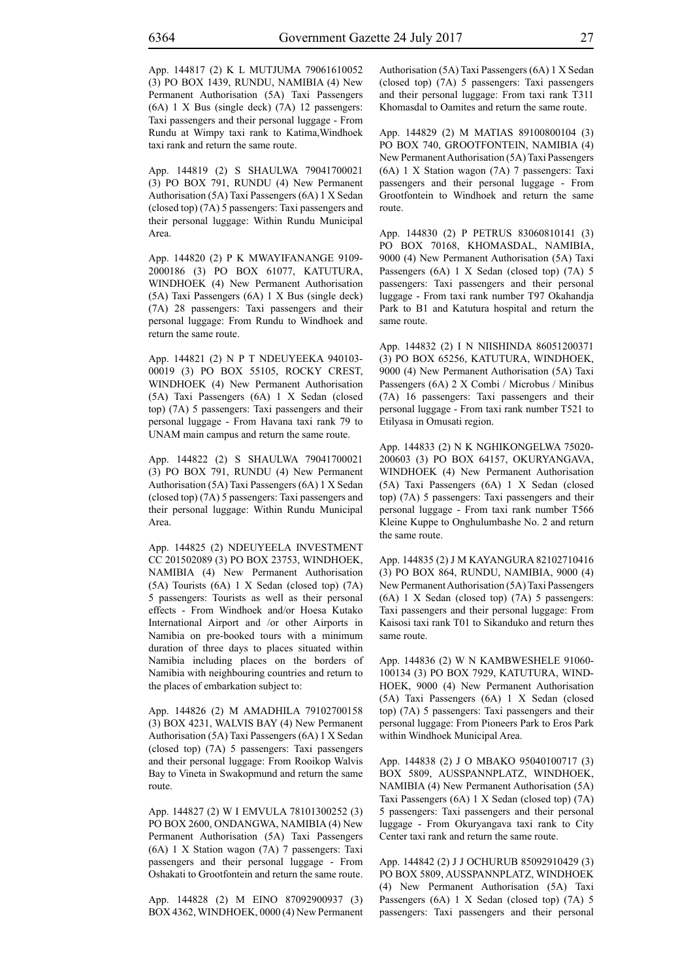App. 144817 (2) K L MUTJUMA 79061610052 (3) PO BOX 1439, RUNDU, NAMIBIA (4) New Permanent Authorisation (5A) Taxi Passengers (6A) 1 X Bus (single deck) (7A) 12 passengers: Taxi passengers and their personal luggage - From Rundu at Wimpy taxi rank to Katima,Windhoek taxi rank and return the same route.

App. 144819 (2) S SHAULWA 79041700021 (3) PO BOX 791, RUNDU (4) New Permanent Authorisation (5A) Taxi Passengers (6A) 1 X Sedan (closed top) (7A) 5 passengers: Taxi passengers and their personal luggage: Within Rundu Municipal Area.

App. 144820 (2) P K MWAYIFANANGE 9109- 2000186 (3) PO BOX 61077, KATUTURA, WINDHOEK (4) New Permanent Authorisation (5A) Taxi Passengers (6A) 1 X Bus (single deck) (7A) 28 passengers: Taxi passengers and their personal luggage: From Rundu to Windhoek and return the same route.

App. 144821 (2) N P T NDEUYEEKA 940103- 00019 (3) PO BOX 55105, ROCKY CREST, WINDHOEK (4) New Permanent Authorisation (5A) Taxi Passengers (6A) 1 X Sedan (closed top) (7A) 5 passengers: Taxi passengers and their personal luggage - From Havana taxi rank 79 to UNAM main campus and return the same route.

App. 144822 (2) S SHAULWA 79041700021 (3) PO BOX 791, RUNDU (4) New Permanent Authorisation (5A) Taxi Passengers (6A) 1 X Sedan (closed top) (7A) 5 passengers: Taxi passengers and their personal luggage: Within Rundu Municipal Area.

App. 144825 (2) NDEUYEELA INVESTMENT CC 201502089 (3) PO BOX 23753, WINDHOEK, NAMIBIA (4) New Permanent Authorisation (5A) Tourists (6A) 1 X Sedan (closed top) (7A) 5 passengers: Tourists as well as their personal effects - From Windhoek and/or Hoesa Kutako International Airport and /or other Airports in Namibia on pre-booked tours with a minimum duration of three days to places situated within Namibia including places on the borders of Namibia with neighbouring countries and return to the places of embarkation subject to:

App. 144826 (2) M AMADHILA 79102700158 (3) BOX 4231, WALVIS BAY (4) New Permanent Authorisation (5A) Taxi Passengers (6A) 1 X Sedan (closed top) (7A) 5 passengers: Taxi passengers and their personal luggage: From Rooikop Walvis Bay to Vineta in Swakopmund and return the same route.

App. 144827 (2) W I EMVULA 78101300252 (3) PO BOX 2600, ONDANGWA, NAMIBIA (4) New Permanent Authorisation (5A) Taxi Passengers (6A) 1 X Station wagon (7A) 7 passengers: Taxi passengers and their personal luggage - From Oshakati to Grootfontein and return the same route.

App. 144828 (2) M EINO 87092900937 (3) BOX 4362, WINDHOEK, 0000 (4) New Permanent Authorisation (5A) Taxi Passengers (6A) 1 X Sedan (closed top) (7A) 5 passengers: Taxi passengers and their personal luggage: From taxi rank T311 Khomasdal to Oamites and return the same route.

App. 144829 (2) M MATIAS 89100800104 (3) PO BOX 740, GROOTFONTEIN, NAMIBIA (4) New Permanent Authorisation (5A) Taxi Passengers (6A) 1 X Station wagon (7A) 7 passengers: Taxi passengers and their personal luggage - From Grootfontein to Windhoek and return the same route.

App. 144830 (2) P PETRUS 83060810141 (3) PO BOX 70168, KHOMASDAL, NAMIBIA, 9000 (4) New Permanent Authorisation (5A) Taxi Passengers (6A) 1 X Sedan (closed top) (7A) 5 passengers: Taxi passengers and their personal luggage - From taxi rank number T97 Okahandja Park to B1 and Katutura hospital and return the same route.

App. 144832 (2) I N NIISHINDA 86051200371 (3) PO BOX 65256, KATUTURA, WINDHOEK, 9000 (4) New Permanent Authorisation (5A) Taxi Passengers (6A) 2 X Combi / Microbus / Minibus (7A) 16 passengers: Taxi passengers and their personal luggage - From taxi rank number T521 to Etilyasa in Omusati region.

App. 144833 (2) N K NGHIKONGELWA 75020- 200603 (3) PO BOX 64157, OKURYANGAVA, WINDHOEK (4) New Permanent Authorisation (5A) Taxi Passengers (6A) 1 X Sedan (closed top) (7A) 5 passengers: Taxi passengers and their personal luggage - From taxi rank number T566 Kleine Kuppe to Onghulumbashe No. 2 and return the same route.

App. 144835 (2) J M KAYANGURA 82102710416 (3) PO BOX 864, RUNDU, NAMIBIA, 9000 (4) New Permanent Authorisation (5A) Taxi Passengers (6A) 1 X Sedan (closed top) (7A) 5 passengers: Taxi passengers and their personal luggage: From Kaisosi taxi rank T01 to Sikanduko and return thes same route.

App. 144836 (2) W N KAMBWESHELE 91060- 100134 (3) PO BOX 7929, KATUTURA, WIND-HOEK, 9000 (4) New Permanent Authorisation (5A) Taxi Passengers (6A) 1 X Sedan (closed top) (7A) 5 passengers: Taxi passengers and their personal luggage: From Pioneers Park to Eros Park within Windhoek Municipal Area.

App. 144838 (2) J O MBAKO 95040100717 (3) BOX 5809, AUSSPANNPLATZ, WINDHOEK, NAMIBIA (4) New Permanent Authorisation (5A) Taxi Passengers (6A) 1 X Sedan (closed top) (7A) 5 passengers: Taxi passengers and their personal luggage - From Okuryangava taxi rank to City Center taxi rank and return the same route.

App. 144842 (2) J J OCHURUB 85092910429 (3) PO BOX 5809, AUSSPANNPLATZ, WINDHOEK (4) New Permanent Authorisation (5A) Taxi Passengers (6A) 1 X Sedan (closed top) (7A) 5 passengers: Taxi passengers and their personal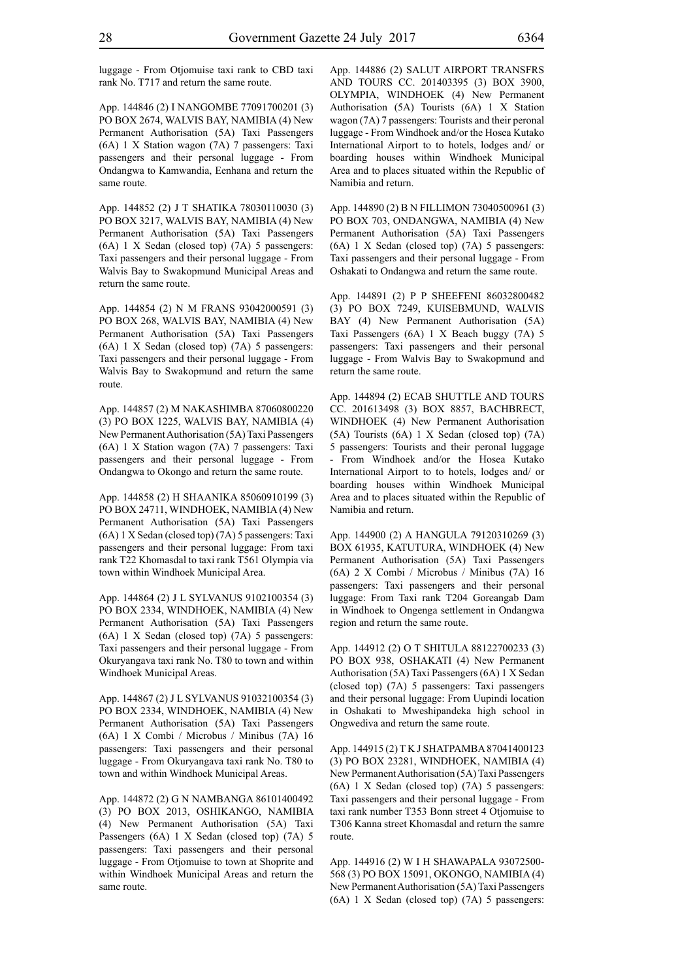luggage - From Otjomuise taxi rank to CBD taxi rank No. T717 and return the same route.

App. 144846 (2) I NANGOMBE 77091700201 (3) PO BOX 2674, WALVIS BAY, NAMIBIA (4) New Permanent Authorisation (5A) Taxi Passengers (6A) 1 X Station wagon (7A) 7 passengers: Taxi passengers and their personal luggage - From Ondangwa to Kamwandia, Eenhana and return the same route.

App. 144852 (2) J T SHATIKA 78030110030 (3) PO BOX 3217, WALVIS BAY, NAMIBIA (4) New Permanent Authorisation (5A) Taxi Passengers (6A) 1 X Sedan (closed top) (7A) 5 passengers: Taxi passengers and their personal luggage - From Walvis Bay to Swakopmund Municipal Areas and return the same route.

App. 144854 (2) N M FRANS 93042000591 (3) PO BOX 268, WALVIS BAY, NAMIBIA (4) New Permanent Authorisation (5A) Taxi Passengers (6A) 1 X Sedan (closed top) (7A) 5 passengers: Taxi passengers and their personal luggage - From Walvis Bay to Swakopmund and return the same route.

App. 144857 (2) M NAKASHIMBA 87060800220 (3) PO BOX 1225, WALVIS BAY, NAMIBIA (4) New Permanent Authorisation (5A) Taxi Passengers (6A) 1 X Station wagon (7A) 7 passengers: Taxi passengers and their personal luggage - From Ondangwa to Okongo and return the same route.

App. 144858 (2) H SHAANIKA 85060910199 (3) PO BOX 24711, WINDHOEK, NAMIBIA (4) New Permanent Authorisation (5A) Taxi Passengers (6A) 1 X Sedan (closed top) (7A) 5 passengers: Taxi passengers and their personal luggage: From taxi rank T22 Khomasdal to taxi rank T561 Olympia via town within Windhoek Municipal Area.

App. 144864 (2) J L SYLVANUS 9102100354 (3) PO BOX 2334, WINDHOEK, NAMIBIA (4) New Permanent Authorisation (5A) Taxi Passengers (6A) 1 X Sedan (closed top) (7A) 5 passengers: Taxi passengers and their personal luggage - From Okuryangava taxi rank No. T80 to town and within Windhoek Municipal Areas.

App. 144867 (2) J L SYLVANUS 91032100354 (3) PO BOX 2334, WINDHOEK, NAMIBIA (4) New Permanent Authorisation (5A) Taxi Passengers (6A) 1 X Combi / Microbus / Minibus (7A) 16 passengers: Taxi passengers and their personal luggage - From Okuryangava taxi rank No. T80 to town and within Windhoek Municipal Areas.

App. 144872 (2) G N NAMBANGA 86101400492 (3) PO BOX 2013, OSHIKANGO, NAMIBIA (4) New Permanent Authorisation (5A) Taxi Passengers (6A) 1 X Sedan (closed top) (7A) 5 passengers: Taxi passengers and their personal luggage - From Otjomuise to town at Shoprite and within Windhoek Municipal Areas and return the same route.

App. 144886 (2) SALUT AIRPORT TRANSFRS AND TOURS CC. 201403395 (3) BOX 3900, OLYMPIA, WINDHOEK (4) New Permanent Authorisation (5A) Tourists (6A) 1 X Station wagon (7A) 7 passengers: Tourists and their peronal luggage - From Windhoek and/or the Hosea Kutako International Airport to to hotels, lodges and/ or boarding houses within Windhoek Municipal Area and to places situated within the Republic of Namibia and return.

App. 144890 (2) B N FILLIMON 73040500961 (3) PO BOX 703, ONDANGWA, NAMIBIA (4) New Permanent Authorisation (5A) Taxi Passengers (6A) 1 X Sedan (closed top) (7A) 5 passengers: Taxi passengers and their personal luggage - From Oshakati to Ondangwa and return the same route.

App. 144891 (2) P P SHEEFENI 86032800482 (3) PO BOX 7249, KUISEBMUND, WALVIS BAY (4) New Permanent Authorisation (5A) Taxi Passengers (6A) 1 X Beach buggy (7A) 5 passengers: Taxi passengers and their personal luggage - From Walvis Bay to Swakopmund and return the same route.

App. 144894 (2) ECAB SHUTTLE AND TOURS CC. 201613498 (3) BOX 8857, BACHBRECT, WINDHOEK (4) New Permanent Authorisation (5A) Tourists (6A) 1 X Sedan (closed top) (7A) 5 passengers: Tourists and their peronal luggage - From Windhoek and/or the Hosea Kutako International Airport to to hotels, lodges and/ or boarding houses within Windhoek Municipal Area and to places situated within the Republic of Namibia and return.

App. 144900 (2) A HANGULA 79120310269 (3) BOX 61935, KATUTURA, WINDHOEK (4) New Permanent Authorisation (5A) Taxi Passengers (6A) 2 X Combi / Microbus / Minibus (7A) 16 passengers: Taxi passengers and their personal luggage: From Taxi rank T204 Goreangab Dam in Windhoek to Ongenga settlement in Ondangwa region and return the same route.

App. 144912 (2) O T SHITULA 88122700233 (3) PO BOX 938, OSHAKATI (4) New Permanent Authorisation (5A) Taxi Passengers (6A) 1 X Sedan (closed top) (7A) 5 passengers: Taxi passengers and their personal luggage: From Uupindi location in Oshakati to Mweshipandeka high school in Ongwediva and return the same route.

App. 144915 (2) T K J SHATPAMBA 87041400123 (3) PO BOX 23281, WINDHOEK, NAMIBIA (4) New Permanent Authorisation (5A) Taxi Passengers (6A) 1 X Sedan (closed top) (7A) 5 passengers: Taxi passengers and their personal luggage - From taxi rank number T353 Bonn street 4 Otjomuise to T306 Kanna street Khomasdal and return the samre route.

App. 144916 (2) W I H SHAWAPALA 93072500- 568 (3) PO BOX 15091, OKONGO, NAMIBIA (4) New Permanent Authorisation (5A) Taxi Passengers (6A) 1 X Sedan (closed top) (7A) 5 passengers: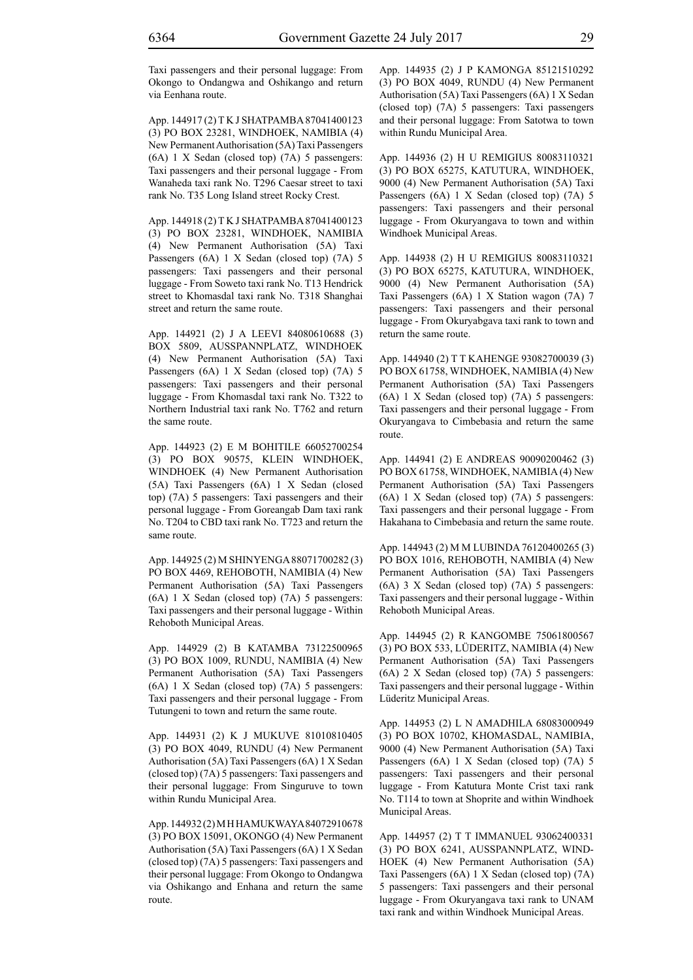App. 144917 (2) T K J SHATPAMBA 87041400123 (3) PO BOX 23281, WINDHOEK, NAMIBIA (4) New Permanent Authorisation (5A) Taxi Passengers (6A) 1 X Sedan (closed top) (7A) 5 passengers: Taxi passengers and their personal luggage - From Wanaheda taxi rank No. T296 Caesar street to taxi rank No. T35 Long Island street Rocky Crest.

App. 144918 (2) T K J SHATPAMBA 87041400123 (3) PO BOX 23281, WINDHOEK, NAMIBIA (4) New Permanent Authorisation (5A) Taxi Passengers (6A) 1 X Sedan (closed top) (7A) 5 passengers: Taxi passengers and their personal luggage - From Soweto taxi rank No. T13 Hendrick street to Khomasdal taxi rank No. T318 Shanghai street and return the same route.

App. 144921 (2) J A LEEVI 84080610688 (3) BOX 5809, AUSSPANNPLATZ, WINDHOEK (4) New Permanent Authorisation (5A) Taxi Passengers (6A) 1 X Sedan (closed top) (7A) 5 passengers: Taxi passengers and their personal luggage - From Khomasdal taxi rank No. T322 to Northern Industrial taxi rank No. T762 and return the same route.

App. 144923 (2) E M BOHITILE 66052700254 (3) PO BOX 90575, KLEIN WINDHOEK, WINDHOEK (4) New Permanent Authorisation (5A) Taxi Passengers (6A) 1 X Sedan (closed top) (7A) 5 passengers: Taxi passengers and their personal luggage - From Goreangab Dam taxi rank No. T204 to CBD taxi rank No. T723 and return the same route.

App. 144925 (2) M SHINYENGA 88071700282 (3) PO BOX 4469, REHOBOTH, NAMIBIA (4) New Permanent Authorisation (5A) Taxi Passengers (6A) 1 X Sedan (closed top) (7A) 5 passengers: Taxi passengers and their personal luggage - Within Rehoboth Municipal Areas.

App. 144929 (2) B KATAMBA 73122500965 (3) PO BOX 1009, RUNDU, NAMIBIA (4) New Permanent Authorisation (5A) Taxi Passengers (6A) 1 X Sedan (closed top) (7A) 5 passengers: Taxi passengers and their personal luggage - From Tutungeni to town and return the same route.

App. 144931 (2) K J MUKUVE 81010810405 (3) PO BOX 4049, RUNDU (4) New Permanent Authorisation (5A) Taxi Passengers (6A) 1 X Sedan (closed top) (7A) 5 passengers: Taxi passengers and their personal luggage: From Singuruve to town within Rundu Municipal Area.

App. 144932 (2) M H HAMUKWAYA 84072910678 (3) PO BOX 15091, OKONGO (4) New Permanent Authorisation (5A) Taxi Passengers (6A) 1 X Sedan (closed top) (7A) 5 passengers: Taxi passengers and their personal luggage: From Okongo to Ondangwa via Oshikango and Enhana and return the same route.

App. 144935 (2) J P KAMONGA 85121510292 (3) PO BOX 4049, RUNDU (4) New Permanent Authorisation (5A) Taxi Passengers (6A) 1 X Sedan (closed top) (7A) 5 passengers: Taxi passengers and their personal luggage: From Satotwa to town within Rundu Municipal Area.

App. 144936 (2) H U REMIGIUS 80083110321 (3) PO BOX 65275, KATUTURA, WINDHOEK, 9000 (4) New Permanent Authorisation (5A) Taxi Passengers (6A) 1 X Sedan (closed top) (7A) 5 passengers: Taxi passengers and their personal luggage - From Okuryangava to town and within Windhoek Municipal Areas.

App. 144938 (2) H U REMIGIUS 80083110321 (3) PO BOX 65275, KATUTURA, WINDHOEK, 9000 (4) New Permanent Authorisation (5A) Taxi Passengers (6A) 1 X Station wagon (7A) 7 passengers: Taxi passengers and their personal luggage - From Okuryabgava taxi rank to town and return the same route.

App. 144940 (2) T T KAHENGE 93082700039 (3) PO BOX 61758, WINDHOEK, NAMIBIA (4) New Permanent Authorisation (5A) Taxi Passengers (6A) 1 X Sedan (closed top) (7A) 5 passengers: Taxi passengers and their personal luggage - From Okuryangava to Cimbebasia and return the same route.

App. 144941 (2) E ANDREAS 90090200462 (3) PO BOX 61758, WINDHOEK, NAMIBIA (4) New Permanent Authorisation (5A) Taxi Passengers (6A) 1 X Sedan (closed top) (7A) 5 passengers: Taxi passengers and their personal luggage - From Hakahana to Cimbebasia and return the same route.

App. 144943 (2) M M LUBINDA 76120400265 (3) PO BOX 1016, REHOBOTH, NAMIBIA (4) New Permanent Authorisation (5A) Taxi Passengers (6A) 3 X Sedan (closed top) (7A) 5 passengers: Taxi passengers and their personal luggage - Within Rehoboth Municipal Areas.

App. 144945 (2) R KANGOMBE 75061800567 (3) PO BOX 533, LÜDERITZ, NAMIBIA (4) New Permanent Authorisation (5A) Taxi Passengers (6A) 2 X Sedan (closed top) (7A) 5 passengers: Taxi passengers and their personal luggage - Within Lüderitz Municipal Areas.

App. 144953 (2) L N AMADHILA 68083000949 (3) PO BOX 10702, KHOMASDAL, NAMIBIA, 9000 (4) New Permanent Authorisation (5A) Taxi Passengers (6A) 1 X Sedan (closed top) (7A) 5 passengers: Taxi passengers and their personal luggage - From Katutura Monte Crist taxi rank No. T114 to town at Shoprite and within Windhoek Municipal Areas.

App. 144957 (2) T T IMMANUEL 93062400331 (3) PO BOX 6241, AUSSPANNPLATZ, WIND-HOEK (4) New Permanent Authorisation (5A) Taxi Passengers (6A) 1 X Sedan (closed top) (7A) 5 passengers: Taxi passengers and their personal luggage - From Okuryangava taxi rank to UNAM taxi rank and within Windhoek Municipal Areas.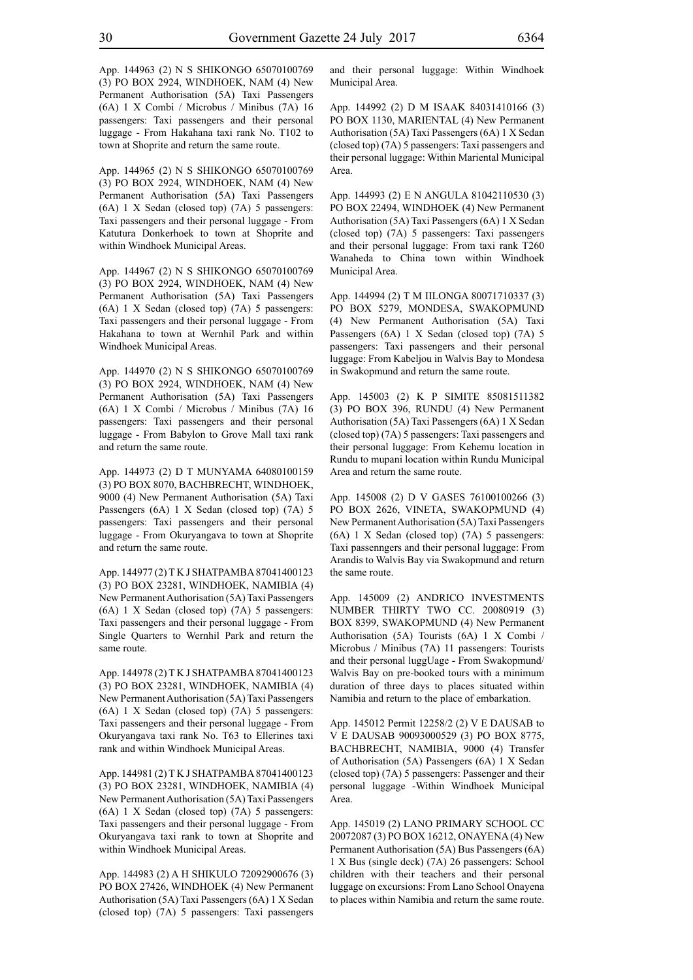App. 144963 (2) N S SHIKONGO 65070100769 (3) PO BOX 2924, WINDHOEK, NAM (4) New Permanent Authorisation (5A) Taxi Passengers (6A) 1 X Combi / Microbus / Minibus (7A) 16 passengers: Taxi passengers and their personal luggage - From Hakahana taxi rank No. T102 to town at Shoprite and return the same route.

App. 144965 (2) N S SHIKONGO 65070100769 (3) PO BOX 2924, WINDHOEK, NAM (4) New Permanent Authorisation (5A) Taxi Passengers (6A) 1 X Sedan (closed top) (7A) 5 passengers: Taxi passengers and their personal luggage - From Katutura Donkerhoek to town at Shoprite and within Windhoek Municipal Areas.

App. 144967 (2) N S SHIKONGO 65070100769 (3) PO BOX 2924, WINDHOEK, NAM (4) New Permanent Authorisation (5A) Taxi Passengers (6A) 1 X Sedan (closed top) (7A) 5 passengers: Taxi passengers and their personal luggage - From Hakahana to town at Wernhil Park and within Windhoek Municipal Areas.

App. 144970 (2) N S SHIKONGO 65070100769 (3) PO BOX 2924, WINDHOEK, NAM (4) New Permanent Authorisation (5A) Taxi Passengers (6A) 1 X Combi / Microbus / Minibus (7A) 16 passengers: Taxi passengers and their personal luggage - From Babylon to Grove Mall taxi rank and return the same route.

App. 144973 (2) D T MUNYAMA 64080100159 (3) PO BOX 8070, BACHBRECHT, WINDHOEK, 9000 (4) New Permanent Authorisation (5A) Taxi Passengers (6A) 1 X Sedan (closed top) (7A) 5 passengers: Taxi passengers and their personal luggage - From Okuryangava to town at Shoprite and return the same route.

App. 144977 (2) T K J SHATPAMBA 87041400123 (3) PO BOX 23281, WINDHOEK, NAMIBIA (4) New Permanent Authorisation (5A) Taxi Passengers (6A) 1 X Sedan (closed top) (7A) 5 passengers: Taxi passengers and their personal luggage - From Single Quarters to Wernhil Park and return the same route.

App. 144978 (2) T K J SHATPAMBA 87041400123 (3) PO BOX 23281, WINDHOEK, NAMIBIA (4) New Permanent Authorisation (5A) Taxi Passengers (6A) 1 X Sedan (closed top) (7A) 5 passengers: Taxi passengers and their personal luggage - From Okuryangava taxi rank No. T63 to Ellerines taxi rank and within Windhoek Municipal Areas.

App. 144981 (2) T K J SHATPAMBA 87041400123 (3) PO BOX 23281, WINDHOEK, NAMIBIA (4) New Permanent Authorisation (5A) Taxi Passengers (6A) 1 X Sedan (closed top) (7A) 5 passengers: Taxi passengers and their personal luggage - From Okuryangava taxi rank to town at Shoprite and within Windhoek Municipal Areas.

App. 144983 (2) A H SHIKULO 72092900676 (3) PO BOX 27426, WINDHOEK (4) New Permanent Authorisation (5A) Taxi Passengers (6A) 1 X Sedan (closed top) (7A) 5 passengers: Taxi passengers and their personal luggage: Within Windhoek Municipal Area.

App. 144992 (2) D M ISAAK 84031410166 (3) PO BOX 1130, MARIENTAL (4) New Permanent Authorisation (5A) Taxi Passengers (6A) 1 X Sedan (closed top) (7A) 5 passengers: Taxi passengers and their personal luggage: Within Mariental Municipal Area.

App. 144993 (2) E N ANGULA 81042110530 (3) PO BOX 22494, WINDHOEK (4) New Permanent Authorisation (5A) Taxi Passengers (6A) 1 X Sedan (closed top) (7A) 5 passengers: Taxi passengers and their personal luggage: From taxi rank T260 Wanaheda to China town within Windhoek Municipal Area.

App. 144994 (2) T M IILONGA 80071710337 (3) PO BOX 5279, MONDESA, SWAKOPMUND (4) New Permanent Authorisation (5A) Taxi Passengers (6A) 1 X Sedan (closed top) (7A) 5 passengers: Taxi passengers and their personal luggage: From Kabeljou in Walvis Bay to Mondesa in Swakopmund and return the same route.

App. 145003 (2) K P SIMITE 85081511382 (3) PO BOX 396, RUNDU (4) New Permanent Authorisation (5A) Taxi Passengers (6A) 1 X Sedan (closed top) (7A) 5 passengers: Taxi passengers and their personal luggage: From Kehemu location in Rundu to mupani location within Rundu Municipal Area and return the same route.

App. 145008 (2) D V GASES 76100100266 (3) PO BOX 2626, VINETA, SWAKOPMUND (4) New Permanent Authorisation (5A) Taxi Passengers (6A) 1 X Sedan (closed top) (7A) 5 passengers: Taxi passenngers and their personal luggage: From Arandis to Walvis Bay via Swakopmund and return the same route.

App. 145009 (2) ANDRICO INVESTMENTS NUMBER THIRTY TWO CC. 20080919 (3) BOX 8399, SWAKOPMUND (4) New Permanent Authorisation (5A) Tourists (6A) 1 X Combi / Microbus / Minibus (7A) 11 passengers: Tourists and their personal luggUage - From Swakopmund/ Walvis Bay on pre-booked tours with a minimum duration of three days to places situated within Namibia and return to the place of embarkation.

App. 145012 Permit 12258/2 (2) V E DAUSAB to V E DAUSAB 90093000529 (3) PO BOX 8775, BACHBRECHT, NAMIBIA, 9000 (4) Transfer of Authorisation (5A) Passengers (6A) 1 X Sedan (closed top) (7A) 5 passengers: Passenger and their personal luggage -Within Windhoek Municipal Area.

App. 145019 (2) LANO PRIMARY SCHOOL CC 20072087 (3) PO BOX 16212, ONAYENA (4) New Permanent Authorisation (5A) Bus Passengers (6A) 1 X Bus (single deck) (7A) 26 passengers: School children with their teachers and their personal luggage on excursions: From Lano School Onayena to places within Namibia and return the same route.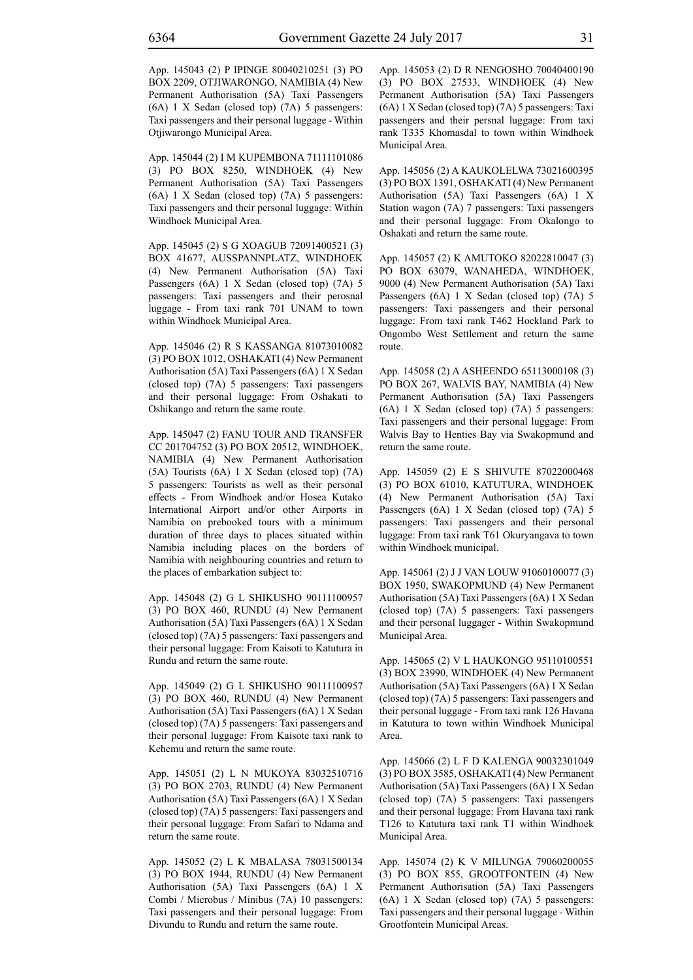App. 145043 (2) P IPINGE 80040210251 (3) PO BOX 2209, OTJIWARONGO, NAMIBIA (4) New Permanent Authorisation (5A) Taxi Passengers (6A) 1 X Sedan (closed top) (7A) 5 passengers: Taxi passengers and their personal luggage - Within Otjiwarongo Municipal Area.

App. 145044 (2) I M KUPEMBONA 71111101086 (3) PO BOX 8250, WINDHOEK (4) New Permanent Authorisation (5A) Taxi Passengers (6A) 1 X Sedan (closed top) (7A) 5 passengers: Taxi passengers and their personal luggage: Within Windhoek Municipal Area.

App. 145045 (2) S G XOAGUB 72091400521 (3) BOX 41677, AUSSPANNPLATZ, WINDHOEK (4) New Permanent Authorisation (5A) Taxi Passengers (6A) 1 X Sedan (closed top) (7A) 5 passengers: Taxi passengers and their perosnal luggage - From taxi rank 701 UNAM to town within Windhoek Municipal Area.

App. 145046 (2) R S KASSANGA 81073010082 (3) PO BOX 1012, OSHAKATI (4) New Permanent Authorisation (5A) Taxi Passengers (6A) 1 X Sedan (closed top) (7A) 5 passengers: Taxi passengers and their personal luggage: From Oshakati to Oshikango and return the same route.

App. 145047 (2) FANU TOUR AND TRANSFER CC 201704752 (3) PO BOX 20512, WINDHOEK, NAMIBIA (4) New Permanent Authorisation (5A) Tourists (6A) 1 X Sedan (closed top) (7A) 5 passengers: Tourists as well as their personal effects - From Windhoek and/or Hosea Kutako International Airport and/or other Airports in Namibia on prebooked tours with a minimum duration of three days to places situated within Namibia including places on the borders of Namibia with neighbouring countries and return to the places of embarkation subject to:

App. 145048 (2) G L SHIKUSHO 90111100957 (3) PO BOX 460, RUNDU (4) New Permanent Authorisation (5A) Taxi Passengers (6A) 1 X Sedan (closed top) (7A) 5 passengers: Taxi passengers and their personal luggage: From Kaisoti to Katutura in Rundu and return the same route.

App. 145049 (2) G L SHIKUSHO 90111100957 (3) PO BOX 460, RUNDU (4) New Permanent Authorisation (5A) Taxi Passengers (6A) 1 X Sedan (closed top) (7A) 5 passengers: Taxi passengers and their personal luggage: From Kaisote taxi rank to Kehemu and return the same route.

App. 145051 (2) L N MUKOYA 83032510716 (3) PO BOX 2703, RUNDU (4) New Permanent Authorisation (5A) Taxi Passengers (6A) 1 X Sedan (closed top) (7A) 5 passengers: Taxi passengers and their personal luggage: From Safari to Ndama and return the same route.

App. 145052 (2) L K MBALASA 78031500134 (3) PO BOX 1944, RUNDU (4) New Permanent Authorisation (5A) Taxi Passengers (6A) 1 X Combi / Microbus / Minibus (7A) 10 passengers: Taxi passengers and their personal luggage: From Divundu to Rundu and return the same route.

App. 145053 (2) D R NENGOSHO 70040400190 (3) PO BOX 27533, WINDHOEK (4) New Permanent Authorisation (5A) Taxi Passengers (6A) 1 X Sedan (closed top) (7A) 5 passengers: Taxi passengers and their persnal luggage: From taxi rank T335 Khomasdal to town within Windhoek Municipal Area.

App. 145056 (2) A KAUKOLELWA 73021600395 (3) PO BOX 1391, OSHAKATI (4) New Permanent Authorisation (5A) Taxi Passengers (6A) 1 X Station wagon (7A) 7 passengers: Taxi passengers and their personal luggage: From Okalongo to Oshakati and return the same route.

App. 145057 (2) K AMUTOKO 82022810047 (3) PO BOX 63079, WANAHEDA, WINDHOEK, 9000 (4) New Permanent Authorisation (5A) Taxi Passengers (6A) 1 X Sedan (closed top) (7A) 5 passengers: Taxi passengers and their personal luggage: From taxi rank T462 Hockland Park to Ongombo West Settlement and return the same route.

App. 145058 (2) A ASHEENDO 65113000108 (3) PO BOX 267, WALVIS BAY, NAMIBIA (4) New Permanent Authorisation (5A) Taxi Passengers (6A) 1 X Sedan (closed top) (7A) 5 passengers: Taxi passengers and their personal luggage: From Walvis Bay to Henties Bay via Swakopmund and return the same route.

App. 145059 (2) E S SHIVUTE 87022000468 (3) PO BOX 61010, KATUTURA, WINDHOEK (4) New Permanent Authorisation (5A) Taxi Passengers (6A) 1 X Sedan (closed top) (7A) 5 passengers: Taxi passengers and their personal luggage: From taxi rank T61 Okuryangava to town within Windhoek municipal.

App. 145061 (2) J J VAN LOUW 91060100077 (3) BOX 1950, SWAKOPMUND (4) New Permanent Authorisation (5A) Taxi Passengers (6A) 1 X Sedan (closed top) (7A) 5 passengers: Taxi passengers and their personal luggager - Within Swakopmund Municipal Area.

App. 145065 (2) V L HAUKONGO 95110100551 (3) BOX 23990, WINDHOEK (4) New Permanent Authorisation (5A) Taxi Passengers (6A) 1 X Sedan (closed top) (7A) 5 passengers: Taxi passengers and their personal luggage - From taxi rank 126 Havana in Katutura to town within Windhoek Municipal Area.

App. 145066 (2) L F D KALENGA 90032301049 (3) PO BOX 3585, OSHAKATI (4) New Permanent Authorisation (5A) Taxi Passengers (6A) 1 X Sedan (closed top) (7A) 5 passengers: Taxi passengers and their personal luggage: From Havana taxi rank T126 to Katutura taxi rank T1 within Windhoek Municipal Area.

App. 145074 (2) K V MILUNGA 79060200055 (3) PO BOX 855, GROOTFONTEIN (4) New Permanent Authorisation (5A) Taxi Passengers (6A) 1 X Sedan (closed top) (7A) 5 passengers: Taxi passengers and their personal luggage - Within Grootfontein Municipal Areas.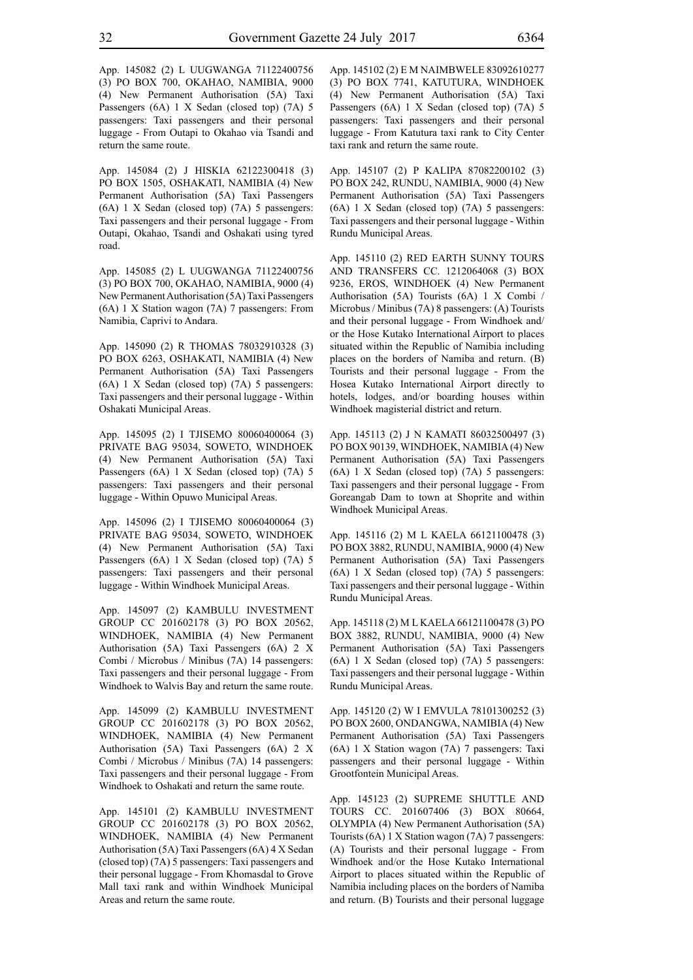App. 145082 (2) L UUGWANGA 71122400756 (3) PO BOX 700, OKAHAO, NAMIBIA, 9000 (4) New Permanent Authorisation (5A) Taxi Passengers (6A) 1 X Sedan (closed top) (7A) 5 passengers: Taxi passengers and their personal luggage - From Outapi to Okahao via Tsandi and return the same route.

App. 145084 (2) J HISKIA 62122300418 (3) PO BOX 1505, OSHAKATI, NAMIBIA (4) New Permanent Authorisation (5A) Taxi Passengers (6A) 1 X Sedan (closed top) (7A) 5 passengers: Taxi passengers and their personal luggage - From Outapi, Okahao, Tsandi and Oshakati using tyred road.

App. 145085 (2) L UUGWANGA 71122400756 (3) PO BOX 700, OKAHAO, NAMIBIA, 9000 (4) New Permanent Authorisation (5A) Taxi Passengers (6A) 1 X Station wagon (7A) 7 passengers: From Namibia, Caprivi to Andara.

App. 145090 (2) R THOMAS 78032910328 (3) PO BOX 6263, OSHAKATI, NAMIBIA (4) New Permanent Authorisation (5A) Taxi Passengers (6A) 1 X Sedan (closed top) (7A) 5 passengers: Taxi passengers and their personal luggage - Within Oshakati Municipal Areas.

App. 145095 (2) I TJISEMO 80060400064 (3) PRIVATE BAG 95034, SOWETO, WINDHOEK (4) New Permanent Authorisation (5A) Taxi Passengers (6A) 1 X Sedan (closed top) (7A) 5 passengers: Taxi passengers and their personal luggage - Within Opuwo Municipal Areas.

App. 145096 (2) I TJISEMO 80060400064 (3) PRIVATE BAG 95034, SOWETO, WINDHOEK (4) New Permanent Authorisation (5A) Taxi Passengers (6A) 1 X Sedan (closed top) (7A) 5 passengers: Taxi passengers and their personal luggage - Within Windhoek Municipal Areas.

App. 145097 (2) KAMBULU INVESTMENT GROUP CC 201602178 (3) PO BOX 20562, WINDHOEK, NAMIBIA (4) New Permanent Authorisation (5A) Taxi Passengers (6A) 2 X Combi / Microbus / Minibus (7A) 14 passengers: Taxi passengers and their personal luggage - From Windhoek to Walvis Bay and return the same route.

App. 145099 (2) KAMBULU INVESTMENT GROUP CC 201602178 (3) PO BOX 20562, WINDHOEK, NAMIBIA (4) New Permanent Authorisation (5A) Taxi Passengers (6A) 2 X Combi / Microbus / Minibus (7A) 14 passengers: Taxi passengers and their personal luggage - From Windhoek to Oshakati and return the same route.

App. 145101 (2) KAMBULU INVESTMENT GROUP CC 201602178 (3) PO BOX 20562, WINDHOEK, NAMIBIA (4) New Permanent Authorisation (5A) Taxi Passengers (6A) 4 X Sedan (closed top) (7A) 5 passengers: Taxi passengers and their personal luggage - From Khomasdal to Grove Mall taxi rank and within Windhoek Municipal Areas and return the same route.

App. 145102 (2) E M NAIMBWELE 83092610277 (3) PO BOX 7741, KATUTURA, WINDHOEK (4) New Permanent Authorisation (5A) Taxi Passengers (6A) 1 X Sedan (closed top) (7A) 5 passengers: Taxi passengers and their personal luggage - From Katutura taxi rank to City Center taxi rank and return the same route.

App. 145107 (2) P KALIPA 87082200102 (3) PO BOX 242, RUNDU, NAMIBIA, 9000 (4) New Permanent Authorisation (5A) Taxi Passengers (6A) 1 X Sedan (closed top) (7A) 5 passengers: Taxi passengers and their personal luggage - Within Rundu Municipal Areas.

App. 145110 (2) RED EARTH SUNNY TOURS AND TRANSFERS CC. 1212064068 (3) BOX 9236, EROS, WINDHOEK (4) New Permanent Authorisation (5A) Tourists (6A) 1 X Combi / Microbus / Minibus (7A) 8 passengers: (A) Tourists and their personal luggage - From Windhoek and/ or the Hose Kutako International Airport to places situated within the Republic of Namibia including places on the borders of Namiba and return. (B) Tourists and their personal luggage - From the Hosea Kutako International Airport directly to hotels, lodges, and/or boarding houses within Windhoek magisterial district and return.

App. 145113 (2) J N KAMATI 86032500497 (3) PO BOX 90139, WINDHOEK, NAMIBIA (4) New Permanent Authorisation (5A) Taxi Passengers (6A) 1 X Sedan (closed top) (7A) 5 passengers: Taxi passengers and their personal luggage - From Goreangab Dam to town at Shoprite and within Windhoek Municipal Areas.

App. 145116 (2) M L KAELA 66121100478 (3) PO BOX 3882, RUNDU, NAMIBIA, 9000 (4) New Permanent Authorisation (5A) Taxi Passengers (6A) 1 X Sedan (closed top) (7A) 5 passengers: Taxi passengers and their personal luggage - Within Rundu Municipal Areas.

App. 145118 (2) M L KAELA 66121100478 (3) PO BOX 3882, RUNDU, NAMIBIA, 9000 (4) New Permanent Authorisation (5A) Taxi Passengers (6A) 1 X Sedan (closed top) (7A) 5 passengers: Taxi passengers and their personal luggage - Within Rundu Municipal Areas.

App. 145120 (2) W I EMVULA 78101300252 (3) PO BOX 2600, ONDANGWA, NAMIBIA (4) New Permanent Authorisation (5A) Taxi Passengers (6A) 1 X Station wagon (7A) 7 passengers: Taxi passengers and their personal luggage - Within Grootfontein Municipal Areas.

App. 145123 (2) SUPREME SHUTTLE AND TOURS CC. 201607406 (3) BOX 80664, OLYMPIA (4) New Permanent Authorisation (5A) Tourists (6A) 1 X Station wagon (7A) 7 passengers: (A) Tourists and their personal luggage - From Windhoek and/or the Hose Kutako International Airport to places situated within the Republic of Namibia including places on the borders of Namiba and return. (B) Tourists and their personal luggage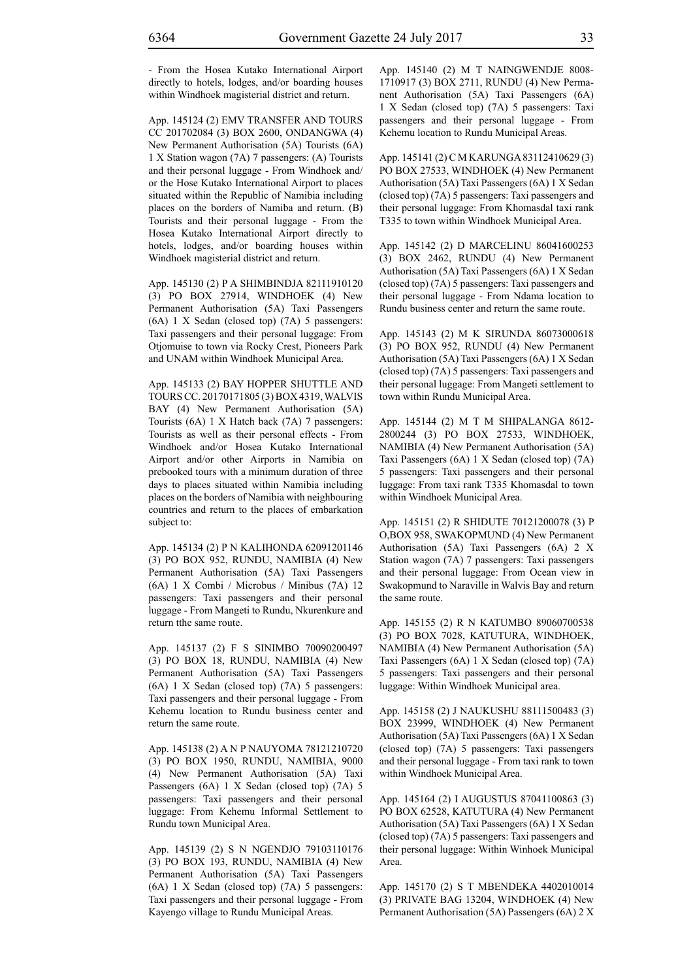- From the Hosea Kutako International Airport directly to hotels, lodges, and/or boarding houses within Windhoek magisterial district and return.

App. 145124 (2) EMV TRANSFER AND TOURS CC 201702084 (3) BOX 2600, ONDANGWA (4) New Permanent Authorisation (5A) Tourists (6A) 1 X Station wagon (7A) 7 passengers: (A) Tourists and their personal luggage - From Windhoek and/ or the Hose Kutako International Airport to places situated within the Republic of Namibia including places on the borders of Namiba and return. (B) Tourists and their personal luggage - From the Hosea Kutako International Airport directly to hotels, lodges, and/or boarding houses within Windhoek magisterial district and return.

App. 145130 (2) P A SHIMBINDJA 82111910120 (3) PO BOX 27914, WINDHOEK (4) New Permanent Authorisation (5A) Taxi Passengers (6A) 1 X Sedan (closed top) (7A) 5 passengers: Taxi passengers and their personal luggage: From Otjomuise to town via Rocky Crest, Pioneers Park and UNAM within Windhoek Municipal Area.

App. 145133 (2) BAY HOPPER SHUTTLE AND TOURS CC. 20170171805 (3) BOX 4319, WALVIS BAY (4) New Permanent Authorisation (5A) Tourists (6A) 1 X Hatch back (7A) 7 passengers: Tourists as well as their personal effects - From Windhoek and/or Hosea Kutako International Airport and/or other Airports in Namibia on prebooked tours with a minimum duration of three days to places situated within Namibia including places on the borders of Namibia with neighbouring countries and return to the places of embarkation subject to:

App. 145134 (2) P N KALIHONDA 62091201146 (3) PO BOX 952, RUNDU, NAMIBIA (4) New Permanent Authorisation (5A) Taxi Passengers (6A) 1 X Combi / Microbus / Minibus (7A) 12 passengers: Taxi passengers and their personal luggage - From Mangeti to Rundu, Nkurenkure and return tthe same route.

App. 145137 (2) F S SINIMBO 70090200497 (3) PO BOX 18, RUNDU, NAMIBIA (4) New Permanent Authorisation (5A) Taxi Passengers (6A) 1 X Sedan (closed top) (7A) 5 passengers: Taxi passengers and their personal luggage - From Kehemu location to Rundu business center and return the same route.

App. 145138 (2) A N P NAUYOMA 78121210720 (3) PO BOX 1950, RUNDU, NAMIBIA, 9000 (4) New Permanent Authorisation (5A) Taxi Passengers (6A) 1 X Sedan (closed top) (7A) 5 passengers: Taxi passengers and their personal luggage: From Kehemu Informal Settlement to Rundu town Municipal Area.

App. 145139 (2) S N NGENDJO 79103110176 (3) PO BOX 193, RUNDU, NAMIBIA (4) New Permanent Authorisation (5A) Taxi Passengers (6A) 1 X Sedan (closed top) (7A) 5 passengers: Taxi passengers and their personal luggage - From Kayengo village to Rundu Municipal Areas.

App. 145140 (2) M T NAINGWENDJE 8008- 1710917 (3) BOX 2711, RUNDU (4) New Permanent Authorisation (5A) Taxi Passengers (6A) 1 X Sedan (closed top) (7A) 5 passengers: Taxi passengers and their personal luggage - From Kehemu location to Rundu Municipal Areas.

App. 145141 (2) C M KARUNGA 83112410629 (3) PO BOX 27533, WINDHOEK (4) New Permanent Authorisation (5A) Taxi Passengers (6A) 1 X Sedan (closed top) (7A) 5 passengers: Taxi passengers and their personal luggage: From Khomasdal taxi rank T335 to town within Windhoek Municipal Area.

App. 145142 (2) D MARCELINU 86041600253 (3) BOX 2462, RUNDU (4) New Permanent Authorisation (5A) Taxi Passengers (6A) 1 X Sedan (closed top) (7A) 5 passengers: Taxi passengers and their personal luggage - From Ndama location to Rundu business center and return the same route.

App. 145143 (2) M K SIRUNDA 86073000618 (3) PO BOX 952, RUNDU (4) New Permanent Authorisation (5A) Taxi Passengers (6A) 1 X Sedan (closed top) (7A) 5 passengers: Taxi passengers and their personal luggage: From Mangeti settlement to town within Rundu Municipal Area.

App. 145144 (2) M T M SHIPALANGA 8612- 2800244 (3) PO BOX 27533, WINDHOEK, NAMIBIA (4) New Permanent Authorisation (5A) Taxi Passengers (6A) 1 X Sedan (closed top) (7A) 5 passengers: Taxi passengers and their personal luggage: From taxi rank T335 Khomasdal to town within Windhoek Municipal Area.

App. 145151 (2) R SHIDUTE 70121200078 (3) P O,BOX 958, SWAKOPMUND (4) New Permanent Authorisation (5A) Taxi Passengers (6A) 2 X Station wagon (7A) 7 passengers: Taxi passengers and their personal luggage: From Ocean view in Swakopmund to Naraville in Walvis Bay and return the same route.

App. 145155 (2) R N KATUMBO 89060700538 (3) PO BOX 7028, KATUTURA, WINDHOEK, NAMIBIA (4) New Permanent Authorisation (5A) Taxi Passengers (6A) 1 X Sedan (closed top) (7A) 5 passengers: Taxi passengers and their personal luggage: Within Windhoek Municipal area.

App. 145158 (2) J NAUKUSHU 88111500483 (3) BOX 23999, WINDHOEK (4) New Permanent Authorisation (5A) Taxi Passengers (6A) 1 X Sedan (closed top) (7A) 5 passengers: Taxi passengers and their personal luggage - From taxi rank to town within Windhoek Municipal Area.

App. 145164 (2) I AUGUSTUS 87041100863 (3) PO BOX 62528, KATUTURA (4) New Permanent Authorisation (5A) Taxi Passengers (6A) 1 X Sedan (closed top) (7A) 5 passengers: Taxi passengers and their personal luggage: Within Winhoek Municipal Area.

App. 145170 (2) S T MBENDEKA 4402010014 (3) PRIVATE BAG 13204, WINDHOEK (4) New Permanent Authorisation (5A) Passengers (6A) 2 X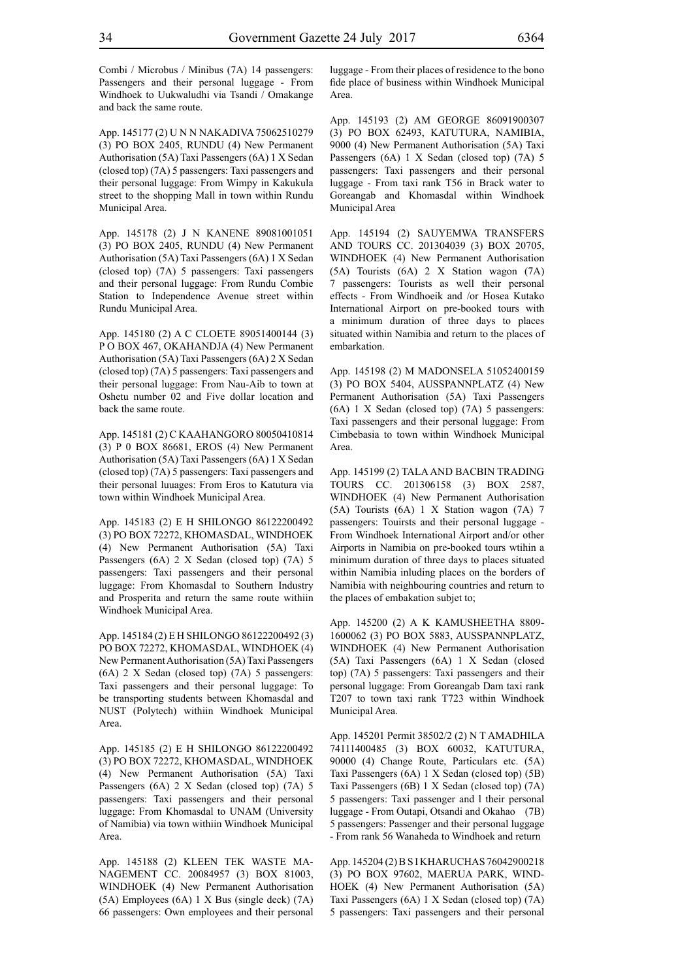Combi / Microbus / Minibus (7A) 14 passengers: Passengers and their personal luggage - From Windhoek to Uukwaludhi via Tsandi / Omakange and back the same route.

App. 145177 (2) U N N NAKADIVA 75062510279 (3) PO BOX 2405, RUNDU (4) New Permanent Authorisation (5A) Taxi Passengers (6A) 1 X Sedan (closed top) (7A) 5 passengers: Taxi passengers and their personal luggage: From Wimpy in Kakukula street to the shopping Mall in town within Rundu Municipal Area.

App. 145178 (2) J N KANENE 89081001051 (3) PO BOX 2405, RUNDU (4) New Permanent Authorisation (5A) Taxi Passengers (6A) 1 X Sedan (closed top) (7A) 5 passengers: Taxi passengers and their personal luggage: From Rundu Combie Station to Independence Avenue street within Rundu Municipal Area.

App. 145180 (2) A C CLOETE 89051400144 (3) P O BOX 467, OKAHANDJA (4) New Permanent Authorisation (5A) Taxi Passengers (6A) 2 X Sedan (closed top) (7A) 5 passengers: Taxi passengers and their personal luggage: From Nau-Aib to town at Oshetu number 02 and Five dollar location and back the same route.

App. 145181 (2) C KAAHANGORO 80050410814 (3) P 0 BOX 86681, EROS (4) New Permanent Authorisation (5A) Taxi Passengers (6A) 1 X Sedan (closed top) (7A) 5 passengers: Taxi passengers and their personal luuages: From Eros to Katutura via town within Windhoek Municipal Area.

App. 145183 (2) E H SHILONGO 86122200492 (3) PO BOX 72272, KHOMASDAL, WINDHOEK (4) New Permanent Authorisation (5A) Taxi Passengers (6A) 2 X Sedan (closed top) (7A) 5 passengers: Taxi passengers and their personal luggage: From Khomasdal to Southern Industry and Prosperita and return the same route withiin Windhoek Municipal Area.

App. 145184 (2) E H SHILONGO 86122200492 (3) PO BOX 72272, KHOMASDAL, WINDHOEK (4) New Permanent Authorisation (5A) Taxi Passengers (6A) 2 X Sedan (closed top) (7A) 5 passengers: Taxi passengers and their personal luggage: To be transporting students between Khomasdal and NUST (Polytech) withiin Windhoek Municipal Area.

App. 145185 (2) E H SHILONGO 86122200492 (3) PO BOX 72272, KHOMASDAL, WINDHOEK (4) New Permanent Authorisation (5A) Taxi Passengers (6A) 2 X Sedan (closed top) (7A) 5 passengers: Taxi passengers and their personal luggage: From Khomasdal to UNAM (University of Namibia) via town withiin Windhoek Municipal Area.

App. 145188 (2) KLEEN TEK WASTE MA-NAGEMENT CC. 20084957 (3) BOX 81003, WINDHOEK (4) New Permanent Authorisation (5A) Employees (6A) 1 X Bus (single deck) (7A) 66 passengers: Own employees and their personal luggage - From their places of residence to the bono fide place of business within Windhoek Municipal Area.

App. 145193 (2) AM GEORGE 86091900307 (3) PO BOX 62493, KATUTURA, NAMIBIA, 9000 (4) New Permanent Authorisation (5A) Taxi Passengers (6A) 1 X Sedan (closed top) (7A) 5 passengers: Taxi passengers and their personal luggage - From taxi rank T56 in Brack water to Goreangab and Khomasdal within Windhoek Municipal Area

App. 145194 (2) SAUYEMWA TRANSFERS AND TOURS CC. 201304039 (3) BOX 20705, WINDHOEK (4) New Permanent Authorisation (5A) Tourists (6A) 2 X Station wagon (7A) 7 passengers: Tourists as well their personal effects - From Windhoeik and /or Hosea Kutako International Airport on pre-booked tours with a minimum duration of three days to places situated within Namibia and return to the places of embarkation.

App. 145198 (2) M MADONSELA 51052400159 (3) PO BOX 5404, AUSSPANNPLATZ (4) New Permanent Authorisation (5A) Taxi Passengers (6A) 1 X Sedan (closed top) (7A) 5 passengers: Taxi passengers and their personal luggage: From Cimbebasia to town within Windhoek Municipal Area.

App. 145199 (2) TALA AND BACBIN TRADING TOURS CC. 201306158 (3) BOX 2587, WINDHOEK (4) New Permanent Authorisation (5A) Tourists (6A) 1 X Station wagon (7A) 7 passengers: Touirsts and their personal luggage - From Windhoek International Airport and/or other Airports in Namibia on pre-booked tours wtihin a minimum duration of three days to places situated within Namibia inluding places on the borders of Namibia with neighbouring countries and return to the places of embakation subjet to;

App. 145200 (2) A K KAMUSHEETHA 8809- 1600062 (3) PO BOX 5883, AUSSPANNPLATZ, WINDHOEK (4) New Permanent Authorisation (5A) Taxi Passengers (6A) 1 X Sedan (closed top) (7A) 5 passengers: Taxi passengers and their personal luggage: From Goreangab Dam taxi rank T207 to town taxi rank T723 within Windhoek Municipal Area.

App. 145201 Permit 38502/2 (2) N T AMADHILA 74111400485 (3) BOX 60032, KATUTURA, 90000 (4) Change Route, Particulars etc. (5A) Taxi Passengers (6A) 1 X Sedan (closed top) (5B) Taxi Passengers (6B) 1 X Sedan (closed top) (7A) 5 passengers: Taxi passenger and l their personal luggage - From Outapi, Otsandi and Okahao (7B) 5 passengers: Passenger and their personal luggage - From rank 56 Wanaheda to Windhoek and return

App. 145204 (2) B S I KHARUCHAS 76042900218 (3) PO BOX 97602, MAERUA PARK, WIND-HOEK (4) New Permanent Authorisation (5A) Taxi Passengers (6A) 1 X Sedan (closed top) (7A) 5 passengers: Taxi passengers and their personal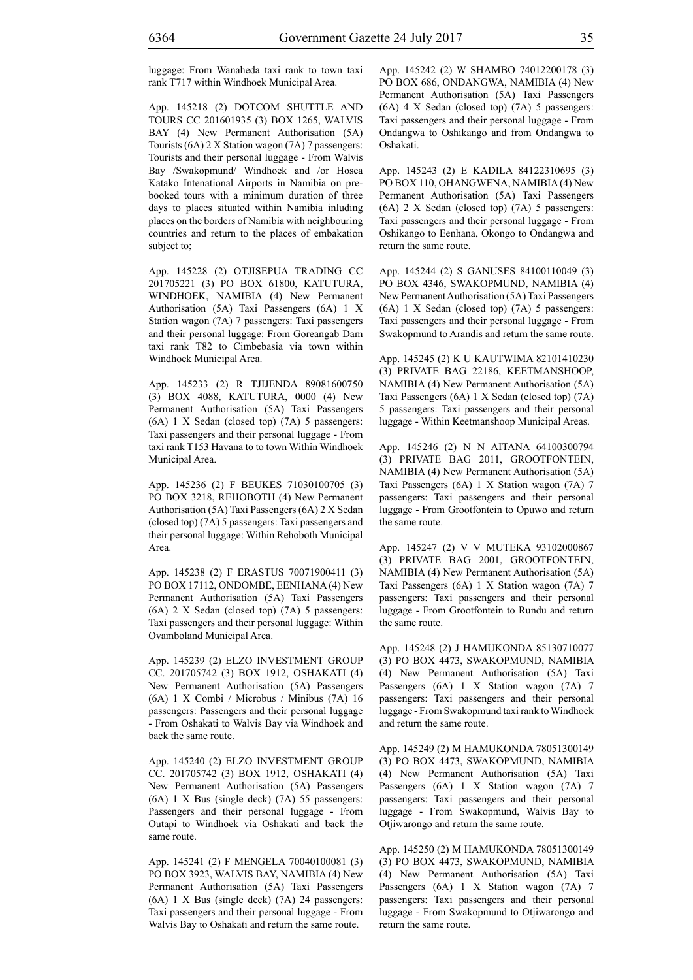luggage: From Wanaheda taxi rank to town taxi rank T717 within Windhoek Municipal Area.

App. 145218 (2) DOTCOM SHUTTLE AND TOURS CC 201601935 (3) BOX 1265, WALVIS BAY (4) New Permanent Authorisation (5A) Tourists (6A) 2 X Station wagon (7A) 7 passengers: Tourists and their personal luggage - From Walvis Bay /Swakopmund/ Windhoek and /or Hosea Katako Intenational Airports in Namibia on prebooked tours with a minimum duration of three days to places situated within Namibia inluding places on the borders of Namibia with neighbouring countries and return to the places of embakation subject to;

App. 145228 (2) OTJISEPUA TRADING CC 201705221 (3) PO BOX 61800, KATUTURA, WINDHOEK, NAMIBIA (4) New Permanent Authorisation (5A) Taxi Passengers (6A) 1 X Station wagon (7A) 7 passengers: Taxi passengers and their personal luggage: From Goreangab Dam taxi rank T82 to Cimbebasia via town within Windhoek Municipal Area.

App. 145233 (2) R TJIJENDA 89081600750 (3) BOX 4088, KATUTURA, 0000 (4) New Permanent Authorisation (5A) Taxi Passengers (6A) 1 X Sedan (closed top) (7A) 5 passengers: Taxi passengers and their personal luggage - From taxi rank T153 Havana to to town Within Windhoek Municipal Area.

App. 145236 (2) F BEUKES 71030100705 (3) PO BOX 3218, REHOBOTH (4) New Permanent Authorisation (5A) Taxi Passengers (6A) 2 X Sedan (closed top) (7A) 5 passengers: Taxi passengers and their personal luggage: Within Rehoboth Municipal Area.

App. 145238 (2) F ERASTUS 70071900411 (3) PO BOX 17112, ONDOMBE, EENHANA (4) New Permanent Authorisation (5A) Taxi Passengers (6A) 2 X Sedan (closed top) (7A) 5 passengers: Taxi passengers and their personal luggage: Within Ovamboland Municipal Area.

App. 145239 (2) ELZO INVESTMENT GROUP CC. 201705742 (3) BOX 1912, OSHAKATI (4) New Permanent Authorisation (5A) Passengers (6A) 1 X Combi / Microbus / Minibus (7A) 16 passengers: Passengers and their personal luggage - From Oshakati to Walvis Bay via Windhoek and back the same route.

App. 145240 (2) ELZO INVESTMENT GROUP CC. 201705742 (3) BOX 1912, OSHAKATI (4) New Permanent Authorisation (5A) Passengers (6A) 1 X Bus (single deck) (7A) 55 passengers: Passengers and their personal luggage - From Outapi to Windhoek via Oshakati and back the same route.

App. 145241 (2) F MENGELA 70040100081 (3) PO BOX 3923, WALVIS BAY, NAMIBIA (4) New Permanent Authorisation (5A) Taxi Passengers (6A) 1 X Bus (single deck) (7A) 24 passengers: Taxi passengers and their personal luggage - From Walvis Bay to Oshakati and return the same route.

App. 145242 (2) W SHAMBO 74012200178 (3) PO BOX 686, ONDANGWA, NAMIBIA (4) New Permanent Authorisation (5A) Taxi Passengers (6A) 4 X Sedan (closed top) (7A) 5 passengers: Taxi passengers and their personal luggage - From Ondangwa to Oshikango and from Ondangwa to Oshakati.

App. 145243 (2) E KADILA 84122310695 (3) PO BOX 110, OHANGWENA, NAMIBIA (4) New Permanent Authorisation (5A) Taxi Passengers (6A) 2 X Sedan (closed top) (7A) 5 passengers: Taxi passengers and their personal luggage - From Oshikango to Eenhana, Okongo to Ondangwa and return the same route.

App. 145244 (2) S GANUSES 84100110049 (3) PO BOX 4346, SWAKOPMUND, NAMIBIA (4) New Permanent Authorisation (5A) Taxi Passengers (6A) 1 X Sedan (closed top) (7A) 5 passengers: Taxi passengers and their personal luggage - From Swakopmund to Arandis and return the same route.

App. 145245 (2) K U KAUTWIMA 82101410230 (3) PRIVATE BAG 22186, KEETMANSHOOP, NAMIBIA (4) New Permanent Authorisation (5A) Taxi Passengers (6A) 1 X Sedan (closed top) (7A) 5 passengers: Taxi passengers and their personal luggage - Within Keetmanshoop Municipal Areas.

App. 145246 (2) N N AITANA 64100300794 (3) PRIVATE BAG 2011, GROOTFONTEIN, NAMIBIA (4) New Permanent Authorisation (5A) Taxi Passengers (6A) 1 X Station wagon (7A) 7 passengers: Taxi passengers and their personal luggage - From Grootfontein to Opuwo and return the same route.

App. 145247 (2) V V MUTEKA 93102000867 (3) PRIVATE BAG 2001, GROOTFONTEIN, NAMIBIA (4) New Permanent Authorisation (5A) Taxi Passengers (6A) 1 X Station wagon (7A) 7 passengers: Taxi passengers and their personal luggage - From Grootfontein to Rundu and return the same route.

App. 145248 (2) J HAMUKONDA 85130710077 (3) PO BOX 4473, SWAKOPMUND, NAMIBIA (4) New Permanent Authorisation (5A) Taxi Passengers (6A) 1 X Station wagon (7A) 7 passengers: Taxi passengers and their personal luggage - From Swakopmund taxi rank to Windhoek and return the same route.

App. 145249 (2) M HAMUKONDA 78051300149 (3) PO BOX 4473, SWAKOPMUND, NAMIBIA (4) New Permanent Authorisation (5A) Taxi Passengers (6A) 1 X Station wagon (7A) 7 passengers: Taxi passengers and their personal luggage - From Swakopmund, Walvis Bay to Otjiwarongo and return the same route.

App. 145250 (2) M HAMUKONDA 78051300149 (3) PO BOX 4473, SWAKOPMUND, NAMIBIA (4) New Permanent Authorisation (5A) Taxi Passengers (6A) 1 X Station wagon (7A) 7 passengers: Taxi passengers and their personal luggage - From Swakopmund to Otjiwarongo and return the same route.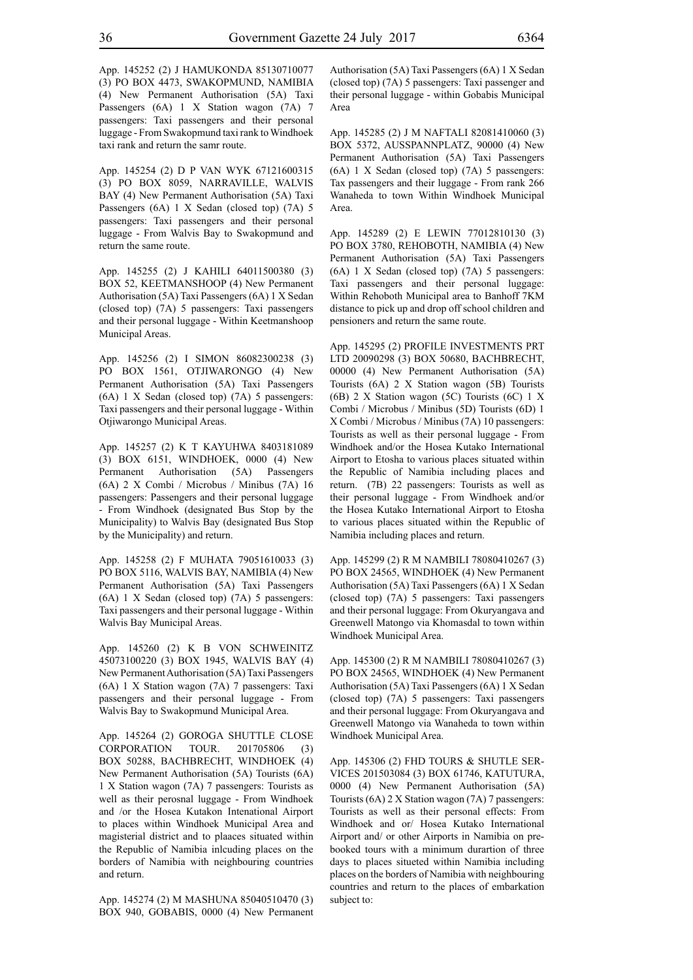App. 145252 (2) J HAMUKONDA 85130710077 (3) PO BOX 4473, SWAKOPMUND, NAMIBIA (4) New Permanent Authorisation (5A) Taxi Passengers (6A) 1 X Station wagon (7A) 7 passengers: Taxi passengers and their personal luggage - From Swakopmund taxi rank to Windhoek taxi rank and return the samr route.

App. 145254 (2) D P VAN WYK 67121600315 (3) PO BOX 8059, NARRAVILLE, WALVIS BAY (4) New Permanent Authorisation (5A) Taxi Passengers (6A) 1 X Sedan (closed top) (7A) 5 passengers: Taxi passengers and their personal luggage - From Walvis Bay to Swakopmund and return the same route.

App. 145255 (2) J KAHILI 64011500380 (3) BOX 52, KEETMANSHOOP (4) New Permanent Authorisation (5A) Taxi Passengers (6A) 1 X Sedan (closed top) (7A) 5 passengers: Taxi passengers and their personal luggage - Within Keetmanshoop Municipal Areas.

App. 145256 (2) I SIMON 86082300238 (3) PO BOX 1561, OTJIWARONGO (4) New Permanent Authorisation (5A) Taxi Passengers (6A) 1 X Sedan (closed top) (7A) 5 passengers: Taxi passengers and their personal luggage - Within Otjiwarongo Municipal Areas.

App. 145257 (2) K T KAYUHWA 8403181089 (3) BOX 6151, WINDHOEK, 0000 (4) New Permanent Authorisation (5A) Passengers (6A) 2 X Combi / Microbus / Minibus (7A) 16 passengers: Passengers and their personal luggage - From Windhoek (designated Bus Stop by the Municipality) to Walvis Bay (designated Bus Stop by the Municipality) and return.

App. 145258 (2) F MUHATA 79051610033 (3) PO BOX 5116, WALVIS BAY, NAMIBIA (4) New Permanent Authorisation (5A) Taxi Passengers (6A) 1 X Sedan (closed top) (7A) 5 passengers: Taxi passengers and their personal luggage - Within Walvis Bay Municipal Areas.

App. 145260 (2) K B VON SCHWEINITZ 45073100220 (3) BOX 1945, WALVIS BAY (4) New Permanent Authorisation (5A) Taxi Passengers (6A) 1 X Station wagon (7A) 7 passengers: Taxi passengers and their personal luggage - From Walvis Bay to Swakopmund Municipal Area.

App. 145264 (2) GOROGA SHUTTLE CLOSE CORPORATION TOUR. 201705806 (3) BOX 50288, BACHBRECHT, WINDHOEK (4) New Permanent Authorisation (5A) Tourists (6A) 1 X Station wagon (7A) 7 passengers: Tourists as well as their perosnal luggage - From Windhoek and /or the Hosea Kutakon Intenational Airport to places within Windhoek Municipal Area and magisterial district and to plaaces situated within the Republic of Namibia inlcuding places on the borders of Namibia with neighbouring countries and return.

App. 145274 (2) M MASHUNA 85040510470 (3) BOX 940, GOBABIS, 0000 (4) New Permanent Authorisation (5A) Taxi Passengers (6A) 1 X Sedan (closed top) (7A) 5 passengers: Taxi passenger and their personal luggage - within Gobabis Municipal Area

App. 145285 (2) J M NAFTALI 82081410060 (3) BOX 5372, AUSSPANNPLATZ, 90000 (4) New Permanent Authorisation (5A) Taxi Passengers (6A) 1 X Sedan (closed top) (7A) 5 passengers: Tax passengers and their luggage - From rank 266 Wanaheda to town Within Windhoek Municipal Area.

App. 145289 (2) E LEWIN 77012810130 (3) PO BOX 3780, REHOBOTH, NAMIBIA (4) New Permanent Authorisation (5A) Taxi Passengers (6A) 1 X Sedan (closed top) (7A) 5 passengers: Taxi passengers and their personal luggage: Within Rehoboth Municipal area to Banhoff 7KM distance to pick up and drop off school children and pensioners and return the same route.

App. 145295 (2) PROFILE INVESTMENTS PRT LTD 20090298 (3) BOX 50680, BACHBRECHT, 00000 (4) New Permanent Authorisation (5A) Tourists (6A) 2 X Station wagon (5B) Tourists (6B) 2 X Station wagon (5C) Tourists (6C) 1 X Combi / Microbus / Minibus (5D) Tourists (6D) 1 X Combi / Microbus / Minibus (7A) 10 passengers: Tourists as well as their personal luggage - From Windhoek and/or the Hosea Kutako International Airport to Etosha to various places situated within the Republic of Namibia including places and return. (7B) 22 passengers: Tourists as well as their personal luggage - From Windhoek and/or the Hosea Kutako International Airport to Etosha to various places situated within the Republic of Namibia including places and return.

App. 145299 (2) R M NAMBILI 78080410267 (3) PO BOX 24565, WINDHOEK (4) New Permanent Authorisation (5A) Taxi Passengers (6A) 1 X Sedan (closed top) (7A) 5 passengers: Taxi passengers and their personal luggage: From Okuryangava and Greenwell Matongo via Khomasdal to town within Windhoek Municipal Area.

App. 145300 (2) R M NAMBILI 78080410267 (3) PO BOX 24565, WINDHOEK (4) New Permanent Authorisation (5A) Taxi Passengers (6A) 1 X Sedan (closed top) (7A) 5 passengers: Taxi passengers and their personal luggage: From Okuryangava and Greenwell Matongo via Wanaheda to town within Windhoek Municipal Area.

App. 145306 (2) FHD TOURS & SHUTLE SER-VICES 201503084 (3) BOX 61746, KATUTURA, 0000 (4) New Permanent Authorisation (5A) Tourists (6A) 2 X Station wagon (7A) 7 passengers: Tourists as well as their personal effects: From Windhoek and or/ Hosea Kutako International Airport and/ or other Airports in Namibia on prebooked tours with a minimum durartion of three days to places situeted within Namibia including places on the borders of Namibia with neighbouring countries and return to the places of embarkation subject to: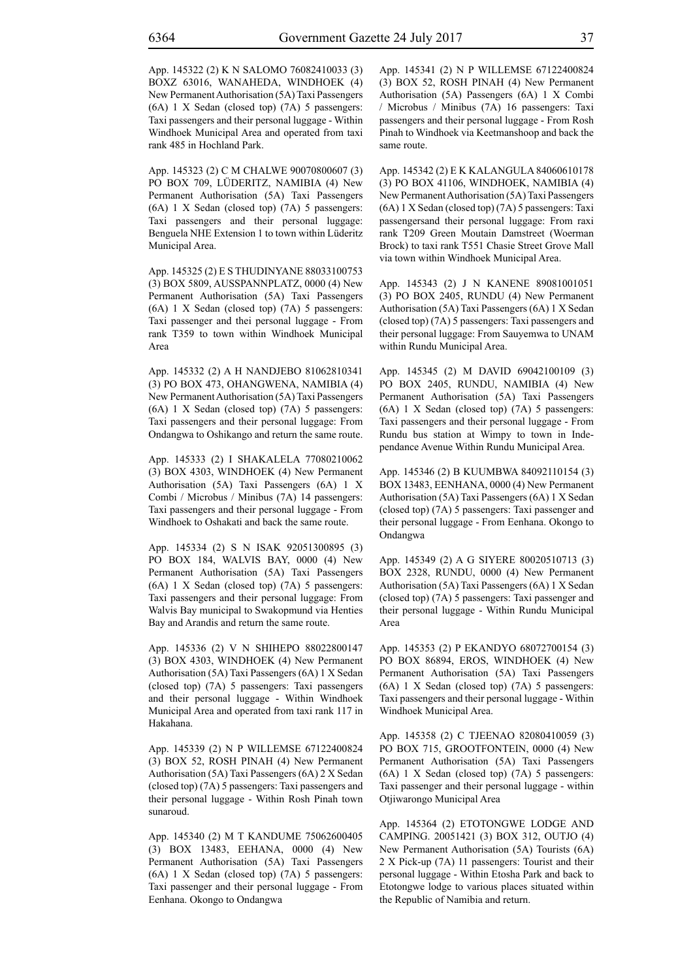App. 145322 (2) K N SALOMO 76082410033 (3) BOXZ 63016, WANAHEDA, WINDHOEK (4) New Permanent Authorisation (5A) Taxi Passengers (6A) 1 X Sedan (closed top) (7A) 5 passengers: Taxi passengers and their personal luggage - Within Windhoek Municipal Area and operated from taxi rank 485 in Hochland Park.

App. 145323 (2) C M CHALWE 90070800607 (3) PO BOX 709, LÜDERITZ, NAMIBIA (4) New Permanent Authorisation (5A) Taxi Passengers (6A) 1 X Sedan (closed top) (7A) 5 passengers: Taxi passengers and their personal luggage: Benguela NHE Extension 1 to town within Lüderitz Municipal Area.

App. 145325 (2) E S THUDINYANE 88033100753 (3) BOX 5809, AUSSPANNPLATZ, 0000 (4) New Permanent Authorisation (5A) Taxi Passengers (6A) 1 X Sedan (closed top) (7A) 5 passengers: Taxi passenger and thei personal luggage - From rank T359 to town within Windhoek Municipal Area

App. 145332 (2) A H NANDJEBO 81062810341 (3) PO BOX 473, OHANGWENA, NAMIBIA (4) New Permanent Authorisation (5A) Taxi Passengers (6A) 1 X Sedan (closed top) (7A) 5 passengers: Taxi passengers and their personal luggage: From Ondangwa to Oshikango and return the same route.

App. 145333 (2) I SHAKALELA 77080210062 (3) BOX 4303, WINDHOEK (4) New Permanent Authorisation (5A) Taxi Passengers (6A) 1 X Combi / Microbus / Minibus (7A) 14 passengers: Taxi passengers and their personal luggage - From Windhoek to Oshakati and back the same route.

App. 145334 (2) S N ISAK 92051300895 (3) PO BOX 184, WALVIS BAY, 0000 (4) New Permanent Authorisation (5A) Taxi Passengers (6A) 1 X Sedan (closed top) (7A) 5 passengers: Taxi passengers and their personal luggage: From Walvis Bay municipal to Swakopmund via Henties Bay and Arandis and return the same route.

App. 145336 (2) V N SHIHEPO 88022800147 (3) BOX 4303, WINDHOEK (4) New Permanent Authorisation (5A) Taxi Passengers (6A) 1 X Sedan (closed top) (7A) 5 passengers: Taxi passengers and their personal luggage - Within Windhoek Municipal Area and operated from taxi rank 117 in Hakahana.

App. 145339 (2) N P WILLEMSE 67122400824 (3) BOX 52, ROSH PINAH (4) New Permanent Authorisation (5A) Taxi Passengers (6A) 2 X Sedan (closed top) (7A) 5 passengers: Taxi passengers and their personal luggage - Within Rosh Pinah town sunaroud.

App. 145340 (2) M T KANDUME 75062600405 (3) BOX 13483, EEHANA, 0000 (4) New Permanent Authorisation (5A) Taxi Passengers (6A) 1 X Sedan (closed top) (7A) 5 passengers: Taxi passenger and their personal luggage - From Eenhana. Okongo to Ondangwa

App. 145341 (2) N P WILLEMSE 67122400824 (3) BOX 52, ROSH PINAH (4) New Permanent Authorisation (5A) Passengers (6A) 1 X Combi / Microbus / Minibus (7A) 16 passengers: Taxi passengers and their personal luggage - From Rosh Pinah to Windhoek via Keetmanshoop and back the same route.

App. 145342 (2) E K KALANGULA 84060610178 (3) PO BOX 41106, WINDHOEK, NAMIBIA (4) New Permanent Authorisation (5A) Taxi Passengers (6A) 1 X Sedan (closed top) (7A) 5 passengers: Taxi passengersand their personal luggage: From raxi rank T209 Green Moutain Damstreet (Woerman Brock) to taxi rank T551 Chasie Street Grove Mall via town within Windhoek Municipal Area.

App. 145343 (2) J N KANENE 89081001051 (3) PO BOX 2405, RUNDU (4) New Permanent Authorisation (5A) Taxi Passengers (6A) 1 X Sedan (closed top) (7A) 5 passengers: Taxi passengers and their personal luggage: From Sauyemwa to UNAM within Rundu Municipal Area.

App. 145345 (2) M DAVID 69042100109 (3) PO BOX 2405, RUNDU, NAMIBIA (4) New Permanent Authorisation (5A) Taxi Passengers (6A) 1 X Sedan (closed top) (7A) 5 passengers: Taxi passengers and their personal luggage - From Rundu bus station at Wimpy to town in Independance Avenue Within Rundu Municipal Area.

App. 145346 (2) B KUUMBWA 84092110154 (3) BOX 13483, EENHANA, 0000 (4) New Permanent Authorisation (5A) Taxi Passengers (6A) 1 X Sedan (closed top) (7A) 5 passengers: Taxi passenger and their personal luggage - From Eenhana. Okongo to Ondangwa

App. 145349 (2) A G SIYERE 80020510713 (3) BOX 2328, RUNDU, 0000 (4) New Permanent Authorisation (5A) Taxi Passengers (6A) 1 X Sedan (closed top) (7A) 5 passengers: Taxi passenger and their personal luggage - Within Rundu Municipal Area

App. 145353 (2) P EKANDYO 68072700154 (3) PO BOX 86894, EROS, WINDHOEK (4) New Permanent Authorisation (5A) Taxi Passengers (6A) 1 X Sedan (closed top) (7A) 5 passengers: Taxi passengers and their personal luggage - Within Windhoek Municipal Area.

App. 145358 (2) C TJEENAO 82080410059 (3) PO BOX 715, GROOTFONTEIN, 0000 (4) New Permanent Authorisation (5A) Taxi Passengers (6A) 1 X Sedan (closed top) (7A) 5 passengers: Taxi passenger and their personal luggage - within Otjiwarongo Municipal Area

App. 145364 (2) ETOTONGWE LODGE AND CAMPING. 20051421 (3) BOX 312, OUTJO (4) New Permanent Authorisation (5A) Tourists (6A) 2 X Pick-up (7A) 11 passengers: Tourist and their personal luggage - Within Etosha Park and back to Etotongwe lodge to various places situated within the Republic of Namibia and return.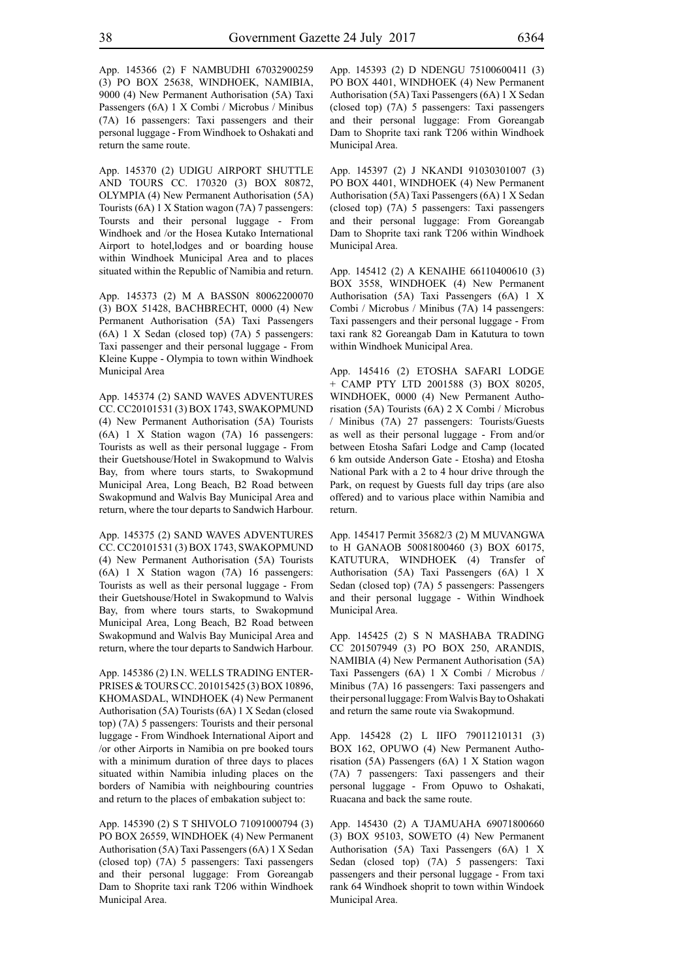App. 145366 (2) F NAMBUDHI 67032900259 (3) PO BOX 25638, WINDHOEK, NAMIBIA, 9000 (4) New Permanent Authorisation (5A) Taxi Passengers (6A) 1 X Combi / Microbus / Minibus (7A) 16 passengers: Taxi passengers and their personal luggage - From Windhoek to Oshakati and return the same route.

App. 145370 (2) UDIGU AIRPORT SHUTTLE AND TOURS CC. 170320 (3) BOX 80872, OLYMPIA (4) New Permanent Authorisation (5A) Tourists (6A) 1 X Station wagon (7A) 7 passengers: Toursts and their personal luggage - From Windhoek and /or the Hosea Kutako International Airport to hotel,lodges and or boarding house within Windhoek Municipal Area and to places situated within the Republic of Namibia and return.

App. 145373 (2) M A BASS0N 80062200070 (3) BOX 51428, BACHBRECHT, 0000 (4) New Permanent Authorisation (5A) Taxi Passengers (6A) 1 X Sedan (closed top) (7A) 5 passengers: Taxi passenger and their personal luggage - From Kleine Kuppe - Olympia to town within Windhoek Municipal Area

App. 145374 (2) SAND WAVES ADVENTURES CC. CC20101531 (3) BOX 1743, SWAKOPMUND (4) New Permanent Authorisation (5A) Tourists (6A) 1 X Station wagon (7A) 16 passengers: Tourists as well as their personal luggage - From their Guetshouse/Hotel in Swakopmund to Walvis Bay, from where tours starts, to Swakopmund Municipal Area, Long Beach, B2 Road between Swakopmund and Walvis Bay Municipal Area and return, where the tour departs to Sandwich Harbour.

App. 145375 (2) SAND WAVES ADVENTURES CC. CC20101531 (3) BOX 1743, SWAKOPMUND (4) New Permanent Authorisation (5A) Tourists (6A) 1 X Station wagon (7A) 16 passengers: Tourists as well as their personal luggage - From their Guetshouse/Hotel in Swakopmund to Walvis Bay, from where tours starts, to Swakopmund Municipal Area, Long Beach, B2 Road between Swakopmund and Walvis Bay Municipal Area and return, where the tour departs to Sandwich Harbour.

App. 145386 (2) I.N. WELLS TRADING ENTER-PRISES & TOURS CC. 201015425 (3) BOX 10896, KHOMASDAL, WINDHOEK (4) New Permanent Authorisation (5A) Tourists (6A) 1 X Sedan (closed top) (7A) 5 passengers: Tourists and their personal luggage - From Windhoek International Aiport and /or other Airports in Namibia on pre booked tours with a minimum duration of three days to places situated within Namibia inluding places on the borders of Namibia with neighbouring countries and return to the places of embakation subject to:

App. 145390 (2) S T SHIVOLO 71091000794 (3) PO BOX 26559, WINDHOEK (4) New Permanent Authorisation (5A) Taxi Passengers (6A) 1 X Sedan (closed top) (7A) 5 passengers: Taxi passengers and their personal luggage: From Goreangab Dam to Shoprite taxi rank T206 within Windhoek Municipal Area.

App. 145393 (2) D NDENGU 75100600411 (3) PO BOX 4401, WINDHOEK (4) New Permanent Authorisation (5A) Taxi Passengers (6A) 1 X Sedan (closed top) (7A) 5 passengers: Taxi passengers and their personal luggage: From Goreangab Dam to Shoprite taxi rank T206 within Windhoek Municipal Area.

App. 145397 (2) J NKANDI 91030301007 (3) PO BOX 4401, WINDHOEK (4) New Permanent Authorisation (5A) Taxi Passengers (6A) 1 X Sedan (closed top) (7A) 5 passengers: Taxi passengers and their personal luggage: From Goreangab Dam to Shoprite taxi rank T206 within Windhoek Municipal Area.

App. 145412 (2) A KENAIHE 66110400610 (3) BOX 3558, WINDHOEK (4) New Permanent Authorisation (5A) Taxi Passengers (6A) 1 X Combi / Microbus / Minibus (7A) 14 passengers: Taxi passengers and their personal luggage - From taxi rank 82 Goreangab Dam in Katutura to town within Windhoek Municipal Area.

App. 145416 (2) ETOSHA SAFARI LODGE + CAMP PTY LTD 2001588 (3) BOX 80205, WINDHOEK, 0000 (4) New Permanent Authorisation (5A) Tourists (6A) 2 X Combi / Microbus / Minibus (7A) 27 passengers: Tourists/Guests as well as their personal luggage - From and/or between Etosha Safari Lodge and Camp (located 6 km outside Anderson Gate - Etosha) and Etosha National Park with a 2 to 4 hour drive through the Park, on request by Guests full day trips (are also offered) and to various place within Namibia and return.

App. 145417 Permit 35682/3 (2) M MUVANGWA to H GANAOB 50081800460 (3) BOX 60175, KATUTURA, WINDHOEK (4) Transfer of Authorisation (5A) Taxi Passengers (6A) 1 X Sedan (closed top) (7A) 5 passengers: Passengers and their personal luggage - Within Windhoek Municipal Area.

App. 145425 (2) S N MASHABA TRADING CC 201507949 (3) PO BOX 250, ARANDIS, NAMIBIA (4) New Permanent Authorisation (5A) Taxi Passengers (6A) 1 X Combi / Microbus / Minibus (7A) 16 passengers: Taxi passengers and their personal luggage: From Walvis Bay to Oshakati and return the same route via Swakopmund.

App. 145428 (2) L IIFO 79011210131 (3) BOX 162, OPUWO (4) New Permanent Authorisation (5A) Passengers (6A) 1 X Station wagon (7A) 7 passengers: Taxi passengers and their personal luggage - From Opuwo to Oshakati, Ruacana and back the same route.

App. 145430 (2) A TJAMUAHA 69071800660 (3) BOX 95103, SOWETO (4) New Permanent Authorisation (5A) Taxi Passengers (6A) 1 X Sedan (closed top) (7A) 5 passengers: Taxi passengers and their personal luggage - From taxi rank 64 Windhoek shoprit to town within Windoek Municipal Area.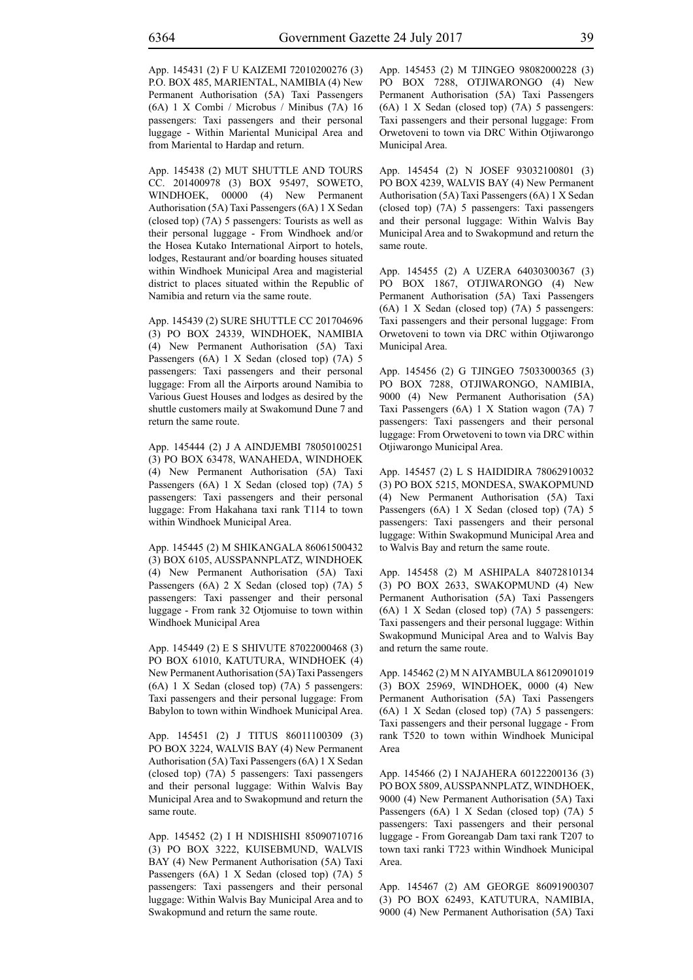App. 145431 (2) F U KAIZEMI 72010200276 (3) P.O. BOX 485, MARIENTAL, NAMIBIA (4) New Permanent Authorisation (5A) Taxi Passengers (6A) 1 X Combi / Microbus / Minibus (7A) 16 passengers: Taxi passengers and their personal luggage - Within Mariental Municipal Area and from Mariental to Hardap and return.

App. 145438 (2) MUT SHUTTLE AND TOURS CC. 201400978 (3) BOX 95497, SOWETO, WINDHOEK, 00000 (4) New Permanent Authorisation (5A) Taxi Passengers (6A) 1 X Sedan (closed top) (7A) 5 passengers: Tourists as well as their personal luggage - From Windhoek and/or the Hosea Kutako International Airport to hotels, lodges, Restaurant and/or boarding houses situated within Windhoek Municipal Area and magisterial district to places situated within the Republic of Namibia and return via the same route.

App. 145439 (2) SURE SHUTTLE CC 201704696 (3) PO BOX 24339, WINDHOEK, NAMIBIA (4) New Permanent Authorisation (5A) Taxi Passengers (6A) 1 X Sedan (closed top) (7A) 5 passengers: Taxi passengers and their personal luggage: From all the Airports around Namibia to Various Guest Houses and lodges as desired by the shuttle customers maily at Swakomund Dune 7 and return the same route.

App. 145444 (2) J A AINDJEMBI 78050100251 (3) PO BOX 63478, WANAHEDA, WINDHOEK (4) New Permanent Authorisation (5A) Taxi Passengers (6A) 1 X Sedan (closed top) (7A) 5 passengers: Taxi passengers and their personal luggage: From Hakahana taxi rank T114 to town within Windhoek Municipal Area.

App. 145445 (2) M SHIKANGALA 86061500432 (3) BOX 6105, AUSSPANNPLATZ, WINDHOEK (4) New Permanent Authorisation (5A) Taxi Passengers (6A) 2 X Sedan (closed top) (7A) 5 passengers: Taxi passenger and their personal luggage - From rank 32 Otjomuise to town within Windhoek Municipal Area

App. 145449 (2) E S SHIVUTE 87022000468 (3) PO BOX 61010, KATUTURA, WINDHOEK (4) New Permanent Authorisation (5A) Taxi Passengers (6A) 1 X Sedan (closed top) (7A) 5 passengers: Taxi passengers and their personal luggage: From Babylon to town within Windhoek Municipal Area.

App. 145451 (2) J TITUS 86011100309 (3) PO BOX 3224, WALVIS BAY (4) New Permanent Authorisation (5A) Taxi Passengers (6A) 1 X Sedan (closed top) (7A) 5 passengers: Taxi passengers and their personal luggage: Within Walvis Bay Municipal Area and to Swakopmund and return the same route.

App. 145452 (2) I H NDISHISHI 85090710716 (3) PO BOX 3222, KUISEBMUND, WALVIS BAY (4) New Permanent Authorisation (5A) Taxi Passengers (6A) 1 X Sedan (closed top) (7A) 5 passengers: Taxi passengers and their personal luggage: Within Walvis Bay Municipal Area and to Swakopmund and return the same route.

App. 145453 (2) M TJINGEO 98082000228 (3) PO BOX 7288, OTJIWARONGO (4) New Permanent Authorisation (5A) Taxi Passengers (6A) 1 X Sedan (closed top) (7A) 5 passengers: Taxi passengers and their personal luggage: From Orwetoveni to town via DRC Within Otjiwarongo Municipal Area.

App. 145454 (2) N JOSEF 93032100801 (3) PO BOX 4239, WALVIS BAY (4) New Permanent Authorisation (5A) Taxi Passengers (6A) 1 X Sedan (closed top) (7A) 5 passengers: Taxi passengers and their personal luggage: Within Walvis Bay Municipal Area and to Swakopmund and return the same route.

App. 145455 (2) A UZERA 64030300367 (3) PO BOX 1867, OTJIWARONGO (4) New Permanent Authorisation (5A) Taxi Passengers (6A) 1 X Sedan (closed top) (7A) 5 passengers: Taxi passengers and their personal luggage: From Orwetoveni to town via DRC within Otjiwarongo Municipal Area.

App. 145456 (2) G TJINGEO 75033000365 (3) PO BOX 7288, OTJIWARONGO, NAMIBIA, 9000 (4) New Permanent Authorisation (5A) Taxi Passengers (6A) 1 X Station wagon (7A) 7 passengers: Taxi passengers and their personal luggage: From Orwetoveni to town via DRC within Otjiwarongo Municipal Area.

App. 145457 (2) L S HAIDIDIRA 78062910032 (3) PO BOX 5215, MONDESA, SWAKOPMUND (4) New Permanent Authorisation (5A) Taxi Passengers (6A) 1 X Sedan (closed top) (7A) 5 passengers: Taxi passengers and their personal luggage: Within Swakopmund Municipal Area and to Walvis Bay and return the same route.

App. 145458 (2) M ASHIPALA 84072810134 (3) PO BOX 2633, SWAKOPMUND (4) New Permanent Authorisation (5A) Taxi Passengers (6A) 1 X Sedan (closed top) (7A) 5 passengers: Taxi passengers and their personal luggage: Within Swakopmund Municipal Area and to Walvis Bay and return the same route.

App. 145462 (2) M N AIYAMBULA 86120901019 (3) BOX 25969, WINDHOEK, 0000 (4) New Permanent Authorisation (5A) Taxi Passengers (6A) 1 X Sedan (closed top) (7A) 5 passengers: Taxi passengers and their personal luggage - From rank T520 to town within Windhoek Municipal Area

App. 145466 (2) I NAJAHERA 60122200136 (3) PO BOX 5809, AUSSPANNPLATZ, WINDHOEK, 9000 (4) New Permanent Authorisation (5A) Taxi Passengers (6A) 1 X Sedan (closed top) (7A) 5 passengers: Taxi passengers and their personal luggage - From Goreangab Dam taxi rank T207 to town taxi ranki T723 within Windhoek Municipal Area.

App. 145467 (2) AM GEORGE 86091900307 (3) PO BOX 62493, KATUTURA, NAMIBIA, 9000 (4) New Permanent Authorisation (5A) Taxi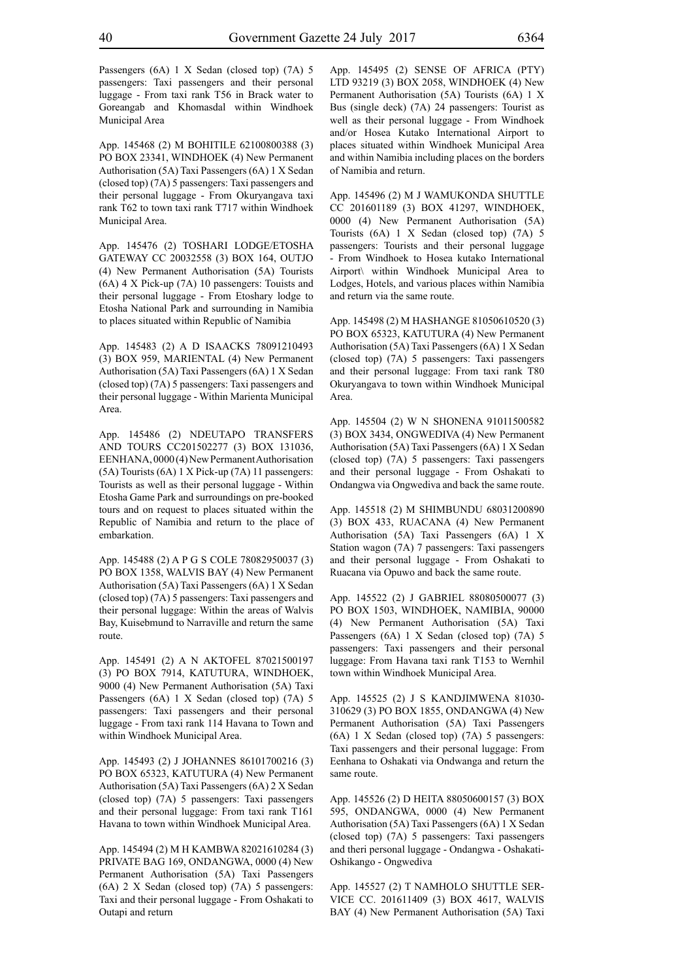Passengers (6A) 1 X Sedan (closed top) (7A) 5 passengers: Taxi passengers and their personal luggage - From taxi rank T56 in Brack water to Goreangab and Khomasdal within Windhoek Municipal Area

App. 145468 (2) M BOHITILE 62100800388 (3) PO BOX 23341, WINDHOEK (4) New Permanent Authorisation (5A) Taxi Passengers (6A) 1 X Sedan (closed top) (7A) 5 passengers: Taxi passengers and their personal luggage - From Okuryangava taxi rank T62 to town taxi rank T717 within Windhoek Municipal Area.

App. 145476 (2) TOSHARI LODGE/ETOSHA GATEWAY CC 20032558 (3) BOX 164, OUTJO (4) New Permanent Authorisation (5A) Tourists (6A) 4 X Pick-up (7A) 10 passengers: Touists and their personal luggage - From Etoshary lodge to Etosha National Park and surrounding in Namibia to places situated within Republic of Namibia

App. 145483 (2) A D ISAACKS 78091210493 (3) BOX 959, MARIENTAL (4) New Permanent Authorisation (5A) Taxi Passengers (6A) 1 X Sedan (closed top) (7A) 5 passengers: Taxi passengers and their personal luggage - Within Marienta Municipal Area.

App. 145486 (2) NDEUTAPO TRANSFERS AND TOURS CC201502277 (3) BOX 131036, EENHANA, 0000 (4) New Permanent Authorisation (5A) Tourists (6A) 1 X Pick-up (7A) 11 passengers: Tourists as well as their personal luggage - Within Etosha Game Park and surroundings on pre-booked tours and on request to places situated within the Republic of Namibia and return to the place of embarkation.

App. 145488 (2) A P G S COLE 78082950037 (3) PO BOX 1358, WALVIS BAY (4) New Permanent Authorisation (5A) Taxi Passengers (6A) 1 X Sedan (closed top) (7A) 5 passengers: Taxi passengers and their personal luggage: Within the areas of Walvis Bay, Kuisebmund to Narraville and return the same route.

App. 145491 (2) A N AKTOFEL 87021500197 (3) PO BOX 7914, KATUTURA, WINDHOEK, 9000 (4) New Permanent Authorisation (5A) Taxi Passengers (6A) 1 X Sedan (closed top) (7A) 5 passengers: Taxi passengers and their personal luggage - From taxi rank 114 Havana to Town and within Windhoek Municipal Area.

App. 145493 (2) J JOHANNES 86101700216 (3) PO BOX 65323, KATUTURA (4) New Permanent Authorisation (5A) Taxi Passengers (6A) 2 X Sedan (closed top) (7A) 5 passengers: Taxi passengers and their personal luggage: From taxi rank T161 Havana to town within Windhoek Municipal Area.

App. 145494 (2) M H KAMBWA 82021610284 (3) PRIVATE BAG 169, ONDANGWA, 0000 (4) New Permanent Authorisation (5A) Taxi Passengers (6A) 2 X Sedan (closed top) (7A) 5 passengers: Taxi and their personal luggage - From Oshakati to Outapi and return

App. 145495 (2) SENSE OF AFRICA (PTY) LTD 93219 (3) BOX 2058, WINDHOEK (4) New Permanent Authorisation (5A) Tourists (6A) 1 X Bus (single deck) (7A) 24 passengers: Tourist as well as their personal luggage - From Windhoek and/or Hosea Kutako International Airport to places situated within Windhoek Municipal Area and within Namibia including places on the borders of Namibia and return.

App. 145496 (2) M J WAMUKONDA SHUTTLE CC 201601189 (3) BOX 41297, WINDHOEK, 0000 (4) New Permanent Authorisation (5A) Tourists (6A) 1 X Sedan (closed top) (7A) 5 passengers: Tourists and their personal luggage - From Windhoek to Hosea kutako International Airport\ within Windhoek Municipal Area to Lodges, Hotels, and various places within Namibia and return via the same route.

App. 145498 (2) M HASHANGE 81050610520 (3) PO BOX 65323, KATUTURA (4) New Permanent Authorisation (5A) Taxi Passengers (6A) 1 X Sedan (closed top) (7A) 5 passengers: Taxi passengers and their personal luggage: From taxi rank T80 Okuryangava to town within Windhoek Municipal Area.

App. 145504 (2) W N SHONENA 91011500582 (3) BOX 3434, ONGWEDIVA (4) New Permanent Authorisation (5A) Taxi Passengers (6A) 1 X Sedan (closed top) (7A) 5 passengers: Taxi passengers and their personal luggage - From Oshakati to Ondangwa via Ongwediva and back the same route.

App. 145518 (2) M SHIMBUNDU 68031200890 (3) BOX 433, RUACANA (4) New Permanent Authorisation (5A) Taxi Passengers (6A) 1 X Station wagon (7A) 7 passengers: Taxi passengers and their personal luggage - From Oshakati to Ruacana via Opuwo and back the same route.

App. 145522 (2) J GABRIEL 88080500077 (3) PO BOX 1503, WINDHOEK, NAMIBIA, 90000 (4) New Permanent Authorisation (5A) Taxi Passengers (6A) 1 X Sedan (closed top) (7A) 5 passengers: Taxi passengers and their personal luggage: From Havana taxi rank T153 to Wernhil town within Windhoek Municipal Area.

App. 145525 (2) J S KANDJIMWENA 81030- 310629 (3) PO BOX 1855, ONDANGWA (4) New Permanent Authorisation (5A) Taxi Passengers (6A) 1 X Sedan (closed top) (7A) 5 passengers: Taxi passengers and their personal luggage: From Eenhana to Oshakati via Ondwanga and return the same route.

App. 145526 (2) D HEITA 88050600157 (3) BOX 595, ONDANGWA, 0000 (4) New Permanent Authorisation (5A) Taxi Passengers (6A) 1 X Sedan (closed top) (7A) 5 passengers: Taxi passengers and theri personal luggage - Ondangwa - Oshakati-Oshikango - Ongwediva

App. 145527 (2) T NAMHOLO SHUTTLE SER-VICE CC. 201611409 (3) BOX 4617, WALVIS BAY (4) New Permanent Authorisation (5A) Taxi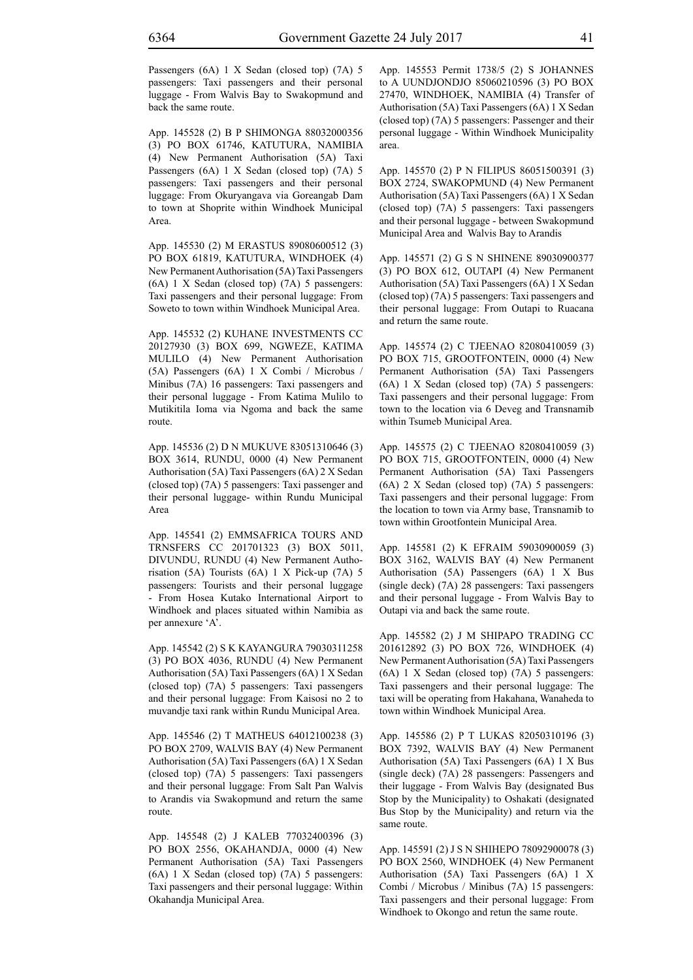App. 145528 (2) B P SHIMONGA 88032000356 (3) PO BOX 61746, KATUTURA, NAMIBIA (4) New Permanent Authorisation (5A) Taxi Passengers (6A) 1 X Sedan (closed top) (7A) 5 passengers: Taxi passengers and their personal luggage: From Okuryangava via Goreangab Dam to town at Shoprite within Windhoek Municipal Area.

App. 145530 (2) M ERASTUS 89080600512 (3) PO BOX 61819, KATUTURA, WINDHOEK (4) New Permanent Authorisation (5A) Taxi Passengers (6A) 1 X Sedan (closed top) (7A) 5 passengers: Taxi passengers and their personal luggage: From Soweto to town within Windhoek Municipal Area.

App. 145532 (2) KUHANE INVESTMENTS CC 20127930 (3) BOX 699, NGWEZE, KATIMA MULILO (4) New Permanent Authorisation (5A) Passengers (6A) 1 X Combi / Microbus / Minibus (7A) 16 passengers: Taxi passengers and their personal luggage - From Katima Mulilo to Mutikitila Ioma via Ngoma and back the same route.

App. 145536 (2) D N MUKUVE 83051310646 (3) BOX 3614, RUNDU, 0000 (4) New Permanent Authorisation (5A) Taxi Passengers (6A) 2 X Sedan (closed top) (7A) 5 passengers: Taxi passenger and their personal luggage- within Rundu Municipal Area

App. 145541 (2) EMMSAFRICA TOURS AND TRNSFERS CC 201701323 (3) BOX 5011, DIVUNDU, RUNDU (4) New Permanent Authorisation (5A) Tourists (6A) 1 X Pick-up (7A) 5 passengers: Tourists and their personal luggage - From Hosea Kutako International Airport to Windhoek and places situated within Namibia as per annexure 'A'.

App. 145542 (2) S K KAYANGURA 79030311258 (3) PO BOX 4036, RUNDU (4) New Permanent Authorisation (5A) Taxi Passengers (6A) 1 X Sedan (closed top) (7A) 5 passengers: Taxi passengers and their personal luggage: From Kaisosi no 2 to muvandje taxi rank within Rundu Municipal Area.

App. 145546 (2) T MATHEUS 64012100238 (3) PO BOX 2709, WALVIS BAY (4) New Permanent Authorisation (5A) Taxi Passengers (6A) 1 X Sedan (closed top) (7A) 5 passengers: Taxi passengers and their personal luggage: From Salt Pan Walvis to Arandis via Swakopmund and return the same route.

App. 145548 (2) J KALEB 77032400396 (3) PO BOX 2556, OKAHANDJA, 0000 (4) New Permanent Authorisation (5A) Taxi Passengers (6A) 1 X Sedan (closed top) (7A) 5 passengers: Taxi passengers and their personal luggage: Within Okahandja Municipal Area.

App. 145553 Permit 1738/5 (2) S JOHANNES to A UUNDJONDJO 85060210596 (3) PO BOX 27470, WINDHOEK, NAMIBIA (4) Transfer of Authorisation (5A) Taxi Passengers (6A) 1 X Sedan (closed top) (7A) 5 passengers: Passenger and their personal luggage - Within Windhoek Municipality area.

App. 145570 (2) P N FILIPUS 86051500391 (3) BOX 2724, SWAKOPMUND (4) New Permanent Authorisation (5A) Taxi Passengers (6A) 1 X Sedan (closed top) (7A) 5 passengers: Taxi passengers and their personal luggage - between Swakopmund Municipal Area and Walvis Bay to Arandis

App. 145571 (2) G S N SHINENE 89030900377 (3) PO BOX 612, OUTAPI (4) New Permanent Authorisation (5A) Taxi Passengers (6A) 1 X Sedan (closed top) (7A) 5 passengers: Taxi passengers and their personal luggage: From Outapi to Ruacana and return the same route.

App. 145574 (2) C TJEENAO 82080410059 (3) PO BOX 715, GROOTFONTEIN, 0000 (4) New Permanent Authorisation (5A) Taxi Passengers (6A) 1 X Sedan (closed top) (7A) 5 passengers: Taxi passengers and their personal luggage: From town to the location via 6 Deveg and Transnamib within Tsumeb Municipal Area.

App. 145575 (2) C TJEENAO 82080410059 (3) PO BOX 715, GROOTFONTEIN, 0000 (4) New Permanent Authorisation (5A) Taxi Passengers (6A) 2 X Sedan (closed top) (7A) 5 passengers: Taxi passengers and their personal luggage: From the location to town via Army base, Transnamib to town within Grootfontein Municipal Area.

App. 145581 (2) K EFRAIM 59030900059 (3) BOX 3162, WALVIS BAY (4) New Permanent Authorisation (5A) Passengers (6A) 1 X Bus (single deck) (7A) 28 passengers: Taxi passengers and their personal luggage - From Walvis Bay to Outapi via and back the same route.

App. 145582 (2) J M SHIPAPO TRADING CC 201612892 (3) PO BOX 726, WINDHOEK (4) New Permanent Authorisation (5A) Taxi Passengers (6A) 1 X Sedan (closed top) (7A) 5 passengers: Taxi passengers and their personal luggage: The taxi will be operating from Hakahana, Wanaheda to town within Windhoek Municipal Area.

App. 145586 (2) P T LUKAS 82050310196 (3) BOX 7392, WALVIS BAY (4) New Permanent Authorisation (5A) Taxi Passengers (6A) 1 X Bus (single deck) (7A) 28 passengers: Passengers and their luggage - From Walvis Bay (designated Bus Stop by the Municipality) to Oshakati (designated Bus Stop by the Municipality) and return via the same route.

App. 145591 (2) J S N SHIHEPO 78092900078 (3) PO BOX 2560, WINDHOEK (4) New Permanent Authorisation (5A) Taxi Passengers (6A) 1 X Combi / Microbus / Minibus (7A) 15 passengers: Taxi passengers and their personal luggage: From Windhoek to Okongo and retun the same route.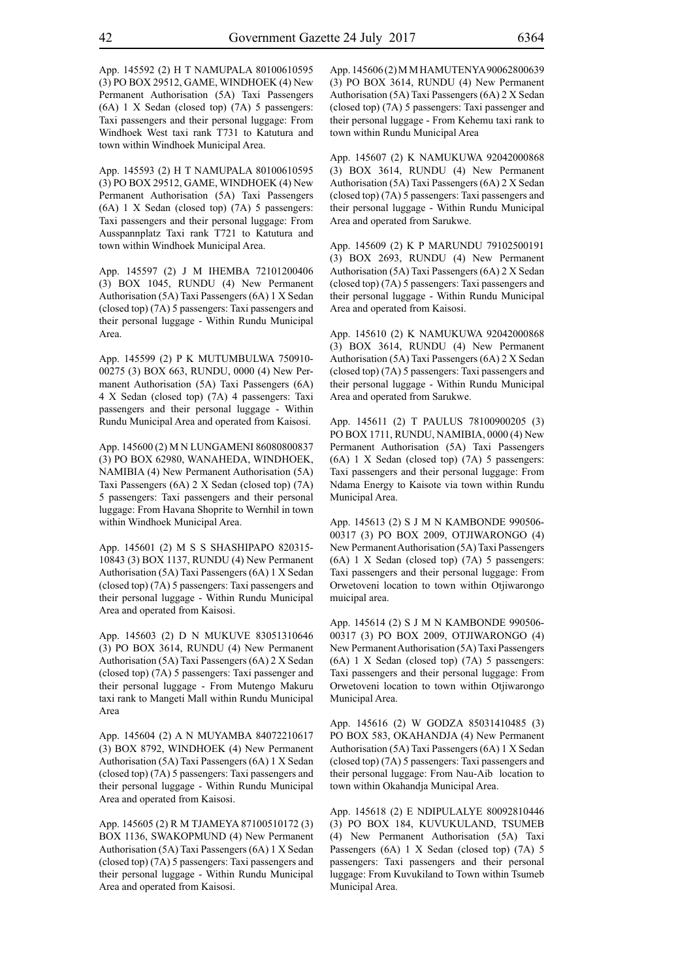App. 145592 (2) H T NAMUPALA 80100610595 (3) PO BOX 29512, GAME, WINDHOEK (4) New Permanent Authorisation (5A) Taxi Passengers (6A) 1 X Sedan (closed top) (7A) 5 passengers: Taxi passengers and their personal luggage: From Windhoek West taxi rank T731 to Katutura and town within Windhoek Municipal Area.

App. 145593 (2) H T NAMUPALA 80100610595 (3) PO BOX 29512, GAME, WINDHOEK (4) New Permanent Authorisation (5A) Taxi Passengers (6A) 1 X Sedan (closed top) (7A) 5 passengers: Taxi passengers and their personal luggage: From Ausspannplatz Taxi rank T721 to Katutura and town within Windhoek Municipal Area.

App. 145597 (2) J M IHEMBA 72101200406 (3) BOX 1045, RUNDU (4) New Permanent Authorisation (5A) Taxi Passengers (6A) 1 X Sedan (closed top) (7A) 5 passengers: Taxi passengers and their personal luggage - Within Rundu Municipal Area.

App. 145599 (2) P K MUTUMBULWA 750910- 00275 (3) BOX 663, RUNDU, 0000 (4) New Permanent Authorisation (5A) Taxi Passengers (6A) 4 X Sedan (closed top) (7A) 4 passengers: Taxi passengers and their personal luggage - Within Rundu Municipal Area and operated from Kaisosi.

App. 145600 (2) M N LUNGAMENI 86080800837 (3) PO BOX 62980, WANAHEDA, WINDHOEK, NAMIBIA (4) New Permanent Authorisation (5A) Taxi Passengers (6A) 2 X Sedan (closed top) (7A) 5 passengers: Taxi passengers and their personal luggage: From Havana Shoprite to Wernhil in town within Windhoek Municipal Area.

App. 145601 (2) M S S SHASHIPAPO 820315- 10843 (3) BOX 1137, RUNDU (4) New Permanent Authorisation (5A) Taxi Passengers (6A) 1 X Sedan (closed top) (7A) 5 passengers: Taxi passengers and their personal luggage - Within Rundu Municipal Area and operated from Kaisosi.

App. 145603 (2) D N MUKUVE 83051310646 (3) PO BOX 3614, RUNDU (4) New Permanent Authorisation (5A) Taxi Passengers (6A) 2 X Sedan (closed top) (7A) 5 passengers: Taxi passenger and their personal luggage - From Mutengo Makuru taxi rank to Mangeti Mall within Rundu Municipal Area

App. 145604 (2) A N MUYAMBA 84072210617 (3) BOX 8792, WINDHOEK (4) New Permanent Authorisation (5A) Taxi Passengers (6A) 1 X Sedan (closed top) (7A) 5 passengers: Taxi passengers and their personal luggage - Within Rundu Municipal Area and operated from Kaisosi.

App. 145605 (2) R M TJAMEYA 87100510172 (3) BOX 1136, SWAKOPMUND (4) New Permanent Authorisation (5A) Taxi Passengers (6A) 1 X Sedan (closed top) (7A) 5 passengers: Taxi passengers and their personal luggage - Within Rundu Municipal Area and operated from Kaisosi.

App. 145606 (2) M M HAMUTENYA 90062800639 (3) PO BOX 3614, RUNDU (4) New Permanent Authorisation (5A) Taxi Passengers (6A) 2 X Sedan (closed top) (7A) 5 passengers: Taxi passenger and their personal luggage - From Kehemu taxi rank to town within Rundu Municipal Area

App. 145607 (2) K NAMUKUWA 92042000868 (3) BOX 3614, RUNDU (4) New Permanent Authorisation (5A) Taxi Passengers (6A) 2 X Sedan (closed top) (7A) 5 passengers: Taxi passengers and their personal luggage - Within Rundu Municipal Area and operated from Sarukwe.

App. 145609 (2) K P MARUNDU 79102500191 (3) BOX 2693, RUNDU (4) New Permanent Authorisation (5A) Taxi Passengers (6A) 2 X Sedan (closed top) (7A) 5 passengers: Taxi passengers and their personal luggage - Within Rundu Municipal Area and operated from Kaisosi.

App. 145610 (2) K NAMUKUWA 92042000868 (3) BOX 3614, RUNDU (4) New Permanent Authorisation (5A) Taxi Passengers (6A) 2 X Sedan (closed top) (7A) 5 passengers: Taxi passengers and their personal luggage - Within Rundu Municipal Area and operated from Sarukwe.

App. 145611 (2) T PAULUS 78100900205 (3) PO BOX 1711, RUNDU, NAMIBIA, 0000 (4) New Permanent Authorisation (5A) Taxi Passengers (6A) 1 X Sedan (closed top) (7A) 5 passengers: Taxi passengers and their personal luggage: From Ndama Energy to Kaisote via town within Rundu Municipal Area.

App. 145613 (2) S J M N KAMBONDE 990506- 00317 (3) PO BOX 2009, OTJIWARONGO (4) New Permanent Authorisation (5A) Taxi Passengers (6A) 1 X Sedan (closed top) (7A) 5 passengers: Taxi passengers and their personal luggage: From Orwetoveni location to town within Otjiwarongo muicipal area.

App. 145614 (2) S J M N KAMBONDE 990506- 00317 (3) PO BOX 2009, OTJIWARONGO (4) New Permanent Authorisation (5A) Taxi Passengers (6A) 1 X Sedan (closed top) (7A) 5 passengers: Taxi passengers and their personal luggage: From Orwetoveni location to town within Otjiwarongo Municipal Area.

App. 145616 (2) W GODZA 85031410485 (3) PO BOX 583, OKAHANDJA (4) New Permanent Authorisation (5A) Taxi Passengers (6A) 1 X Sedan (closed top) (7A) 5 passengers: Taxi passengers and their personal luggage: From Nau-Aib location to town within Okahandja Municipal Area.

App. 145618 (2) E NDIPULALYE 80092810446 (3) PO BOX 184, KUVUKULAND, TSUMEB (4) New Permanent Authorisation (5A) Taxi Passengers (6A) 1 X Sedan (closed top) (7A) 5 passengers: Taxi passengers and their personal luggage: From Kuvukiland to Town within Tsumeb Municipal Area.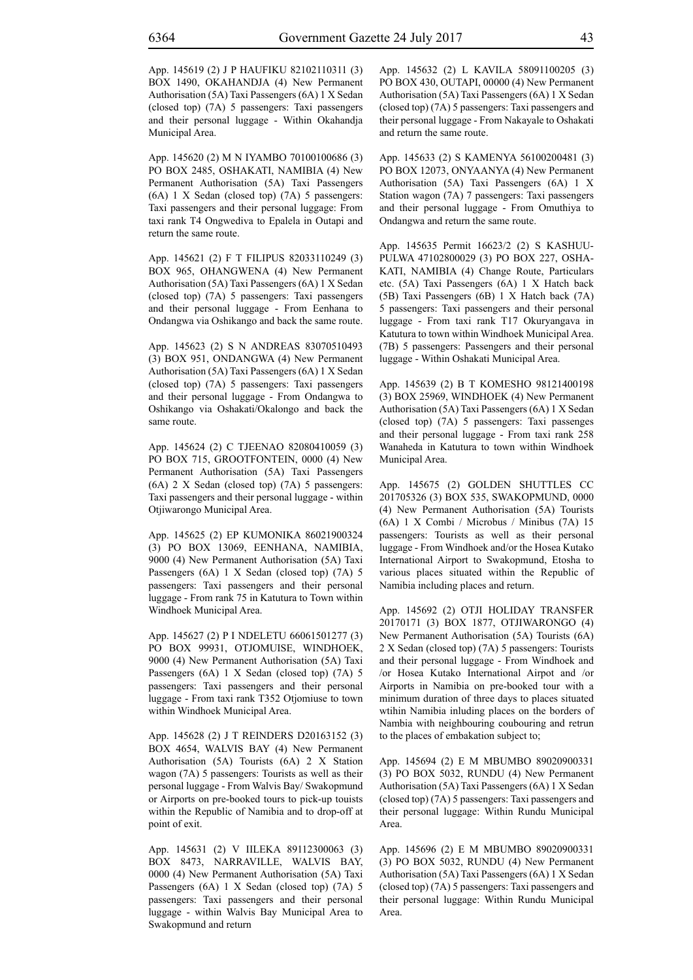App. 145619 (2) J P HAUFIKU 82102110311 (3) BOX 1490, OKAHANDJA (4) New Permanent Authorisation (5A) Taxi Passengers (6A) 1 X Sedan (closed top) (7A) 5 passengers: Taxi passengers and their personal luggage - Within Okahandja Municipal Area.

App. 145620 (2) M N IYAMBO 70100100686 (3) PO BOX 2485, OSHAKATI, NAMIBIA (4) New Permanent Authorisation (5A) Taxi Passengers (6A) 1 X Sedan (closed top) (7A) 5 passengers: Taxi passengers and their personal luggage: From taxi rank T4 Ongwediva to Epalela in Outapi and return the same route.

App. 145621 (2) F T FILIPUS 82033110249 (3) BOX 965, OHANGWENA (4) New Permanent Authorisation (5A) Taxi Passengers (6A) 1 X Sedan (closed top) (7A) 5 passengers: Taxi passengers and their personal luggage - From Eenhana to Ondangwa via Oshikango and back the same route.

App. 145623 (2) S N ANDREAS 83070510493 (3) BOX 951, ONDANGWA (4) New Permanent Authorisation (5A) Taxi Passengers (6A) 1 X Sedan (closed top) (7A) 5 passengers: Taxi passengers and their personal luggage - From Ondangwa to Oshikango via Oshakati/Okalongo and back the same route.

App. 145624 (2) C TJEENAO 82080410059 (3) PO BOX 715, GROOTFONTEIN, 0000 (4) New Permanent Authorisation (5A) Taxi Passengers (6A) 2 X Sedan (closed top) (7A) 5 passengers: Taxi passengers and their personal luggage - within Otjiwarongo Municipal Area.

App. 145625 (2) EP KUMONIKA 86021900324 (3) PO BOX 13069, EENHANA, NAMIBIA, 9000 (4) New Permanent Authorisation (5A) Taxi Passengers (6A) 1 X Sedan (closed top) (7A) 5 passengers: Taxi passengers and their personal luggage - From rank 75 in Katutura to Town within Windhoek Municipal Area.

App. 145627 (2) P I NDELETU 66061501277 (3) PO BOX 99931, OTJOMUISE, WINDHOEK, 9000 (4) New Permanent Authorisation (5A) Taxi Passengers (6A) 1 X Sedan (closed top) (7A) 5 passengers: Taxi passengers and their personal luggage - From taxi rank T352 Otjomiuse to town within Windhoek Municipal Area.

App. 145628 (2) J T REINDERS D20163152 (3) BOX 4654, WALVIS BAY (4) New Permanent Authorisation (5A) Tourists (6A) 2 X Station wagon (7A) 5 passengers: Tourists as well as their personal luggage - From Walvis Bay/ Swakopmund or Airports on pre-booked tours to pick-up touists within the Republic of Namibia and to drop-off at point of exit.

App. 145631 (2) V IILEKA 89112300063 (3) BOX 8473, NARRAVILLE, WALVIS BAY, 0000 (4) New Permanent Authorisation (5A) Taxi Passengers (6A) 1 X Sedan (closed top) (7A) 5 passengers: Taxi passengers and their personal luggage - within Walvis Bay Municipal Area to Swakopmund and return

App. 145632 (2) L KAVILA 58091100205 (3) PO BOX 430, OUTAPI, 00000 (4) New Permanent Authorisation (5A) Taxi Passengers (6A) 1 X Sedan (closed top) (7A) 5 passengers: Taxi passengers and their personal luggage - From Nakayale to Oshakati and return the same route.

App. 145633 (2) S KAMENYA 56100200481 (3) PO BOX 12073, ONYAANYA (4) New Permanent Authorisation (5A) Taxi Passengers (6A) 1 X Station wagon (7A) 7 passengers: Taxi passengers and their personal luggage - From Omuthiya to Ondangwa and return the same route.

App. 145635 Permit 16623/2 (2) S KASHUU-PULWA 47102800029 (3) PO BOX 227, OSHA-KATI, NAMIBIA (4) Change Route, Particulars etc. (5A) Taxi Passengers (6A) 1 X Hatch back (5B) Taxi Passengers (6B) 1 X Hatch back (7A) 5 passengers: Taxi passengers and their personal luggage - From taxi rank T17 Okuryangava in Katutura to town within Windhoek Municipal Area. (7B) 5 passengers: Passengers and their personal luggage - Within Oshakati Municipal Area.

App. 145639 (2) B T KOMESHO 98121400198 (3) BOX 25969, WINDHOEK (4) New Permanent Authorisation (5A) Taxi Passengers (6A) 1 X Sedan (closed top) (7A) 5 passengers: Taxi passenges and their personal luggage - From taxi rank 258 Wanaheda in Katutura to town within Windhoek Municipal Area.

App. 145675 (2) GOLDEN SHUTTLES CC 201705326 (3) BOX 535, SWAKOPMUND, 0000 (4) New Permanent Authorisation (5A) Tourists (6A) 1 X Combi / Microbus / Minibus (7A) 15 passengers: Tourists as well as their personal luggage - From Windhoek and/or the Hosea Kutako International Airport to Swakopmund, Etosha to various places situated within the Republic of Namibia including places and return.

App. 145692 (2) OTJI HOLIDAY TRANSFER 20170171 (3) BOX 1877, OTJIWARONGO (4) New Permanent Authorisation (5A) Tourists (6A) 2 X Sedan (closed top) (7A) 5 passengers: Tourists and their personal luggage - From Windhoek and /or Hosea Kutako International Airpot and /or Airports in Namibia on pre-booked tour with a minimum duration of three days to places situated wtihin Namibia inluding places on the borders of Nambia with neighbouring coubouring and retrun to the places of embakation subject to;

App. 145694 (2) E M MBUMBO 89020900331 (3) PO BOX 5032, RUNDU (4) New Permanent Authorisation (5A) Taxi Passengers (6A) 1 X Sedan (closed top) (7A) 5 passengers: Taxi passengers and their personal luggage: Within Rundu Municipal Area.

App. 145696 (2) E M MBUMBO 89020900331 (3) PO BOX 5032, RUNDU (4) New Permanent Authorisation (5A) Taxi Passengers (6A) 1 X Sedan (closed top) (7A) 5 passengers: Taxi passengers and their personal luggage: Within Rundu Municipal Area.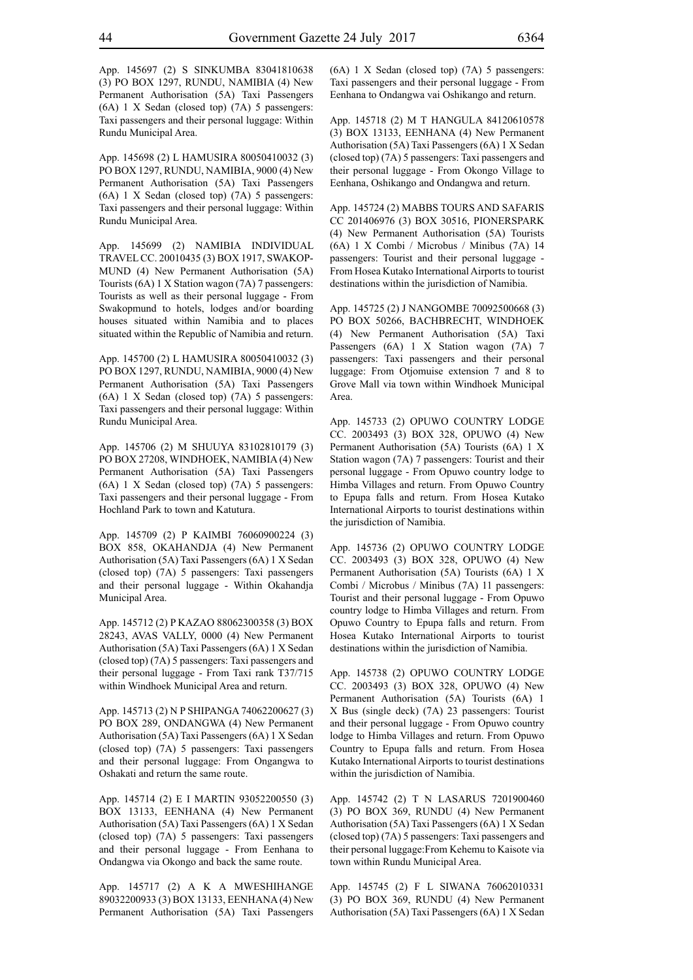App. 145697 (2) S SINKUMBA 83041810638 (3) PO BOX 1297, RUNDU, NAMIBIA (4) New Permanent Authorisation (5A) Taxi Passengers (6A) 1 X Sedan (closed top) (7A) 5 passengers: Taxi passengers and their personal luggage: Within Rundu Municipal Area.

App. 145698 (2) L HAMUSIRA 80050410032 (3) PO BOX 1297, RUNDU, NAMIBIA, 9000 (4) New Permanent Authorisation (5A) Taxi Passengers (6A) 1 X Sedan (closed top) (7A) 5 passengers: Taxi passengers and their personal luggage: Within Rundu Municipal Area.

App. 145699 (2) NAMIBIA INDIVIDUAL TRAVEL CC. 20010435 (3) BOX 1917, SWAKOP-MUND (4) New Permanent Authorisation (5A) Tourists (6A) 1 X Station wagon (7A) 7 passengers: Tourists as well as their personal luggage - From Swakopmund to hotels, lodges and/or boarding houses situated within Namibia and to places situated within the Republic of Namibia and return.

App. 145700 (2) L HAMUSIRA 80050410032 (3) PO BOX 1297, RUNDU, NAMIBIA, 9000 (4) New Permanent Authorisation (5A) Taxi Passengers (6A) 1 X Sedan (closed top) (7A) 5 passengers: Taxi passengers and their personal luggage: Within Rundu Municipal Area.

App. 145706 (2) M SHUUYA 83102810179 (3) PO BOX 27208, WINDHOEK, NAMIBIA (4) New Permanent Authorisation (5A) Taxi Passengers (6A) 1 X Sedan (closed top) (7A) 5 passengers: Taxi passengers and their personal luggage - From Hochland Park to town and Katutura.

App. 145709 (2) P KAIMBI 76060900224 (3) BOX 858, OKAHANDJA (4) New Permanent Authorisation (5A) Taxi Passengers (6A) 1 X Sedan (closed top) (7A) 5 passengers: Taxi passengers and their personal luggage - Within Okahandja Municipal Area.

App. 145712 (2) P KAZAO 88062300358 (3) BOX 28243, AVAS VALLY, 0000 (4) New Permanent Authorisation (5A) Taxi Passengers (6A) 1 X Sedan (closed top) (7A) 5 passengers: Taxi passengers and their personal luggage - From Taxi rank T37/715 within Windhoek Municipal Area and return.

App. 145713 (2) N P SHIPANGA 74062200627 (3) PO BOX 289, ONDANGWA (4) New Permanent Authorisation (5A) Taxi Passengers (6A) 1 X Sedan (closed top) (7A) 5 passengers: Taxi passengers and their personal luggage: From Ongangwa to Oshakati and return the same route.

App. 145714 (2) E I MARTIN 93052200550 (3) BOX 13133, EENHANA (4) New Permanent Authorisation (5A) Taxi Passengers (6A) 1 X Sedan (closed top) (7A) 5 passengers: Taxi passengers and their personal luggage - From Eenhana to Ondangwa via Okongo and back the same route.

App. 145717 (2) A K A MWESHIHANGE 89032200933 (3) BOX 13133, EENHANA (4) New Permanent Authorisation (5A) Taxi Passengers (6A) 1 X Sedan (closed top) (7A) 5 passengers: Taxi passengers and their personal luggage - From Eenhana to Ondangwa vai Oshikango and return.

App. 145718 (2) M T HANGULA 84120610578 (3) BOX 13133, EENHANA (4) New Permanent Authorisation (5A) Taxi Passengers (6A) 1 X Sedan (closed top) (7A) 5 passengers: Taxi passengers and their personal luggage - From Okongo Village to Eenhana, Oshikango and Ondangwa and return.

App. 145724 (2) MABBS TOURS AND SAFARIS CC 201406976 (3) BOX 30516, PIONERSPARK (4) New Permanent Authorisation (5A) Tourists (6A) 1 X Combi / Microbus / Minibus (7A) 14 passengers: Tourist and their personal luggage - From Hosea Kutako International Airports to tourist destinations within the jurisdiction of Namibia.

App. 145725 (2) J NANGOMBE 70092500668 (3) PO BOX 50266, BACHBRECHT, WINDHOEK (4) New Permanent Authorisation (5A) Taxi Passengers (6A) 1 X Station wagon (7A) 7 passengers: Taxi passengers and their personal luggage: From Otjomuise extension 7 and 8 to Grove Mall via town within Windhoek Municipal Area.

App. 145733 (2) OPUWO COUNTRY LODGE CC. 2003493 (3) BOX 328, OPUWO (4) New Permanent Authorisation (5A) Tourists (6A) 1 X Station wagon (7A) 7 passengers: Tourist and their personal luggage - From Opuwo country lodge to Himba Villages and return. From Opuwo Country to Epupa falls and return. From Hosea Kutako International Airports to tourist destinations within the jurisdiction of Namibia.

App. 145736 (2) OPUWO COUNTRY LODGE CC. 2003493 (3) BOX 328, OPUWO (4) New Permanent Authorisation (5A) Tourists (6A) 1 X Combi / Microbus / Minibus (7A) 11 passengers: Tourist and their personal luggage - From Opuwo country lodge to Himba Villages and return. From Opuwo Country to Epupa falls and return. From Hosea Kutako International Airports to tourist destinations within the jurisdiction of Namibia.

App. 145738 (2) OPUWO COUNTRY LODGE CC. 2003493 (3) BOX 328, OPUWO (4) New Permanent Authorisation (5A) Tourists (6A) 1 X Bus (single deck) (7A) 23 passengers: Tourist and their personal luggage - From Opuwo country lodge to Himba Villages and return. From Opuwo Country to Epupa falls and return. From Hosea Kutako International Airports to tourist destinations within the jurisdiction of Namibia.

App. 145742 (2) T N LASARUS 7201900460 (3) PO BOX 369, RUNDU (4) New Permanent Authorisation (5A) Taxi Passengers (6A) 1 X Sedan (closed top) (7A) 5 passengers: Taxi passengers and their personal luggage:From Kehemu to Kaisote via town within Rundu Municipal Area.

App. 145745 (2) F L SIWANA 76062010331 (3) PO BOX 369, RUNDU (4) New Permanent Authorisation (5A) Taxi Passengers (6A) 1 X Sedan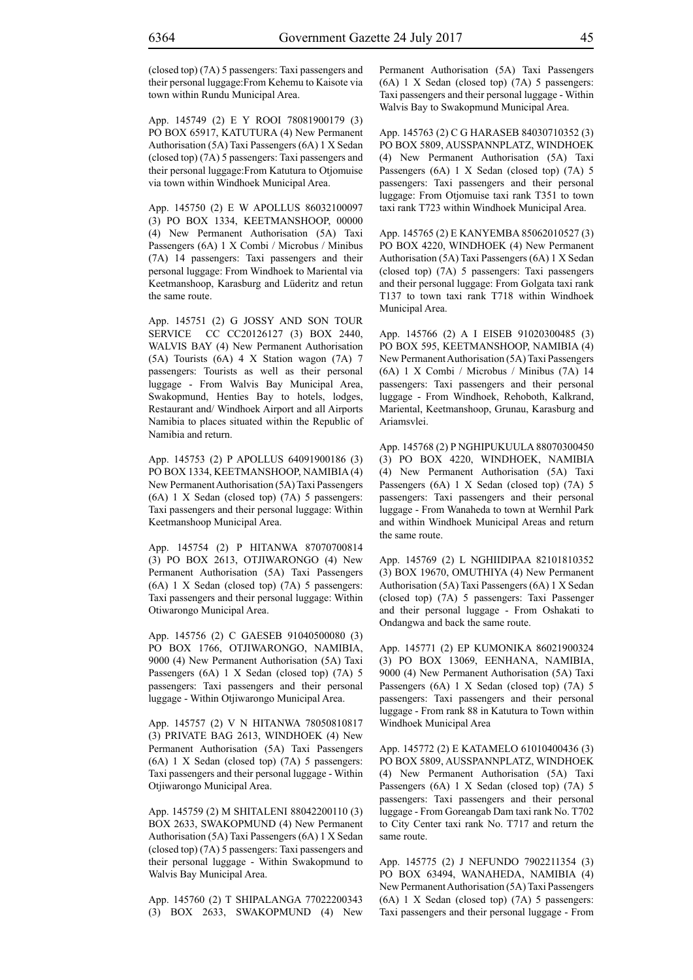(closed top) (7A) 5 passengers: Taxi passengers and their personal luggage:From Kehemu to Kaisote via town within Rundu Municipal Area.

App. 145749 (2) E Y ROOI 78081900179 (3) PO BOX 65917, KATUTURA (4) New Permanent Authorisation (5A) Taxi Passengers (6A) 1 X Sedan (closed top) (7A) 5 passengers: Taxi passengers and their personal luggage:From Katutura to Otjomuise via town within Windhoek Municipal Area.

App. 145750 (2) E W APOLLUS 86032100097 (3) PO BOX 1334, KEETMANSHOOP, 00000 (4) New Permanent Authorisation (5A) Taxi Passengers (6A) 1 X Combi / Microbus / Minibus (7A) 14 passengers: Taxi passengers and their personal luggage: From Windhoek to Mariental via Keetmanshoop, Karasburg and Lüderitz and retun the same route.

App. 145751 (2) G JOSSY AND SON TOUR SERVICE CC CC20126127 (3) BOX 2440, WALVIS BAY (4) New Permanent Authorisation (5A) Tourists (6A) 4 X Station wagon (7A) 7 passengers: Tourists as well as their personal luggage - From Walvis Bay Municipal Area, Swakopmund, Henties Bay to hotels, lodges, Restaurant and/ Windhoek Airport and all Airports Namibia to places situated within the Republic of Namibia and return.

App. 145753 (2) P APOLLUS 64091900186 (3) PO BOX 1334, KEETMANSHOOP, NAMIBIA (4) New Permanent Authorisation (5A) Taxi Passengers (6A) 1 X Sedan (closed top) (7A) 5 passengers: Taxi passengers and their personal luggage: Within Keetmanshoop Municipal Area.

App. 145754 (2) P HITANWA 87070700814 (3) PO BOX 2613, OTJIWARONGO (4) New Permanent Authorisation (5A) Taxi Passengers (6A) 1 X Sedan (closed top) (7A) 5 passengers: Taxi passengers and their personal luggage: Within Otiwarongo Municipal Area.

App. 145756 (2) C GAESEB 91040500080 (3) PO BOX 1766, OTJIWARONGO, NAMIBIA, 9000 (4) New Permanent Authorisation (5A) Taxi Passengers (6A) 1 X Sedan (closed top) (7A) 5 passengers: Taxi passengers and their personal luggage - Within Otjiwarongo Municipal Area.

App. 145757 (2) V N HITANWA 78050810817 (3) PRIVATE BAG 2613, WINDHOEK (4) New Permanent Authorisation (5A) Taxi Passengers (6A) 1 X Sedan (closed top) (7A) 5 passengers: Taxi passengers and their personal luggage - Within Otjiwarongo Municipal Area.

App. 145759 (2) M SHITALENI 88042200110 (3) BOX 2633, SWAKOPMUND (4) New Permanent Authorisation (5A) Taxi Passengers (6A) 1 X Sedan (closed top) (7A) 5 passengers: Taxi passengers and their personal luggage - Within Swakopmund to Walvis Bay Municipal Area.

App. 145760 (2) T SHIPALANGA 77022200343 (3) BOX 2633, SWAKOPMUND (4) New Permanent Authorisation (5A) Taxi Passengers (6A) 1 X Sedan (closed top) (7A) 5 passengers: Taxi passengers and their personal luggage - Within Walvis Bay to Swakopmund Municipal Area.

App. 145763 (2) C G HARASEB 84030710352 (3) PO BOX 5809, AUSSPANNPLATZ, WINDHOEK (4) New Permanent Authorisation (5A) Taxi Passengers (6A) 1 X Sedan (closed top) (7A) 5 passengers: Taxi passengers and their personal luggage: From Otjomuise taxi rank T351 to town taxi rank T723 within Windhoek Municipal Area.

App. 145765 (2) E KANYEMBA 85062010527 (3) PO BOX 4220, WINDHOEK (4) New Permanent Authorisation (5A) Taxi Passengers (6A) 1 X Sedan (closed top) (7A) 5 passengers: Taxi passengers and their personal luggage: From Golgata taxi rank T137 to town taxi rank T718 within Windhoek Municipal Area.

App. 145766 (2) A I EISEB 91020300485 (3) PO BOX 595, KEETMANSHOOP, NAMIBIA (4) New Permanent Authorisation (5A) Taxi Passengers (6A) 1 X Combi / Microbus / Minibus (7A) 14 passengers: Taxi passengers and their personal luggage - From Windhoek, Rehoboth, Kalkrand, Mariental, Keetmanshoop, Grunau, Karasburg and Ariamsvlei.

App. 145768 (2) P NGHIPUKUULA 88070300450 (3) PO BOX 4220, WINDHOEK, NAMIBIA (4) New Permanent Authorisation (5A) Taxi Passengers (6A) 1 X Sedan (closed top) (7A) 5 passengers: Taxi passengers and their personal luggage - From Wanaheda to town at Wernhil Park and within Windhoek Municipal Areas and return the same route.

App. 145769 (2) L NGHIIDIPAA 82101810352 (3) BOX 19670, OMUTHIYA (4) New Permanent Authorisation (5A) Taxi Passengers (6A) 1 X Sedan (closed top) (7A) 5 passengers: Taxi Passenger and their personal luggage - From Oshakati to Ondangwa and back the same route.

App. 145771 (2) EP KUMONIKA 86021900324 (3) PO BOX 13069, EENHANA, NAMIBIA, 9000 (4) New Permanent Authorisation (5A) Taxi Passengers (6A) 1 X Sedan (closed top) (7A) 5 passengers: Taxi passengers and their personal luggage - From rank 88 in Katutura to Town within Windhoek Municipal Area

App. 145772 (2) E KATAMELO 61010400436 (3) PO BOX 5809, AUSSPANNPLATZ, WINDHOEK (4) New Permanent Authorisation (5A) Taxi Passengers (6A) 1 X Sedan (closed top) (7A) 5 passengers: Taxi passengers and their personal luggage - From Goreangab Dam taxi rank No. T702 to City Center taxi rank No. T717 and return the same route.

App. 145775 (2) J NEFUNDO 7902211354 (3) PO BOX 63494, WANAHEDA, NAMIBIA (4) New Permanent Authorisation (5A) Taxi Passengers (6A) 1 X Sedan (closed top) (7A) 5 passengers: Taxi passengers and their personal luggage - From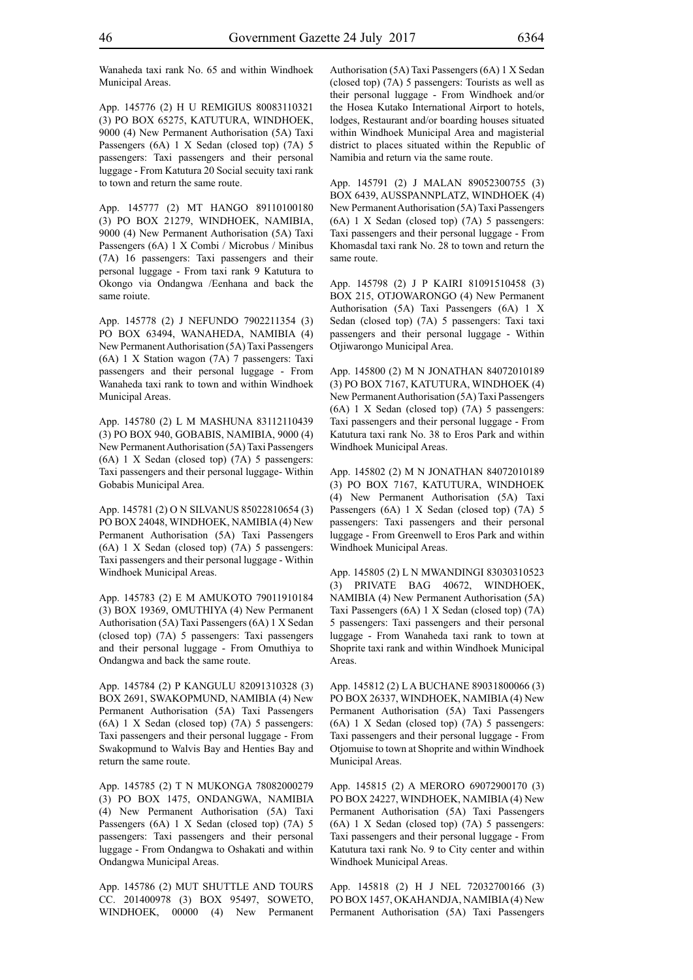Wanaheda taxi rank No. 65 and within Windhoek Municipal Areas.

App. 145776 (2) H U REMIGIUS 80083110321 (3) PO BOX 65275, KATUTURA, WINDHOEK, 9000 (4) New Permanent Authorisation (5A) Taxi Passengers (6A) 1 X Sedan (closed top) (7A) 5 passengers: Taxi passengers and their personal luggage - From Katutura 20 Social secuity taxi rank to town and return the same route.

App. 145777 (2) MT HANGO 89110100180 (3) PO BOX 21279, WINDHOEK, NAMIBIA, 9000 (4) New Permanent Authorisation (5A) Taxi Passengers (6A) 1 X Combi / Microbus / Minibus (7A) 16 passengers: Taxi passengers and their personal luggage - From taxi rank 9 Katutura to Okongo via Ondangwa /Eenhana and back the same roiute.

App. 145778 (2) J NEFUNDO 7902211354 (3) PO BOX 63494, WANAHEDA, NAMIBIA (4) New Permanent Authorisation (5A) Taxi Passengers (6A) 1 X Station wagon (7A) 7 passengers: Taxi passengers and their personal luggage - From Wanaheda taxi rank to town and within Windhoek Municipal Areas.

App. 145780 (2) L M MASHUNA 83112110439 (3) PO BOX 940, GOBABIS, NAMIBIA, 9000 (4) New Permanent Authorisation (5A) Taxi Passengers (6A) 1 X Sedan (closed top) (7A) 5 passengers: Taxi passengers and their personal luggage- Within Gobabis Municipal Area.

App. 145781 (2) O N SILVANUS 85022810654 (3) PO BOX 24048, WINDHOEK, NAMIBIA (4) New Permanent Authorisation (5A) Taxi Passengers (6A) 1 X Sedan (closed top) (7A) 5 passengers: Taxi passengers and their personal luggage - Within Windhoek Municipal Areas.

App. 145783 (2) E M AMUKOTO 79011910184 (3) BOX 19369, OMUTHIYA (4) New Permanent Authorisation (5A) Taxi Passengers (6A) 1 X Sedan (closed top) (7A) 5 passengers: Taxi passengers and their personal luggage - From Omuthiya to Ondangwa and back the same route.

App. 145784 (2) P KANGULU 82091310328 (3) BOX 2691, SWAKOPMUND, NAMIBIA (4) New Permanent Authorisation (5A) Taxi Passengers (6A) 1 X Sedan (closed top) (7A) 5 passengers: Taxi passengers and their personal luggage - From Swakopmund to Walvis Bay and Henties Bay and return the same route.

App. 145785 (2) T N MUKONGA 78082000279 (3) PO BOX 1475, ONDANGWA, NAMIBIA (4) New Permanent Authorisation (5A) Taxi Passengers (6A) 1 X Sedan (closed top) (7A) 5 passengers: Taxi passengers and their personal luggage - From Ondangwa to Oshakati and within Ondangwa Municipal Areas.

App. 145786 (2) MUT SHUTTLE AND TOURS CC. 201400978 (3) BOX 95497, SOWETO, WINDHOEK, 00000 (4) New Permanent

Authorisation (5A) Taxi Passengers (6A) 1 X Sedan (closed top) (7A) 5 passengers: Tourists as well as their personal luggage - From Windhoek and/or the Hosea Kutako International Airport to hotels, lodges, Restaurant and/or boarding houses situated within Windhoek Municipal Area and magisterial district to places situated within the Republic of Namibia and return via the same route.

App. 145791 (2) J MALAN 89052300755 (3) BOX 6439, AUSSPANNPLATZ, WINDHOEK (4) New Permanent Authorisation (5A) Taxi Passengers (6A) 1 X Sedan (closed top) (7A) 5 passengers: Taxi passengers and their personal luggage - From Khomasdal taxi rank No. 28 to town and return the same route.

App. 145798 (2) J P KAIRI 81091510458 (3) BOX 215, OTJOWARONGO (4) New Permanent Authorisation (5A) Taxi Passengers (6A) 1 X Sedan (closed top) (7A) 5 passengers: Taxi taxi passengers and their personal luggage - Within Otjiwarongo Municipal Area.

App. 145800 (2) M N JONATHAN 84072010189 (3) PO BOX 7167, KATUTURA, WINDHOEK (4) New Permanent Authorisation (5A) Taxi Passengers (6A) 1 X Sedan (closed top) (7A) 5 passengers: Taxi passengers and their personal luggage - From Katutura taxi rank No. 38 to Eros Park and within Windhoek Municipal Areas.

App. 145802 (2) M N JONATHAN 84072010189 (3) PO BOX 7167, KATUTURA, WINDHOEK (4) New Permanent Authorisation (5A) Taxi Passengers (6A) 1 X Sedan (closed top) (7A) 5 passengers: Taxi passengers and their personal luggage - From Greenwell to Eros Park and within Windhoek Municipal Areas.

App. 145805 (2) L N MWANDINGI 83030310523 (3) PRIVATE BAG 40672, WINDHOEK, NAMIBIA (4) New Permanent Authorisation (5A) Taxi Passengers (6A) 1 X Sedan (closed top) (7A) 5 passengers: Taxi passengers and their personal luggage - From Wanaheda taxi rank to town at Shoprite taxi rank and within Windhoek Municipal Areas.

App. 145812 (2) L A BUCHANE 89031800066 (3) PO BOX 26337, WINDHOEK, NAMIBIA (4) New Permanent Authorisation (5A) Taxi Passengers (6A) 1 X Sedan (closed top) (7A) 5 passengers: Taxi passengers and their personal luggage - From Otjomuise to town at Shoprite and within Windhoek Municipal Areas.

App. 145815 (2) A MERORO 69072900170 (3) PO BOX 24227, WINDHOEK, NAMIBIA (4) New Permanent Authorisation (5A) Taxi Passengers (6A) 1 X Sedan (closed top) (7A) 5 passengers: Taxi passengers and their personal luggage - From Katutura taxi rank No. 9 to City center and within Windhoek Municipal Areas.

App. 145818 (2) H J NEL 72032700166 (3) PO BOX 1457, OKAHANDJA, NAMIBIA (4) New Permanent Authorisation (5A) Taxi Passengers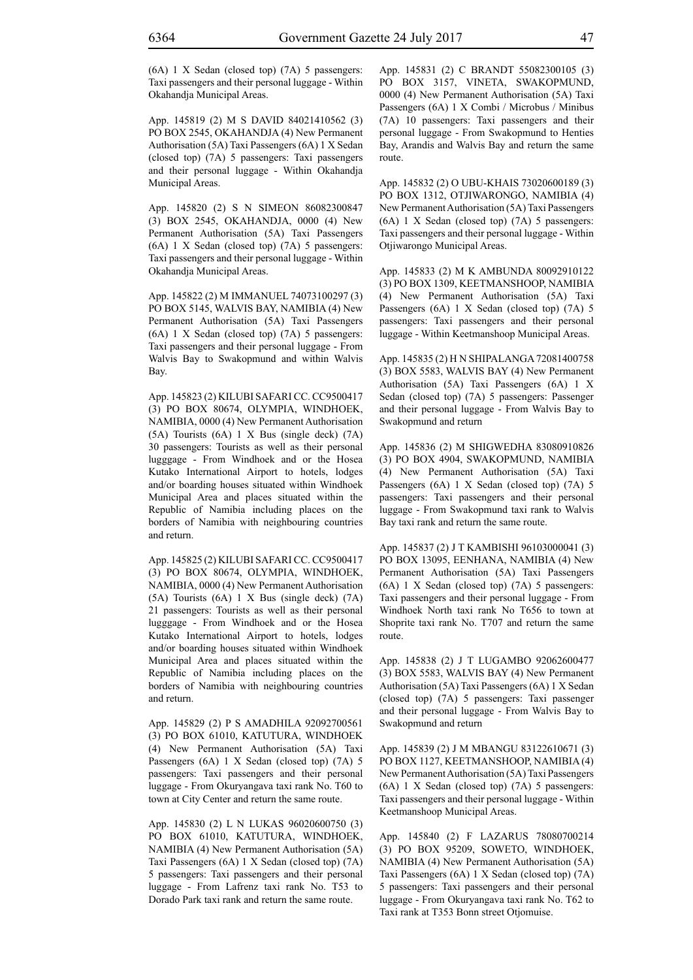(6A) 1 X Sedan (closed top) (7A) 5 passengers: Taxi passengers and their personal luggage - Within Okahandja Municipal Areas.

App. 145819 (2) M S DAVID 84021410562 (3) PO BOX 2545, OKAHANDJA (4) New Permanent Authorisation (5A) Taxi Passengers (6A) 1 X Sedan (closed top) (7A) 5 passengers: Taxi passengers and their personal luggage - Within Okahandja Municipal Areas.

App. 145820 (2) S N SIMEON 86082300847 (3) BOX 2545, OKAHANDJA, 0000 (4) New Permanent Authorisation (5A) Taxi Passengers (6A) 1 X Sedan (closed top) (7A) 5 passengers: Taxi passengers and their personal luggage - Within Okahandja Municipal Areas.

App. 145822 (2) M IMMANUEL 74073100297 (3) PO BOX 5145, WALVIS BAY, NAMIBIA (4) New Permanent Authorisation (5A) Taxi Passengers (6A) 1 X Sedan (closed top) (7A) 5 passengers: Taxi passengers and their personal luggage - From Walvis Bay to Swakopmund and within Walvis Bay.

App. 145823 (2) KILUBI SAFARI CC. CC9500417 (3) PO BOX 80674, OLYMPIA, WINDHOEK, NAMIBIA, 0000 (4) New Permanent Authorisation (5A) Tourists (6A) 1 X Bus (single deck) (7A) 30 passengers: Tourists as well as their personal lugggage - From Windhoek and or the Hosea Kutako International Airport to hotels, lodges and/or boarding houses situated within Windhoek Municipal Area and places situated within the Republic of Namibia including places on the borders of Namibia with neighbouring countries and return.

App. 145825 (2) KILUBI SAFARI CC. CC9500417 (3) PO BOX 80674, OLYMPIA, WINDHOEK, NAMIBIA, 0000 (4) New Permanent Authorisation (5A) Tourists (6A) 1 X Bus (single deck) (7A) 21 passengers: Tourists as well as their personal lugggage - From Windhoek and or the Hosea Kutako International Airport to hotels, lodges and/or boarding houses situated within Windhoek Municipal Area and places situated within the Republic of Namibia including places on the borders of Namibia with neighbouring countries and return.

App. 145829 (2) P S AMADHILA 92092700561 (3) PO BOX 61010, KATUTURA, WINDHOEK (4) New Permanent Authorisation (5A) Taxi Passengers (6A) 1 X Sedan (closed top) (7A) 5 passengers: Taxi passengers and their personal luggage - From Okuryangava taxi rank No. T60 to town at City Center and return the same route.

App. 145830 (2) L N LUKAS 96020600750 (3) PO BOX 61010, KATUTURA, WINDHOEK, NAMIBIA (4) New Permanent Authorisation (5A) Taxi Passengers (6A) 1 X Sedan (closed top) (7A) 5 passengers: Taxi passengers and their personal luggage - From Lafrenz taxi rank No. T53 to Dorado Park taxi rank and return the same route.

App. 145831 (2) C BRANDT 55082300105 (3) PO BOX 3157, VINETA, SWAKOPMUND, 0000 (4) New Permanent Authorisation (5A) Taxi Passengers (6A) 1 X Combi / Microbus / Minibus (7A) 10 passengers: Taxi passengers and their personal luggage - From Swakopmund to Henties Bay, Arandis and Walvis Bay and return the same route.

App. 145832 (2) O UBU-KHAIS 73020600189 (3) PO BOX 1312, OTJIWARONGO, NAMIBIA (4) New Permanent Authorisation (5A) Taxi Passengers (6A) 1 X Sedan (closed top) (7A) 5 passengers: Taxi passengers and their personal luggage - Within Otjiwarongo Municipal Areas.

App. 145833 (2) M K AMBUNDA 80092910122 (3) PO BOX 1309, KEETMANSHOOP, NAMIBIA (4) New Permanent Authorisation (5A) Taxi Passengers (6A) 1 X Sedan (closed top) (7A) 5 passengers: Taxi passengers and their personal luggage - Within Keetmanshoop Municipal Areas.

App. 145835 (2) H N SHIPALANGA 72081400758 (3) BOX 5583, WALVIS BAY (4) New Permanent Authorisation (5A) Taxi Passengers (6A) 1 X Sedan (closed top) (7A) 5 passengers: Passenger and their personal luggage - From Walvis Bay to Swakopmund and return

App. 145836 (2) M SHIGWEDHA 83080910826 (3) PO BOX 4904, SWAKOPMUND, NAMIBIA (4) New Permanent Authorisation (5A) Taxi Passengers (6A) 1 X Sedan (closed top) (7A) 5 passengers: Taxi passengers and their personal luggage - From Swakopmund taxi rank to Walvis Bay taxi rank and return the same route.

App. 145837 (2) J T KAMBISHI 96103000041 (3) PO BOX 13095, EENHANA, NAMIBIA (4) New Permanent Authorisation (5A) Taxi Passengers (6A) 1 X Sedan (closed top) (7A) 5 passengers: Taxi passengers and their personal luggage - From Windhoek North taxi rank No T656 to town at Shoprite taxi rank No. T707 and return the same route.

App. 145838 (2) J T LUGAMBO 92062600477 (3) BOX 5583, WALVIS BAY (4) New Permanent Authorisation (5A) Taxi Passengers (6A) 1 X Sedan (closed top) (7A) 5 passengers: Taxi passenger and their personal luggage - From Walvis Bay to Swakopmund and return

App. 145839 (2) J M MBANGU 83122610671 (3) PO BOX 1127, KEETMANSHOOP, NAMIBIA (4) New Permanent Authorisation (5A) Taxi Passengers (6A) 1 X Sedan (closed top) (7A) 5 passengers: Taxi passengers and their personal luggage - Within Keetmanshoop Municipal Areas.

App. 145840 (2) F LAZARUS 78080700214 (3) PO BOX 95209, SOWETO, WINDHOEK, NAMIBIA (4) New Permanent Authorisation (5A) Taxi Passengers (6A) 1 X Sedan (closed top) (7A) 5 passengers: Taxi passengers and their personal luggage - From Okuryangava taxi rank No. T62 to Taxi rank at T353 Bonn street Otjomuise.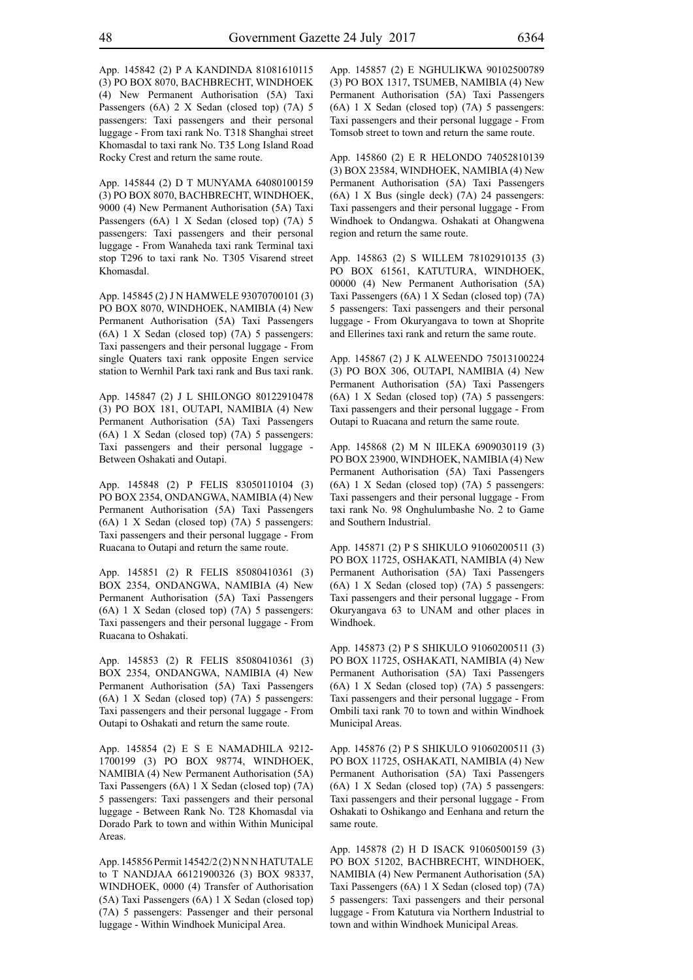App. 145842 (2) P A KANDINDA 81081610115 (3) PO BOX 8070, BACHBRECHT, WINDHOEK (4) New Permanent Authorisation (5A) Taxi Passengers (6A) 2 X Sedan (closed top) (7A) 5 passengers: Taxi passengers and their personal luggage - From taxi rank No. T318 Shanghai street Khomasdal to taxi rank No. T35 Long Island Road Rocky Crest and return the same route.

App. 145844 (2) D T MUNYAMA 64080100159 (3) PO BOX 8070, BACHBRECHT, WINDHOEK, 9000 (4) New Permanent Authorisation (5A) Taxi Passengers (6A) 1 X Sedan (closed top) (7A) 5 passengers: Taxi passengers and their personal luggage - From Wanaheda taxi rank Terminal taxi stop T296 to taxi rank No. T305 Visarend street Khomasdal.

App. 145845 (2) J N HAMWELE 93070700101 (3) PO BOX 8070, WINDHOEK, NAMIBIA (4) New Permanent Authorisation (5A) Taxi Passengers (6A) 1 X Sedan (closed top) (7A) 5 passengers: Taxi passengers and their personal luggage - From single Quaters taxi rank opposite Engen service station to Wernhil Park taxi rank and Bus taxi rank.

App. 145847 (2) J L SHILONGO 80122910478 (3) PO BOX 181, OUTAPI, NAMIBIA (4) New Permanent Authorisation (5A) Taxi Passengers (6A) 1 X Sedan (closed top) (7A) 5 passengers: Taxi passengers and their personal luggage - Between Oshakati and Outapi.

App. 145848 (2) P FELIS 83050110104 (3) PO BOX 2354, ONDANGWA, NAMIBIA (4) New Permanent Authorisation (5A) Taxi Passengers (6A) 1 X Sedan (closed top) (7A) 5 passengers: Taxi passengers and their personal luggage - From Ruacana to Outapi and return the same route.

App. 145851 (2) R FELIS 85080410361 (3) BOX 2354, ONDANGWA, NAMIBIA (4) New Permanent Authorisation (5A) Taxi Passengers (6A) 1 X Sedan (closed top) (7A) 5 passengers: Taxi passengers and their personal luggage - From Ruacana to Oshakati.

App. 145853 (2) R FELIS 85080410361 (3) BOX 2354, ONDANGWA, NAMIBIA (4) New Permanent Authorisation (5A) Taxi Passengers (6A) 1 X Sedan (closed top) (7A) 5 passengers: Taxi passengers and their personal luggage - From Outapi to Oshakati and return the same route.

App. 145854 (2) E S E NAMADHILA 9212- 1700199 (3) PO BOX 98774, WINDHOEK, NAMIBIA (4) New Permanent Authorisation (5A) Taxi Passengers (6A) 1 X Sedan (closed top) (7A) 5 passengers: Taxi passengers and their personal luggage - Between Rank No. T28 Khomasdal via Dorado Park to town and within Within Municipal Areas.

App. 145856 Permit 14542/2 (2) N N N HATUTALE to T NANDJAA 66121900326 (3) BOX 98337, WINDHOEK, 0000 (4) Transfer of Authorisation (5A) Taxi Passengers (6A) 1 X Sedan (closed top) (7A) 5 passengers: Passenger and their personal luggage - Within Windhoek Municipal Area.

App. 145857 (2) E NGHULIKWA 90102500789 (3) PO BOX 1317, TSUMEB, NAMIBIA (4) New Permanent Authorisation (5A) Taxi Passengers (6A) 1 X Sedan (closed top) (7A) 5 passengers: Taxi passengers and their personal luggage - From Tomsob street to town and return the same route.

App. 145860 (2) E R HELONDO 74052810139 (3) BOX 23584, WINDHOEK, NAMIBIA (4) New Permanent Authorisation (5A) Taxi Passengers (6A) 1 X Bus (single deck) (7A) 24 passengers: Taxi passengers and their personal luggage - From Windhoek to Ondangwa. Oshakati at Ohangwena region and return the same route.

App. 145863 (2) S WILLEM 78102910135 (3) PO BOX 61561, KATUTURA, WINDHOEK, 00000 (4) New Permanent Authorisation (5A) Taxi Passengers (6A) 1 X Sedan (closed top) (7A) 5 passengers: Taxi passengers and their personal luggage - From Okuryangava to town at Shoprite and Ellerines taxi rank and return the same route.

App. 145867 (2) J K ALWEENDO 75013100224 (3) PO BOX 306, OUTAPI, NAMIBIA (4) New Permanent Authorisation (5A) Taxi Passengers (6A) 1 X Sedan (closed top) (7A) 5 passengers: Taxi passengers and their personal luggage - From Outapi to Ruacana and return the same route.

App. 145868 (2) M N IILEKA 6909030119 (3) PO BOX 23900, WINDHOEK, NAMIBIA (4) New Permanent Authorisation (5A) Taxi Passengers (6A) 1 X Sedan (closed top) (7A) 5 passengers: Taxi passengers and their personal luggage - From taxi rank No. 98 Onghulumbashe No. 2 to Game and Southern Industrial.

App. 145871 (2) P S SHIKULO 91060200511 (3) PO BOX 11725, OSHAKATI, NAMIBIA (4) New Permanent Authorisation (5A) Taxi Passengers (6A) 1 X Sedan (closed top) (7A) 5 passengers: Taxi passengers and their personal luggage - From Okuryangava 63 to UNAM and other places in Windhoek.

App. 145873 (2) P S SHIKULO 91060200511 (3) PO BOX 11725, OSHAKATI, NAMIBIA (4) New Permanent Authorisation (5A) Taxi Passengers (6A) 1 X Sedan (closed top) (7A) 5 passengers: Taxi passengers and their personal luggage - From Ombili taxi rank 70 to town and within Windhoek Municipal Areas.

App. 145876 (2) P S SHIKULO 91060200511 (3) PO BOX 11725, OSHAKATI, NAMIBIA (4) New Permanent Authorisation (5A) Taxi Passengers (6A) 1 X Sedan (closed top) (7A) 5 passengers: Taxi passengers and their personal luggage - From Oshakati to Oshikango and Eenhana and return the same route.

App. 145878 (2) H D ISACK 91060500159 (3) PO BOX 51202, BACHBRECHT, WINDHOEK, NAMIBIA (4) New Permanent Authorisation (5A) Taxi Passengers (6A) 1 X Sedan (closed top) (7A) 5 passengers: Taxi passengers and their personal luggage - From Katutura via Northern Industrial to town and within Windhoek Municipal Areas.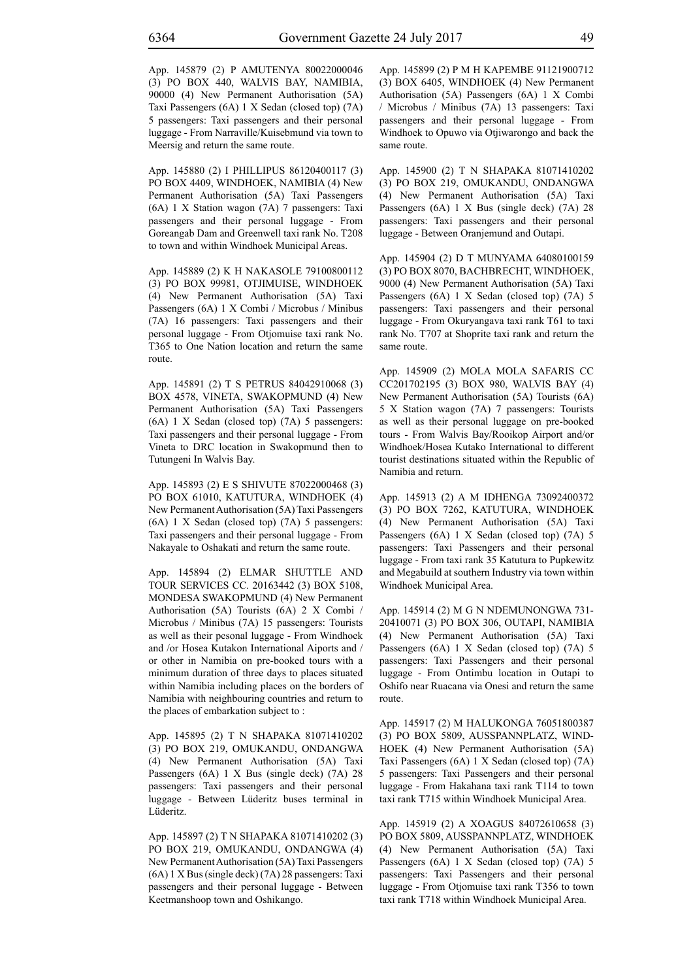App. 145879 (2) P AMUTENYA 80022000046 (3) PO BOX 440, WALVIS BAY, NAMIBIA, 90000 (4) New Permanent Authorisation (5A) Taxi Passengers (6A) 1 X Sedan (closed top) (7A) 5 passengers: Taxi passengers and their personal luggage - From Narraville/Kuisebmund via town to Meersig and return the same route.

App. 145880 (2) I PHILLIPUS 86120400117 (3) PO BOX 4409, WINDHOEK, NAMIBIA (4) New Permanent Authorisation (5A) Taxi Passengers (6A) 1 X Station wagon (7A) 7 passengers: Taxi passengers and their personal luggage - From Goreangab Dam and Greenwell taxi rank No. T208 to town and within Windhoek Municipal Areas.

App. 145889 (2) K H NAKASOLE 79100800112 (3) PO BOX 99981, OTJIMUISE, WINDHOEK (4) New Permanent Authorisation (5A) Taxi Passengers (6A) 1 X Combi / Microbus / Minibus (7A) 16 passengers: Taxi passengers and their personal luggage - From Otjomuise taxi rank No. T365 to One Nation location and return the same route.

App. 145891 (2) T S PETRUS 84042910068 (3) BOX 4578, VINETA, SWAKOPMUND (4) New Permanent Authorisation (5A) Taxi Passengers (6A) 1 X Sedan (closed top) (7A) 5 passengers: Taxi passengers and their personal luggage - From Vineta to DRC location in Swakopmund then to Tutungeni In Walvis Bay.

App. 145893 (2) E S SHIVUTE 87022000468 (3) PO BOX 61010, KATUTURA, WINDHOEK (4) New Permanent Authorisation (5A) Taxi Passengers (6A) 1 X Sedan (closed top) (7A) 5 passengers: Taxi passengers and their personal luggage - From Nakayale to Oshakati and return the same route.

App. 145894 (2) ELMAR SHUTTLE AND TOUR SERVICES CC. 20163442 (3) BOX 5108, MONDESA SWAKOPMUND (4) New Permanent Authorisation (5A) Tourists (6A) 2 X Combi / Microbus / Minibus (7A) 15 passengers: Tourists as well as their pesonal luggage - From Windhoek and /or Hosea Kutakon International Aiports and / or other in Namibia on pre-booked tours with a minimum duration of three days to places situated within Namibia including places on the borders of Namibia with neighbouring countries and return to the places of embarkation subject to :

App. 145895 (2) T N SHAPAKA 81071410202 (3) PO BOX 219, OMUKANDU, ONDANGWA (4) New Permanent Authorisation (5A) Taxi Passengers (6A) 1 X Bus (single deck) (7A) 28 passengers: Taxi passengers and their personal luggage - Between Lüderitz buses terminal in Lüderitz.

App. 145897 (2) T N SHAPAKA 81071410202 (3) PO BOX 219, OMUKANDU, ONDANGWA (4) New Permanent Authorisation (5A) Taxi Passengers (6A) 1 X Bus (single deck) (7A) 28 passengers: Taxi passengers and their personal luggage - Between Keetmanshoop town and Oshikango.

App. 145899 (2) P M H KAPEMBE 91121900712 (3) BOX 6405, WINDHOEK (4) New Permanent Authorisation (5A) Passengers (6A) 1 X Combi / Microbus / Minibus (7A) 13 passengers: Taxi passengers and their personal luggage - From Windhoek to Opuwo via Otjiwarongo and back the same route.

App. 145900 (2) T N SHAPAKA 81071410202 (3) PO BOX 219, OMUKANDU, ONDANGWA (4) New Permanent Authorisation (5A) Taxi Passengers (6A) 1 X Bus (single deck) (7A) 28 passengers: Taxi passengers and their personal luggage - Between Oranjemund and Outapi.

App. 145904 (2) D T MUNYAMA 64080100159 (3) PO BOX 8070, BACHBRECHT, WINDHOEK, 9000 (4) New Permanent Authorisation (5A) Taxi Passengers (6A) 1 X Sedan (closed top) (7A) 5 passengers: Taxi passengers and their personal luggage - From Okuryangava taxi rank T61 to taxi rank No. T707 at Shoprite taxi rank and return the same route.

App. 145909 (2) MOLA MOLA SAFARIS CC CC201702195 (3) BOX 980, WALVIS BAY (4) New Permanent Authorisation (5A) Tourists (6A) 5 X Station wagon (7A) 7 passengers: Tourists as well as their personal luggage on pre-booked tours - From Walvis Bay/Rooikop Airport and/or Windhoek/Hosea Kutako International to different tourist destinations situated within the Republic of Namibia and return.

App. 145913 (2) A M IDHENGA 73092400372 (3) PO BOX 7262, KATUTURA, WINDHOEK (4) New Permanent Authorisation (5A) Taxi Passengers (6A) 1 X Sedan (closed top) (7A) 5 passengers: Taxi Passengers and their personal luggage - From taxi rank 35 Katutura to Pupkewitz and Megabuild at southern Industry via town within Windhoek Municipal Area.

App. 145914 (2) M G N NDEMUNONGWA 731- 20410071 (3) PO BOX 306, OUTAPI, NAMIBIA (4) New Permanent Authorisation (5A) Taxi Passengers (6A) 1 X Sedan (closed top) (7A) 5 passengers: Taxi Passengers and their personal luggage - From Ontimbu location in Outapi to Oshifo near Ruacana via Onesi and return the same route.

App. 145917 (2) M HALUKONGA 76051800387 (3) PO BOX 5809, AUSSPANNPLATZ, WIND-HOEK (4) New Permanent Authorisation (5A) Taxi Passengers (6A) 1 X Sedan (closed top) (7A) 5 passengers: Taxi Passengers and their personal luggage - From Hakahana taxi rank T114 to town taxi rank T715 within Windhoek Municipal Area.

App. 145919 (2) A XOAGUS 84072610658 (3) PO BOX 5809, AUSSPANNPLATZ, WINDHOEK (4) New Permanent Authorisation (5A) Taxi Passengers (6A) 1 X Sedan (closed top) (7A) 5 passengers: Taxi Passengers and their personal luggage - From Otjomuise taxi rank T356 to town taxi rank T718 within Windhoek Municipal Area.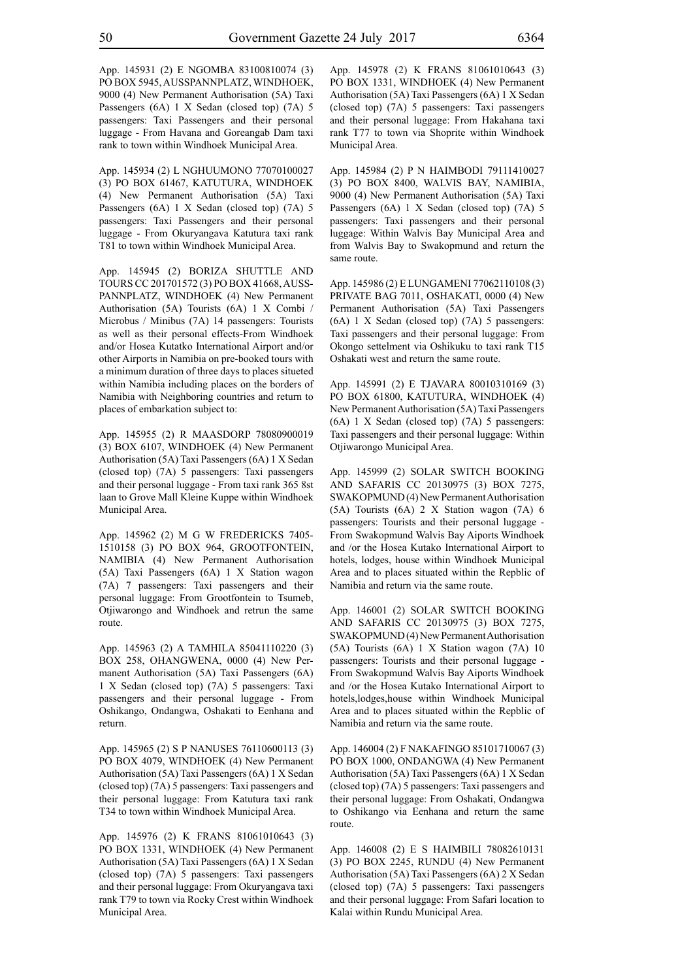App. 145931 (2) E NGOMBA 83100810074 (3) PO BOX 5945, AUSSPANNPLATZ, WINDHOEK, 9000 (4) New Permanent Authorisation (5A) Taxi Passengers (6A) 1 X Sedan (closed top) (7A) 5 passengers: Taxi Passengers and their personal luggage - From Havana and Goreangab Dam taxi rank to town within Windhoek Municipal Area.

App. 145934 (2) L NGHUUMONO 77070100027 (3) PO BOX 61467, KATUTURA, WINDHOEK (4) New Permanent Authorisation (5A) Taxi Passengers (6A) 1 X Sedan (closed top) (7A) 5 passengers: Taxi Passengers and their personal luggage - From Okuryangava Katutura taxi rank T81 to town within Windhoek Municipal Area.

App. 145945 (2) BORIZA SHUTTLE AND TOURS CC 201701572 (3) PO BOX 41668, AUSS-PANNPLATZ, WINDHOEK (4) New Permanent Authorisation (5A) Tourists (6A) 1 X Combi / Microbus / Minibus (7A) 14 passengers: Tourists as well as their personal effects-From Windhoek and/or Hosea Kutatko International Airport and/or other Airports in Namibia on pre-booked tours with a minimum duration of three days to places situeted within Namibia including places on the borders of Namibia with Neighboring countries and return to places of embarkation subject to:

App. 145955 (2) R MAASDORP 78080900019 (3) BOX 6107, WINDHOEK (4) New Permanent Authorisation (5A) Taxi Passengers (6A) 1 X Sedan (closed top) (7A) 5 passengers: Taxi passengers and their personal luggage - From taxi rank 365 8st laan to Grove Mall Kleine Kuppe within Windhoek Municipal Area.

App. 145962 (2) M G W FREDERICKS 7405- 1510158 (3) PO BOX 964, GROOTFONTEIN, NAMIBIA (4) New Permanent Authorisation (5A) Taxi Passengers (6A) 1 X Station wagon (7A) 7 passengers: Taxi passengers and their personal luggage: From Grootfontein to Tsumeb, Otjiwarongo and Windhoek and retrun the same route.

App. 145963 (2) A TAMHILA 85041110220 (3) BOX 258, OHANGWENA, 0000 (4) New Permanent Authorisation (5A) Taxi Passengers (6A) 1 X Sedan (closed top) (7A) 5 passengers: Taxi passengers and their personal luggage - From Oshikango, Ondangwa, Oshakati to Eenhana and return.

App. 145965 (2) S P NANUSES 76110600113 (3) PO BOX 4079, WINDHOEK (4) New Permanent Authorisation (5A) Taxi Passengers (6A) 1 X Sedan (closed top) (7A) 5 passengers: Taxi passengers and their personal luggage: From Katutura taxi rank T34 to town within Windhoek Municipal Area.

App. 145976 (2) K FRANS 81061010643 (3) PO BOX 1331, WINDHOEK (4) New Permanent Authorisation (5A) Taxi Passengers (6A) 1 X Sedan (closed top) (7A) 5 passengers: Taxi passengers and their personal luggage: From Okuryangava taxi rank T79 to town via Rocky Crest within Windhoek Municipal Area.

App. 145978 (2) K FRANS 81061010643 (3) PO BOX 1331, WINDHOEK (4) New Permanent Authorisation (5A) Taxi Passengers (6A) 1 X Sedan (closed top) (7A) 5 passengers: Taxi passengers and their personal luggage: From Hakahana taxi rank T77 to town via Shoprite within Windhoek Municipal Area.

App. 145984 (2) P N HAIMBODI 79111410027 (3) PO BOX 8400, WALVIS BAY, NAMIBIA, 9000 (4) New Permanent Authorisation (5A) Taxi Passengers (6A) 1 X Sedan (closed top) (7A) 5 passengers: Taxi passengers and their personal luggage: Within Walvis Bay Municipal Area and from Walvis Bay to Swakopmund and return the same route.

App. 145986 (2) E LUNGAMENI 77062110108 (3) PRIVATE BAG 7011, OSHAKATI, 0000 (4) New Permanent Authorisation (5A) Taxi Passengers (6A) 1 X Sedan (closed top) (7A) 5 passengers: Taxi passengers and their personal luggage: From Okongo settelment via Oshikuku to taxi rank T15 Oshakati west and return the same route.

App. 145991 (2) E TJAVARA 80010310169 (3) PO BOX 61800, KATUTURA, WINDHOEK (4) New Permanent Authorisation (5A) Taxi Passengers (6A) 1 X Sedan (closed top) (7A) 5 passengers: Taxi passengers and their personal luggage: Within Otjiwarongo Municipal Area.

App. 145999 (2) SOLAR SWITCH BOOKING AND SAFARIS CC 20130975 (3) BOX 7275, SWAKOPMUND (4) New Permanent Authorisation (5A) Tourists (6A) 2 X Station wagon (7A) 6 passengers: Tourists and their personal luggage - From Swakopmund Walvis Bay Aiports Windhoek and /or the Hosea Kutako International Airport to hotels, lodges, house within Windhoek Municipal Area and to places situated within the Repblic of Namibia and return via the same route.

App. 146001 (2) SOLAR SWITCH BOOKING AND SAFARIS CC 20130975 (3) BOX 7275, SWAKOPMUND (4) New Permanent Authorisation (5A) Tourists (6A) 1 X Station wagon (7A) 10 passengers: Tourists and their personal luggage - From Swakopmund Walvis Bay Aiports Windhoek and /or the Hosea Kutako International Airport to hotels,lodges,house within Windhoek Municipal Area and to places situated within the Repblic of Namibia and return via the same route.

App. 146004 (2) F NAKAFINGO 85101710067 (3) PO BOX 1000, ONDANGWA (4) New Permanent Authorisation (5A) Taxi Passengers (6A) 1 X Sedan (closed top) (7A) 5 passengers: Taxi passengers and their personal luggage: From Oshakati, Ondangwa to Oshikango via Eenhana and return the same route.

App. 146008 (2) E S HAIMBILI 78082610131 (3) PO BOX 2245, RUNDU (4) New Permanent Authorisation (5A) Taxi Passengers (6A) 2 X Sedan (closed top) (7A) 5 passengers: Taxi passengers and their personal luggage: From Safari location to Kalai within Rundu Municipal Area.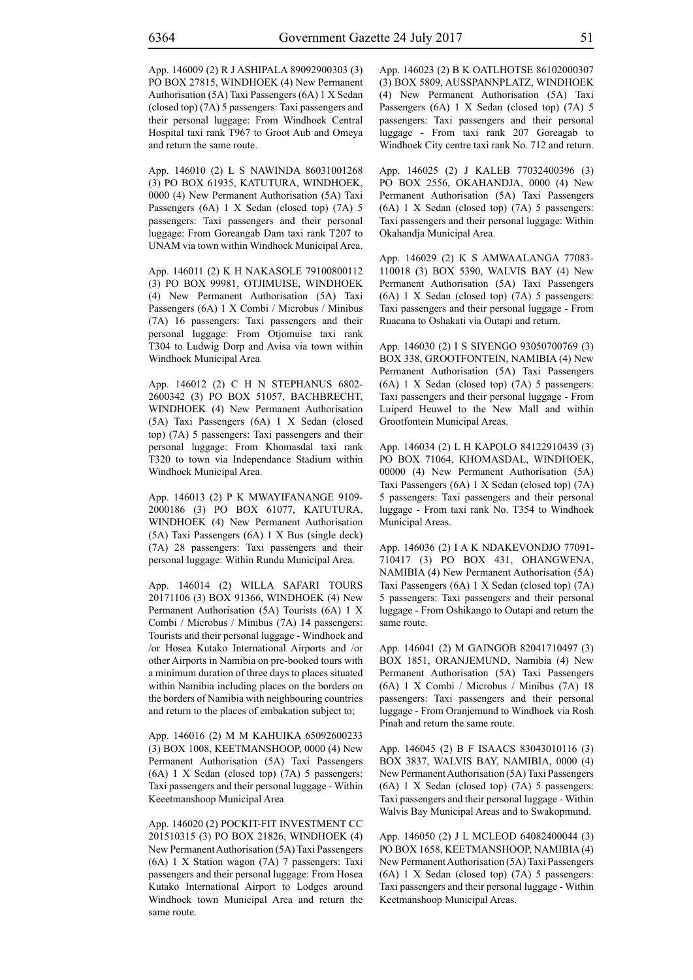App. 146009 (2) R J ASHIPALA 89092900303 (3) PO BOX 27815, WINDHOEK (4) New Permanent Authorisation (5A) Taxi Passengers (6A) 1 X Sedan (closed top) (7A) 5 passengers: Taxi passengers and their personal luggage: From Windhoek Central Hospital taxi rank T967 to Groot Aub and Omeya and return the same route.

App. 146010 (2) L S NAWINDA 86031001268 (3) PO BOX 61935, KATUTURA, WINDHOEK, 0000 (4) New Permanent Authorisation (5A) Taxi Passengers (6A) 1 X Sedan (closed top) (7A) 5 passengers: Taxi passengers and their personal luggage: From Goreangab Dam taxi rank T207 to UNAM via town within Windhoek Municipal Area.

App. 146011 (2) K H NAKASOLE 79100800112 (3) PO BOX 99981, OTJIMUISE, WINDHOEK (4) New Permanent Authorisation (5A) Taxi Passengers (6A) 1 X Combi / Microbus / Minibus (7A) 16 passengers: Taxi passengers and their personal luggage: From Otjomuise taxi rank T304 to Ludwig Dorp and Avisa via town within Windhoek Municipal Area.

App. 146012 (2) C H N STEPHANUS 6802- 2600342 (3) PO BOX 51057, BACHBRECHT, WINDHOEK (4) New Permanent Authorisation (5A) Taxi Passengers (6A) 1 X Sedan (closed top) (7A) 5 passengers: Taxi passengers and their personal luggage: From Khomasdal taxi rank T320 to town via Independance Stadium within Windhoek Municipal Area.

App. 146013 (2) P K MWAYIFANANGE 9109- 2000186 (3) PO BOX 61077, KATUTURA, WINDHOEK (4) New Permanent Authorisation (5A) Taxi Passengers (6A) 1 X Bus (single deck) (7A) 28 passengers: Taxi passengers and their personal luggage: Within Rundu Municipal Area.

App. 146014 (2) WILLA SAFARI TOURS 20171106 (3) BOX 91366, WINDHOEK (4) New Permanent Authorisation (5A) Tourists (6A) 1 X Combi / Microbus / Minibus (7A) 14 passengers: Tourists and their personal luggage - Windhoek and /or Hosea Kutako International Airports and /or other Airports in Namibia on pre-booked tours with a minimum duration of three days to places situated within Namibia including places on the borders on the borders of Namibia with neighbouring countries and return to the places of embakation subject to;

App. 146016 (2) M M KAHUIKA 65092600233 (3) BOX 1008, KEETMANSHOOP, 0000 (4) New Permanent Authorisation (5A) Taxi Passengers (6A) 1 X Sedan (closed top) (7A) 5 passengers: Taxi passengers and their personal luggage - Within Keeetmanshoop Municipal Area

App. 146020 (2) POCKIT-FIT INVESTMENT CC 201510315 (3) PO BOX 21826, WINDHOEK (4) New Permanent Authorisation (5A) Taxi Passengers (6A) 1 X Station wagon (7A) 7 passengers: Taxi passengers and their personal luggage: From Hosea Kutako International Airport to Lodges around Windhoek town Municipal Area and return the same route.

App. 146023 (2) B K OATLHOTSE 86102000307 (3) BOX 5809, AUSSPANNPLATZ, WINDHOEK (4) New Permanent Authorisation (5A) Taxi Passengers (6A) 1 X Sedan (closed top) (7A) 5 passengers: Taxi passengers and their personal luggage - From taxi rank 207 Goreagab to Windhoek City centre taxi rank No. 712 and return.

App. 146025 (2) J KALEB 77032400396 (3) PO BOX 2556, OKAHANDJA, 0000 (4) New Permanent Authorisation (5A) Taxi Passengers (6A) 1 X Sedan (closed top) (7A) 5 passengers: Taxi passengers and their personal luggage: Within Okahandja Municipal Area.

App. 146029 (2) K S AMWAALANGA 77083- 110018 (3) BOX 5390, WALVIS BAY (4) New Permanent Authorisation (5A) Taxi Passengers (6A) 1 X Sedan (closed top) (7A) 5 passengers: Taxi passengers and their personal luggage - From Ruacana to Oshakati via Outapi and return.

App. 146030 (2) I S SIYENGO 93050700769 (3) BOX 338, GROOTFONTEIN, NAMIBIA (4) New Permanent Authorisation (5A) Taxi Passengers (6A) 1 X Sedan (closed top) (7A) 5 passengers: Taxi passengers and their personal luggage - From Luiperd Heuwel to the New Mall and within Grootfontein Municipal Areas.

App. 146034 (2) L H KAPOLO 84122910439 (3) PO BOX 71064, KHOMASDAL, WINDHOEK, 00000 (4) New Permanent Authorisation (5A) Taxi Passengers (6A) 1 X Sedan (closed top) (7A) 5 passengers: Taxi passengers and their personal luggage - From taxi rank No. T354 to Windhoek Municipal Areas.

App. 146036 (2) I A K NDAKEVONDJO 77091- 710417 (3) PO BOX 431, OHANGWENA, NAMIBIA (4) New Permanent Authorisation (5A) Taxi Passengers (6A) 1 X Sedan (closed top) (7A) 5 passengers: Taxi passengers and their personal luggage - From Oshikango to Outapi and return the same route.

App. 146041 (2) M GAINGOB 82041710497 (3) BOX 1851, ORANJEMUND, Namibia (4) New Permanent Authorisation (5A) Taxi Passengers (6A) 1 X Combi / Microbus / Minibus (7A) 18 passengers: Taxi passengers and their personal luggage - From Oranjemund to Windhoek via Rosh Pinah and return the same route.

App. 146045 (2) B F ISAACS 83043010116 (3) BOX 3837, WALVIS BAY, NAMIBIA, 0000 (4) New Permanent Authorisation (5A) Taxi Passengers (6A) 1 X Sedan (closed top) (7A) 5 passengers: Taxi passengers and their personal luggage - Within Walvis Bay Municipal Areas and to Swakopmund.

App. 146050 (2) J L MCLEOD 64082400044 (3) PO BOX 1658, KEETMANSHOOP, NAMIBIA (4) New Permanent Authorisation (5A) Taxi Passengers (6A) 1 X Sedan (closed top) (7A) 5 passengers: Taxi passengers and their personal luggage - Within Keetmanshoop Municipal Areas.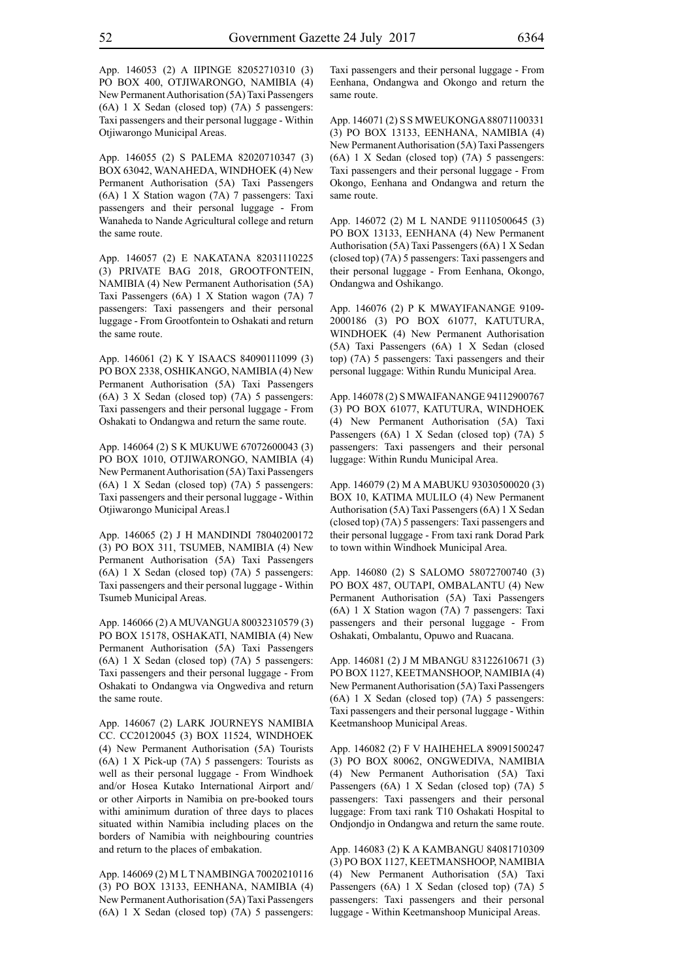App. 146053 (2) A IIPINGE 82052710310 (3) PO BOX 400, OTJIWARONGO, NAMIBIA (4) New Permanent Authorisation (5A) Taxi Passengers (6A) 1 X Sedan (closed top) (7A) 5 passengers: Taxi passengers and their personal luggage - Within Otjiwarongo Municipal Areas.

App. 146055 (2) S PALEMA 82020710347 (3) BOX 63042, WANAHEDA, WINDHOEK (4) New Permanent Authorisation (5A) Taxi Passengers (6A) 1 X Station wagon (7A) 7 passengers: Taxi passengers and their personal luggage - From Wanaheda to Nande Agricultural college and return the same route.

App. 146057 (2) E NAKATANA 82031110225 (3) PRIVATE BAG 2018, GROOTFONTEIN, NAMIBIA (4) New Permanent Authorisation (5A) Taxi Passengers (6A) 1 X Station wagon (7A) 7 passengers: Taxi passengers and their personal luggage - From Grootfontein to Oshakati and return the same route.

App. 146061 (2) K Y ISAACS 84090111099 (3) PO BOX 2338, OSHIKANGO, NAMIBIA (4) New Permanent Authorisation (5A) Taxi Passengers (6A) 3 X Sedan (closed top) (7A) 5 passengers: Taxi passengers and their personal luggage - From Oshakati to Ondangwa and return the same route.

App. 146064 (2) S K MUKUWE 67072600043 (3) PO BOX 1010, OTJIWARONGO, NAMIBIA (4) New Permanent Authorisation (5A) Taxi Passengers (6A) 1 X Sedan (closed top) (7A) 5 passengers: Taxi passengers and their personal luggage - Within Otjiwarongo Municipal Areas.l

App. 146065 (2) J H MANDINDI 78040200172 (3) PO BOX 311, TSUMEB, NAMIBIA (4) New Permanent Authorisation (5A) Taxi Passengers (6A) 1 X Sedan (closed top) (7A) 5 passengers: Taxi passengers and their personal luggage - Within Tsumeb Municipal Areas.

App. 146066 (2) A MUVANGUA 80032310579 (3) PO BOX 15178, OSHAKATI, NAMIBIA (4) New Permanent Authorisation (5A) Taxi Passengers (6A) 1 X Sedan (closed top) (7A) 5 passengers: Taxi passengers and their personal luggage - From Oshakati to Ondangwa via Ongwediva and return the same route.

App. 146067 (2) LARK JOURNEYS NAMIBIA CC. CC20120045 (3) BOX 11524, WINDHOEK (4) New Permanent Authorisation (5A) Tourists (6A) 1 X Pick-up (7A) 5 passengers: Tourists as well as their personal luggage - From Windhoek and/or Hosea Kutako International Airport and/ or other Airports in Namibia on pre-booked tours withi aminimum duration of three days to places situated within Namibia including places on the borders of Namibia with neighbouring countries and return to the places of embakation.

App. 146069 (2) M L T NAMBINGA 70020210116 (3) PO BOX 13133, EENHANA, NAMIBIA (4) New Permanent Authorisation (5A) Taxi Passengers (6A) 1 X Sedan (closed top) (7A) 5 passengers: Taxi passengers and their personal luggage - From Eenhana, Ondangwa and Okongo and return the same route.

App. 146071 (2) S S MWEUKONGA 88071100331 (3) PO BOX 13133, EENHANA, NAMIBIA (4) New Permanent Authorisation (5A) Taxi Passengers (6A) 1 X Sedan (closed top) (7A) 5 passengers: Taxi passengers and their personal luggage - From Okongo, Eenhana and Ondangwa and return the same route.

App. 146072 (2) M L NANDE 91110500645 (3) PO BOX 13133, EENHANA (4) New Permanent Authorisation (5A) Taxi Passengers (6A) 1 X Sedan (closed top) (7A) 5 passengers: Taxi passengers and their personal luggage - From Eenhana, Okongo, Ondangwa and Oshikango.

App. 146076 (2) P K MWAYIFANANGE 9109- 2000186 (3) PO BOX 61077, KATUTURA, WINDHOEK (4) New Permanent Authorisation (5A) Taxi Passengers (6A) 1 X Sedan (closed top) (7A) 5 passengers: Taxi passengers and their personal luggage: Within Rundu Municipal Area.

App. 146078 (2) S MWAIFANANGE 94112900767 (3) PO BOX 61077, KATUTURA, WINDHOEK (4) New Permanent Authorisation (5A) Taxi Passengers (6A) 1 X Sedan (closed top) (7A) 5 passengers: Taxi passengers and their personal luggage: Within Rundu Municipal Area.

App. 146079 (2) M A MABUKU 93030500020 (3) BOX 10, KATIMA MULILO (4) New Permanent Authorisation (5A) Taxi Passengers (6A) 1 X Sedan (closed top) (7A) 5 passengers: Taxi passengers and their personal luggage - From taxi rank Dorad Park to town within Windhoek Municipal Area.

App. 146080 (2) S SALOMO 58072700740 (3) PO BOX 487, OUTAPI, OMBALANTU (4) New Permanent Authorisation (5A) Taxi Passengers (6A) 1 X Station wagon (7A) 7 passengers: Taxi passengers and their personal luggage - From Oshakati, Ombalantu, Opuwo and Ruacana.

App. 146081 (2) J M MBANGU 83122610671 (3) PO BOX 1127, KEETMANSHOOP, NAMIBIA (4) New Permanent Authorisation (5A) Taxi Passengers (6A) 1 X Sedan (closed top) (7A) 5 passengers: Taxi passengers and their personal luggage - Within Keetmanshoop Municipal Areas.

App. 146082 (2) F V HAIHEHELA 89091500247 (3) PO BOX 80062, ONGWEDIVA, NAMIBIA (4) New Permanent Authorisation (5A) Taxi Passengers (6A) 1 X Sedan (closed top) (7A) 5 passengers: Taxi passengers and their personal luggage: From taxi rank T10 Oshakati Hospital to Ondjondjo in Ondangwa and return the same route.

App. 146083 (2) K A KAMBANGU 84081710309 (3) PO BOX 1127, KEETMANSHOOP, NAMIBIA (4) New Permanent Authorisation (5A) Taxi Passengers (6A) 1 X Sedan (closed top) (7A) 5 passengers: Taxi passengers and their personal luggage - Within Keetmanshoop Municipal Areas.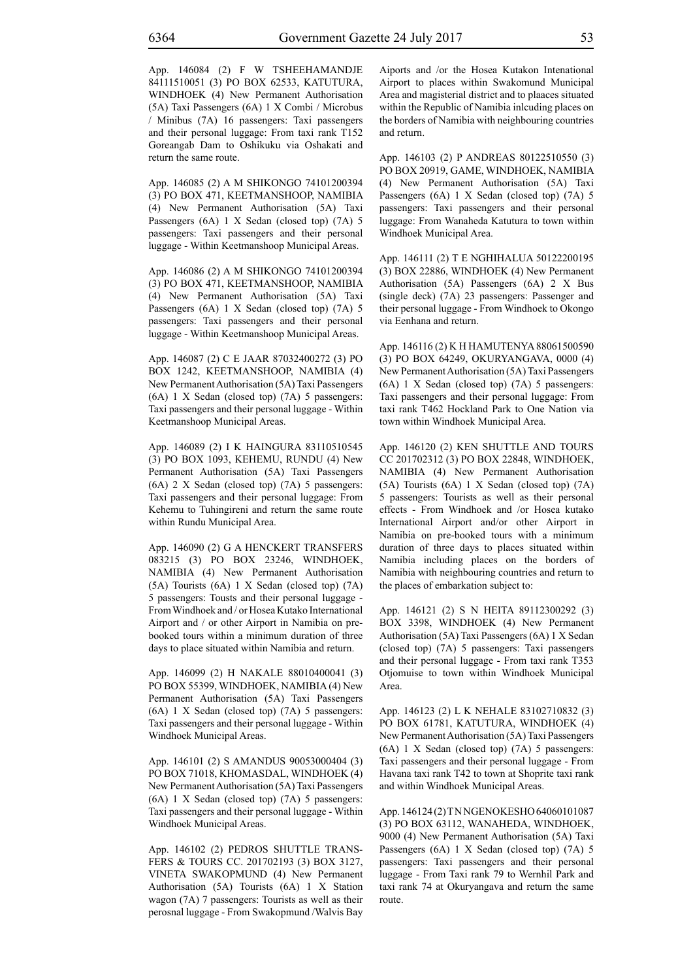App. 146084 (2) F W TSHEEHAMANDJE 84111510051 (3) PO BOX 62533, KATUTURA, WINDHOEK (4) New Permanent Authorisation (5A) Taxi Passengers (6A) 1 X Combi / Microbus / Minibus (7A) 16 passengers: Taxi passengers and their personal luggage: From taxi rank T152 Goreangab Dam to Oshikuku via Oshakati and return the same route.

App. 146085 (2) A M SHIKONGO 74101200394 (3) PO BOX 471, KEETMANSHOOP, NAMIBIA (4) New Permanent Authorisation (5A) Taxi Passengers (6A) 1 X Sedan (closed top) (7A) 5 passengers: Taxi passengers and their personal luggage - Within Keetmanshoop Municipal Areas.

App. 146086 (2) A M SHIKONGO 74101200394 (3) PO BOX 471, KEETMANSHOOP, NAMIBIA (4) New Permanent Authorisation (5A) Taxi Passengers (6A) 1 X Sedan (closed top) (7A) 5 passengers: Taxi passengers and their personal luggage - Within Keetmanshoop Municipal Areas.

App. 146087 (2) C E JAAR 87032400272 (3) PO BOX 1242, KEETMANSHOOP, NAMIBIA (4) New Permanent Authorisation (5A) Taxi Passengers (6A) 1 X Sedan (closed top) (7A) 5 passengers: Taxi passengers and their personal luggage - Within Keetmanshoop Municipal Areas.

App. 146089 (2) I K HAINGURA 83110510545 (3) PO BOX 1093, KEHEMU, RUNDU (4) New Permanent Authorisation (5A) Taxi Passengers (6A) 2 X Sedan (closed top) (7A) 5 passengers: Taxi passengers and their personal luggage: From Kehemu to Tuhingireni and return the same route within Rundu Municipal Area.

App. 146090 (2) G A HENCKERT TRANSFERS 083215 (3) PO BOX 23246, WINDHOEK, NAMIBIA (4) New Permanent Authorisation (5A) Tourists (6A) 1 X Sedan (closed top) (7A) 5 passengers: Tousts and their personal luggage - From Windhoek and / or Hosea Kutako International Airport and / or other Airport in Namibia on prebooked tours within a minimum duration of three days to place situated within Namibia and return.

App. 146099 (2) H NAKALE 88010400041 (3) PO BOX 55399, WINDHOEK, NAMIBIA (4) New Permanent Authorisation (5A) Taxi Passengers (6A) 1 X Sedan (closed top) (7A) 5 passengers: Taxi passengers and their personal luggage - Within Windhoek Municipal Areas.

App. 146101 (2) S AMANDUS 90053000404 (3) PO BOX 71018, KHOMASDAL, WINDHOEK (4) New Permanent Authorisation (5A) Taxi Passengers (6A) 1 X Sedan (closed top) (7A) 5 passengers: Taxi passengers and their personal luggage - Within Windhoek Municipal Areas.

App. 146102 (2) PEDROS SHUTTLE TRANS-FERS & TOURS CC. 201702193 (3) BOX 3127, VINETA SWAKOPMUND (4) New Permanent Authorisation (5A) Tourists (6A) 1 X Station wagon (7A) 7 passengers: Tourists as well as their perosnal luggage - From Swakopmund /Walvis Bay Aiports and /or the Hosea Kutakon Intenational Airport to places within Swakomund Municipal Area and magisterial district and to plaaces situated within the Republic of Namibia inlcuding places on the borders of Namibia with neighbouring countries and return.

App. 146103 (2) P ANDREAS 80122510550 (3) PO BOX 20919, GAME, WINDHOEK, NAMIBIA (4) New Permanent Authorisation (5A) Taxi Passengers (6A) 1 X Sedan (closed top) (7A) 5 passengers: Taxi passengers and their personal luggage: From Wanaheda Katutura to town within Windhoek Municipal Area.

App. 146111 (2) T E NGHIHALUA 50122200195 (3) BOX 22886, WINDHOEK (4) New Permanent Authorisation (5A) Passengers (6A) 2 X Bus (single deck) (7A) 23 passengers: Passenger and their personal luggage - From Windhoek to Okongo via Eenhana and return.

App. 146116 (2) K H HAMUTENYA 88061500590 (3) PO BOX 64249, OKURYANGAVA, 0000 (4) New Permanent Authorisation (5A) Taxi Passengers (6A) 1 X Sedan (closed top) (7A) 5 passengers: Taxi passengers and their personal luggage: From taxi rank T462 Hockland Park to One Nation via town within Windhoek Municipal Area.

App. 146120 (2) KEN SHUTTLE AND TOURS CC 201702312 (3) PO BOX 22848, WINDHOEK, NAMIBIA (4) New Permanent Authorisation (5A) Tourists (6A) 1 X Sedan (closed top) (7A) 5 passengers: Tourists as well as their personal effects - From Windhoek and /or Hosea kutako International Airport and/or other Airport in Namibia on pre-booked tours with a minimum duration of three days to places situated within Namibia including places on the borders of Namibia with neighbouring countries and return to the places of embarkation subject to:

App. 146121 (2) S N HEITA 89112300292 (3) BOX 3398, WINDHOEK (4) New Permanent Authorisation (5A) Taxi Passengers (6A) 1 X Sedan (closed top) (7A) 5 passengers: Taxi passengers and their personal luggage - From taxi rank T353 Otjomuise to town within Windhoek Municipal Area.

App. 146123 (2) L K NEHALE 83102710832 (3) PO BOX 61781, KATUTURA, WINDHOEK (4) New Permanent Authorisation (5A) Taxi Passengers (6A) 1 X Sedan (closed top) (7A) 5 passengers: Taxi passengers and their personal luggage - From Havana taxi rank T42 to town at Shoprite taxi rank and within Windhoek Municipal Areas.

App. 146124 (2) T N NGENOKESHO 64060101087 (3) PO BOX 63112, WANAHEDA, WINDHOEK, 9000 (4) New Permanent Authorisation (5A) Taxi Passengers (6A) 1 X Sedan (closed top) (7A) 5 passengers: Taxi passengers and their personal luggage - From Taxi rank 79 to Wernhil Park and taxi rank 74 at Okuryangava and return the same route.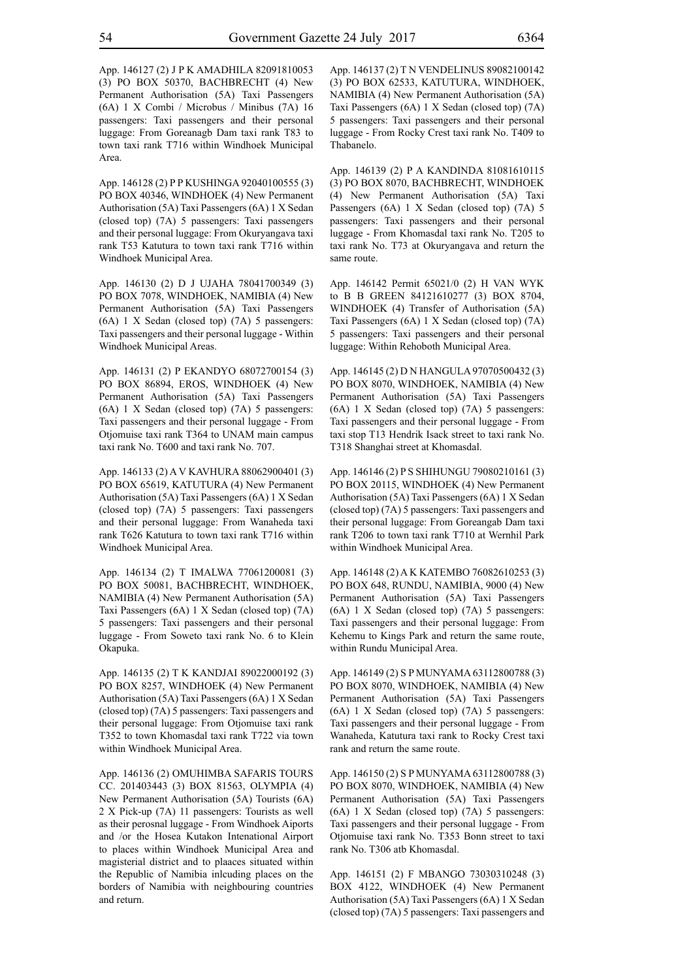App. 146127 (2) J P K AMADHILA 82091810053 (3) PO BOX 50370, BACHBRECHT (4) New Permanent Authorisation (5A) Taxi Passengers (6A) 1 X Combi / Microbus / Minibus (7A) 16 passengers: Taxi passengers and their personal luggage: From Goreanagb Dam taxi rank T83 to town taxi rank T716 within Windhoek Municipal Area.

App. 146128 (2) P P KUSHINGA 92040100555 (3) PO BOX 40346, WINDHOEK (4) New Permanent Authorisation (5A) Taxi Passengers (6A) 1 X Sedan (closed top) (7A) 5 passengers: Taxi passengers and their personal luggage: From Okuryangava taxi rank T53 Katutura to town taxi rank T716 within Windhoek Municipal Area.

App. 146130 (2) D J UJAHA 78041700349 (3) PO BOX 7078, WINDHOEK, NAMIBIA (4) New Permanent Authorisation (5A) Taxi Passengers (6A) 1 X Sedan (closed top) (7A) 5 passengers: Taxi passengers and their personal luggage - Within Windhoek Municipal Areas.

App. 146131 (2) P EKANDYO 68072700154 (3) PO BOX 86894, EROS, WINDHOEK (4) New Permanent Authorisation (5A) Taxi Passengers (6A) 1 X Sedan (closed top) (7A) 5 passengers: Taxi passengers and their personal luggage - From Otjomuise taxi rank T364 to UNAM main campus taxi rank No. T600 and taxi rank No. 707.

App. 146133 (2) A V KAVHURA 88062900401 (3) PO BOX 65619, KATUTURA (4) New Permanent Authorisation (5A) Taxi Passengers (6A) 1 X Sedan (closed top) (7A) 5 passengers: Taxi passengers and their personal luggage: From Wanaheda taxi rank T626 Katutura to town taxi rank T716 within Windhoek Municipal Area.

App. 146134 (2) T IMALWA 77061200081 (3) PO BOX 50081, BACHBRECHT, WINDHOEK, NAMIBIA (4) New Permanent Authorisation (5A) Taxi Passengers (6A) 1 X Sedan (closed top) (7A) 5 passengers: Taxi passengers and their personal luggage - From Soweto taxi rank No. 6 to Klein Okapuka.

App. 146135 (2) T K KANDJAI 89022000192 (3) PO BOX 8257, WINDHOEK (4) New Permanent Authorisation (5A) Taxi Passengers (6A) 1 X Sedan (closed top) (7A) 5 passengers: Taxi passengers and their personal luggage: From Otjomuise taxi rank T352 to town Khomasdal taxi rank T722 via town within Windhoek Municipal Area.

App. 146136 (2) OMUHIMBA SAFARIS TOURS CC. 201403443 (3) BOX 81563, OLYMPIA (4) New Permanent Authorisation (5A) Tourists (6A) 2 X Pick-up (7A) 11 passengers: Tourists as well as their perosnal luggage - From Windhoek Aiports and /or the Hosea Kutakon Intenational Airport to places within Windhoek Municipal Area and magisterial district and to plaaces situated within the Republic of Namibia inlcuding places on the borders of Namibia with neighbouring countries and return.

App. 146137 (2) T N VENDELINUS 89082100142 (3) PO BOX 62533, KATUTURA, WINDHOEK, NAMIBIA (4) New Permanent Authorisation (5A) Taxi Passengers (6A) 1 X Sedan (closed top) (7A) 5 passengers: Taxi passengers and their personal luggage - From Rocky Crest taxi rank No. T409 to Thabanelo.

App. 146139 (2) P A KANDINDA 81081610115 (3) PO BOX 8070, BACHBRECHT, WINDHOEK (4) New Permanent Authorisation (5A) Taxi Passengers (6A) 1 X Sedan (closed top) (7A) 5 passengers: Taxi passengers and their personal luggage - From Khomasdal taxi rank No. T205 to taxi rank No. T73 at Okuryangava and return the same route.

App. 146142 Permit 65021/0 (2) H VAN WYK to B B GREEN 84121610277 (3) BOX 8704, WINDHOEK (4) Transfer of Authorisation (5A) Taxi Passengers (6A) 1 X Sedan (closed top) (7A) 5 passengers: Taxi passengers and their personal luggage: Within Rehoboth Municipal Area.

App. 146145 (2) D N HANGULA 97070500432 (3) PO BOX 8070, WINDHOEK, NAMIBIA (4) New Permanent Authorisation (5A) Taxi Passengers (6A) 1 X Sedan (closed top) (7A) 5 passengers: Taxi passengers and their personal luggage - From taxi stop T13 Hendrik Isack street to taxi rank No. T318 Shanghai street at Khomasdal.

App. 146146 (2) P S SHIHUNGU 79080210161 (3) PO BOX 20115, WINDHOEK (4) New Permanent Authorisation (5A) Taxi Passengers (6A) 1 X Sedan (closed top) (7A) 5 passengers: Taxi passengers and their personal luggage: From Goreangab Dam taxi rank T206 to town taxi rank T710 at Wernhil Park within Windhoek Municipal Area.

App. 146148 (2) A K KATEMBO 76082610253 (3) PO BOX 648, RUNDU, NAMIBIA, 9000 (4) New Permanent Authorisation (5A) Taxi Passengers (6A) 1 X Sedan (closed top) (7A) 5 passengers: Taxi passengers and their personal luggage: From Kehemu to Kings Park and return the same route, within Rundu Municipal Area.

App. 146149 (2) S P MUNYAMA 63112800788 (3) PO BOX 8070, WINDHOEK, NAMIBIA (4) New Permanent Authorisation (5A) Taxi Passengers (6A) 1 X Sedan (closed top) (7A) 5 passengers: Taxi passengers and their personal luggage - From Wanaheda, Katutura taxi rank to Rocky Crest taxi rank and return the same route.

App. 146150 (2) S P MUNYAMA 63112800788 (3) PO BOX 8070, WINDHOEK, NAMIBIA (4) New Permanent Authorisation (5A) Taxi Passengers (6A) 1 X Sedan (closed top) (7A) 5 passengers: Taxi passengers and their personal luggage - From Otjomuise taxi rank No. T353 Bonn street to taxi rank No. T306 atb Khomasdal.

App. 146151 (2) F MBANGO 73030310248 (3) BOX 4122, WINDHOEK (4) New Permanent Authorisation (5A) Taxi Passengers (6A) 1 X Sedan (closed top) (7A) 5 passengers: Taxi passengers and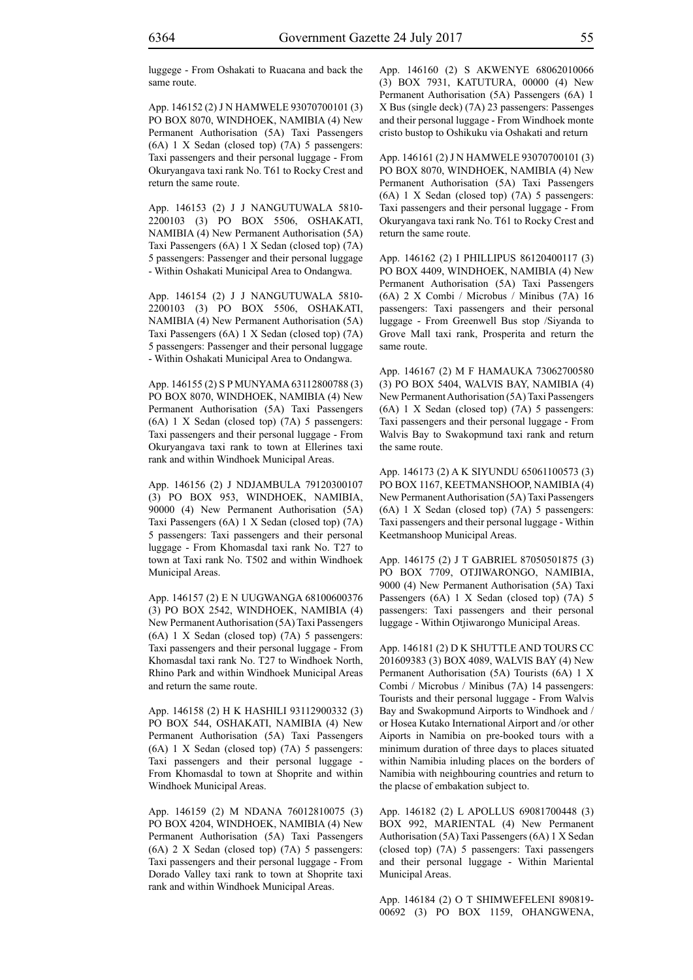luggege - From Oshakati to Ruacana and back the same route.

App. 146152 (2) J N HAMWELE 93070700101 (3) PO BOX 8070, WINDHOEK, NAMIBIA (4) New Permanent Authorisation (5A) Taxi Passengers (6A) 1 X Sedan (closed top) (7A) 5 passengers: Taxi passengers and their personal luggage - From Okuryangava taxi rank No. T61 to Rocky Crest and return the same route.

App. 146153 (2) J J NANGUTUWALA 5810- 2200103 (3) PO BOX 5506, OSHAKATI, NAMIBIA (4) New Permanent Authorisation (5A) Taxi Passengers (6A) 1 X Sedan (closed top) (7A) 5 passengers: Passenger and their personal luggage - Within Oshakati Municipal Area to Ondangwa.

App. 146154 (2) J J NANGUTUWALA 5810- 2200103 (3) PO BOX 5506, OSHAKATI, NAMIBIA (4) New Permanent Authorisation (5A) Taxi Passengers (6A) 1 X Sedan (closed top) (7A) 5 passengers: Passenger and their personal luggage - Within Oshakati Municipal Area to Ondangwa.

App. 146155 (2) S P MUNYAMA 63112800788 (3) PO BOX 8070, WINDHOEK, NAMIBIA (4) New Permanent Authorisation (5A) Taxi Passengers (6A) 1 X Sedan (closed top) (7A) 5 passengers: Taxi passengers and their personal luggage - From Okuryangava taxi rank to town at Ellerines taxi rank and within Windhoek Municipal Areas.

App. 146156 (2) J NDJAMBULA 79120300107 (3) PO BOX 953, WINDHOEK, NAMIBIA, 90000 (4) New Permanent Authorisation (5A) Taxi Passengers (6A) 1 X Sedan (closed top) (7A) 5 passengers: Taxi passengers and their personal luggage - From Khomasdal taxi rank No. T27 to town at Taxi rank No. T502 and within Windhoek Municipal Areas.

App. 146157 (2) E N UUGWANGA 68100600376 (3) PO BOX 2542, WINDHOEK, NAMIBIA (4) New Permanent Authorisation (5A) Taxi Passengers (6A) 1 X Sedan (closed top) (7A) 5 passengers: Taxi passengers and their personal luggage - From Khomasdal taxi rank No. T27 to Windhoek North, Rhino Park and within Windhoek Municipal Areas and return the same route.

App. 146158 (2) H K HASHILI 93112900332 (3) PO BOX 544, OSHAKATI, NAMIBIA (4) New Permanent Authorisation (5A) Taxi Passengers (6A) 1 X Sedan (closed top) (7A) 5 passengers: Taxi passengers and their personal luggage - From Khomasdal to town at Shoprite and within Windhoek Municipal Areas.

App. 146159 (2) M NDANA 76012810075 (3) PO BOX 4204, WINDHOEK, NAMIBIA (4) New Permanent Authorisation (5A) Taxi Passengers (6A) 2 X Sedan (closed top) (7A) 5 passengers: Taxi passengers and their personal luggage - From Dorado Valley taxi rank to town at Shoprite taxi rank and within Windhoek Municipal Areas.

App. 146160 (2) S AKWENYE 68062010066 (3) BOX 7931, KATUTURA, 00000 (4) New Permanent Authorisation (5A) Passengers (6A) 1 X Bus (single deck) (7A) 23 passengers: Passenges and their personal luggage - From Windhoek monte cristo bustop to Oshikuku via Oshakati and return

App. 146161 (2) J N HAMWELE 93070700101 (3) PO BOX 8070, WINDHOEK, NAMIBIA (4) New Permanent Authorisation (5A) Taxi Passengers (6A) 1 X Sedan (closed top) (7A) 5 passengers: Taxi passengers and their personal luggage - From Okuryangava taxi rank No. T61 to Rocky Crest and return the same route.

App. 146162 (2) I PHILLIPUS 86120400117 (3) PO BOX 4409, WINDHOEK, NAMIBIA (4) New Permanent Authorisation (5A) Taxi Passengers (6A) 2 X Combi / Microbus / Minibus (7A) 16 passengers: Taxi passengers and their personal luggage - From Greenwell Bus stop /Siyanda to Grove Mall taxi rank, Prosperita and return the same route.

App. 146167 (2) M F HAMAUKA 73062700580 (3) PO BOX 5404, WALVIS BAY, NAMIBIA (4) New Permanent Authorisation (5A) Taxi Passengers (6A) 1 X Sedan (closed top) (7A) 5 passengers: Taxi passengers and their personal luggage - From Walvis Bay to Swakopmund taxi rank and return the same route.

App. 146173 (2) A K SIYUNDU 65061100573 (3) PO BOX 1167, KEETMANSHOOP, NAMIBIA (4) New Permanent Authorisation (5A) Taxi Passengers (6A) 1 X Sedan (closed top) (7A) 5 passengers: Taxi passengers and their personal luggage - Within Keetmanshoop Municipal Areas.

App. 146175 (2) J T GABRIEL 87050501875 (3) PO BOX 7709, OTJIWARONGO, NAMIBIA, 9000 (4) New Permanent Authorisation (5A) Taxi Passengers (6A) 1 X Sedan (closed top) (7A) 5 passengers: Taxi passengers and their personal luggage - Within Otjiwarongo Municipal Areas.

App. 146181 (2) D K SHUTTLE AND TOURS CC 201609383 (3) BOX 4089, WALVIS BAY (4) New Permanent Authorisation (5A) Tourists (6A) 1 X Combi / Microbus / Minibus (7A) 14 passengers: Tourists and their personal luggage - From Walvis Bay and Swakopmund Airports to Windhoek and / or Hosea Kutako International Airport and /or other Aiports in Namibia on pre-booked tours with a minimum duration of three days to places situated within Namibia inluding places on the borders of Namibia with neighbouring countries and return to the placse of embakation subject to.

App. 146182 (2) L APOLLUS 69081700448 (3) BOX 992, MARIENTAL (4) New Permanent Authorisation (5A) Taxi Passengers (6A) 1 X Sedan (closed top) (7A) 5 passengers: Taxi passengers and their personal luggage - Within Mariental Municipal Areas.

App. 146184 (2) O T SHIMWEFELENI 890819- 00692 (3) PO BOX 1159, OHANGWENA,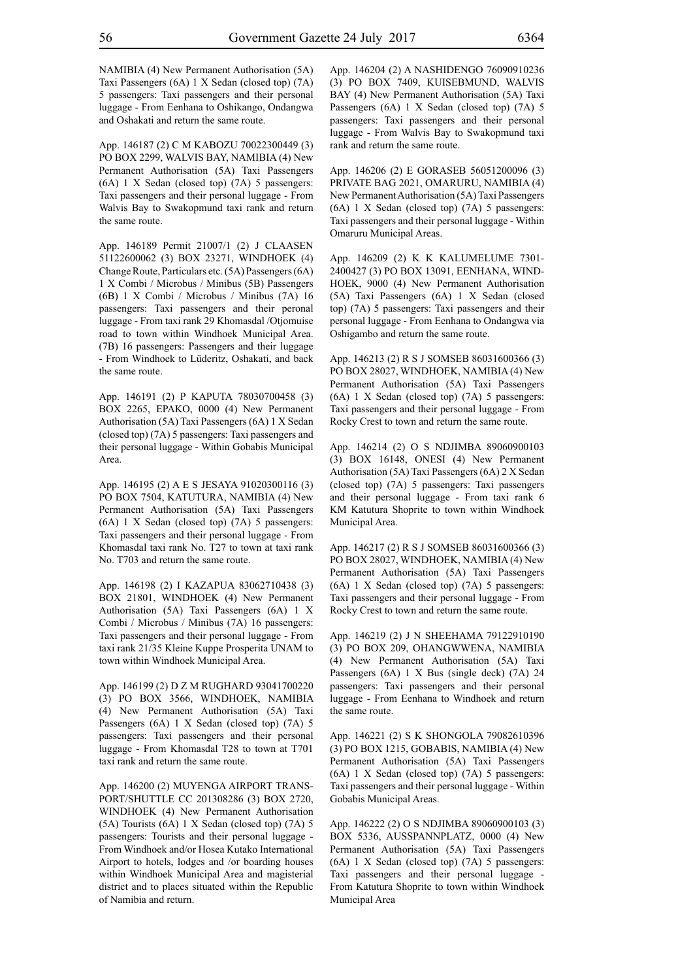NAMIBIA (4) New Permanent Authorisation (5A) Taxi Passengers (6A) 1 X Sedan (closed top) (7A) 5 passengers: Taxi passengers and their personal luggage - From Eenhana to Oshikango, Ondangwa and Oshakati and return the same route.

App. 146187 (2) C M KABOZU 70022300449 (3) PO BOX 2299, WALVIS BAY, NAMIBIA (4) New Permanent Authorisation (5A) Taxi Passengers (6A) 1 X Sedan (closed top) (7A) 5 passengers: Taxi passengers and their personal luggage - From Walvis Bay to Swakopmund taxi rank and return the same route.

App. 146189 Permit 21007/1 (2) J CLAASEN 51122600062 (3) BOX 23271, WINDHOEK (4) Change Route, Particulars etc. (5A) Passengers (6A) 1 X Combi / Microbus / Minibus (5B) Passengers (6B) 1 X Combi / Microbus / Minibus (7A) 16 passengers: Taxi passengers and their peronal luggage - From taxi rank 29 Khomasdal /Otjomuise road to town within Windhoek Municipal Area. (7B) 16 passengers: Passengers and their luggage - From Windhoek to Lüderitz, Oshakati, and back the same route.

App. 146191 (2) P KAPUTA 78030700458 (3) BOX 2265, EPAKO, 0000 (4) New Permanent Authorisation (5A) Taxi Passengers (6A) 1 X Sedan (closed top) (7A) 5 passengers: Taxi passengers and their personal luggage - Within Gobabis Municipal Area.

App. 146195 (2) A E S JESAYA 91020300116 (3) PO BOX 7504, KATUTURA, NAMIBIA (4) New Permanent Authorisation (5A) Taxi Passengers (6A) 1 X Sedan (closed top) (7A) 5 passengers: Taxi passengers and their personal luggage - From Khomasdal taxi rank No. T27 to town at taxi rank No. T703 and return the same route.

App. 146198 (2) I KAZAPUA 83062710438 (3) BOX 21801, WINDHOEK (4) New Permanent Authorisation (5A) Taxi Passengers (6A) 1 X Combi / Microbus / Minibus (7A) 16 passengers: Taxi passengers and their personal luggage - From taxi rank 21/35 Kleine Kuppe Prosperita UNAM to town within Windhoek Municipal Area.

App. 146199 (2) D Z M RUGHARD 93041700220 (3) PO BOX 3566, WINDHOEK, NAMIBIA (4) New Permanent Authorisation (5A) Taxi Passengers (6A) 1 X Sedan (closed top) (7A) 5 passengers: Taxi passengers and their personal luggage - From Khomasdal T28 to town at T701 taxi rank and return the same route.

App. 146200 (2) MUYENGA AIRPORT TRANS-PORT/SHUTTLE CC 201308286 (3) BOX 2720, WINDHOEK (4) New Permanent Authorisation (5A) Tourists (6A) 1 X Sedan (closed top) (7A) 5 passengers: Tourists and their personal luggage - From Windhoek and/or Hosea Kutako International Airport to hotels, lodges and /or boarding houses within Windhoek Municipal Area and magisterial district and to places situated within the Republic of Namibia and return.

App. 146204 (2) A NASHIDENGO 76090910236 (3) PO BOX 7409, KUISEBMUND, WALVIS BAY (4) New Permanent Authorisation (5A) Taxi Passengers (6A) 1 X Sedan (closed top) (7A) 5 passengers: Taxi passengers and their personal luggage - From Walvis Bay to Swakopmund taxi rank and return the same route.

App. 146206 (2) E GORASEB 56051200096 (3) PRIVATE BAG 2021, OMARURU, NAMIBIA (4) New Permanent Authorisation (5A) Taxi Passengers (6A) 1 X Sedan (closed top) (7A) 5 passengers: Taxi passengers and their personal luggage - Within Omaruru Municipal Areas.

App. 146209 (2) K K KALUMELUME 7301- 2400427 (3) PO BOX 13091, EENHANA, WIND-HOEK, 9000 (4) New Permanent Authorisation (5A) Taxi Passengers (6A) 1 X Sedan (closed top) (7A) 5 passengers: Taxi passengers and their personal luggage - From Eenhana to Ondangwa via Oshigambo and return the same route.

App. 146213 (2) R S J SOMSEB 86031600366 (3) PO BOX 28027, WINDHOEK, NAMIBIA (4) New Permanent Authorisation (5A) Taxi Passengers (6A) 1 X Sedan (closed top) (7A) 5 passengers: Taxi passengers and their personal luggage - From Rocky Crest to town and return the same route.

App. 146214 (2) O S NDJIMBA 89060900103 (3) BOX 16148, ONESI (4) New Permanent Authorisation (5A) Taxi Passengers (6A) 2 X Sedan (closed top) (7A) 5 passengers: Taxi passengers and their personal luggage - From taxi rank 6 KM Katutura Shoprite to town within Windhoek Municipal Area.

App. 146217 (2) R S J SOMSEB 86031600366 (3) PO BOX 28027, WINDHOEK, NAMIBIA (4) New Permanent Authorisation (5A) Taxi Passengers (6A) 1 X Sedan (closed top) (7A) 5 passengers: Taxi passengers and their personal luggage - From Rocky Crest to town and return the same route.

App. 146219 (2) J N SHEEHAMA 79122910190 (3) PO BOX 209, OHANGWWENA, NAMIBIA (4) New Permanent Authorisation (5A) Taxi Passengers (6A) 1 X Bus (single deck) (7A) 24 passengers: Taxi passengers and their personal luggage - From Eenhana to Windhoek and return the same route.

App. 146221 (2) S K SHONGOLA 79082610396 (3) PO BOX 1215, GOBABIS, NAMIBIA (4) New Permanent Authorisation (5A) Taxi Passengers (6A) 1 X Sedan (closed top) (7A) 5 passengers: Taxi passengers and their personal luggage - Within Gobabis Municipal Areas.

App. 146222 (2) O S NDJIMBA 89060900103 (3) BOX 5336, AUSSPANNPLATZ, 0000 (4) New Permanent Authorisation (5A) Taxi Passengers (6A) 1 X Sedan (closed top) (7A) 5 passengers: Taxi passengers and their personal luggage - From Katutura Shoprite to town within Windhoek Municipal Area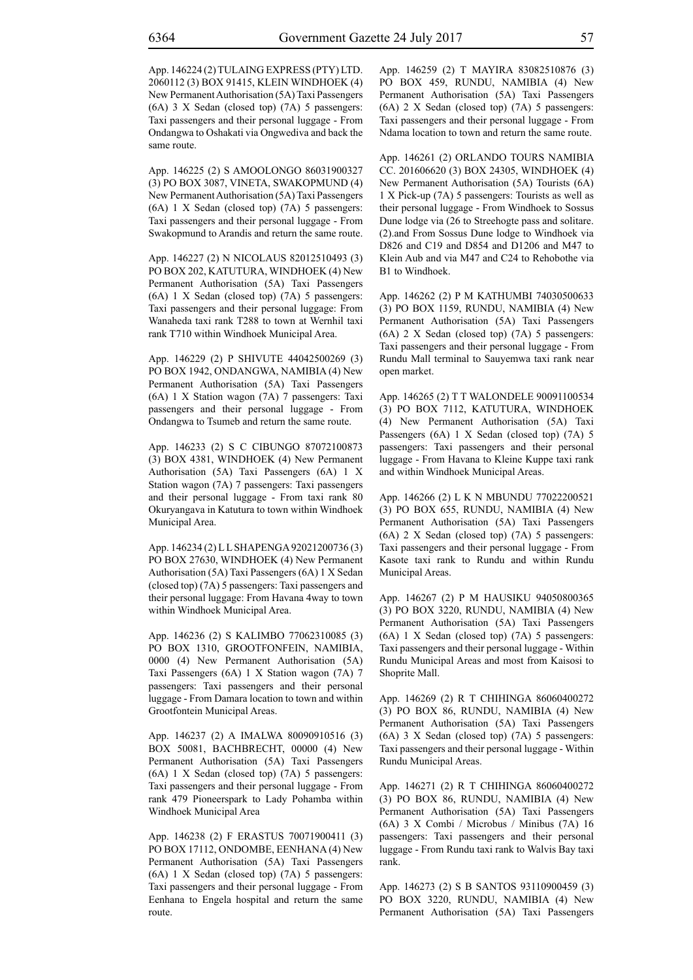App. 146224 (2) TULAING EXPRESS (PTY) LTD. 2060112 (3) BOX 91415, KLEIN WINDHOEK (4) New Permanent Authorisation (5A) Taxi Passengers (6A) 3 X Sedan (closed top) (7A) 5 passengers: Taxi passengers and their personal luggage - From Ondangwa to Oshakati via Ongwediva and back the same route.

App. 146225 (2) S AMOOLONGO 86031900327 (3) PO BOX 3087, VINETA, SWAKOPMUND (4) New Permanent Authorisation (5A) Taxi Passengers (6A) 1 X Sedan (closed top) (7A) 5 passengers: Taxi passengers and their personal luggage - From Swakopmund to Arandis and return the same route.

App. 146227 (2) N NICOLAUS 82012510493 (3) PO BOX 202, KATUTURA, WINDHOEK (4) New Permanent Authorisation (5A) Taxi Passengers (6A) 1 X Sedan (closed top) (7A) 5 passengers: Taxi passengers and their personal luggage: From Wanaheda taxi rank T288 to town at Wernhil taxi rank T710 within Windhoek Municipal Area.

App. 146229 (2) P SHIVUTE 44042500269 (3) PO BOX 1942, ONDANGWA, NAMIBIA (4) New Permanent Authorisation (5A) Taxi Passengers (6A) 1 X Station wagon (7A) 7 passengers: Taxi passengers and their personal luggage - From Ondangwa to Tsumeb and return the same route.

App. 146233 (2) S C CIBUNGO 87072100873 (3) BOX 4381, WINDHOEK (4) New Permanent Authorisation (5A) Taxi Passengers (6A) 1 X Station wagon (7A) 7 passengers: Taxi passengers and their personal luggage - From taxi rank 80 Okuryangava in Katutura to town within Windhoek Municipal Area.

App. 146234 (2) L L SHAPENGA 92021200736 (3) PO BOX 27630, WINDHOEK (4) New Permanent Authorisation (5A) Taxi Passengers (6A) 1 X Sedan (closed top) (7A) 5 passengers: Taxi passengers and their personal luggage: From Havana 4way to town within Windhoek Municipal Area.

App. 146236 (2) S KALIMBO 77062310085 (3) PO BOX 1310, GROOTFONFEIN, NAMIBIA, 0000 (4) New Permanent Authorisation (5A) Taxi Passengers (6A) 1 X Station wagon (7A) 7 passengers: Taxi passengers and their personal luggage - From Damara location to town and within Grootfontein Municipal Areas.

App. 146237 (2) A IMALWA 80090910516 (3) BOX 50081, BACHBRECHT, 00000 (4) New Permanent Authorisation (5A) Taxi Passengers (6A) 1 X Sedan (closed top) (7A) 5 passengers: Taxi passengers and their personal luggage - From rank 479 Pioneerspark to Lady Pohamba within Windhoek Municipal Area

App. 146238 (2) F ERASTUS 70071900411 (3) PO BOX 17112, ONDOMBE, EENHANA (4) New Permanent Authorisation (5A) Taxi Passengers (6A) 1 X Sedan (closed top) (7A) 5 passengers: Taxi passengers and their personal luggage - From Eenhana to Engela hospital and return the same route.

App. 146259 (2) T MAYIRA 83082510876 (3) PO BOX 459, RUNDU, NAMIBIA (4) New Permanent Authorisation (5A) Taxi Passengers (6A) 2 X Sedan (closed top) (7A) 5 passengers: Taxi passengers and their personal luggage - From Ndama location to town and return the same route.

App. 146261 (2) ORLANDO TOURS NAMIBIA CC. 201606620 (3) BOX 24305, WINDHOEK (4) New Permanent Authorisation (5A) Tourists (6A) 1 X Pick-up (7A) 5 passengers: Tourists as well as their personal luggage - From Windhoek to Sossus Dune lodge via (26 to Streehogte pass and solitare. (2).and From Sossus Dune lodge to Windhoek via D826 and C19 and D854 and D1206 and M47 to Klein Aub and via M47 and C24 to Rehobothe via B1 to Windhoek.

App. 146262 (2) P M KATHUMBI 74030500633 (3) PO BOX 1159, RUNDU, NAMIBIA (4) New Permanent Authorisation (5A) Taxi Passengers (6A) 2 X Sedan (closed top) (7A) 5 passengers: Taxi passengers and their personal luggage - From Rundu Mall terminal to Sauyemwa taxi rank near open market.

App. 146265 (2) T T WALONDELE 90091100534 (3) PO BOX 7112, KATUTURA, WINDHOEK (4) New Permanent Authorisation (5A) Taxi Passengers (6A) 1 X Sedan (closed top) (7A) 5 passengers: Taxi passengers and their personal luggage - From Havana to Kleine Kuppe taxi rank and within Windhoek Municipal Areas.

App. 146266 (2) L K N MBUNDU 77022200521 (3) PO BOX 655, RUNDU, NAMIBIA (4) New Permanent Authorisation (5A) Taxi Passengers (6A) 2 X Sedan (closed top) (7A) 5 passengers: Taxi passengers and their personal luggage - From Kasote taxi rank to Rundu and within Rundu Municipal Areas.

App. 146267 (2) P M HAUSIKU 94050800365 (3) PO BOX 3220, RUNDU, NAMIBIA (4) New Permanent Authorisation (5A) Taxi Passengers (6A) 1 X Sedan (closed top) (7A) 5 passengers: Taxi passengers and their personal luggage - Within Rundu Municipal Areas and most from Kaisosi to Shoprite Mall.

App. 146269 (2) R T CHIHINGA 86060400272 (3) PO BOX 86, RUNDU, NAMIBIA (4) New Permanent Authorisation (5A) Taxi Passengers (6A) 3 X Sedan (closed top) (7A) 5 passengers: Taxi passengers and their personal luggage - Within Rundu Municipal Areas.

App. 146271 (2) R T CHIHINGA 86060400272 (3) PO BOX 86, RUNDU, NAMIBIA (4) New Permanent Authorisation (5A) Taxi Passengers (6A) 3 X Combi / Microbus / Minibus (7A) 16 passengers: Taxi passengers and their personal luggage - From Rundu taxi rank to Walvis Bay taxi rank.

App. 146273 (2) S B SANTOS 93110900459 (3) PO BOX 3220, RUNDU, NAMIBIA (4) New Permanent Authorisation (5A) Taxi Passengers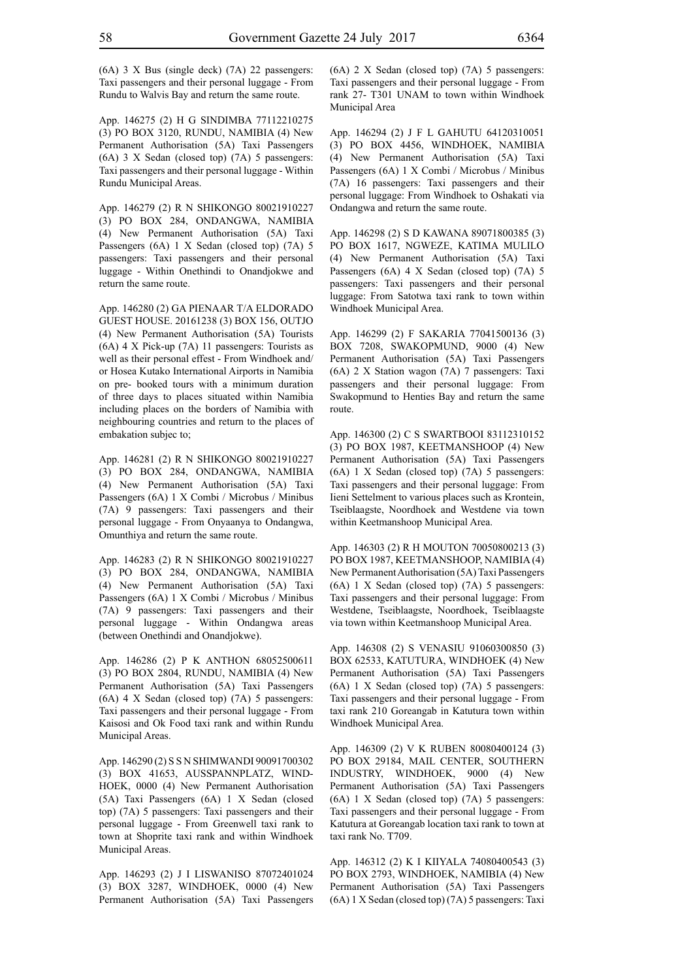(6A) 3 X Bus (single deck) (7A) 22 passengers: Taxi passengers and their personal luggage - From Rundu to Walvis Bay and return the same route.

App. 146275 (2) H G SINDIMBA 77112210275 (3) PO BOX 3120, RUNDU, NAMIBIA (4) New Permanent Authorisation (5A) Taxi Passengers (6A) 3 X Sedan (closed top) (7A) 5 passengers: Taxi passengers and their personal luggage - Within Rundu Municipal Areas.

App. 146279 (2) R N SHIKONGO 80021910227 (3) PO BOX 284, ONDANGWA, NAMIBIA (4) New Permanent Authorisation (5A) Taxi Passengers (6A) 1 X Sedan (closed top) (7A) 5 passengers: Taxi passengers and their personal luggage - Within Onethindi to Onandjokwe and return the same route.

App. 146280 (2) GA PIENAAR T/A ELDORADO GUEST HOUSE. 20161238 (3) BOX 156, OUTJO (4) New Permanent Authorisation (5A) Tourists (6A) 4 X Pick-up (7A) 11 passengers: Tourists as well as their personal effest - From Windhoek and/ or Hosea Kutako International Airports in Namibia on pre- booked tours with a minimum duration of three days to places situated within Namibia including places on the borders of Namibia with neighbouring countries and return to the places of embakation subjec to;

App. 146281 (2) R N SHIKONGO 80021910227 (3) PO BOX 284, ONDANGWA, NAMIBIA (4) New Permanent Authorisation (5A) Taxi Passengers (6A) 1 X Combi / Microbus / Minibus (7A) 9 passengers: Taxi passengers and their personal luggage - From Onyaanya to Ondangwa, Omunthiya and return the same route.

App. 146283 (2) R N SHIKONGO 80021910227 (3) PO BOX 284, ONDANGWA, NAMIBIA (4) New Permanent Authorisation (5A) Taxi Passengers (6A) 1 X Combi / Microbus / Minibus (7A) 9 passengers: Taxi passengers and their personal luggage - Within Ondangwa areas (between Onethindi and Onandjokwe).

App. 146286 (2) P K ANTHON 68052500611 (3) PO BOX 2804, RUNDU, NAMIBIA (4) New Permanent Authorisation (5A) Taxi Passengers (6A) 4 X Sedan (closed top) (7A) 5 passengers: Taxi passengers and their personal luggage - From Kaisosi and Ok Food taxi rank and within Rundu Municipal Areas.

App. 146290 (2) S S N SHIMWANDI 90091700302 (3) BOX 41653, AUSSPANNPLATZ, WIND-HOEK, 0000 (4) New Permanent Authorisation (5A) Taxi Passengers (6A) 1 X Sedan (closed top) (7A) 5 passengers: Taxi passengers and their personal luggage - From Greenwell taxi rank to town at Shoprite taxi rank and within Windhoek Municipal Areas.

App. 146293 (2) J I LISWANISO 87072401024 (3) BOX 3287, WINDHOEK, 0000 (4) New Permanent Authorisation (5A) Taxi Passengers (6A) 2 X Sedan (closed top) (7A) 5 passengers: Taxi passengers and their personal luggage - From rank 27- T301 UNAM to town within Windhoek Municipal Area

App. 146294 (2) J F L GAHUTU 64120310051 (3) PO BOX 4456, WINDHOEK, NAMIBIA (4) New Permanent Authorisation (5A) Taxi Passengers (6A) 1 X Combi / Microbus / Minibus (7A) 16 passengers: Taxi passengers and their personal luggage: From Windhoek to Oshakati via Ondangwa and return the same route.

App. 146298 (2) S D KAWANA 89071800385 (3) PO BOX 1617, NGWEZE, KATIMA MULILO (4) New Permanent Authorisation (5A) Taxi Passengers (6A) 4 X Sedan (closed top) (7A) 5 passengers: Taxi passengers and their personal luggage: From Satotwa taxi rank to town within Windhoek Municipal Area.

App. 146299 (2) F SAKARIA 77041500136 (3) BOX 7208, SWAKOPMUND, 9000 (4) New Permanent Authorisation (5A) Taxi Passengers (6A) 2 X Station wagon (7A) 7 passengers: Taxi passengers and their personal luggage: From Swakopmund to Henties Bay and return the same route.

App. 146300 (2) C S SWARTBOOI 83112310152 (3) PO BOX 1987, KEETMANSHOOP (4) New Permanent Authorisation (5A) Taxi Passengers (6A) 1 X Sedan (closed top) (7A) 5 passengers: Taxi passengers and their personal luggage: From Iieni Settelment to various places such as Krontein, Tseiblaagste, Noordhoek and Westdene via town within Keetmanshoop Municipal Area.

App. 146303 (2) R H MOUTON 70050800213 (3) PO BOX 1987, KEETMANSHOOP, NAMIBIA (4) New Permanent Authorisation (5A) Taxi Passengers (6A) 1 X Sedan (closed top) (7A) 5 passengers: Taxi passengers and their personal luggage: From Westdene, Tseiblaagste, Noordhoek, Tseiblaagste via town within Keetmanshoop Municipal Area.

App. 146308 (2) S VENASIU 91060300850 (3) BOX 62533, KATUTURA, WINDHOEK (4) New Permanent Authorisation (5A) Taxi Passengers (6A) 1 X Sedan (closed top) (7A) 5 passengers: Taxi passengers and their personal luggage - From taxi rank 210 Goreangab in Katutura town within Windhoek Municipal Area.

App. 146309 (2) V K RUBEN 80080400124 (3) PO BOX 29184, MAIL CENTER, SOUTHERN INDUSTRY, WINDHOEK, 9000 (4) New Permanent Authorisation (5A) Taxi Passengers (6A) 1 X Sedan (closed top) (7A) 5 passengers: Taxi passengers and their personal luggage - From Katutura at Goreangab location taxi rank to town at taxi rank No. T709.

App. 146312 (2) K I KIIYALA 74080400543 (3) PO BOX 2793, WINDHOEK, NAMIBIA (4) New Permanent Authorisation (5A) Taxi Passengers (6A) 1 X Sedan (closed top) (7A) 5 passengers: Taxi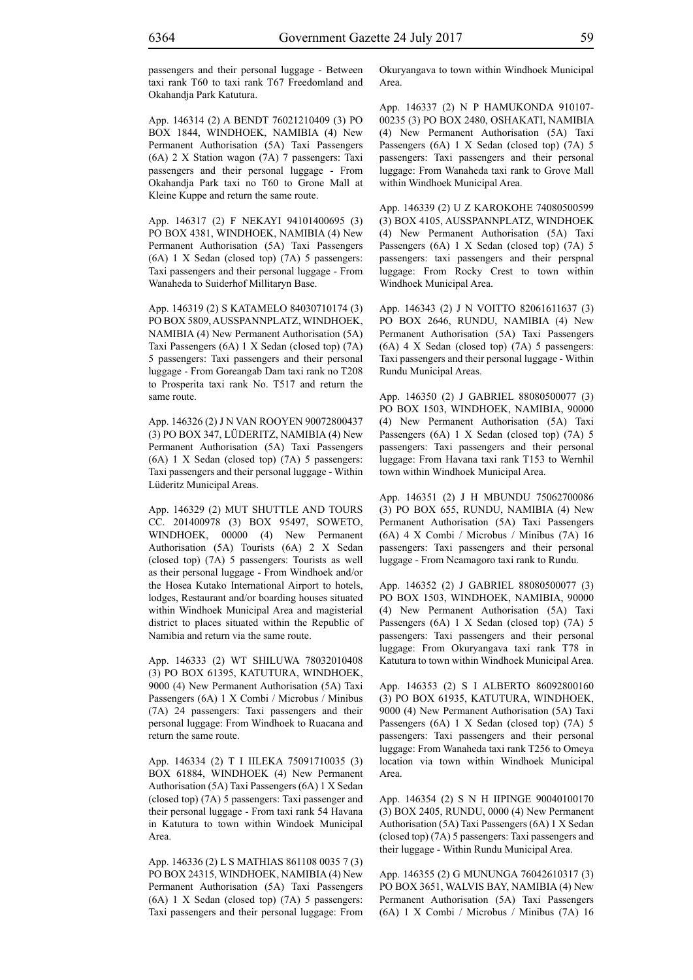passengers and their personal luggage - Between taxi rank T60 to taxi rank T67 Freedomland and Okahandja Park Katutura.

App. 146314 (2) A BENDT 76021210409 (3) PO BOX 1844, WINDHOEK, NAMIBIA (4) New Permanent Authorisation (5A) Taxi Passengers (6A) 2 X Station wagon (7A) 7 passengers: Taxi passengers and their personal luggage - From Okahandja Park taxi no T60 to Grone Mall at Kleine Kuppe and return the same route.

App. 146317 (2) F NEKAYI 94101400695 (3) PO BOX 4381, WINDHOEK, NAMIBIA (4) New Permanent Authorisation (5A) Taxi Passengers (6A) 1 X Sedan (closed top) (7A) 5 passengers: Taxi passengers and their personal luggage - From Wanaheda to Suiderhof Millitaryn Base.

App. 146319 (2) S KATAMELO 84030710174 (3) PO BOX 5809, AUSSPANNPLATZ, WINDHOEK, NAMIBIA (4) New Permanent Authorisation (5A) Taxi Passengers (6A) 1 X Sedan (closed top) (7A) 5 passengers: Taxi passengers and their personal luggage - From Goreangab Dam taxi rank no T208 to Prosperita taxi rank No. T517 and return the same route.

App. 146326 (2) J N VAN ROOYEN 90072800437 (3) PO BOX 347, LÜDERITZ, NAMIBIA (4) New Permanent Authorisation (5A) Taxi Passengers (6A) 1 X Sedan (closed top) (7A) 5 passengers: Taxi passengers and their personal luggage - Within Lüderitz Municipal Areas.

App. 146329 (2) MUT SHUTTLE AND TOURS CC. 201400978 (3) BOX 95497, SOWETO, WINDHOEK, 00000 (4) New Permanent Authorisation (5A) Tourists (6A) 2 X Sedan (closed top) (7A) 5 passengers: Tourists as well as their personal luggage - From Windhoek and/or the Hosea Kutako International Airport to hotels, lodges, Restaurant and/or boarding houses situated within Windhoek Municipal Area and magisterial district to places situated within the Republic of Namibia and return via the same route.

App. 146333 (2) WT SHILUWA 78032010408 (3) PO BOX 61395, KATUTURA, WINDHOEK, 9000 (4) New Permanent Authorisation (5A) Taxi Passengers (6A) 1 X Combi / Microbus / Minibus (7A) 24 passengers: Taxi passengers and their personal luggage: From Windhoek to Ruacana and return the same route.

App. 146334 (2) T I IILEKA 75091710035 (3) BOX 61884, WINDHOEK (4) New Permanent Authorisation (5A) Taxi Passengers (6A) 1 X Sedan (closed top) (7A) 5 passengers: Taxi passenger and their personal luggage - From taxi rank 54 Havana in Katutura to town within Windoek Municipal Area.

App. 146336 (2) L S MATHIAS 861108 0035 7 (3) PO BOX 24315, WINDHOEK, NAMIBIA (4) New Permanent Authorisation (5A) Taxi Passengers (6A) 1 X Sedan (closed top) (7A) 5 passengers: Taxi passengers and their personal luggage: From Okuryangava to town within Windhoek Municipal Area.

App. 146337 (2) N P HAMUKONDA 910107- 00235 (3) PO BOX 2480, OSHAKATI, NAMIBIA (4) New Permanent Authorisation (5A) Taxi Passengers (6A) 1 X Sedan (closed top) (7A) 5 passengers: Taxi passengers and their personal luggage: From Wanaheda taxi rank to Grove Mall within Windhoek Municipal Area.

App. 146339 (2) U Z KAROKOHE 74080500599 (3) BOX 4105, AUSSPANNPLATZ, WINDHOEK (4) New Permanent Authorisation (5A) Taxi Passengers (6A) 1 X Sedan (closed top) (7A) 5 passengers: taxi passengers and their perspnal luggage: From Rocky Crest to town within Windhoek Municipal Area.

App. 146343 (2) J N VOITTO 82061611637 (3) PO BOX 2646, RUNDU, NAMIBIA (4) New Permanent Authorisation (5A) Taxi Passengers (6A) 4 X Sedan (closed top) (7A) 5 passengers: Taxi passengers and their personal luggage - Within Rundu Municipal Areas.

App. 146350 (2) J GABRIEL 88080500077 (3) PO BOX 1503, WINDHOEK, NAMIBIA, 90000 (4) New Permanent Authorisation (5A) Taxi Passengers (6A) 1 X Sedan (closed top) (7A) 5 passengers: Taxi passengers and their personal luggage: From Havana taxi rank T153 to Wernhil town within Windhoek Municipal Area.

App. 146351 (2) J H MBUNDU 75062700086 (3) PO BOX 655, RUNDU, NAMIBIA (4) New Permanent Authorisation (5A) Taxi Passengers (6A) 4 X Combi / Microbus / Minibus (7A) 16 passengers: Taxi passengers and their personal luggage - From Ncamagoro taxi rank to Rundu.

App. 146352 (2) J GABRIEL 88080500077 (3) PO BOX 1503, WINDHOEK, NAMIBIA, 90000 (4) New Permanent Authorisation (5A) Taxi Passengers (6A) 1 X Sedan (closed top) (7A) 5 passengers: Taxi passengers and their personal luggage: From Okuryangava taxi rank T78 in Katutura to town within Windhoek Municipal Area.

App. 146353 (2) S I ALBERTO 86092800160 (3) PO BOX 61935, KATUTURA, WINDHOEK, 9000 (4) New Permanent Authorisation (5A) Taxi Passengers (6A) 1 X Sedan (closed top) (7A) 5 passengers: Taxi passengers and their personal luggage: From Wanaheda taxi rank T256 to Omeya location via town within Windhoek Municipal Area.

App. 146354 (2) S N H IIPINGE 90040100170 (3) BOX 2405, RUNDU, 0000 (4) New Permanent Authorisation (5A) Taxi Passengers (6A) 1 X Sedan (closed top) (7A) 5 passengers: Taxi passengers and their luggage - Within Rundu Municipal Area.

App. 146355 (2) G MUNUNGA 76042610317 (3) PO BOX 3651, WALVIS BAY, NAMIBIA (4) New Permanent Authorisation (5A) Taxi Passengers (6A) 1 X Combi / Microbus / Minibus (7A) 16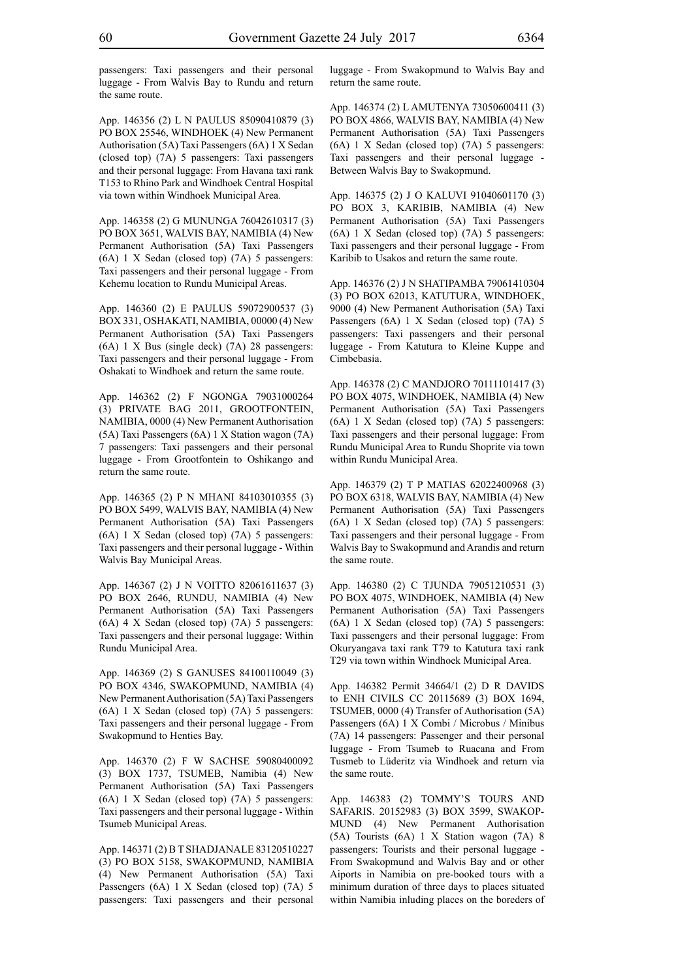passengers: Taxi passengers and their personal luggage - From Walvis Bay to Rundu and return the same route.

App. 146356 (2) L N PAULUS 85090410879 (3) PO BOX 25546, WINDHOEK (4) New Permanent Authorisation (5A) Taxi Passengers (6A) 1 X Sedan (closed top) (7A) 5 passengers: Taxi passengers and their personal luggage: From Havana taxi rank T153 to Rhino Park and Windhoek Central Hospital via town within Windhoek Municipal Area.

App. 146358 (2) G MUNUNGA 76042610317 (3) PO BOX 3651, WALVIS BAY, NAMIBIA (4) New Permanent Authorisation (5A) Taxi Passengers (6A) 1 X Sedan (closed top) (7A) 5 passengers: Taxi passengers and their personal luggage - From Kehemu location to Rundu Municipal Areas.

App. 146360 (2) E PAULUS 59072900537 (3) BOX 331, OSHAKATI, NAMIBIA, 00000 (4) New Permanent Authorisation (5A) Taxi Passengers (6A) 1 X Bus (single deck) (7A) 28 passengers: Taxi passengers and their personal luggage - From Oshakati to Windhoek and return the same route.

App. 146362 (2) F NGONGA 79031000264 (3) PRIVATE BAG 2011, GROOTFONTEIN, NAMIBIA, 0000 (4) New Permanent Authorisation (5A) Taxi Passengers (6A) 1 X Station wagon (7A) 7 passengers: Taxi passengers and their personal luggage - From Grootfontein to Oshikango and return the same route.

App. 146365 (2) P N MHANI 84103010355 (3) PO BOX 5499, WALVIS BAY, NAMIBIA (4) New Permanent Authorisation (5A) Taxi Passengers (6A) 1 X Sedan (closed top) (7A) 5 passengers: Taxi passengers and their personal luggage - Within Walvis Bay Municipal Areas.

App. 146367 (2) J N VOITTO 82061611637 (3) PO BOX 2646, RUNDU, NAMIBIA (4) New Permanent Authorisation (5A) Taxi Passengers (6A) 4 X Sedan (closed top) (7A) 5 passengers: Taxi passengers and their personal luggage: Within Rundu Municipal Area.

App. 146369 (2) S GANUSES 84100110049 (3) PO BOX 4346, SWAKOPMUND, NAMIBIA (4) New Permanent Authorisation (5A) Taxi Passengers (6A) 1 X Sedan (closed top) (7A) 5 passengers: Taxi passengers and their personal luggage - From Swakopmund to Henties Bay.

App. 146370 (2) F W SACHSE 59080400092 (3) BOX 1737, TSUMEB, Namibia (4) New Permanent Authorisation (5A) Taxi Passengers (6A) 1 X Sedan (closed top) (7A) 5 passengers: Taxi passengers and their personal luggage - Within Tsumeb Municipal Areas.

App. 146371 (2) B T SHADJANALE 83120510227 (3) PO BOX 5158, SWAKOPMUND, NAMIBIA (4) New Permanent Authorisation (5A) Taxi Passengers (6A) 1 X Sedan (closed top) (7A) 5 passengers: Taxi passengers and their personal luggage - From Swakopmund to Walvis Bay and return the same route.

App. 146374 (2) L AMUTENYA 73050600411 (3) PO BOX 4866, WALVIS BAY, NAMIBIA (4) New Permanent Authorisation (5A) Taxi Passengers (6A) 1 X Sedan (closed top) (7A) 5 passengers: Taxi passengers and their personal luggage - Between Walvis Bay to Swakopmund.

App. 146375 (2) J O KALUVI 91040601170 (3) PO BOX 3, KARIBIB, NAMIBIA (4) New Permanent Authorisation (5A) Taxi Passengers (6A) 1 X Sedan (closed top) (7A) 5 passengers: Taxi passengers and their personal luggage - From Karibib to Usakos and return the same route.

App. 146376 (2) J N SHATIPAMBA 79061410304 (3) PO BOX 62013, KATUTURA, WINDHOEK, 9000 (4) New Permanent Authorisation (5A) Taxi Passengers (6A) 1 X Sedan (closed top) (7A) 5 passengers: Taxi passengers and their personal luggage - From Katutura to Kleine Kuppe and Cimbebasia.

App. 146378 (2) C MANDJORO 70111101417 (3) PO BOX 4075, WINDHOEK, NAMIBIA (4) New Permanent Authorisation (5A) Taxi Passengers (6A) 1 X Sedan (closed top) (7A) 5 passengers: Taxi passengers and their personal luggage: From Rundu Municipal Area to Rundu Shoprite via town within Rundu Municipal Area.

App. 146379 (2) T P MATIAS 62022400968 (3) PO BOX 6318, WALVIS BAY, NAMIBIA (4) New Permanent Authorisation (5A) Taxi Passengers (6A) 1 X Sedan (closed top) (7A) 5 passengers: Taxi passengers and their personal luggage - From Walvis Bay to Swakopmund and Arandis and return the same route.

App. 146380 (2) C TJUNDA 79051210531 (3) PO BOX 4075, WINDHOEK, NAMIBIA (4) New Permanent Authorisation (5A) Taxi Passengers (6A) 1 X Sedan (closed top) (7A) 5 passengers: Taxi passengers and their personal luggage: From Okuryangava taxi rank T79 to Katutura taxi rank T29 via town within Windhoek Municipal Area.

App. 146382 Permit 34664/1 (2) D R DAVIDS to ENH CIVILS CC 20115689 (3) BOX 1694, TSUMEB, 0000 (4) Transfer of Authorisation (5A) Passengers (6A) 1 X Combi / Microbus / Minibus (7A) 14 passengers: Passenger and their personal luggage - From Tsumeb to Ruacana and From Tusmeb to Lüderitz via Windhoek and return via the same route.

App. 146383 (2) TOMMY'S TOURS AND SAFARIS. 20152983 (3) BOX 3599, SWAKOP-MUND (4) New Permanent Authorisation (5A) Tourists (6A) 1 X Station wagon (7A) 8 passengers: Tourists and their personal luggage - From Swakopmund and Walvis Bay and or other Aiports in Namibia on pre-booked tours with a minimum duration of three days to places situated within Namibia inluding places on the boreders of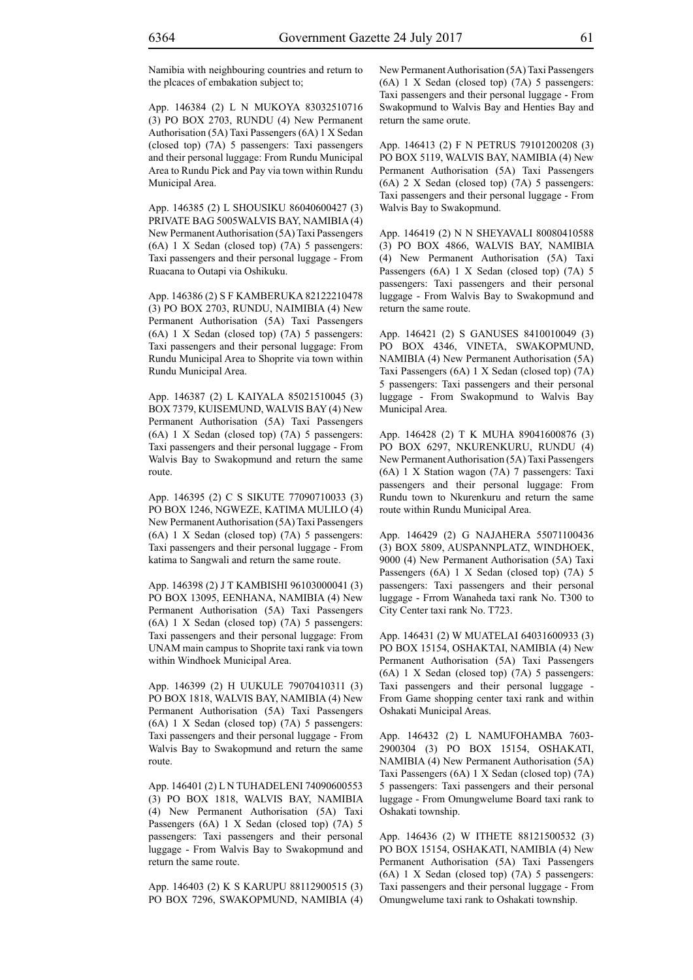Namibia with neighbouring countries and return to the plcaces of embakation subject to;

App. 146384 (2) L N MUKOYA 83032510716 (3) PO BOX 2703, RUNDU (4) New Permanent Authorisation (5A) Taxi Passengers (6A) 1 X Sedan (closed top) (7A) 5 passengers: Taxi passengers and their personal luggage: From Rundu Municipal Area to Rundu Pick and Pay via town within Rundu Municipal Area.

App. 146385 (2) L SHOUSIKU 86040600427 (3) PRIVATE BAG 5005WALVIS BAY, NAMIBIA (4) New Permanent Authorisation (5A) Taxi Passengers (6A) 1 X Sedan (closed top) (7A) 5 passengers: Taxi passengers and their personal luggage - From Ruacana to Outapi via Oshikuku.

App. 146386 (2) S F KAMBERUKA 82122210478 (3) PO BOX 2703, RUNDU, NAIMIBIA (4) New Permanent Authorisation (5A) Taxi Passengers (6A) 1 X Sedan (closed top) (7A) 5 passengers: Taxi passengers and their personal luggage: From Rundu Municipal Area to Shoprite via town within Rundu Municipal Area.

App. 146387 (2) L KAIYALA 85021510045 (3) BOX 7379, KUISEMUND, WALVIS BAY (4) New Permanent Authorisation (5A) Taxi Passengers (6A) 1 X Sedan (closed top) (7A) 5 passengers: Taxi passengers and their personal luggage - From Walvis Bay to Swakopmund and return the same route.

App. 146395 (2) C S SIKUTE 77090710033 (3) PO BOX 1246, NGWEZE, KATIMA MULILO (4) New Permanent Authorisation (5A) Taxi Passengers (6A) 1 X Sedan (closed top) (7A) 5 passengers: Taxi passengers and their personal luggage - From katima to Sangwali and return the same route.

App. 146398 (2) J T KAMBISHI 96103000041 (3) PO BOX 13095, EENHANA, NAMIBIA (4) New Permanent Authorisation (5A) Taxi Passengers (6A) 1 X Sedan (closed top) (7A) 5 passengers: Taxi passengers and their personal luggage: From UNAM main campus to Shoprite taxi rank via town within Windhoek Municipal Area.

App. 146399 (2) H UUKULE 79070410311 (3) PO BOX 1818, WALVIS BAY, NAMIBIA (4) New Permanent Authorisation (5A) Taxi Passengers (6A) 1 X Sedan (closed top) (7A) 5 passengers: Taxi passengers and their personal luggage - From Walvis Bay to Swakopmund and return the same route.

App. 146401 (2) L N TUHADELENI 74090600553 (3) PO BOX 1818, WALVIS BAY, NAMIBIA (4) New Permanent Authorisation (5A) Taxi Passengers (6A) 1 X Sedan (closed top) (7A) 5 passengers: Taxi passengers and their personal luggage - From Walvis Bay to Swakopmund and return the same route.

App. 146403 (2) K S KARUPU 88112900515 (3) PO BOX 7296, SWAKOPMUND, NAMIBIA (4) New Permanent Authorisation (5A) Taxi Passengers (6A) 1 X Sedan (closed top) (7A) 5 passengers: Taxi passengers and their personal luggage - From Swakopmund to Walvis Bay and Henties Bay and return the same orute.

App. 146413 (2) F N PETRUS 79101200208 (3) PO BOX 5119, WALVIS BAY, NAMIBIA (4) New Permanent Authorisation (5A) Taxi Passengers (6A) 2 X Sedan (closed top) (7A) 5 passengers: Taxi passengers and their personal luggage - From Walvis Bay to Swakopmund.

App. 146419 (2) N N SHEYAVALI 80080410588 (3) PO BOX 4866, WALVIS BAY, NAMIBIA (4) New Permanent Authorisation (5A) Taxi Passengers (6A) 1 X Sedan (closed top) (7A) 5 passengers: Taxi passengers and their personal luggage - From Walvis Bay to Swakopmund and return the same route.

App. 146421 (2) S GANUSES 8410010049 (3) PO BOX 4346, VINETA, SWAKOPMUND, NAMIBIA (4) New Permanent Authorisation (5A) Taxi Passengers (6A) 1 X Sedan (closed top) (7A) 5 passengers: Taxi passengers and their personal luggage - From Swakopmund to Walvis Bay Municipal Area.

App. 146428 (2) T K MUHA 89041600876 (3) PO BOX 6297, NKURENKURU, RUNDU (4) New Permanent Authorisation (5A) Taxi Passengers (6A) 1 X Station wagon (7A) 7 passengers: Taxi passengers and their personal luggage: From Rundu town to Nkurenkuru and return the same route within Rundu Municipal Area.

App. 146429 (2) G NAJAHERA 55071100436 (3) BOX 5809, AUSPANNPLATZ, WINDHOEK, 9000 (4) New Permanent Authorisation (5A) Taxi Passengers (6A) 1 X Sedan (closed top) (7A) 5 passengers: Taxi passengers and their personal luggage - Frrom Wanaheda taxi rank No. T300 to City Center taxi rank No. T723.

App. 146431 (2) W MUATELAI 64031600933 (3) PO BOX 15154, OSHAKTAI, NAMIBIA (4) New Permanent Authorisation (5A) Taxi Passengers (6A) 1 X Sedan (closed top) (7A) 5 passengers: Taxi passengers and their personal luggage - From Game shopping center taxi rank and within Oshakati Municipal Areas.

App. 146432 (2) L NAMUFOHAMBA 7603- 2900304 (3) PO BOX 15154, OSHAKATI, NAMIBIA (4) New Permanent Authorisation (5A) Taxi Passengers (6A) 1 X Sedan (closed top) (7A) 5 passengers: Taxi passengers and their personal luggage - From Omungwelume Board taxi rank to Oshakati township.

App. 146436 (2) W ITHETE 88121500532 (3) PO BOX 15154, OSHAKATI, NAMIBIA (4) New Permanent Authorisation (5A) Taxi Passengers (6A) 1 X Sedan (closed top) (7A) 5 passengers: Taxi passengers and their personal luggage - From Omungwelume taxi rank to Oshakati township.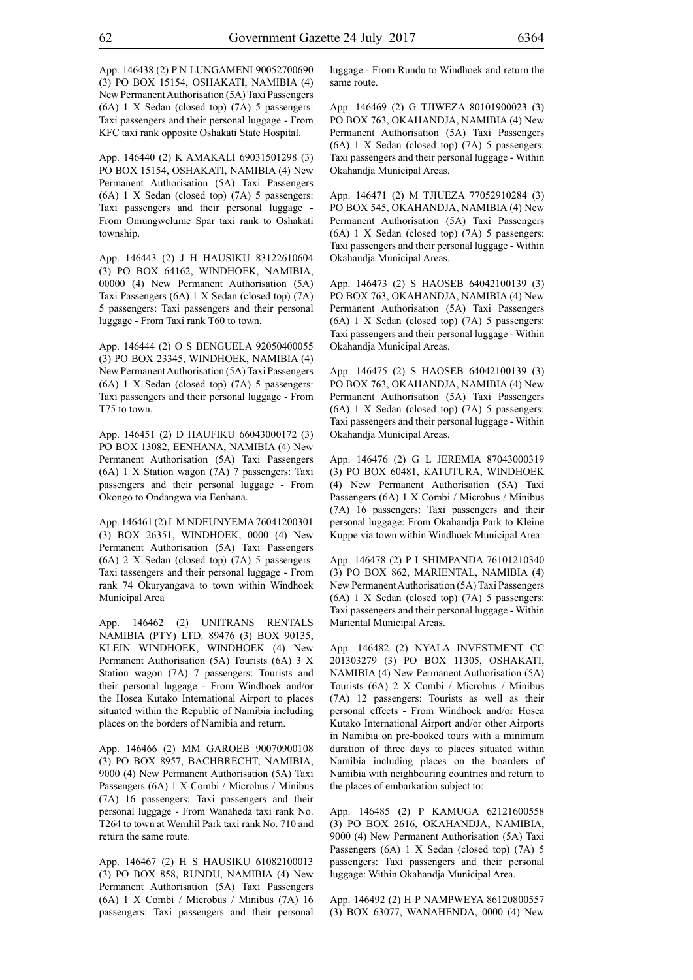App. 146438 (2) P N LUNGAMENI 90052700690 (3) PO BOX 15154, OSHAKATI, NAMIBIA (4) New Permanent Authorisation (5A) Taxi Passengers (6A) 1 X Sedan (closed top) (7A) 5 passengers: Taxi passengers and their personal luggage - From KFC taxi rank opposite Oshakati State Hospital.

App. 146440 (2) K AMAKALI 69031501298 (3) PO BOX 15154, OSHAKATI, NAMIBIA (4) New Permanent Authorisation (5A) Taxi Passengers (6A) 1 X Sedan (closed top) (7A) 5 passengers: Taxi passengers and their personal luggage - From Omungwelume Spar taxi rank to Oshakati township.

App. 146443 (2) J H HAUSIKU 83122610604 (3) PO BOX 64162, WINDHOEK, NAMIBIA, 00000 (4) New Permanent Authorisation (5A) Taxi Passengers (6A) 1 X Sedan (closed top) (7A) 5 passengers: Taxi passengers and their personal luggage - From Taxi rank T60 to town.

App. 146444 (2) O S BENGUELA 92050400055 (3) PO BOX 23345, WINDHOEK, NAMIBIA (4) New Permanent Authorisation (5A) Taxi Passengers (6A) 1 X Sedan (closed top) (7A) 5 passengers: Taxi passengers and their personal luggage - From T75 to town.

App. 146451 (2) D HAUFIKU 66043000172 (3) PO BOX 13082, EENHANA, NAMIBIA (4) New Permanent Authorisation (5A) Taxi Passengers (6A) 1 X Station wagon (7A) 7 passengers: Taxi passengers and their personal luggage - From Okongo to Ondangwa via Eenhana.

App. 146461 (2) L M NDEUNYEMA 76041200301 (3) BOX 26351, WINDHOEK, 0000 (4) New Permanent Authorisation (5A) Taxi Passengers (6A) 2 X Sedan (closed top) (7A) 5 passengers: Taxi tassengers and their personal luggage - From rank 74 Okuryangava to town within Windhoek Municipal Area

App. 146462 (2) UNITRANS RENTALS NAMIBIA (pty) LTD. 89476 (3) BOX 90135, KLEIN WINDHOEK, WINDHOEK (4) New Permanent Authorisation (5A) Tourists (6A) 3 X Station wagon (7A) 7 passengers: Tourists and their personal luggage - From Windhoek and/or the Hosea Kutako International Airport to places situated within the Republic of Namibia including places on the borders of Namibia and return.

App. 146466 (2) MM GAROEB 90070900108 (3) PO BOX 8957, BACHBRECHT, NAMIBIA, 9000 (4) New Permanent Authorisation (5A) Taxi Passengers (6A) 1 X Combi / Microbus / Minibus (7A) 16 passengers: Taxi passengers and their personal luggage - From Wanaheda taxi rank No. T264 to town at Wernhil Park taxi rank No. 710 and return the same route.

App. 146467 (2) H S HAUSIKU 61082100013 (3) PO BOX 858, RUNDU, NAMIBIA (4) New Permanent Authorisation (5A) Taxi Passengers (6A) 1 X Combi / Microbus / Minibus (7A) 16 passengers: Taxi passengers and their personal luggage - From Rundu to Windhoek and return the same route.

App. 146469 (2) G TJIWEZA 80101900023 (3) PO BOX 763, OKAHANDJA, NAMIBIA (4) New Permanent Authorisation (5A) Taxi Passengers (6A) 1 X Sedan (closed top) (7A) 5 passengers: Taxi passengers and their personal luggage - Within Okahandja Municipal Areas.

App. 146471 (2) M TJIUEZA 77052910284 (3) PO BOX 545, OKAHANDJA, NAMIBIA (4) New Permanent Authorisation (5A) Taxi Passengers (6A) 1 X Sedan (closed top) (7A) 5 passengers: Taxi passengers and their personal luggage - Within Okahandja Municipal Areas.

App. 146473 (2) S HAOSEB 64042100139 (3) PO BOX 763, OKAHANDJA, NAMIBIA (4) New Permanent Authorisation (5A) Taxi Passengers (6A) 1 X Sedan (closed top) (7A) 5 passengers: Taxi passengers and their personal luggage - Within Okahandja Municipal Areas.

App. 146475 (2) S HAOSEB 64042100139 (3) PO BOX 763, OKAHANDJA, NAMIBIA (4) New Permanent Authorisation (5A) Taxi Passengers (6A) 1 X Sedan (closed top) (7A) 5 passengers: Taxi passengers and their personal luggage - Within Okahandja Municipal Areas.

App. 146476 (2) G L JEREMIA 87043000319 (3) PO BOX 60481, KATUTURA, WINDHOEK (4) New Permanent Authorisation (5A) Taxi Passengers (6A) 1 X Combi / Microbus / Minibus (7A) 16 passengers: Taxi passengers and their personal luggage: From Okahandja Park to Kleine Kuppe via town within Windhoek Municipal Area.

App. 146478 (2) P I SHIMPANDA 76101210340 (3) PO BOX 862, MARIENTAL, NAMIBIA (4) New Permanent Authorisation (5A) Taxi Passengers (6A) 1 X Sedan (closed top) (7A) 5 passengers: Taxi passengers and their personal luggage - Within Mariental Municipal Areas.

App. 146482 (2) NYALA INVESTMENT CC 201303279 (3) PO BOX 11305, OSHAKATI, NAMIBIA (4) New Permanent Authorisation (5A) Tourists (6A) 2 X Combi / Microbus / Minibus (7A) 12 passengers: Tourists as well as their personal effects - From Windhoek and/or Hosea Kutako International Airport and/or other Airports in Namibia on pre-booked tours with a minimum duration of three days to places situated within Namibia including places on the boarders of Namibia with neighbouring countries and return to the places of embarkation subject to:

App. 146485 (2) P KAMUGA 62121600558 (3) PO BOX 2616, OKAHANDJA, NAMIBIA, 9000 (4) New Permanent Authorisation (5A) Taxi Passengers (6A) 1 X Sedan (closed top) (7A) 5 passengers: Taxi passengers and their personal luggage: Within Okahandja Municipal Area.

App. 146492 (2) H P NAMPWEYA 86120800557 (3) BOX 63077, WANAHENDA, 0000 (4) New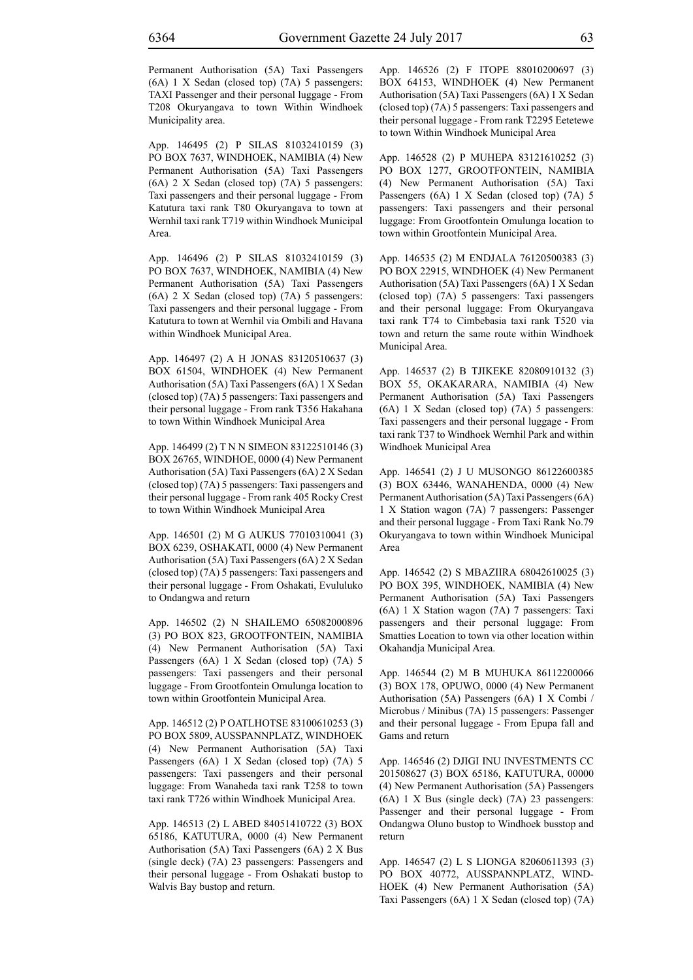Permanent Authorisation (5A) Taxi Passengers (6A) 1 X Sedan (closed top) (7A) 5 passengers: TAXI Passenger and their personal luggage - From T208 Okuryangava to town Within Windhoek Municipality area.

App. 146495 (2) P SILAS 81032410159 (3) PO BOX 7637, WINDHOEK, NAMIBIA (4) New Permanent Authorisation (5A) Taxi Passengers (6A) 2 X Sedan (closed top) (7A) 5 passengers: Taxi passengers and their personal luggage - From Katutura taxi rank T80 Okuryangava to town at Wernhil taxi rank T719 within Windhoek Municipal Area.

App. 146496 (2) P SILAS 81032410159 (3) PO BOX 7637, WINDHOEK, NAMIBIA (4) New Permanent Authorisation (5A) Taxi Passengers (6A) 2 X Sedan (closed top) (7A) 5 passengers: Taxi passengers and their personal luggage - From Katutura to town at Wernhil via Ombili and Havana within Windhoek Municipal Area.

App. 146497 (2) A H JONAS 83120510637 (3) BOX 61504, WINDHOEK (4) New Permanent Authorisation (5A) Taxi Passengers (6A) 1 X Sedan (closed top) (7A) 5 passengers: Taxi passengers and their personal luggage - From rank T356 Hakahana to town Within Windhoek Municipal Area

App. 146499 (2) T N N SIMEON 83122510146 (3) BOX 26765, WINDHOE, 0000 (4) New Permanent Authorisation (5A) Taxi Passengers (6A) 2 X Sedan (closed top) (7A) 5 passengers: Taxi passengers and their personal luggage - From rank 405 Rocky Crest to town Within Windhoek Municipal Area

App. 146501 (2) M G AUKUS 77010310041 (3) BOX 6239, OSHAKATI, 0000 (4) New Permanent Authorisation (5A) Taxi Passengers (6A) 2 X Sedan (closed top) (7A) 5 passengers: Taxi passengers and their personal luggage - From Oshakati, Evululuko to Ondangwa and return

App. 146502 (2) N SHAILEMO 65082000896 (3) PO BOX 823, GROOTFONTEIN, NAMIBIA (4) New Permanent Authorisation (5A) Taxi Passengers (6A) 1 X Sedan (closed top) (7A) 5 passengers: Taxi passengers and their personal luggage - From Grootfontein Omulunga location to town within Grootfontein Municipal Area.

App. 146512 (2) P OATLHOTSE 83100610253 (3) PO BOX 5809, AUSSPANNPLATZ, WINDHOEK (4) New Permanent Authorisation (5A) Taxi Passengers (6A) 1 X Sedan (closed top) (7A) 5 passengers: Taxi passengers and their personal luggage: From Wanaheda taxi rank T258 to town taxi rank T726 within Windhoek Municipal Area.

App. 146513 (2) L ABED 84051410722 (3) BOX 65186, KATUTURA, 0000 (4) New Permanent Authorisation (5A) Taxi Passengers (6A) 2 X Bus (single deck) (7A) 23 passengers: Passengers and their personal luggage - From Oshakati bustop to Walvis Bay bustop and return.

App. 146526 (2) F ITOPE 88010200697 (3) BOX 64153, WINDHOEK (4) New Permanent Authorisation (5A) Taxi Passengers (6A) 1 X Sedan (closed top) (7A) 5 passengers: Taxi passengers and their personal luggage - From rank T2295 Eetetewe to town Within Windhoek Municipal Area

App. 146528 (2) P MUHEPA 83121610252 (3) PO BOX 1277, GROOTFONTEIN, NAMIBIA (4) New Permanent Authorisation (5A) Taxi Passengers (6A) 1 X Sedan (closed top) (7A) 5 passengers: Taxi passengers and their personal luggage: From Grootfontein Omulunga location to town within Grootfontein Municipal Area.

App. 146535 (2) M ENDJALA 76120500383 (3) PO BOX 22915, WINDHOEK (4) New Permanent Authorisation (5A) Taxi Passengers (6A) 1 X Sedan (closed top) (7A) 5 passengers: Taxi passengers and their personal luggage: From Okuryangava taxi rank T74 to Cimbebasia taxi rank T520 via town and return the same route within Windhoek Municipal Area.

App. 146537 (2) B TJIKEKE 82080910132 (3) BOX 55, OKAKARARA, NAMIBIA (4) New Permanent Authorisation (5A) Taxi Passengers (6A) 1 X Sedan (closed top) (7A) 5 passengers: Taxi passengers and their personal luggage - From taxi rank T37 to Windhoek Wernhil Park and within Windhoek Municipal Area

App. 146541 (2) J U MUSONGO 86122600385 (3) BOX 63446, WANAHENDA, 0000 (4) New Permanent Authorisation (5A) Taxi Passengers (6A) 1 X Station wagon (7A) 7 passengers: Passenger and their personal luggage - From Taxi Rank No.79 Okuryangava to town within Windhoek Municipal Area

App. 146542 (2) S MBAZIIRA 68042610025 (3) PO BOX 395, WINDHOEK, NAMIBIA (4) New Permanent Authorisation (5A) Taxi Passengers (6A) 1 X Station wagon (7A) 7 passengers: Taxi passengers and their personal luggage: From Smatties Location to town via other location within Okahandja Municipal Area.

App. 146544 (2) M B MUHUKA 86112200066 (3) BOX 178, OPUWO, 0000 (4) New Permanent Authorisation (5A) Passengers (6A) 1 X Combi / Microbus / Minibus (7A) 15 passengers: Passenger and their personal luggage - From Epupa fall and Gams and return

App. 146546 (2) DJIGI INU INVESTMENTS CC 201508627 (3) BOX 65186, KATUTURA, 00000 (4) New Permanent Authorisation (5A) Passengers (6A) 1 X Bus (single deck) (7A) 23 passengers: Passenger and their personal luggage - From Ondangwa Oluno bustop to Windhoek busstop and return

App. 146547 (2) L S LIONGA 82060611393 (3) PO BOX 40772, AUSSPANNPLATZ, WIND-HOEK (4) New Permanent Authorisation (5A) Taxi Passengers (6A) 1 X Sedan (closed top) (7A)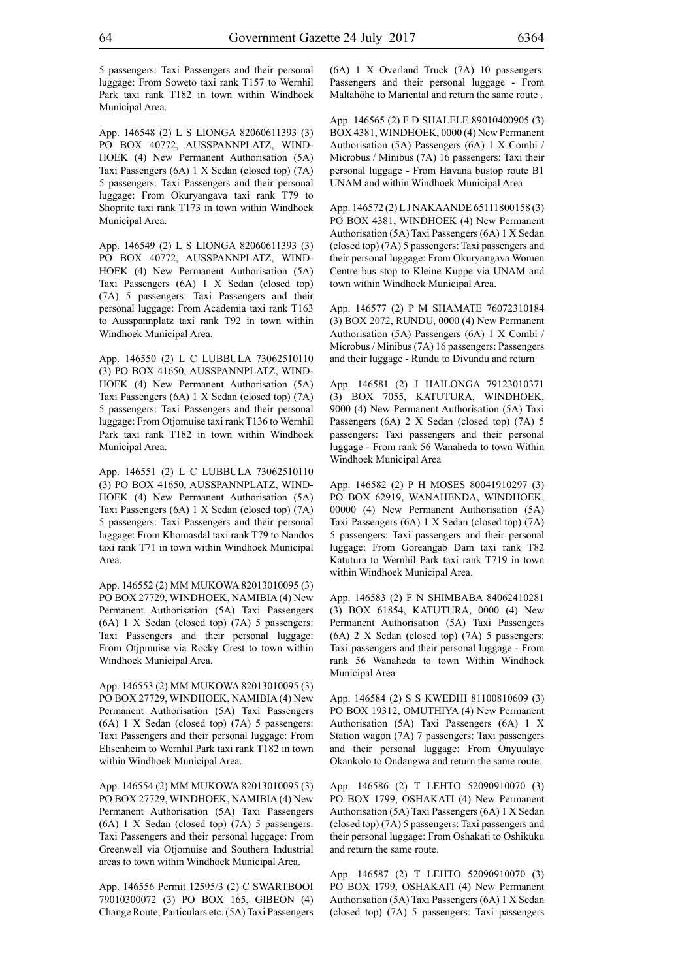5 passengers: Taxi Passengers and their personal luggage: From Soweto taxi rank T157 to Wernhil Park taxi rank T182 in town within Windhoek Municipal Area.

App. 146548 (2) L S LIONGA 82060611393 (3) PO BOX 40772, AUSSPANNPLATZ, WIND-HOEK (4) New Permanent Authorisation (5A) Taxi Passengers (6A) 1 X Sedan (closed top) (7A) 5 passengers: Taxi Passengers and their personal luggage: From Okuryangava taxi rank T79 to Shoprite taxi rank T173 in town within Windhoek Municipal Area.

App. 146549 (2) L S LIONGA 82060611393 (3) PO BOX 40772, AUSSPANNPLATZ, WIND-HOEK (4) New Permanent Authorisation (5A) Taxi Passengers (6A) 1 X Sedan (closed top) (7A) 5 passengers: Taxi Passengers and their personal luggage: From Academia taxi rank T163 to Ausspannplatz taxi rank T92 in town within Windhoek Municipal Area.

App. 146550 (2) L C LUBBULA 73062510110 (3) PO BOX 41650, AUSSPANNPLATZ, WIND-HOEK (4) New Permanent Authorisation (5A) Taxi Passengers (6A) 1 X Sedan (closed top) (7A) 5 passengers: Taxi Passengers and their personal luggage: From Otjomuise taxi rank T136 to Wernhil Park taxi rank T182 in town within Windhoek Municipal Area.

App. 146551 (2) L C LUBBULA 73062510110 (3) PO BOX 41650, AUSSPANNPLATZ, WIND-HOEK (4) New Permanent Authorisation (5A) Taxi Passengers (6A) 1 X Sedan (closed top) (7A) 5 passengers: Taxi Passengers and their personal luggage: From Khomasdal taxi rank T79 to Nandos taxi rank T71 in town within Windhoek Municipal Area.

App. 146552 (2) MM MUKOWA 82013010095 (3) PO BOX 27729, WINDHOEK, NAMIBIA (4) New Permanent Authorisation (5A) Taxi Passengers (6A) 1 X Sedan (closed top) (7A) 5 passengers: Taxi Passengers and their personal luggage: From Otjpmuise via Rocky Crest to town within Windhoek Municipal Area.

App. 146553 (2) MM MUKOWA 82013010095 (3) PO BOX 27729, WINDHOEK, NAMIBIA (4) New Permanent Authorisation (5A) Taxi Passengers (6A) 1 X Sedan (closed top) (7A) 5 passengers: Taxi Passengers and their personal luggage: From Elisenheim to Wernhil Park taxi rank T182 in town within Windhoek Municipal Area.

App. 146554 (2) MM MUKOWA 82013010095 (3) PO BOX 27729, WINDHOEK, NAMIBIA (4) New Permanent Authorisation (5A) Taxi Passengers (6A) 1 X Sedan (closed top) (7A) 5 passengers: Taxi Passengers and their personal luggage: From Greenwell via Otjomuise and Southern Industrial areas to town within Windhoek Municipal Area.

App. 146556 Permit 12595/3 (2) C SWARTBOOI 79010300072 (3) PO BOX 165, GIBEON (4) Change Route, Particulars etc. (5A) Taxi Passengers (6A) 1 X Overland Truck (7A) 10 passengers: Passengers and their personal luggage - From Maltahöhe to Mariental and return the same route .

App. 146565 (2) F D SHALELE 89010400905 (3) BOX 4381, WINDHOEK, 0000 (4) New Permanent Authorisation (5A) Passengers (6A) 1 X Combi / Microbus / Minibus (7A) 16 passengers: Taxi their personal luggage - From Havana bustop route B1 UNAM and within Windhoek Municipal Area

App. 146572 (2) L J NAKAANDE 65111800158 (3) PO BOX 4381, WINDHOEK (4) New Permanent Authorisation (5A) Taxi Passengers (6A) 1 X Sedan (closed top) (7A) 5 passengers: Taxi passengers and their personal luggage: From Okuryangava Women Centre bus stop to Kleine Kuppe via UNAM and town within Windhoek Municipal Area.

App. 146577 (2) P M SHAMATE 76072310184 (3) BOX 2072, RUNDU, 0000 (4) New Permanent Authorisation (5A) Passengers (6A) 1 X Combi / Microbus / Minibus (7A) 16 passengers: Passengers and their luggage - Rundu to Divundu and return

App. 146581 (2) J HAILONGA 79123010371 (3) BOX 7055, KATUTURA, WINDHOEK, 9000 (4) New Permanent Authorisation (5A) Taxi Passengers (6A) 2 X Sedan (closed top) (7A) 5 passengers: Taxi passengers and their personal luggage - From rank 56 Wanaheda to town Within Windhoek Municipal Area

App. 146582 (2) P H MOSES 80041910297 (3) PO BOX 62919, WANAHENDA, WINDHOEK, 00000 (4) New Permanent Authorisation (5A) Taxi Passengers (6A) 1 X Sedan (closed top) (7A) 5 passengers: Taxi passengers and their personal luggage: From Goreangab Dam taxi rank T82 Katutura to Wernhil Park taxi rank T719 in town within Windhoek Municipal Area.

App. 146583 (2) F N SHIMBABA 84062410281 (3) BOX 61854, KATUTURA, 0000 (4) New Permanent Authorisation (5A) Taxi Passengers (6A) 2 X Sedan (closed top) (7A) 5 passengers: Taxi passengers and their personal luggage - From rank 56 Wanaheda to town Within Windhoek Municipal Area

App. 146584 (2) S S KWEDHI 81100810609 (3) PO BOX 19312, OMUTHIYA (4) New Permanent Authorisation (5A) Taxi Passengers (6A) 1 X Station wagon (7A) 7 passengers: Taxi passengers and their personal luggage: From Onyuulaye Okankolo to Ondangwa and return the same route.

App. 146586 (2) T LEHTO 52090910070 (3) PO BOX 1799, OSHAKATI (4) New Permanent Authorisation (5A) Taxi Passengers (6A) 1 X Sedan (closed top) (7A) 5 passengers: Taxi passengers and their personal luggage: From Oshakati to Oshikuku and return the same route.

App. 146587 (2) T LEHTO 52090910070 (3) PO BOX 1799, OSHAKATI (4) New Permanent Authorisation (5A) Taxi Passengers (6A) 1 X Sedan (closed top) (7A) 5 passengers: Taxi passengers